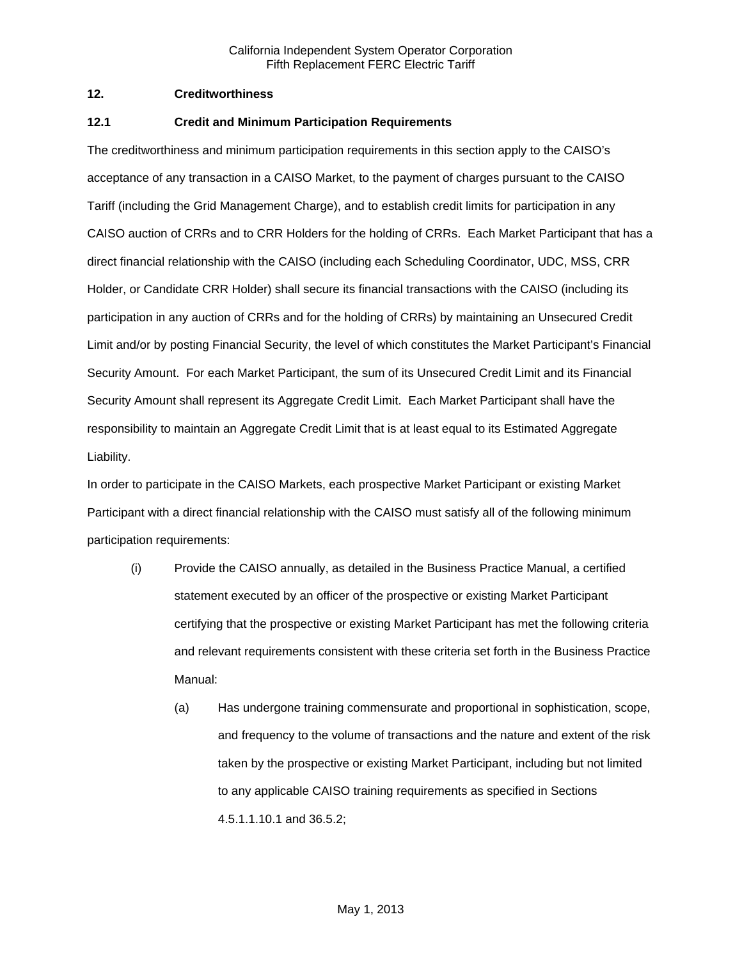### **12. Creditworthiness**

### **12.1 Credit and Minimum Participation Requirements**

The creditworthiness and minimum participation requirements in this section apply to the CAISO's acceptance of any transaction in a CAISO Market, to the payment of charges pursuant to the CAISO Tariff (including the Grid Management Charge), and to establish credit limits for participation in any CAISO auction of CRRs and to CRR Holders for the holding of CRRs. Each Market Participant that has a direct financial relationship with the CAISO (including each Scheduling Coordinator, UDC, MSS, CRR Holder, or Candidate CRR Holder) shall secure its financial transactions with the CAISO (including its participation in any auction of CRRs and for the holding of CRRs) by maintaining an Unsecured Credit Limit and/or by posting Financial Security, the level of which constitutes the Market Participant's Financial Security Amount. For each Market Participant, the sum of its Unsecured Credit Limit and its Financial Security Amount shall represent its Aggregate Credit Limit. Each Market Participant shall have the responsibility to maintain an Aggregate Credit Limit that is at least equal to its Estimated Aggregate Liability.

In order to participate in the CAISO Markets, each prospective Market Participant or existing Market Participant with a direct financial relationship with the CAISO must satisfy all of the following minimum participation requirements:

- (i) Provide the CAISO annually, as detailed in the Business Practice Manual, a certified statement executed by an officer of the prospective or existing Market Participant certifying that the prospective or existing Market Participant has met the following criteria and relevant requirements consistent with these criteria set forth in the Business Practice Manual:
	- (a) Has undergone training commensurate and proportional in sophistication, scope, and frequency to the volume of transactions and the nature and extent of the risk taken by the prospective or existing Market Participant, including but not limited to any applicable CAISO training requirements as specified in Sections 4.5.1.1.10.1 and 36.5.2;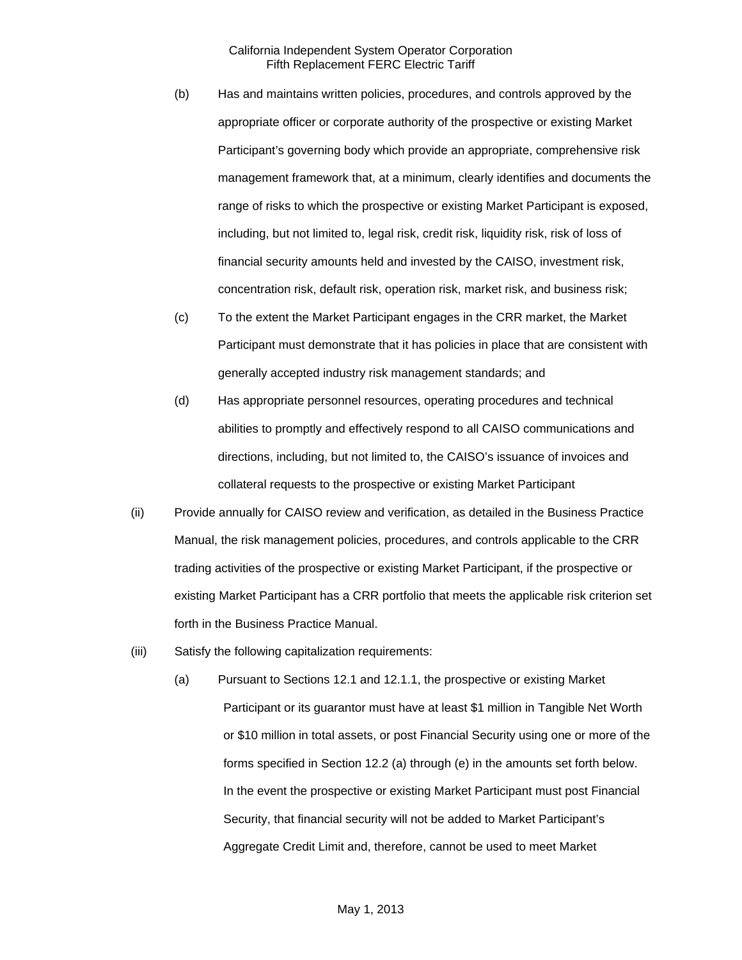- (b) Has and maintains written policies, procedures, and controls approved by the appropriate officer or corporate authority of the prospective or existing Market Participant's governing body which provide an appropriate, comprehensive risk management framework that, at a minimum, clearly identifies and documents the range of risks to which the prospective or existing Market Participant is exposed, including, but not limited to, legal risk, credit risk, liquidity risk, risk of loss of financial security amounts held and invested by the CAISO, investment risk, concentration risk, default risk, operation risk, market risk, and business risk;
- (c) To the extent the Market Participant engages in the CRR market, the Market Participant must demonstrate that it has policies in place that are consistent with generally accepted industry risk management standards; and
- (d) Has appropriate personnel resources, operating procedures and technical abilities to promptly and effectively respond to all CAISO communications and directions, including, but not limited to, the CAISO's issuance of invoices and collateral requests to the prospective or existing Market Participant
- (ii) Provide annually for CAISO review and verification, as detailed in the Business Practice Manual, the risk management policies, procedures, and controls applicable to the CRR trading activities of the prospective or existing Market Participant, if the prospective or existing Market Participant has a CRR portfolio that meets the applicable risk criterion set forth in the Business Practice Manual.
- (iii) Satisfy the following capitalization requirements:
	- (a) Pursuant to Sections 12.1 and 12.1.1, the prospective or existing Market Participant or its guarantor must have at least \$1 million in Tangible Net Worth or \$10 million in total assets, or post Financial Security using one or more of the forms specified in Section 12.2 (a) through (e) in the amounts set forth below. In the event the prospective or existing Market Participant must post Financial Security, that financial security will not be added to Market Participant's Aggregate Credit Limit and, therefore, cannot be used to meet Market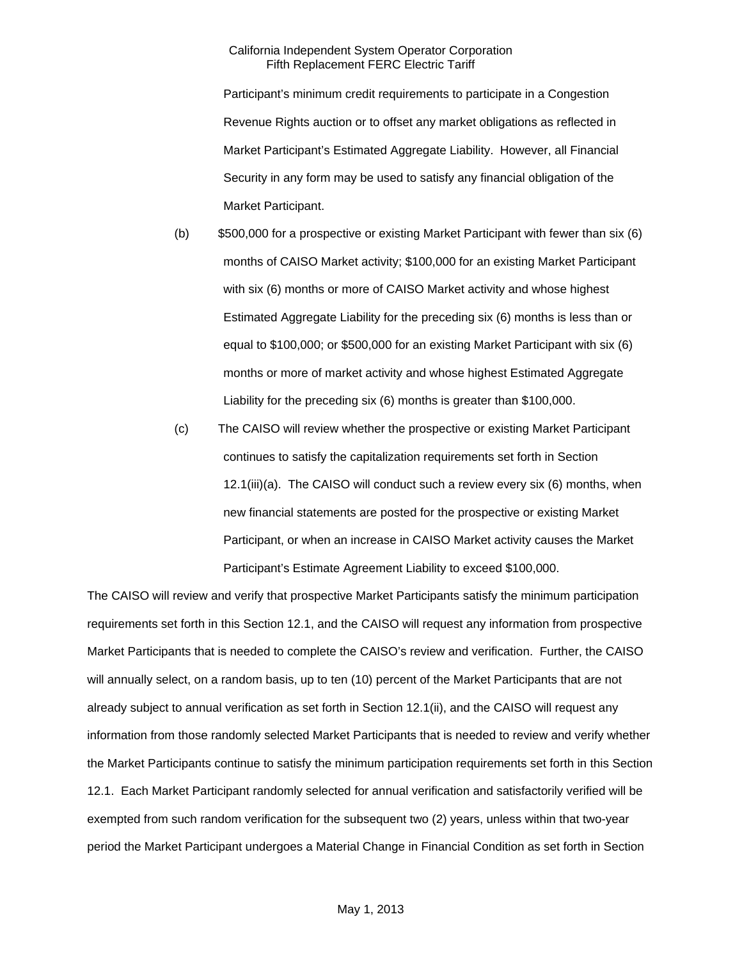Participant's minimum credit requirements to participate in a Congestion Revenue Rights auction or to offset any market obligations as reflected in Market Participant's Estimated Aggregate Liability. However, all Financial Security in any form may be used to satisfy any financial obligation of the Market Participant.

- (b) \$500,000 for a prospective or existing Market Participant with fewer than six (6) months of CAISO Market activity; \$100,000 for an existing Market Participant with six (6) months or more of CAISO Market activity and whose highest Estimated Aggregate Liability for the preceding six (6) months is less than or equal to \$100,000; or \$500,000 for an existing Market Participant with six (6) months or more of market activity and whose highest Estimated Aggregate Liability for the preceding six (6) months is greater than \$100,000.
- (c) The CAISO will review whether the prospective or existing Market Participant continues to satisfy the capitalization requirements set forth in Section 12.1(iii)(a). The CAISO will conduct such a review every six (6) months, when new financial statements are posted for the prospective or existing Market Participant, or when an increase in CAISO Market activity causes the Market Participant's Estimate Agreement Liability to exceed \$100,000.

The CAISO will review and verify that prospective Market Participants satisfy the minimum participation requirements set forth in this Section 12.1, and the CAISO will request any information from prospective Market Participants that is needed to complete the CAISO's review and verification. Further, the CAISO will annually select, on a random basis, up to ten (10) percent of the Market Participants that are not already subject to annual verification as set forth in Section 12.1(ii), and the CAISO will request any information from those randomly selected Market Participants that is needed to review and verify whether the Market Participants continue to satisfy the minimum participation requirements set forth in this Section 12.1. Each Market Participant randomly selected for annual verification and satisfactorily verified will be exempted from such random verification for the subsequent two (2) years, unless within that two-year period the Market Participant undergoes a Material Change in Financial Condition as set forth in Section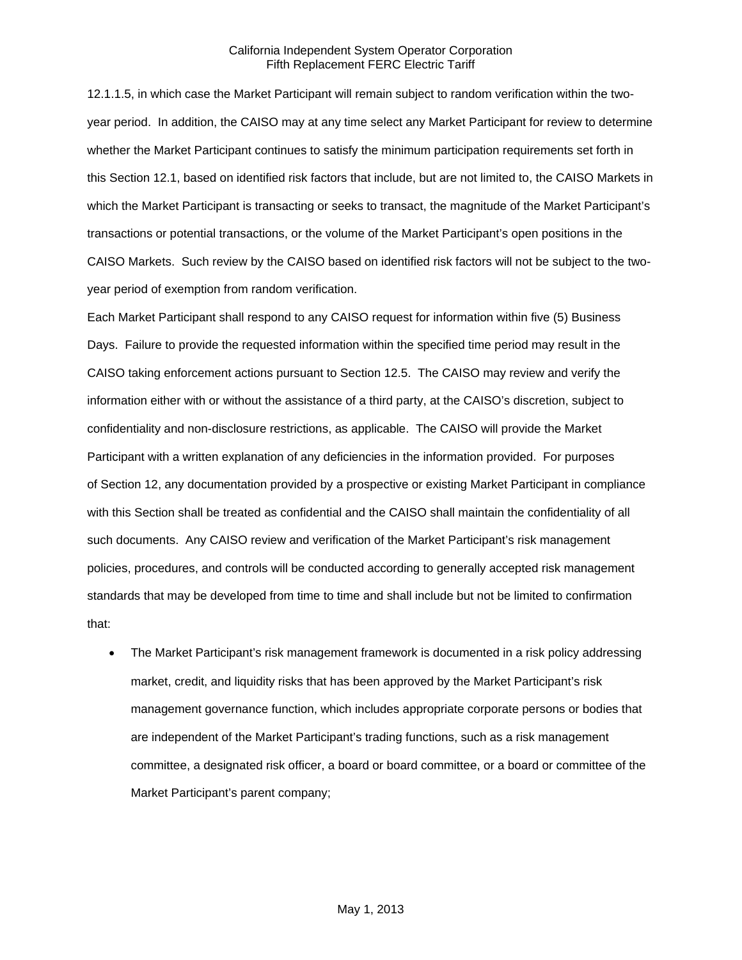12.1.1.5, in which case the Market Participant will remain subject to random verification within the twoyear period. In addition, the CAISO may at any time select any Market Participant for review to determine whether the Market Participant continues to satisfy the minimum participation requirements set forth in this Section 12.1, based on identified risk factors that include, but are not limited to, the CAISO Markets in which the Market Participant is transacting or seeks to transact, the magnitude of the Market Participant's transactions or potential transactions, or the volume of the Market Participant's open positions in the CAISO Markets. Such review by the CAISO based on identified risk factors will not be subject to the twoyear period of exemption from random verification.

Each Market Participant shall respond to any CAISO request for information within five (5) Business Days. Failure to provide the requested information within the specified time period may result in the CAISO taking enforcement actions pursuant to Section 12.5. The CAISO may review and verify the information either with or without the assistance of a third party, at the CAISO's discretion, subject to confidentiality and non-disclosure restrictions, as applicable. The CAISO will provide the Market Participant with a written explanation of any deficiencies in the information provided. For purposes of Section 12, any documentation provided by a prospective or existing Market Participant in compliance with this Section shall be treated as confidential and the CAISO shall maintain the confidentiality of all such documents. Any CAISO review and verification of the Market Participant's risk management policies, procedures, and controls will be conducted according to generally accepted risk management standards that may be developed from time to time and shall include but not be limited to confirmation that:

 The Market Participant's risk management framework is documented in a risk policy addressing market, credit, and liquidity risks that has been approved by the Market Participant's risk management governance function, which includes appropriate corporate persons or bodies that are independent of the Market Participant's trading functions, such as a risk management committee, a designated risk officer, a board or board committee, or a board or committee of the Market Participant's parent company;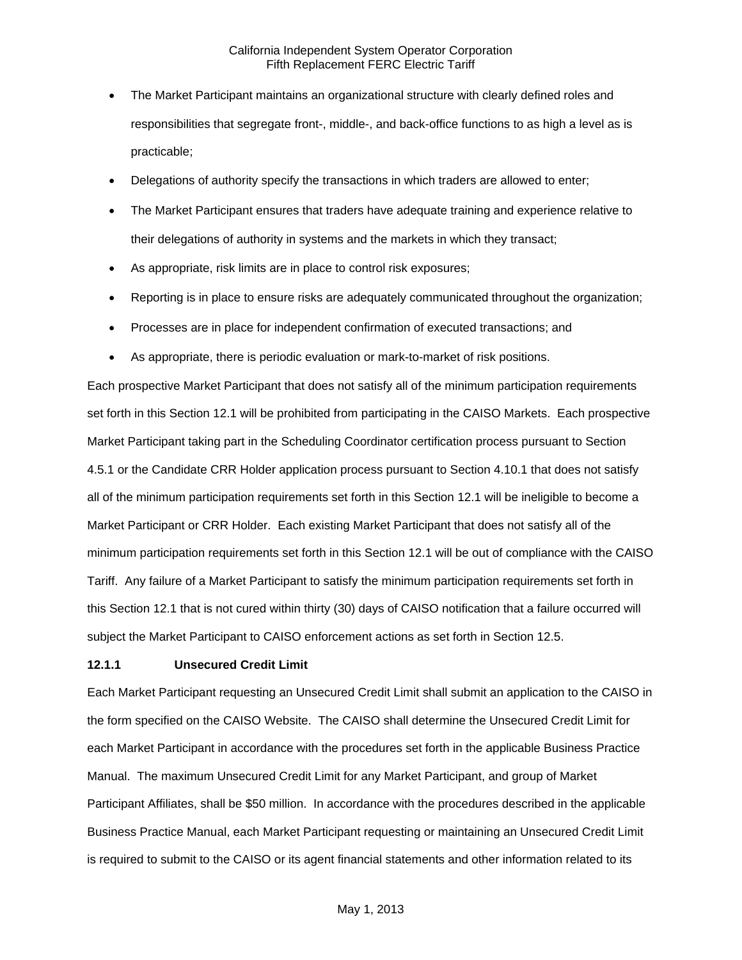- The Market Participant maintains an organizational structure with clearly defined roles and responsibilities that segregate front-, middle-, and back-office functions to as high a level as is practicable;
- Delegations of authority specify the transactions in which traders are allowed to enter;
- The Market Participant ensures that traders have adequate training and experience relative to their delegations of authority in systems and the markets in which they transact;
- As appropriate, risk limits are in place to control risk exposures;
- Reporting is in place to ensure risks are adequately communicated throughout the organization;
- Processes are in place for independent confirmation of executed transactions; and
- As appropriate, there is periodic evaluation or mark-to-market of risk positions.

Each prospective Market Participant that does not satisfy all of the minimum participation requirements set forth in this Section 12.1 will be prohibited from participating in the CAISO Markets. Each prospective Market Participant taking part in the Scheduling Coordinator certification process pursuant to Section 4.5.1 or the Candidate CRR Holder application process pursuant to Section 4.10.1 that does not satisfy all of the minimum participation requirements set forth in this Section 12.1 will be ineligible to become a Market Participant or CRR Holder. Each existing Market Participant that does not satisfy all of the minimum participation requirements set forth in this Section 12.1 will be out of compliance with the CAISO Tariff. Any failure of a Market Participant to satisfy the minimum participation requirements set forth in this Section 12.1 that is not cured within thirty (30) days of CAISO notification that a failure occurred will subject the Market Participant to CAISO enforcement actions as set forth in Section 12.5.

#### **12.1.1 Unsecured Credit Limit**

Each Market Participant requesting an Unsecured Credit Limit shall submit an application to the CAISO in the form specified on the CAISO Website. The CAISO shall determine the Unsecured Credit Limit for each Market Participant in accordance with the procedures set forth in the applicable Business Practice Manual. The maximum Unsecured Credit Limit for any Market Participant, and group of Market Participant Affiliates, shall be \$50 million. In accordance with the procedures described in the applicable Business Practice Manual, each Market Participant requesting or maintaining an Unsecured Credit Limit is required to submit to the CAISO or its agent financial statements and other information related to its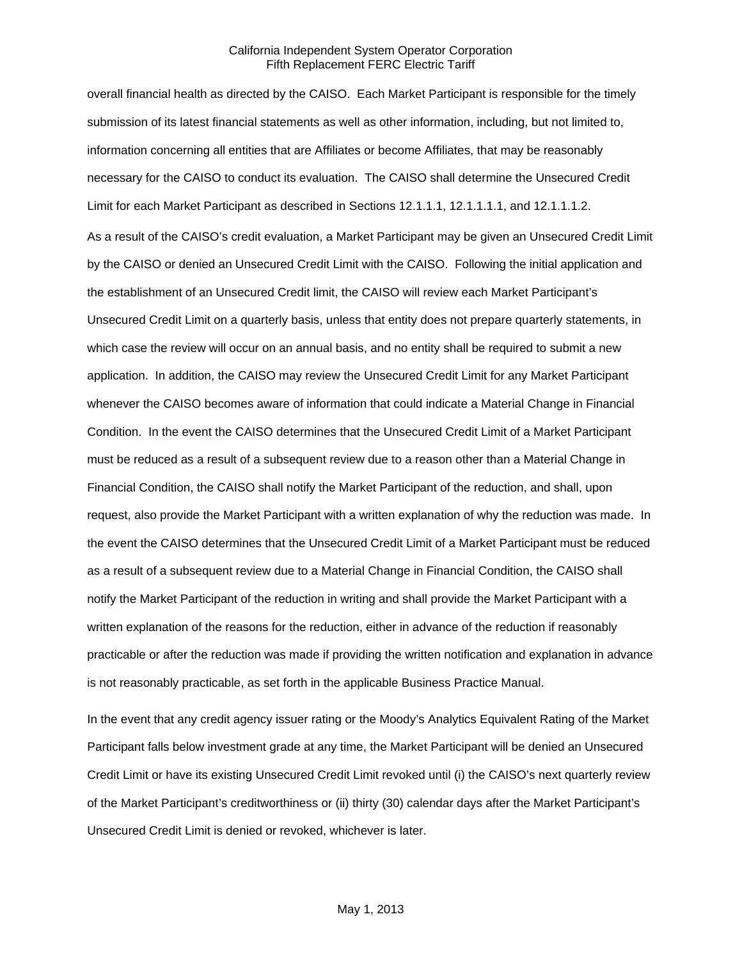overall financial health as directed by the CAISO. Each Market Participant is responsible for the timely submission of its latest financial statements as well as other information, including, but not limited to, information concerning all entities that are Affiliates or become Affiliates, that may be reasonably necessary for the CAISO to conduct its evaluation. The CAISO shall determine the Unsecured Credit Limit for each Market Participant as described in Sections 12.1.1.1, 12.1.1.1.1, and 12.1.1.1.2.

As a result of the CAISO's credit evaluation, a Market Participant may be given an Unsecured Credit Limit by the CAISO or denied an Unsecured Credit Limit with the CAISO. Following the initial application and the establishment of an Unsecured Credit limit, the CAISO will review each Market Participant's Unsecured Credit Limit on a quarterly basis, unless that entity does not prepare quarterly statements, in which case the review will occur on an annual basis, and no entity shall be required to submit a new application. In addition, the CAISO may review the Unsecured Credit Limit for any Market Participant whenever the CAISO becomes aware of information that could indicate a Material Change in Financial Condition. In the event the CAISO determines that the Unsecured Credit Limit of a Market Participant must be reduced as a result of a subsequent review due to a reason other than a Material Change in Financial Condition, the CAISO shall notify the Market Participant of the reduction, and shall, upon request, also provide the Market Participant with a written explanation of why the reduction was made. In the event the CAISO determines that the Unsecured Credit Limit of a Market Participant must be reduced as a result of a subsequent review due to a Material Change in Financial Condition, the CAISO shall notify the Market Participant of the reduction in writing and shall provide the Market Participant with a written explanation of the reasons for the reduction, either in advance of the reduction if reasonably practicable or after the reduction was made if providing the written notification and explanation in advance is not reasonably practicable, as set forth in the applicable Business Practice Manual.

In the event that any credit agency issuer rating or the Moody's Analytics Equivalent Rating of the Market Participant falls below investment grade at any time, the Market Participant will be denied an Unsecured Credit Limit or have its existing Unsecured Credit Limit revoked until (i) the CAISO's next quarterly review of the Market Participant's creditworthiness or (ii) thirty (30) calendar days after the Market Participant's Unsecured Credit Limit is denied or revoked, whichever is later.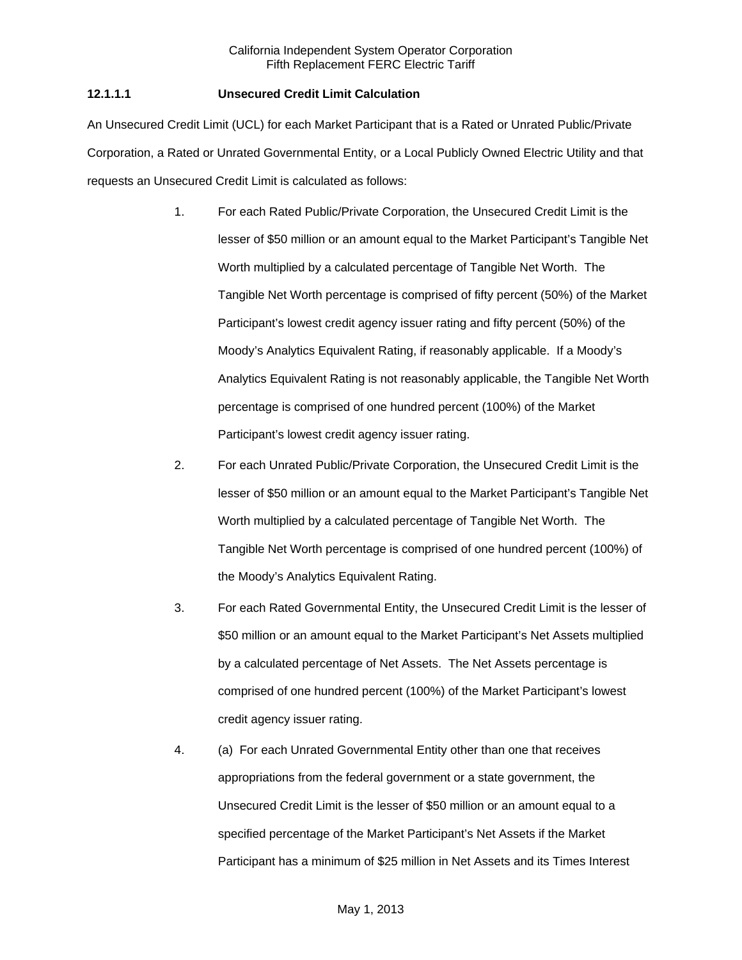# **12.1.1.1 Unsecured Credit Limit Calculation**

An Unsecured Credit Limit (UCL) for each Market Participant that is a Rated or Unrated Public/Private Corporation, a Rated or Unrated Governmental Entity, or a Local Publicly Owned Electric Utility and that requests an Unsecured Credit Limit is calculated as follows:

- 1. For each Rated Public/Private Corporation, the Unsecured Credit Limit is the lesser of \$50 million or an amount equal to the Market Participant's Tangible Net Worth multiplied by a calculated percentage of Tangible Net Worth. The Tangible Net Worth percentage is comprised of fifty percent (50%) of the Market Participant's lowest credit agency issuer rating and fifty percent (50%) of the Moody's Analytics Equivalent Rating, if reasonably applicable. If a Moody's Analytics Equivalent Rating is not reasonably applicable, the Tangible Net Worth percentage is comprised of one hundred percent (100%) of the Market Participant's lowest credit agency issuer rating.
- 2. For each Unrated Public/Private Corporation, the Unsecured Credit Limit is the lesser of \$50 million or an amount equal to the Market Participant's Tangible Net Worth multiplied by a calculated percentage of Tangible Net Worth. The Tangible Net Worth percentage is comprised of one hundred percent (100%) of the Moody's Analytics Equivalent Rating.
- 3. For each Rated Governmental Entity, the Unsecured Credit Limit is the lesser of \$50 million or an amount equal to the Market Participant's Net Assets multiplied by a calculated percentage of Net Assets. The Net Assets percentage is comprised of one hundred percent (100%) of the Market Participant's lowest credit agency issuer rating.
- 4. (a) For each Unrated Governmental Entity other than one that receives appropriations from the federal government or a state government, the Unsecured Credit Limit is the lesser of \$50 million or an amount equal to a specified percentage of the Market Participant's Net Assets if the Market Participant has a minimum of \$25 million in Net Assets and its Times Interest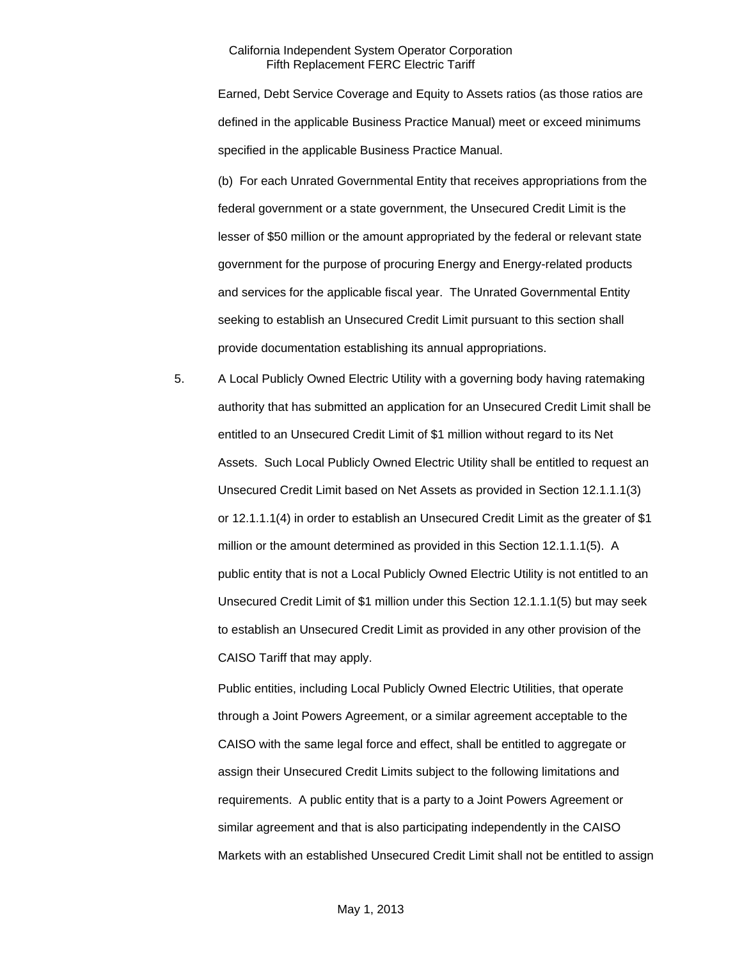Earned, Debt Service Coverage and Equity to Assets ratios (as those ratios are defined in the applicable Business Practice Manual) meet or exceed minimums specified in the applicable Business Practice Manual.

(b) For each Unrated Governmental Entity that receives appropriations from the federal government or a state government, the Unsecured Credit Limit is the lesser of \$50 million or the amount appropriated by the federal or relevant state government for the purpose of procuring Energy and Energy-related products and services for the applicable fiscal year. The Unrated Governmental Entity seeking to establish an Unsecured Credit Limit pursuant to this section shall provide documentation establishing its annual appropriations.

5. A Local Publicly Owned Electric Utility with a governing body having ratemaking authority that has submitted an application for an Unsecured Credit Limit shall be entitled to an Unsecured Credit Limit of \$1 million without regard to its Net Assets. Such Local Publicly Owned Electric Utility shall be entitled to request an Unsecured Credit Limit based on Net Assets as provided in Section 12.1.1.1(3) or 12.1.1.1(4) in order to establish an Unsecured Credit Limit as the greater of \$1 million or the amount determined as provided in this Section 12.1.1.1(5). A public entity that is not a Local Publicly Owned Electric Utility is not entitled to an Unsecured Credit Limit of \$1 million under this Section 12.1.1.1(5) but may seek to establish an Unsecured Credit Limit as provided in any other provision of the CAISO Tariff that may apply.

Public entities, including Local Publicly Owned Electric Utilities, that operate through a Joint Powers Agreement, or a similar agreement acceptable to the CAISO with the same legal force and effect, shall be entitled to aggregate or assign their Unsecured Credit Limits subject to the following limitations and requirements. A public entity that is a party to a Joint Powers Agreement or similar agreement and that is also participating independently in the CAISO Markets with an established Unsecured Credit Limit shall not be entitled to assign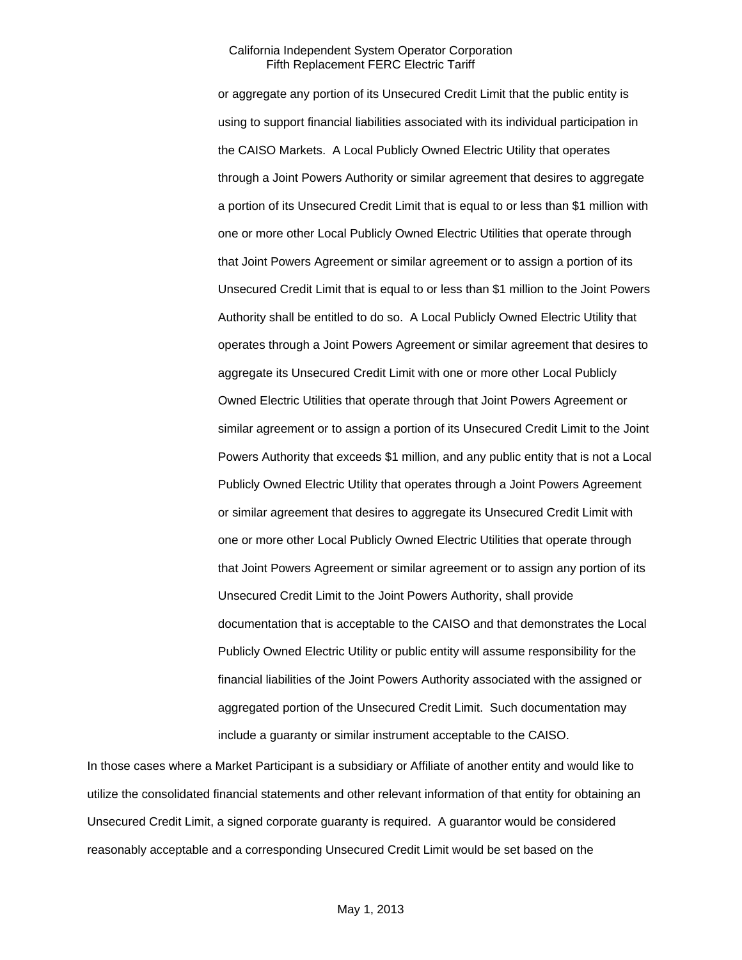or aggregate any portion of its Unsecured Credit Limit that the public entity is using to support financial liabilities associated with its individual participation in the CAISO Markets. A Local Publicly Owned Electric Utility that operates through a Joint Powers Authority or similar agreement that desires to aggregate a portion of its Unsecured Credit Limit that is equal to or less than \$1 million with one or more other Local Publicly Owned Electric Utilities that operate through that Joint Powers Agreement or similar agreement or to assign a portion of its Unsecured Credit Limit that is equal to or less than \$1 million to the Joint Powers Authority shall be entitled to do so. A Local Publicly Owned Electric Utility that operates through a Joint Powers Agreement or similar agreement that desires to aggregate its Unsecured Credit Limit with one or more other Local Publicly Owned Electric Utilities that operate through that Joint Powers Agreement or similar agreement or to assign a portion of its Unsecured Credit Limit to the Joint Powers Authority that exceeds \$1 million, and any public entity that is not a Local Publicly Owned Electric Utility that operates through a Joint Powers Agreement or similar agreement that desires to aggregate its Unsecured Credit Limit with one or more other Local Publicly Owned Electric Utilities that operate through that Joint Powers Agreement or similar agreement or to assign any portion of its Unsecured Credit Limit to the Joint Powers Authority, shall provide documentation that is acceptable to the CAISO and that demonstrates the Local Publicly Owned Electric Utility or public entity will assume responsibility for the financial liabilities of the Joint Powers Authority associated with the assigned or aggregated portion of the Unsecured Credit Limit. Such documentation may include a guaranty or similar instrument acceptable to the CAISO.

In those cases where a Market Participant is a subsidiary or Affiliate of another entity and would like to utilize the consolidated financial statements and other relevant information of that entity for obtaining an Unsecured Credit Limit, a signed corporate guaranty is required. A guarantor would be considered reasonably acceptable and a corresponding Unsecured Credit Limit would be set based on the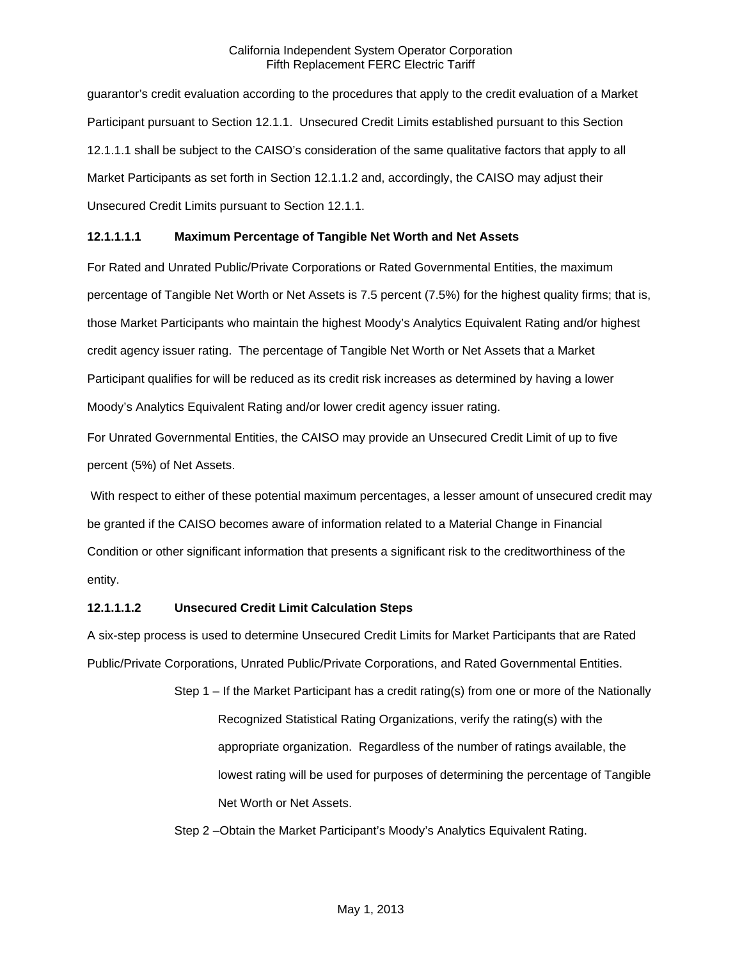guarantor's credit evaluation according to the procedures that apply to the credit evaluation of a Market Participant pursuant to Section 12.1.1. Unsecured Credit Limits established pursuant to this Section 12.1.1.1 shall be subject to the CAISO's consideration of the same qualitative factors that apply to all Market Participants as set forth in Section 12.1.1.2 and, accordingly, the CAISO may adjust their Unsecured Credit Limits pursuant to Section 12.1.1.

# **12.1.1.1.1 Maximum Percentage of Tangible Net Worth and Net Assets**

For Rated and Unrated Public/Private Corporations or Rated Governmental Entities, the maximum percentage of Tangible Net Worth or Net Assets is 7.5 percent (7.5%) for the highest quality firms; that is, those Market Participants who maintain the highest Moody's Analytics Equivalent Rating and/or highest credit agency issuer rating. The percentage of Tangible Net Worth or Net Assets that a Market Participant qualifies for will be reduced as its credit risk increases as determined by having a lower Moody's Analytics Equivalent Rating and/or lower credit agency issuer rating.

For Unrated Governmental Entities, the CAISO may provide an Unsecured Credit Limit of up to five percent (5%) of Net Assets.

 With respect to either of these potential maximum percentages, a lesser amount of unsecured credit may be granted if the CAISO becomes aware of information related to a Material Change in Financial Condition or other significant information that presents a significant risk to the creditworthiness of the entity.

### **12.1.1.1.2 Unsecured Credit Limit Calculation Steps**

A six-step process is used to determine Unsecured Credit Limits for Market Participants that are Rated Public/Private Corporations, Unrated Public/Private Corporations, and Rated Governmental Entities.

> Step 1 – If the Market Participant has a credit rating(s) from one or more of the Nationally Recognized Statistical Rating Organizations, verify the rating(s) with the appropriate organization. Regardless of the number of ratings available, the lowest rating will be used for purposes of determining the percentage of Tangible Net Worth or Net Assets.

Step 2 –Obtain the Market Participant's Moody's Analytics Equivalent Rating.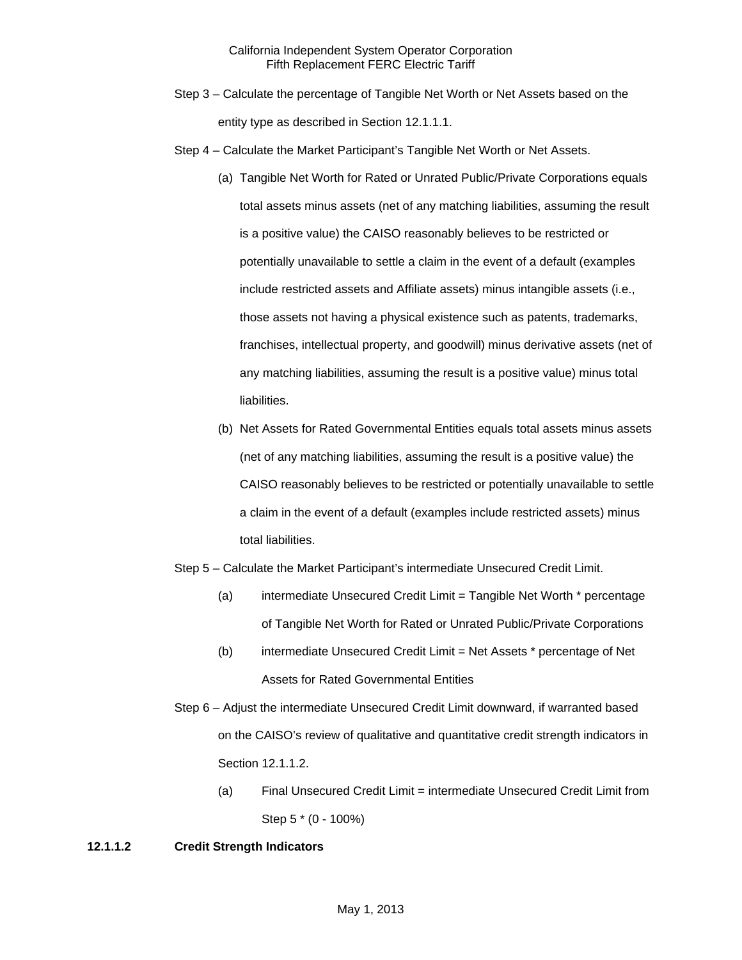- Step 3 Calculate the percentage of Tangible Net Worth or Net Assets based on the entity type as described in Section 12.1.1.1.
- Step 4 Calculate the Market Participant's Tangible Net Worth or Net Assets.
	- (a) Tangible Net Worth for Rated or Unrated Public/Private Corporations equals total assets minus assets (net of any matching liabilities, assuming the result is a positive value) the CAISO reasonably believes to be restricted or potentially unavailable to settle a claim in the event of a default (examples include restricted assets and Affiliate assets) minus intangible assets (i.e., those assets not having a physical existence such as patents, trademarks, franchises, intellectual property, and goodwill) minus derivative assets (net of any matching liabilities, assuming the result is a positive value) minus total liabilities.
	- (b) Net Assets for Rated Governmental Entities equals total assets minus assets (net of any matching liabilities, assuming the result is a positive value) the CAISO reasonably believes to be restricted or potentially unavailable to settle a claim in the event of a default (examples include restricted assets) minus total liabilities.
- Step 5 Calculate the Market Participant's intermediate Unsecured Credit Limit.
	- (a) intermediate Unsecured Credit Limit = Tangible Net Worth \* percentage of Tangible Net Worth for Rated or Unrated Public/Private Corporations
	- (b) intermediate Unsecured Credit Limit = Net Assets \* percentage of Net Assets for Rated Governmental Entities
- Step 6 Adjust the intermediate Unsecured Credit Limit downward, if warranted based on the CAISO's review of qualitative and quantitative credit strength indicators in Section 12.1.1.2.
	- (a) Final Unsecured Credit Limit = intermediate Unsecured Credit Limit from Step 5 \* (0 - 100%)

# **12.1.1.2 Credit Strength Indicators**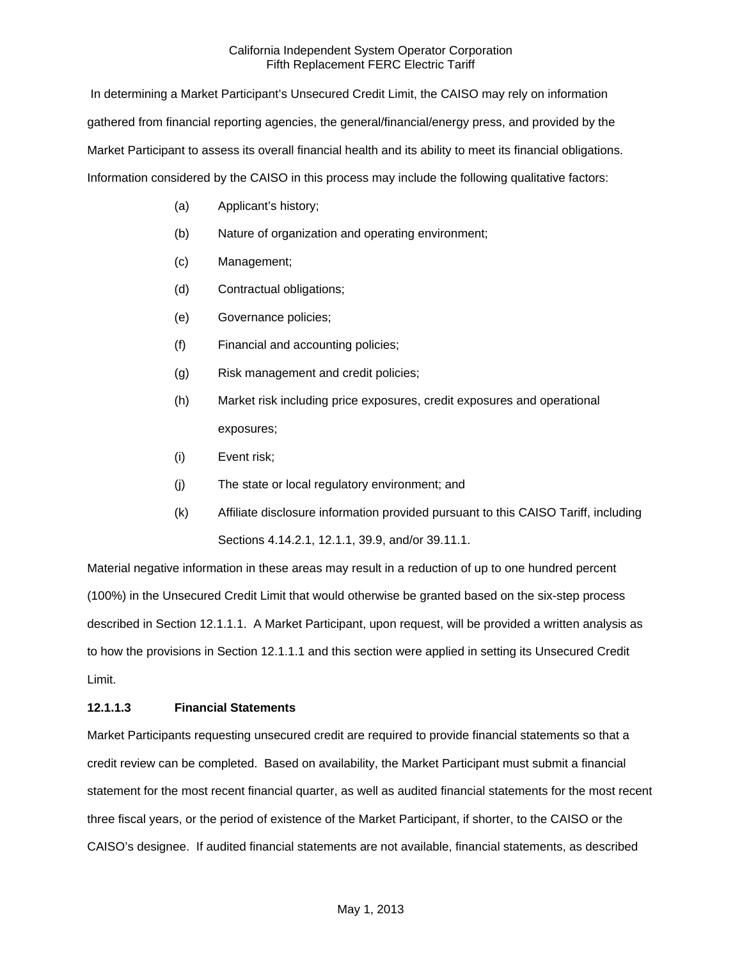In determining a Market Participant's Unsecured Credit Limit, the CAISO may rely on information gathered from financial reporting agencies, the general/financial/energy press, and provided by the Market Participant to assess its overall financial health and its ability to meet its financial obligations. Information considered by the CAISO in this process may include the following qualitative factors:

- (a) Applicant's history;
- (b) Nature of organization and operating environment;
- (c) Management;
- (d) Contractual obligations;
- (e) Governance policies;
- (f) Financial and accounting policies;
- (g) Risk management and credit policies;
- (h) Market risk including price exposures, credit exposures and operational exposures;
- (i) Event risk;
- (j) The state or local regulatory environment; and
- (k) Affiliate disclosure information provided pursuant to this CAISO Tariff, including Sections 4.14.2.1, 12.1.1, 39.9, and/or 39.11.1.

Material negative information in these areas may result in a reduction of up to one hundred percent (100%) in the Unsecured Credit Limit that would otherwise be granted based on the six-step process described in Section 12.1.1.1. A Market Participant, upon request, will be provided a written analysis as to how the provisions in Section 12.1.1.1 and this section were applied in setting its Unsecured Credit Limit.

### **12.1.1.3 Financial Statements**

Market Participants requesting unsecured credit are required to provide financial statements so that a credit review can be completed. Based on availability, the Market Participant must submit a financial statement for the most recent financial quarter, as well as audited financial statements for the most recent three fiscal years, or the period of existence of the Market Participant, if shorter, to the CAISO or the CAISO's designee. If audited financial statements are not available, financial statements, as described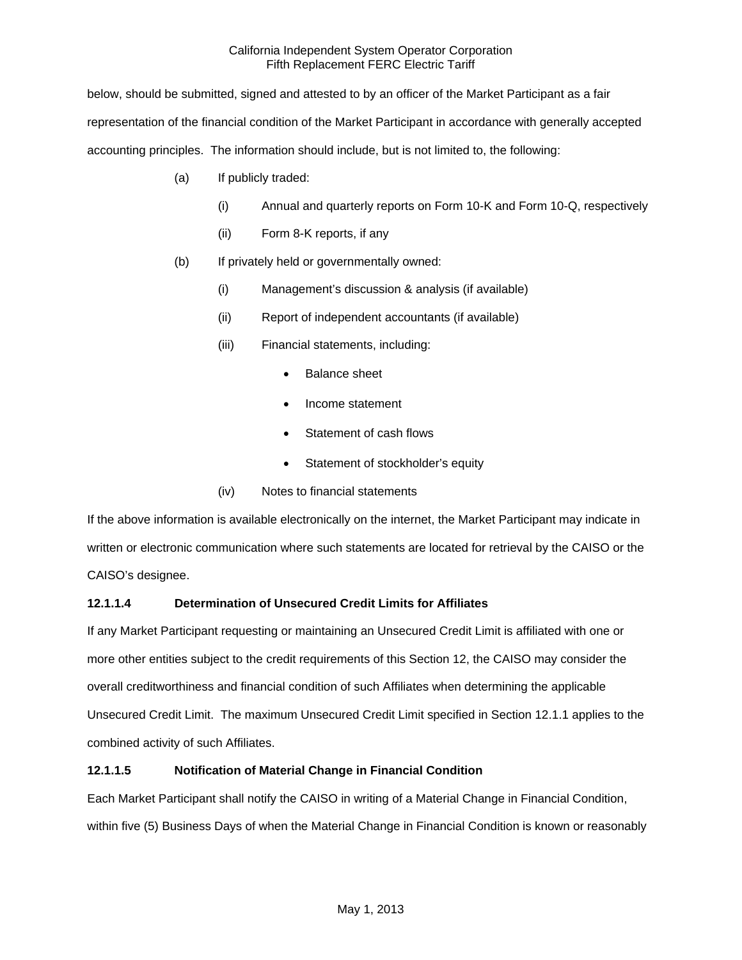below, should be submitted, signed and attested to by an officer of the Market Participant as a fair representation of the financial condition of the Market Participant in accordance with generally accepted accounting principles. The information should include, but is not limited to, the following:

- (a) If publicly traded:
	- (i) Annual and quarterly reports on Form 10-K and Form 10-Q, respectively
	- (ii) Form 8-K reports, if any
- (b) If privately held or governmentally owned:
	- (i) Management's discussion & analysis (if available)
	- (ii) Report of independent accountants (if available)
	- (iii) Financial statements, including:
		- Balance sheet
		- Income statement
		- Statement of cash flows
		- Statement of stockholder's equity
	- (iv) Notes to financial statements

If the above information is available electronically on the internet, the Market Participant may indicate in written or electronic communication where such statements are located for retrieval by the CAISO or the CAISO's designee.

# **12.1.1.4 Determination of Unsecured Credit Limits for Affiliates**

If any Market Participant requesting or maintaining an Unsecured Credit Limit is affiliated with one or more other entities subject to the credit requirements of this Section 12, the CAISO may consider the overall creditworthiness and financial condition of such Affiliates when determining the applicable Unsecured Credit Limit. The maximum Unsecured Credit Limit specified in Section 12.1.1 applies to the combined activity of such Affiliates.

# **12.1.1.5 Notification of Material Change in Financial Condition**

Each Market Participant shall notify the CAISO in writing of a Material Change in Financial Condition, within five (5) Business Days of when the Material Change in Financial Condition is known or reasonably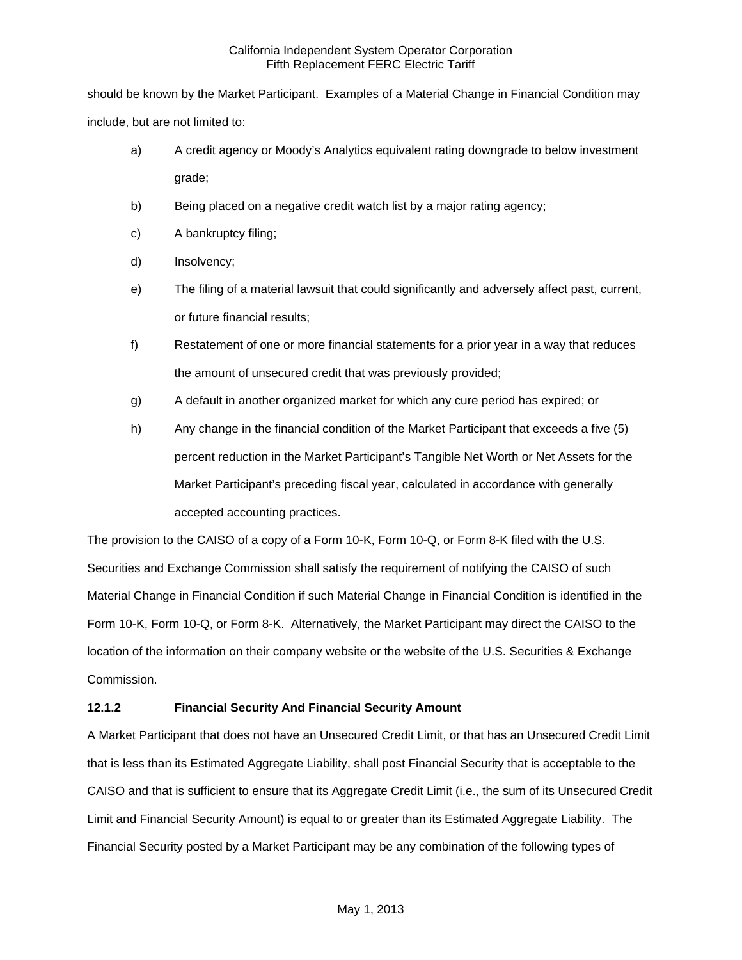should be known by the Market Participant. Examples of a Material Change in Financial Condition may include, but are not limited to:

- a) A credit agency or Moody's Analytics equivalent rating downgrade to below investment grade;
- b) Being placed on a negative credit watch list by a major rating agency;
- c) A bankruptcy filing;
- d) Insolvency;
- e) The filing of a material lawsuit that could significantly and adversely affect past, current, or future financial results;
- f) Restatement of one or more financial statements for a prior year in a way that reduces the amount of unsecured credit that was previously provided;
- g) A default in another organized market for which any cure period has expired; or
- h) Any change in the financial condition of the Market Participant that exceeds a five (5) percent reduction in the Market Participant's Tangible Net Worth or Net Assets for the Market Participant's preceding fiscal year, calculated in accordance with generally accepted accounting practices.

The provision to the CAISO of a copy of a Form 10-K, Form 10-Q, or Form 8-K filed with the U.S. Securities and Exchange Commission shall satisfy the requirement of notifying the CAISO of such Material Change in Financial Condition if such Material Change in Financial Condition is identified in the Form 10-K, Form 10-Q, or Form 8-K. Alternatively, the Market Participant may direct the CAISO to the location of the information on their company website or the website of the U.S. Securities & Exchange Commission.

# **12.1.2 Financial Security And Financial Security Amount**

A Market Participant that does not have an Unsecured Credit Limit, or that has an Unsecured Credit Limit that is less than its Estimated Aggregate Liability, shall post Financial Security that is acceptable to the CAISO and that is sufficient to ensure that its Aggregate Credit Limit (i.e., the sum of its Unsecured Credit Limit and Financial Security Amount) is equal to or greater than its Estimated Aggregate Liability. The Financial Security posted by a Market Participant may be any combination of the following types of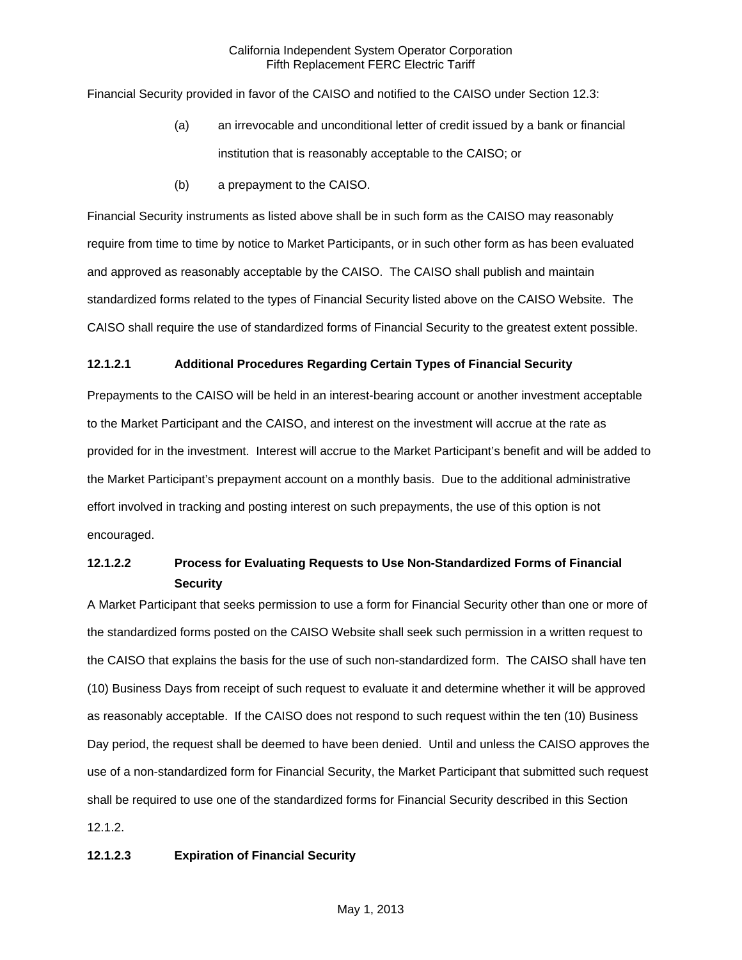Financial Security provided in favor of the CAISO and notified to the CAISO under Section 12.3:

- (a) an irrevocable and unconditional letter of credit issued by a bank or financial institution that is reasonably acceptable to the CAISO; or
- (b) a prepayment to the CAISO.

Financial Security instruments as listed above shall be in such form as the CAISO may reasonably require from time to time by notice to Market Participants, or in such other form as has been evaluated and approved as reasonably acceptable by the CAISO. The CAISO shall publish and maintain standardized forms related to the types of Financial Security listed above on the CAISO Website. The CAISO shall require the use of standardized forms of Financial Security to the greatest extent possible.

### **12.1.2.1 Additional Procedures Regarding Certain Types of Financial Security**

Prepayments to the CAISO will be held in an interest-bearing account or another investment acceptable to the Market Participant and the CAISO, and interest on the investment will accrue at the rate as provided for in the investment. Interest will accrue to the Market Participant's benefit and will be added to the Market Participant's prepayment account on a monthly basis. Due to the additional administrative effort involved in tracking and posting interest on such prepayments, the use of this option is not encouraged.

# **12.1.2.2 Process for Evaluating Requests to Use Non-Standardized Forms of Financial Security**

A Market Participant that seeks permission to use a form for Financial Security other than one or more of the standardized forms posted on the CAISO Website shall seek such permission in a written request to the CAISO that explains the basis for the use of such non-standardized form. The CAISO shall have ten (10) Business Days from receipt of such request to evaluate it and determine whether it will be approved as reasonably acceptable. If the CAISO does not respond to such request within the ten (10) Business Day period, the request shall be deemed to have been denied. Until and unless the CAISO approves the use of a non-standardized form for Financial Security, the Market Participant that submitted such request shall be required to use one of the standardized forms for Financial Security described in this Section 12.1.2.

# **12.1.2.3 Expiration of Financial Security**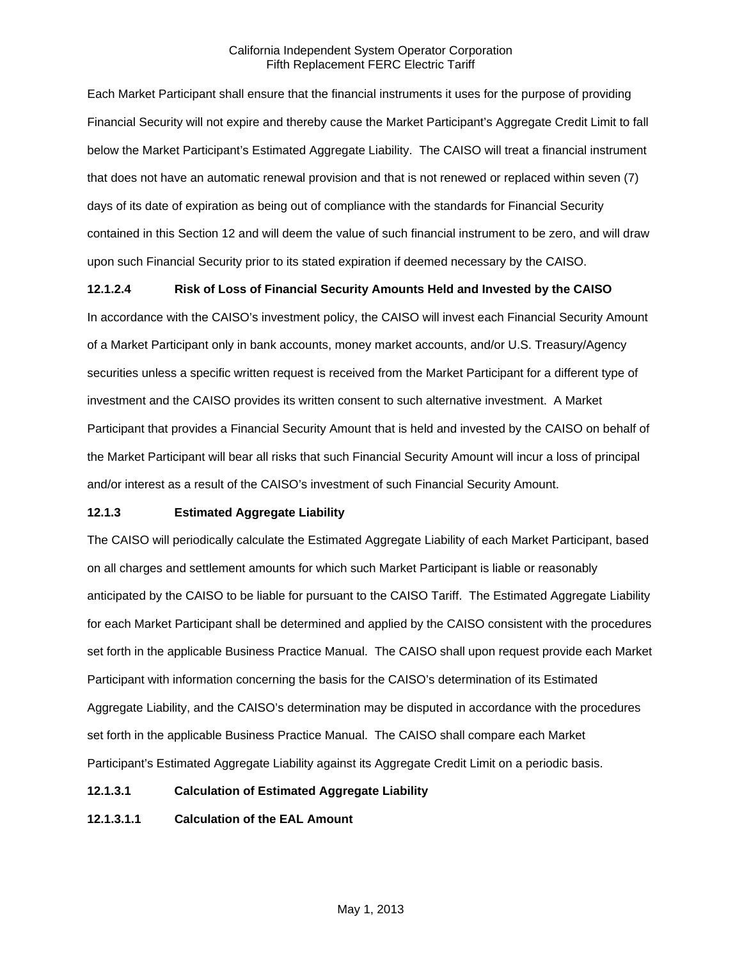Each Market Participant shall ensure that the financial instruments it uses for the purpose of providing Financial Security will not expire and thereby cause the Market Participant's Aggregate Credit Limit to fall below the Market Participant's Estimated Aggregate Liability. The CAISO will treat a financial instrument that does not have an automatic renewal provision and that is not renewed or replaced within seven (7) days of its date of expiration as being out of compliance with the standards for Financial Security contained in this Section 12 and will deem the value of such financial instrument to be zero, and will draw upon such Financial Security prior to its stated expiration if deemed necessary by the CAISO.

# **12.1.2.4 Risk of Loss of Financial Security Amounts Held and Invested by the CAISO**

In accordance with the CAISO's investment policy, the CAISO will invest each Financial Security Amount of a Market Participant only in bank accounts, money market accounts, and/or U.S. Treasury/Agency securities unless a specific written request is received from the Market Participant for a different type of investment and the CAISO provides its written consent to such alternative investment. A Market Participant that provides a Financial Security Amount that is held and invested by the CAISO on behalf of the Market Participant will bear all risks that such Financial Security Amount will incur a loss of principal and/or interest as a result of the CAISO's investment of such Financial Security Amount.

# **12.1.3 Estimated Aggregate Liability**

The CAISO will periodically calculate the Estimated Aggregate Liability of each Market Participant, based on all charges and settlement amounts for which such Market Participant is liable or reasonably anticipated by the CAISO to be liable for pursuant to the CAISO Tariff. The Estimated Aggregate Liability for each Market Participant shall be determined and applied by the CAISO consistent with the procedures set forth in the applicable Business Practice Manual. The CAISO shall upon request provide each Market Participant with information concerning the basis for the CAISO's determination of its Estimated Aggregate Liability, and the CAISO's determination may be disputed in accordance with the procedures set forth in the applicable Business Practice Manual. The CAISO shall compare each Market Participant's Estimated Aggregate Liability against its Aggregate Credit Limit on a periodic basis.

### **12.1.3.1 Calculation of Estimated Aggregate Liability**

**12.1.3.1.1 Calculation of the EAL Amount**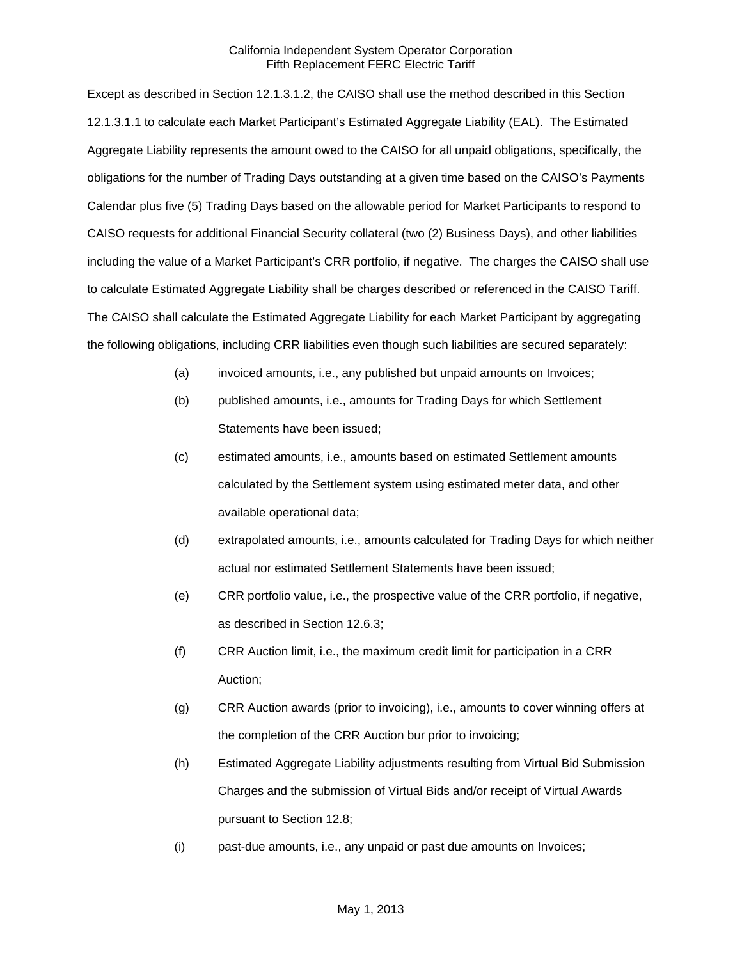Except as described in Section 12.1.3.1.2, the CAISO shall use the method described in this Section 12.1.3.1.1 to calculate each Market Participant's Estimated Aggregate Liability (EAL). The Estimated Aggregate Liability represents the amount owed to the CAISO for all unpaid obligations, specifically, the obligations for the number of Trading Days outstanding at a given time based on the CAISO's Payments Calendar plus five (5) Trading Days based on the allowable period for Market Participants to respond to CAISO requests for additional Financial Security collateral (two (2) Business Days), and other liabilities including the value of a Market Participant's CRR portfolio, if negative. The charges the CAISO shall use to calculate Estimated Aggregate Liability shall be charges described or referenced in the CAISO Tariff. The CAISO shall calculate the Estimated Aggregate Liability for each Market Participant by aggregating the following obligations, including CRR liabilities even though such liabilities are secured separately:

- (a) invoiced amounts, i.e., any published but unpaid amounts on Invoices;
- (b) published amounts, i.e., amounts for Trading Days for which Settlement Statements have been issued;
- (c) estimated amounts, i.e., amounts based on estimated Settlement amounts calculated by the Settlement system using estimated meter data, and other available operational data;
- (d) extrapolated amounts, i.e., amounts calculated for Trading Days for which neither actual nor estimated Settlement Statements have been issued;
- (e) CRR portfolio value, i.e., the prospective value of the CRR portfolio, if negative, as described in Section 12.6.3;
- (f) CRR Auction limit, i.e., the maximum credit limit for participation in a CRR Auction;
- (g) CRR Auction awards (prior to invoicing), i.e., amounts to cover winning offers at the completion of the CRR Auction bur prior to invoicing;
- (h) Estimated Aggregate Liability adjustments resulting from Virtual Bid Submission Charges and the submission of Virtual Bids and/or receipt of Virtual Awards pursuant to Section 12.8;
- (i) past-due amounts, i.e., any unpaid or past due amounts on Invoices;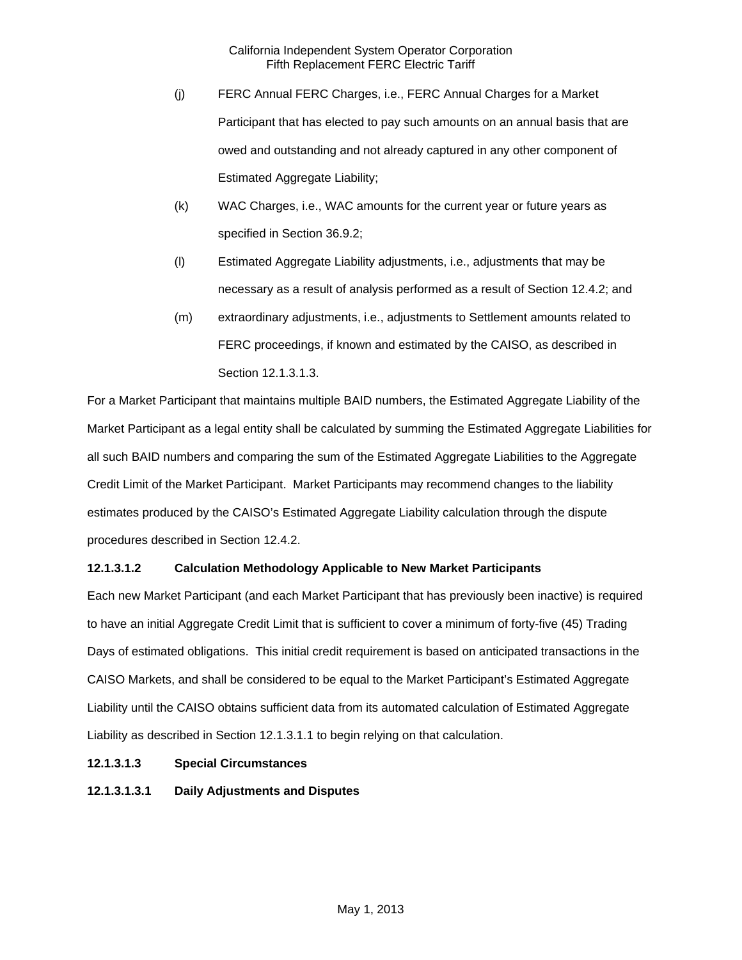- (j) FERC Annual FERC Charges, i.e., FERC Annual Charges for a Market Participant that has elected to pay such amounts on an annual basis that are owed and outstanding and not already captured in any other component of Estimated Aggregate Liability;
- (k) WAC Charges, i.e., WAC amounts for the current year or future years as specified in Section 36.9.2;
- (l) Estimated Aggregate Liability adjustments, i.e., adjustments that may be necessary as a result of analysis performed as a result of Section 12.4.2; and
- (m) extraordinary adjustments, i.e., adjustments to Settlement amounts related to FERC proceedings, if known and estimated by the CAISO, as described in Section 12.1.3.1.3.

For a Market Participant that maintains multiple BAID numbers, the Estimated Aggregate Liability of the Market Participant as a legal entity shall be calculated by summing the Estimated Aggregate Liabilities for all such BAID numbers and comparing the sum of the Estimated Aggregate Liabilities to the Aggregate Credit Limit of the Market Participant. Market Participants may recommend changes to the liability estimates produced by the CAISO's Estimated Aggregate Liability calculation through the dispute procedures described in Section 12.4.2.

# **12.1.3.1.2 Calculation Methodology Applicable to New Market Participants**

Each new Market Participant (and each Market Participant that has previously been inactive) is required to have an initial Aggregate Credit Limit that is sufficient to cover a minimum of forty-five (45) Trading Days of estimated obligations. This initial credit requirement is based on anticipated transactions in the CAISO Markets, and shall be considered to be equal to the Market Participant's Estimated Aggregate Liability until the CAISO obtains sufficient data from its automated calculation of Estimated Aggregate Liability as described in Section 12.1.3.1.1 to begin relying on that calculation.

# **12.1.3.1.3 Special Circumstances**

**12.1.3.1.3.1 Daily Adjustments and Disputes**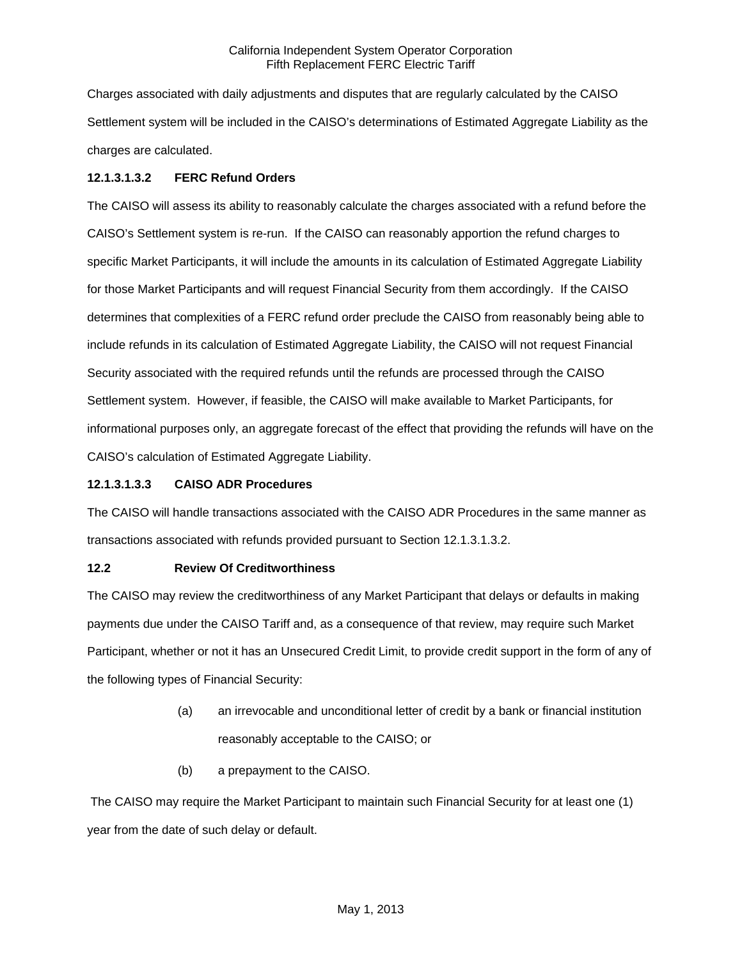Charges associated with daily adjustments and disputes that are regularly calculated by the CAISO Settlement system will be included in the CAISO's determinations of Estimated Aggregate Liability as the charges are calculated.

# **12.1.3.1.3.2 FERC Refund Orders**

The CAISO will assess its ability to reasonably calculate the charges associated with a refund before the CAISO's Settlement system is re-run. If the CAISO can reasonably apportion the refund charges to specific Market Participants, it will include the amounts in its calculation of Estimated Aggregate Liability for those Market Participants and will request Financial Security from them accordingly. If the CAISO determines that complexities of a FERC refund order preclude the CAISO from reasonably being able to include refunds in its calculation of Estimated Aggregate Liability, the CAISO will not request Financial Security associated with the required refunds until the refunds are processed through the CAISO Settlement system. However, if feasible, the CAISO will make available to Market Participants, for informational purposes only, an aggregate forecast of the effect that providing the refunds will have on the CAISO's calculation of Estimated Aggregate Liability.

# **12.1.3.1.3.3 CAISO ADR Procedures**

The CAISO will handle transactions associated with the CAISO ADR Procedures in the same manner as transactions associated with refunds provided pursuant to Section 12.1.3.1.3.2.

# **12.2 Review Of Creditworthiness**

The CAISO may review the creditworthiness of any Market Participant that delays or defaults in making payments due under the CAISO Tariff and, as a consequence of that review, may require such Market Participant, whether or not it has an Unsecured Credit Limit, to provide credit support in the form of any of the following types of Financial Security:

- (a) an irrevocable and unconditional letter of credit by a bank or financial institution reasonably acceptable to the CAISO; or
- (b) a prepayment to the CAISO.

 The CAISO may require the Market Participant to maintain such Financial Security for at least one (1) year from the date of such delay or default.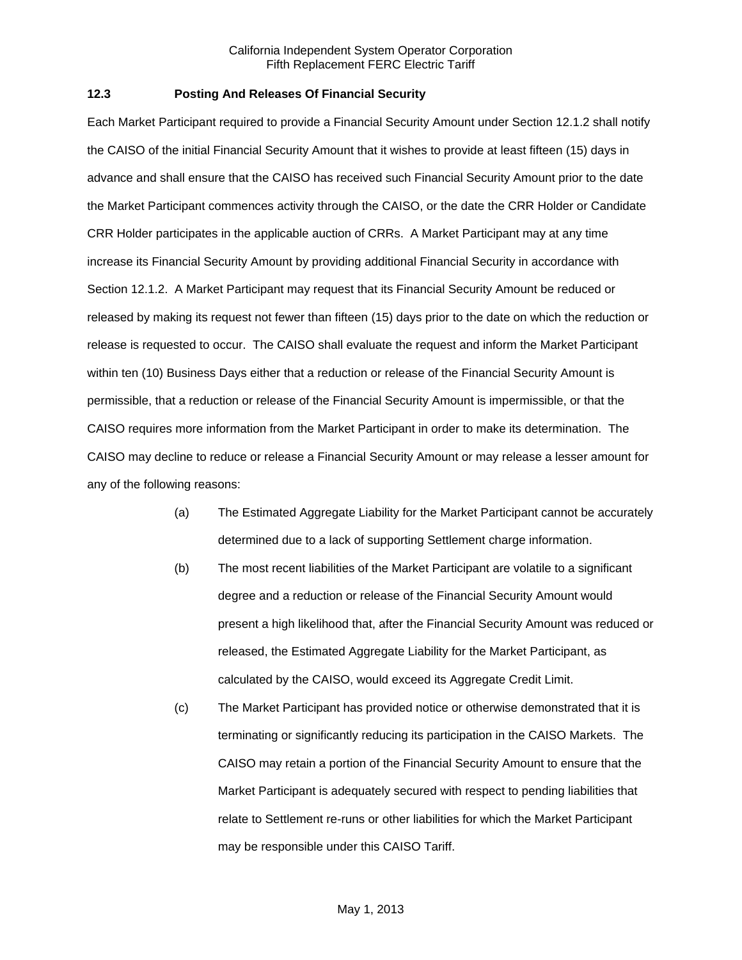### **12.3 Posting And Releases Of Financial Security**

Each Market Participant required to provide a Financial Security Amount under Section 12.1.2 shall notify the CAISO of the initial Financial Security Amount that it wishes to provide at least fifteen (15) days in advance and shall ensure that the CAISO has received such Financial Security Amount prior to the date the Market Participant commences activity through the CAISO, or the date the CRR Holder or Candidate CRR Holder participates in the applicable auction of CRRs. A Market Participant may at any time increase its Financial Security Amount by providing additional Financial Security in accordance with Section 12.1.2. A Market Participant may request that its Financial Security Amount be reduced or released by making its request not fewer than fifteen (15) days prior to the date on which the reduction or release is requested to occur. The CAISO shall evaluate the request and inform the Market Participant within ten (10) Business Days either that a reduction or release of the Financial Security Amount is permissible, that a reduction or release of the Financial Security Amount is impermissible, or that the CAISO requires more information from the Market Participant in order to make its determination. The CAISO may decline to reduce or release a Financial Security Amount or may release a lesser amount for any of the following reasons:

- (a) The Estimated Aggregate Liability for the Market Participant cannot be accurately determined due to a lack of supporting Settlement charge information.
- (b) The most recent liabilities of the Market Participant are volatile to a significant degree and a reduction or release of the Financial Security Amount would present a high likelihood that, after the Financial Security Amount was reduced or released, the Estimated Aggregate Liability for the Market Participant, as calculated by the CAISO, would exceed its Aggregate Credit Limit.
- (c) The Market Participant has provided notice or otherwise demonstrated that it is terminating or significantly reducing its participation in the CAISO Markets. The CAISO may retain a portion of the Financial Security Amount to ensure that the Market Participant is adequately secured with respect to pending liabilities that relate to Settlement re-runs or other liabilities for which the Market Participant may be responsible under this CAISO Tariff.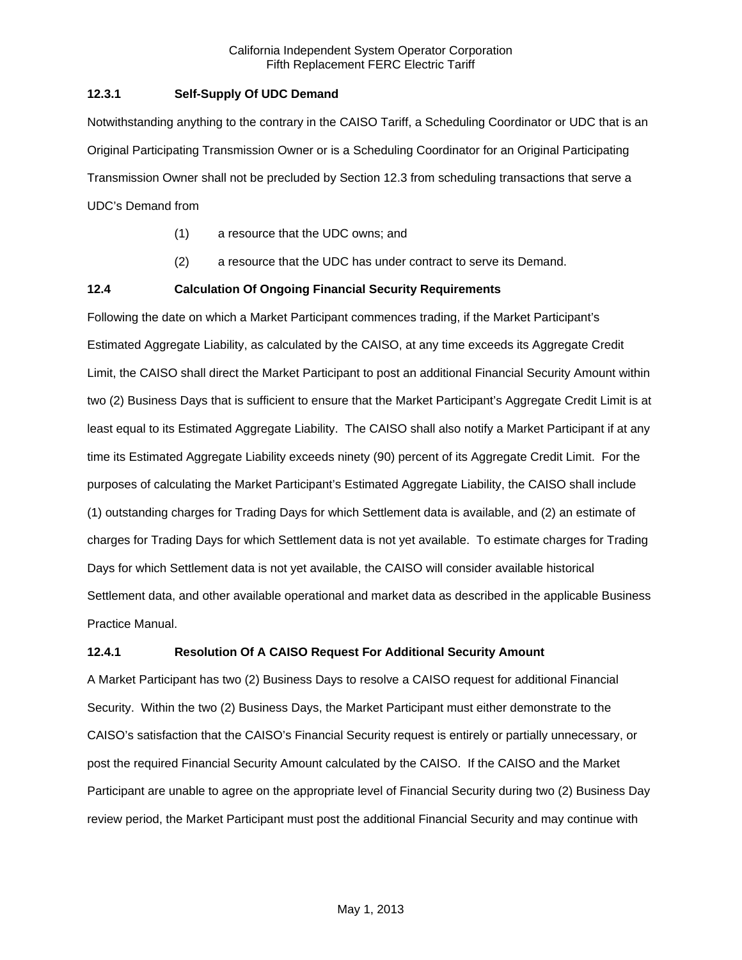# **12.3.1 Self-Supply Of UDC Demand**

Notwithstanding anything to the contrary in the CAISO Tariff, a Scheduling Coordinator or UDC that is an Original Participating Transmission Owner or is a Scheduling Coordinator for an Original Participating Transmission Owner shall not be precluded by Section 12.3 from scheduling transactions that serve a UDC's Demand from

- (1) a resource that the UDC owns; and
- (2) a resource that the UDC has under contract to serve its Demand.

### **12.4 Calculation Of Ongoing Financial Security Requirements**

Following the date on which a Market Participant commences trading, if the Market Participant's Estimated Aggregate Liability, as calculated by the CAISO, at any time exceeds its Aggregate Credit Limit, the CAISO shall direct the Market Participant to post an additional Financial Security Amount within two (2) Business Days that is sufficient to ensure that the Market Participant's Aggregate Credit Limit is at least equal to its Estimated Aggregate Liability. The CAISO shall also notify a Market Participant if at any time its Estimated Aggregate Liability exceeds ninety (90) percent of its Aggregate Credit Limit. For the purposes of calculating the Market Participant's Estimated Aggregate Liability, the CAISO shall include (1) outstanding charges for Trading Days for which Settlement data is available, and (2) an estimate of charges for Trading Days for which Settlement data is not yet available. To estimate charges for Trading Days for which Settlement data is not yet available, the CAISO will consider available historical Settlement data, and other available operational and market data as described in the applicable Business Practice Manual.

### **12.4.1 Resolution Of A CAISO Request For Additional Security Amount**

A Market Participant has two (2) Business Days to resolve a CAISO request for additional Financial Security. Within the two (2) Business Days, the Market Participant must either demonstrate to the CAISO's satisfaction that the CAISO's Financial Security request is entirely or partially unnecessary, or post the required Financial Security Amount calculated by the CAISO. If the CAISO and the Market Participant are unable to agree on the appropriate level of Financial Security during two (2) Business Day review period, the Market Participant must post the additional Financial Security and may continue with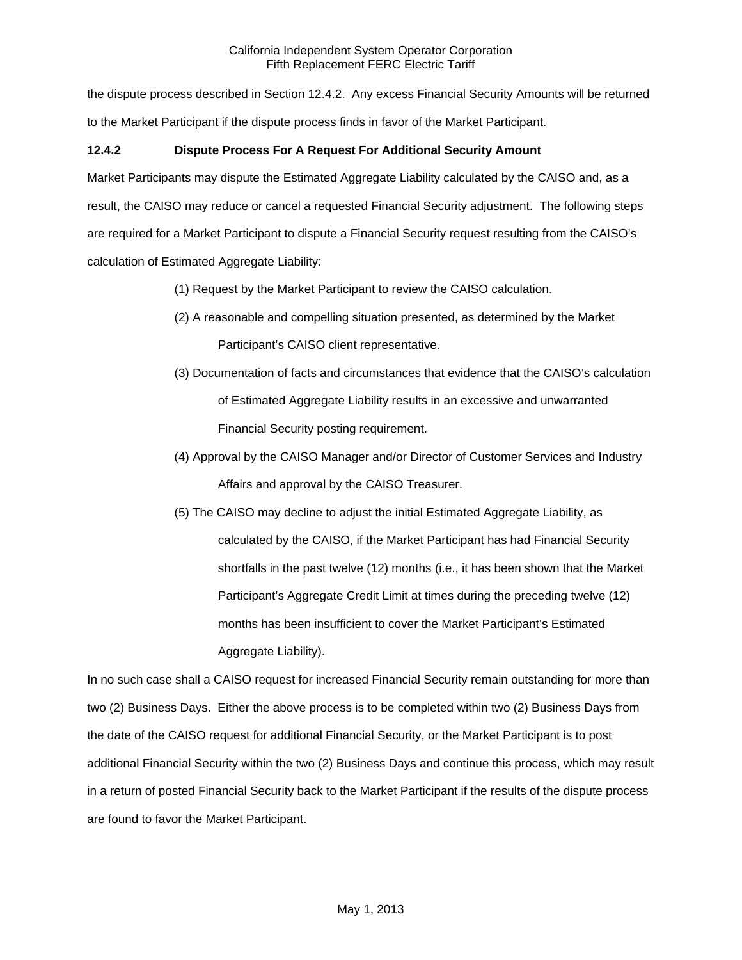the dispute process described in Section 12.4.2. Any excess Financial Security Amounts will be returned to the Market Participant if the dispute process finds in favor of the Market Participant.

# **12.4.2 Dispute Process For A Request For Additional Security Amount**

Market Participants may dispute the Estimated Aggregate Liability calculated by the CAISO and, as a result, the CAISO may reduce or cancel a requested Financial Security adjustment. The following steps are required for a Market Participant to dispute a Financial Security request resulting from the CAISO's calculation of Estimated Aggregate Liability:

- (1) Request by the Market Participant to review the CAISO calculation.
- (2) A reasonable and compelling situation presented, as determined by the Market Participant's CAISO client representative.
- (3) Documentation of facts and circumstances that evidence that the CAISO's calculation of Estimated Aggregate Liability results in an excessive and unwarranted Financial Security posting requirement.
- (4) Approval by the CAISO Manager and/or Director of Customer Services and Industry Affairs and approval by the CAISO Treasurer.
- (5) The CAISO may decline to adjust the initial Estimated Aggregate Liability, as calculated by the CAISO, if the Market Participant has had Financial Security shortfalls in the past twelve (12) months (i.e., it has been shown that the Market Participant's Aggregate Credit Limit at times during the preceding twelve (12) months has been insufficient to cover the Market Participant's Estimated Aggregate Liability).

In no such case shall a CAISO request for increased Financial Security remain outstanding for more than two (2) Business Days. Either the above process is to be completed within two (2) Business Days from the date of the CAISO request for additional Financial Security, or the Market Participant is to post additional Financial Security within the two (2) Business Days and continue this process, which may result in a return of posted Financial Security back to the Market Participant if the results of the dispute process are found to favor the Market Participant.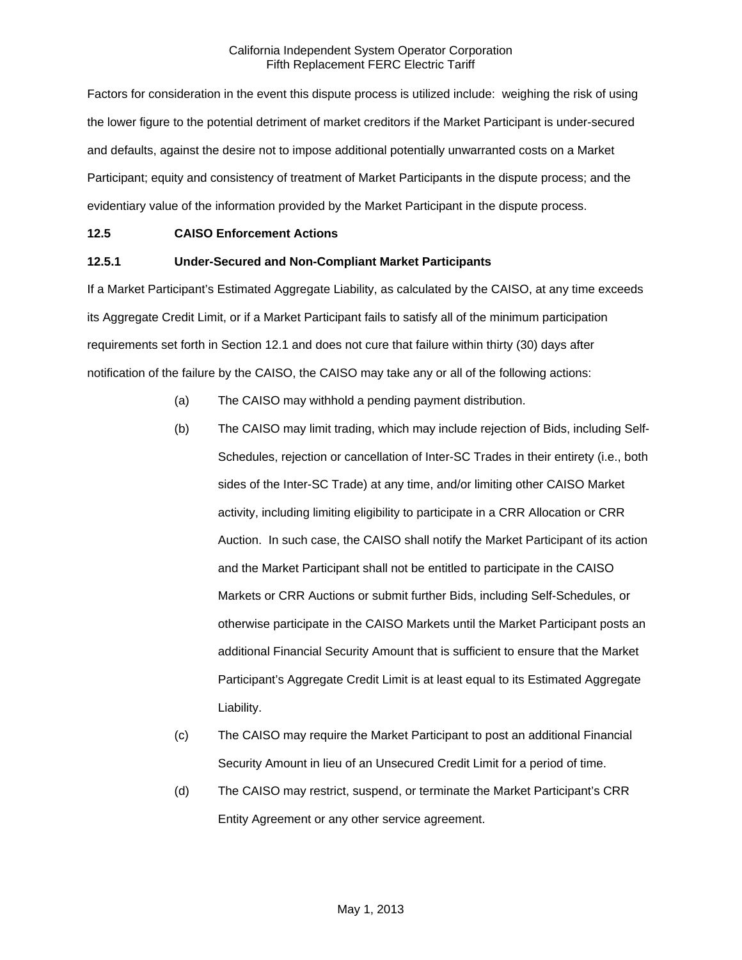Factors for consideration in the event this dispute process is utilized include: weighing the risk of using the lower figure to the potential detriment of market creditors if the Market Participant is under-secured and defaults, against the desire not to impose additional potentially unwarranted costs on a Market Participant; equity and consistency of treatment of Market Participants in the dispute process; and the evidentiary value of the information provided by the Market Participant in the dispute process.

### **12.5 CAISO Enforcement Actions**

### **12.5.1 Under-Secured and Non-Compliant Market Participants**

If a Market Participant's Estimated Aggregate Liability, as calculated by the CAISO, at any time exceeds its Aggregate Credit Limit, or if a Market Participant fails to satisfy all of the minimum participation requirements set forth in Section 12.1 and does not cure that failure within thirty (30) days after notification of the failure by the CAISO, the CAISO may take any or all of the following actions:

- (a) The CAISO may withhold a pending payment distribution.
- (b) The CAISO may limit trading, which may include rejection of Bids, including Self-Schedules, rejection or cancellation of Inter-SC Trades in their entirety (i.e., both sides of the Inter-SC Trade) at any time, and/or limiting other CAISO Market activity, including limiting eligibility to participate in a CRR Allocation or CRR Auction. In such case, the CAISO shall notify the Market Participant of its action and the Market Participant shall not be entitled to participate in the CAISO Markets or CRR Auctions or submit further Bids, including Self-Schedules, or otherwise participate in the CAISO Markets until the Market Participant posts an additional Financial Security Amount that is sufficient to ensure that the Market Participant's Aggregate Credit Limit is at least equal to its Estimated Aggregate Liability.
- (c) The CAISO may require the Market Participant to post an additional Financial Security Amount in lieu of an Unsecured Credit Limit for a period of time.
- (d) The CAISO may restrict, suspend, or terminate the Market Participant's CRR Entity Agreement or any other service agreement.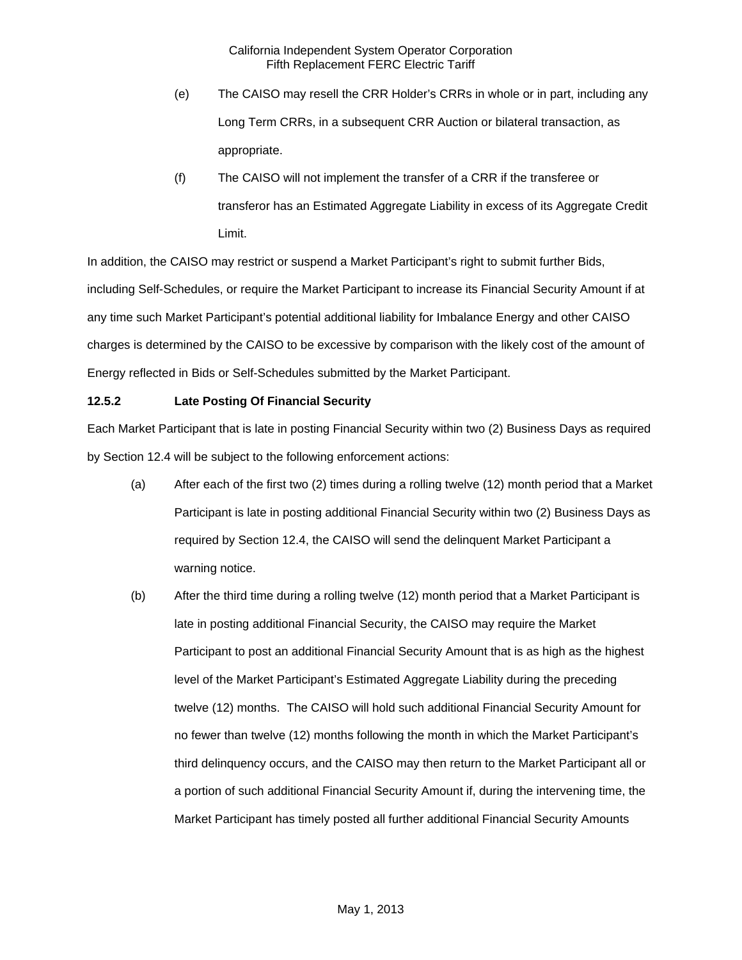- (e) The CAISO may resell the CRR Holder's CRRs in whole or in part, including any Long Term CRRs, in a subsequent CRR Auction or bilateral transaction, as appropriate.
- (f) The CAISO will not implement the transfer of a CRR if the transferee or transferor has an Estimated Aggregate Liability in excess of its Aggregate Credit Limit.

In addition, the CAISO may restrict or suspend a Market Participant's right to submit further Bids, including Self-Schedules, or require the Market Participant to increase its Financial Security Amount if at any time such Market Participant's potential additional liability for Imbalance Energy and other CAISO charges is determined by the CAISO to be excessive by comparison with the likely cost of the amount of Energy reflected in Bids or Self-Schedules submitted by the Market Participant.

### **12.5.2 Late Posting Of Financial Security**

Each Market Participant that is late in posting Financial Security within two (2) Business Days as required by Section 12.4 will be subject to the following enforcement actions:

- (a) After each of the first two (2) times during a rolling twelve (12) month period that a Market Participant is late in posting additional Financial Security within two (2) Business Days as required by Section 12.4, the CAISO will send the delinquent Market Participant a warning notice.
- (b) After the third time during a rolling twelve (12) month period that a Market Participant is late in posting additional Financial Security, the CAISO may require the Market Participant to post an additional Financial Security Amount that is as high as the highest level of the Market Participant's Estimated Aggregate Liability during the preceding twelve (12) months. The CAISO will hold such additional Financial Security Amount for no fewer than twelve (12) months following the month in which the Market Participant's third delinquency occurs, and the CAISO may then return to the Market Participant all or a portion of such additional Financial Security Amount if, during the intervening time, the Market Participant has timely posted all further additional Financial Security Amounts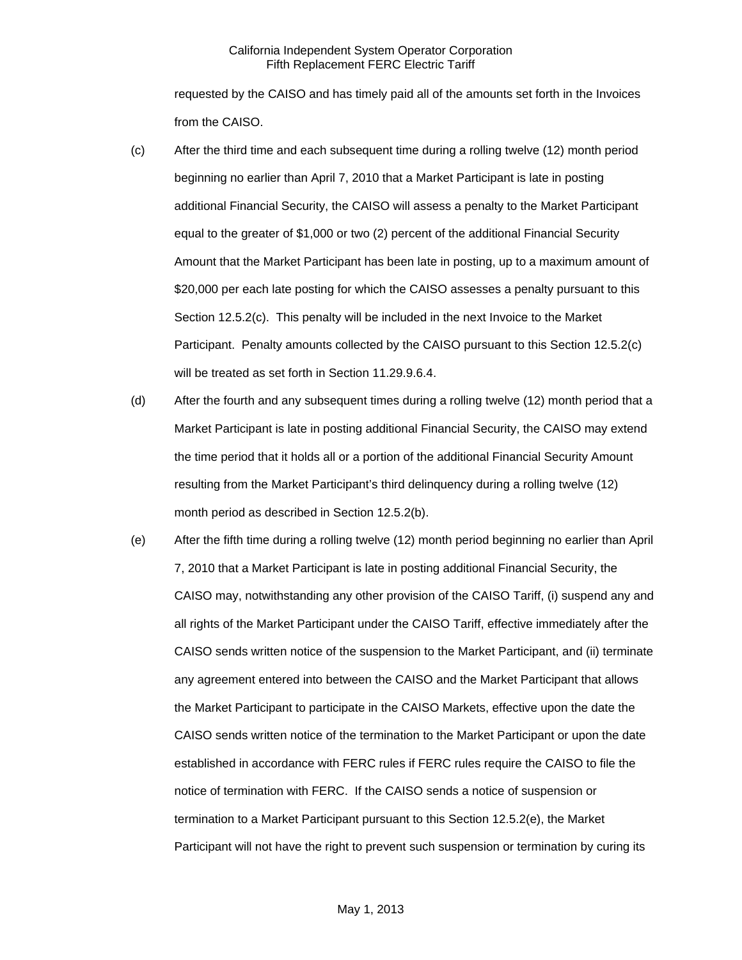requested by the CAISO and has timely paid all of the amounts set forth in the Invoices from the CAISO.

- (c) After the third time and each subsequent time during a rolling twelve (12) month period beginning no earlier than April 7, 2010 that a Market Participant is late in posting additional Financial Security, the CAISO will assess a penalty to the Market Participant equal to the greater of \$1,000 or two (2) percent of the additional Financial Security Amount that the Market Participant has been late in posting, up to a maximum amount of \$20,000 per each late posting for which the CAISO assesses a penalty pursuant to this Section 12.5.2(c). This penalty will be included in the next Invoice to the Market Participant. Penalty amounts collected by the CAISO pursuant to this Section 12.5.2(c) will be treated as set forth in Section 11.29.9.6.4.
- (d) After the fourth and any subsequent times during a rolling twelve (12) month period that a Market Participant is late in posting additional Financial Security, the CAISO may extend the time period that it holds all or a portion of the additional Financial Security Amount resulting from the Market Participant's third delinquency during a rolling twelve (12) month period as described in Section 12.5.2(b).
- (e) After the fifth time during a rolling twelve (12) month period beginning no earlier than April 7, 2010 that a Market Participant is late in posting additional Financial Security, the CAISO may, notwithstanding any other provision of the CAISO Tariff, (i) suspend any and all rights of the Market Participant under the CAISO Tariff, effective immediately after the CAISO sends written notice of the suspension to the Market Participant, and (ii) terminate any agreement entered into between the CAISO and the Market Participant that allows the Market Participant to participate in the CAISO Markets, effective upon the date the CAISO sends written notice of the termination to the Market Participant or upon the date established in accordance with FERC rules if FERC rules require the CAISO to file the notice of termination with FERC. If the CAISO sends a notice of suspension or termination to a Market Participant pursuant to this Section 12.5.2(e), the Market Participant will not have the right to prevent such suspension or termination by curing its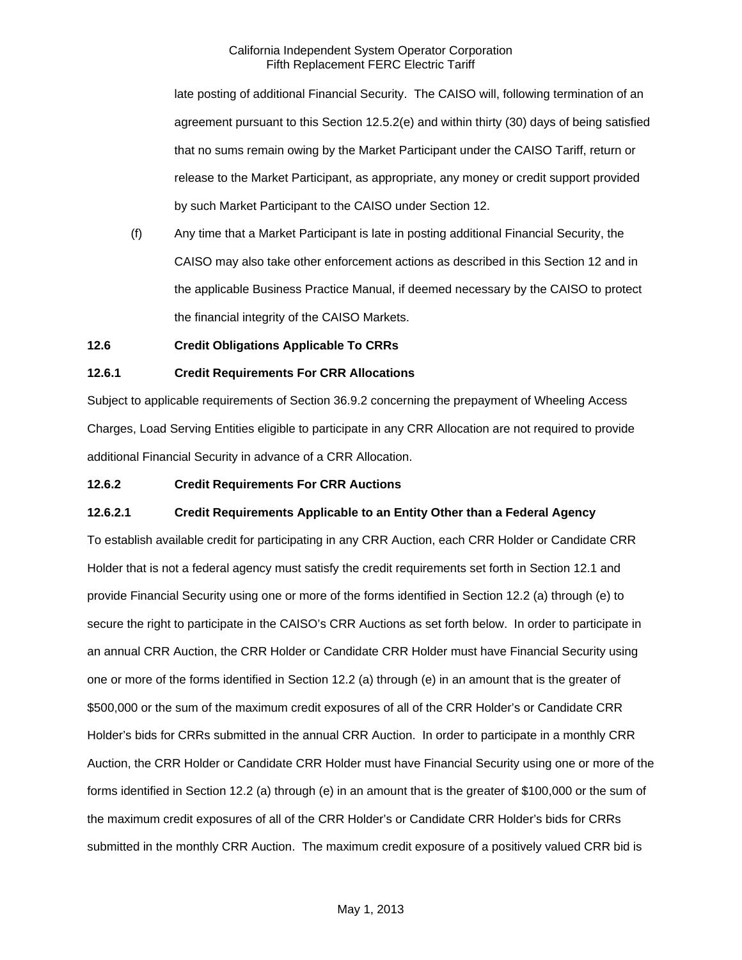late posting of additional Financial Security. The CAISO will, following termination of an agreement pursuant to this Section 12.5.2(e) and within thirty (30) days of being satisfied that no sums remain owing by the Market Participant under the CAISO Tariff, return or release to the Market Participant, as appropriate, any money or credit support provided by such Market Participant to the CAISO under Section 12.

(f) Any time that a Market Participant is late in posting additional Financial Security, the CAISO may also take other enforcement actions as described in this Section 12 and in the applicable Business Practice Manual, if deemed necessary by the CAISO to protect the financial integrity of the CAISO Markets.

### **12.6 Credit Obligations Applicable To CRRs**

#### **12.6.1 Credit Requirements For CRR Allocations**

Subject to applicable requirements of Section 36.9.2 concerning the prepayment of Wheeling Access Charges, Load Serving Entities eligible to participate in any CRR Allocation are not required to provide additional Financial Security in advance of a CRR Allocation.

#### **12.6.2 Credit Requirements For CRR Auctions**

#### **12.6.2.1 Credit Requirements Applicable to an Entity Other than a Federal Agency**

To establish available credit for participating in any CRR Auction, each CRR Holder or Candidate CRR Holder that is not a federal agency must satisfy the credit requirements set forth in Section 12.1 and provide Financial Security using one or more of the forms identified in Section 12.2 (a) through (e) to secure the right to participate in the CAISO's CRR Auctions as set forth below. In order to participate in an annual CRR Auction, the CRR Holder or Candidate CRR Holder must have Financial Security using one or more of the forms identified in Section 12.2 (a) through (e) in an amount that is the greater of \$500,000 or the sum of the maximum credit exposures of all of the CRR Holder's or Candidate CRR Holder's bids for CRRs submitted in the annual CRR Auction. In order to participate in a monthly CRR Auction, the CRR Holder or Candidate CRR Holder must have Financial Security using one or more of the forms identified in Section 12.2 (a) through (e) in an amount that is the greater of \$100,000 or the sum of the maximum credit exposures of all of the CRR Holder's or Candidate CRR Holder's bids for CRRs submitted in the monthly CRR Auction. The maximum credit exposure of a positively valued CRR bid is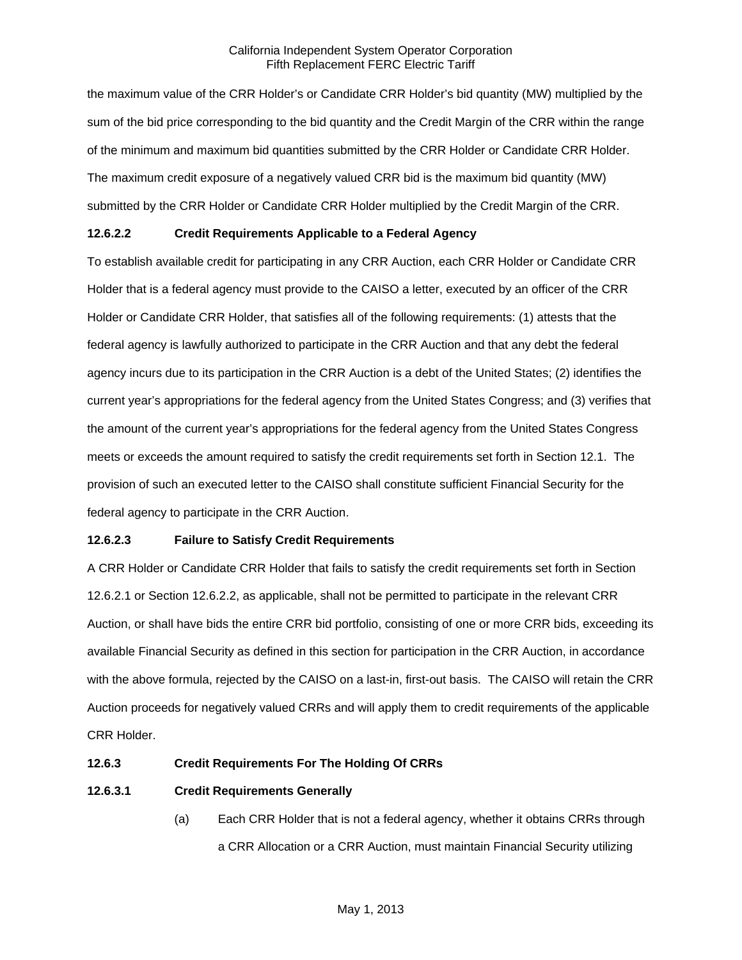the maximum value of the CRR Holder's or Candidate CRR Holder's bid quantity (MW) multiplied by the sum of the bid price corresponding to the bid quantity and the Credit Margin of the CRR within the range of the minimum and maximum bid quantities submitted by the CRR Holder or Candidate CRR Holder. The maximum credit exposure of a negatively valued CRR bid is the maximum bid quantity (MW) submitted by the CRR Holder or Candidate CRR Holder multiplied by the Credit Margin of the CRR.

# **12.6.2.2 Credit Requirements Applicable to a Federal Agency**

To establish available credit for participating in any CRR Auction, each CRR Holder or Candidate CRR Holder that is a federal agency must provide to the CAISO a letter, executed by an officer of the CRR Holder or Candidate CRR Holder, that satisfies all of the following requirements: (1) attests that the federal agency is lawfully authorized to participate in the CRR Auction and that any debt the federal agency incurs due to its participation in the CRR Auction is a debt of the United States; (2) identifies the current year's appropriations for the federal agency from the United States Congress; and (3) verifies that the amount of the current year's appropriations for the federal agency from the United States Congress meets or exceeds the amount required to satisfy the credit requirements set forth in Section 12.1. The provision of such an executed letter to the CAISO shall constitute sufficient Financial Security for the federal agency to participate in the CRR Auction.

# **12.6.2.3 Failure to Satisfy Credit Requirements**

A CRR Holder or Candidate CRR Holder that fails to satisfy the credit requirements set forth in Section 12.6.2.1 or Section 12.6.2.2, as applicable, shall not be permitted to participate in the relevant CRR Auction, or shall have bids the entire CRR bid portfolio, consisting of one or more CRR bids, exceeding its available Financial Security as defined in this section for participation in the CRR Auction, in accordance with the above formula, rejected by the CAISO on a last-in, first-out basis. The CAISO will retain the CRR Auction proceeds for negatively valued CRRs and will apply them to credit requirements of the applicable CRR Holder.

### **12.6.3 Credit Requirements For The Holding Of CRRs**

# **12.6.3.1 Credit Requirements Generally**

(a) Each CRR Holder that is not a federal agency, whether it obtains CRRs through a CRR Allocation or a CRR Auction, must maintain Financial Security utilizing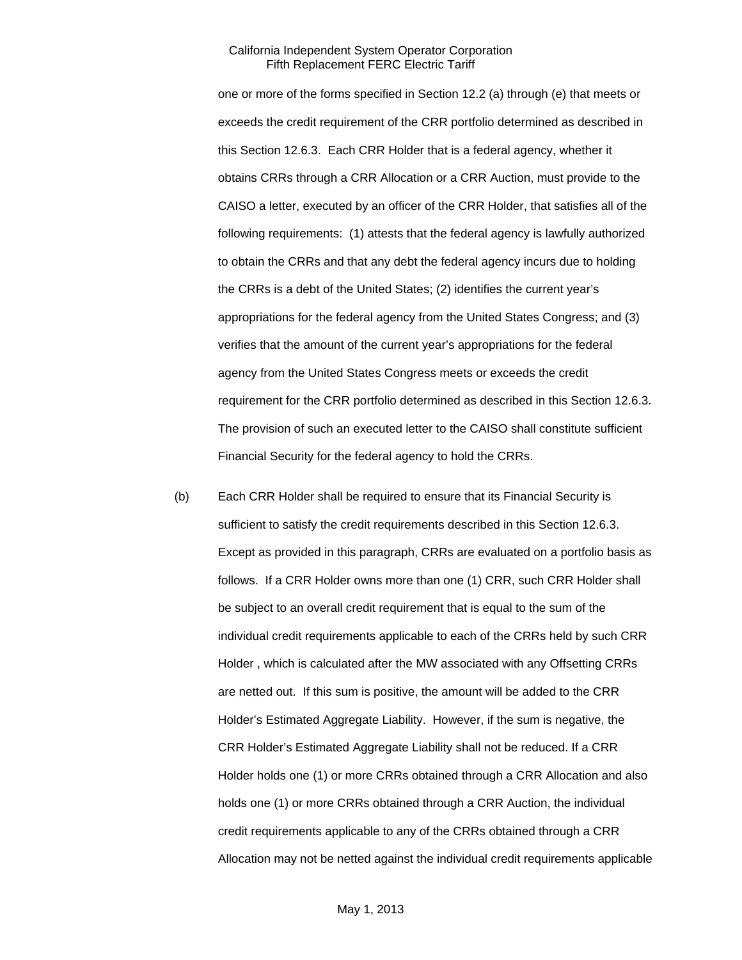one or more of the forms specified in Section 12.2 (a) through (e) that meets or exceeds the credit requirement of the CRR portfolio determined as described in this Section 12.6.3. Each CRR Holder that is a federal agency, whether it obtains CRRs through a CRR Allocation or a CRR Auction, must provide to the CAISO a letter, executed by an officer of the CRR Holder, that satisfies all of the following requirements: (1) attests that the federal agency is lawfully authorized to obtain the CRRs and that any debt the federal agency incurs due to holding the CRRs is a debt of the United States; (2) identifies the current year's appropriations for the federal agency from the United States Congress; and (3) verifies that the amount of the current year's appropriations for the federal agency from the United States Congress meets or exceeds the credit requirement for the CRR portfolio determined as described in this Section 12.6.3. The provision of such an executed letter to the CAISO shall constitute sufficient Financial Security for the federal agency to hold the CRRs.

(b) Each CRR Holder shall be required to ensure that its Financial Security is sufficient to satisfy the credit requirements described in this Section 12.6.3. Except as provided in this paragraph, CRRs are evaluated on a portfolio basis as follows. If a CRR Holder owns more than one (1) CRR, such CRR Holder shall be subject to an overall credit requirement that is equal to the sum of the individual credit requirements applicable to each of the CRRs held by such CRR Holder , which is calculated after the MW associated with any Offsetting CRRs are netted out. If this sum is positive, the amount will be added to the CRR Holder's Estimated Aggregate Liability. However, if the sum is negative, the CRR Holder's Estimated Aggregate Liability shall not be reduced. If a CRR Holder holds one (1) or more CRRs obtained through a CRR Allocation and also holds one (1) or more CRRs obtained through a CRR Auction, the individual credit requirements applicable to any of the CRRs obtained through a CRR Allocation may not be netted against the individual credit requirements applicable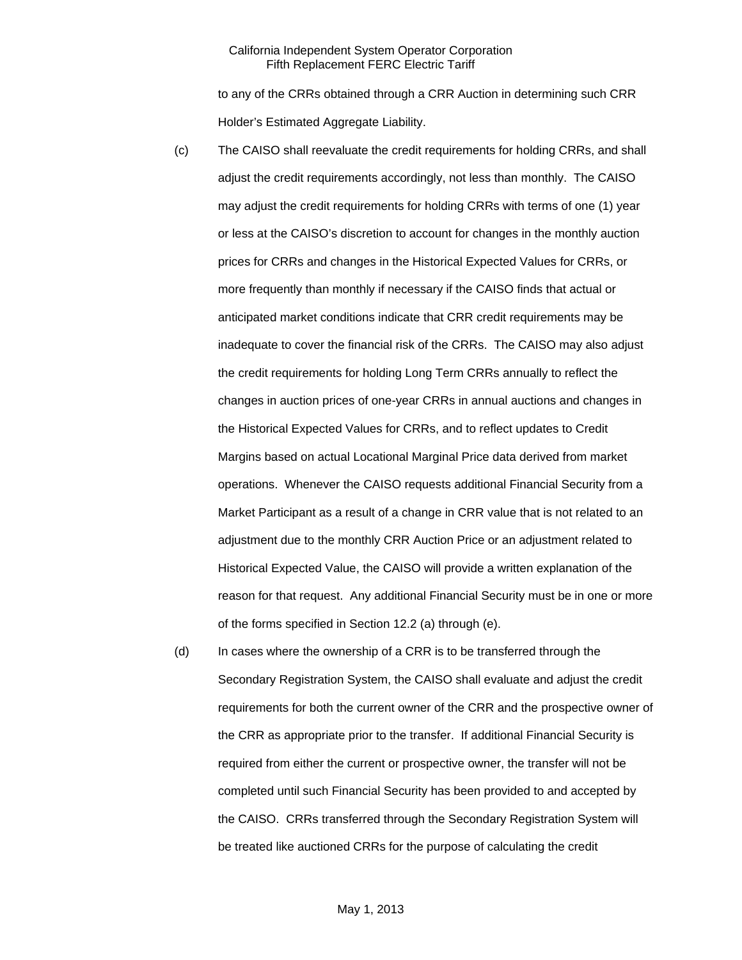to any of the CRRs obtained through a CRR Auction in determining such CRR Holder's Estimated Aggregate Liability.

- (c) The CAISO shall reevaluate the credit requirements for holding CRRs, and shall adjust the credit requirements accordingly, not less than monthly. The CAISO may adjust the credit requirements for holding CRRs with terms of one (1) year or less at the CAISO's discretion to account for changes in the monthly auction prices for CRRs and changes in the Historical Expected Values for CRRs, or more frequently than monthly if necessary if the CAISO finds that actual or anticipated market conditions indicate that CRR credit requirements may be inadequate to cover the financial risk of the CRRs. The CAISO may also adjust the credit requirements for holding Long Term CRRs annually to reflect the changes in auction prices of one-year CRRs in annual auctions and changes in the Historical Expected Values for CRRs, and to reflect updates to Credit Margins based on actual Locational Marginal Price data derived from market operations. Whenever the CAISO requests additional Financial Security from a Market Participant as a result of a change in CRR value that is not related to an adjustment due to the monthly CRR Auction Price or an adjustment related to Historical Expected Value, the CAISO will provide a written explanation of the reason for that request. Any additional Financial Security must be in one or more of the forms specified in Section 12.2 (a) through (e).
- (d) In cases where the ownership of a CRR is to be transferred through the Secondary Registration System, the CAISO shall evaluate and adjust the credit requirements for both the current owner of the CRR and the prospective owner of the CRR as appropriate prior to the transfer. If additional Financial Security is required from either the current or prospective owner, the transfer will not be completed until such Financial Security has been provided to and accepted by the CAISO. CRRs transferred through the Secondary Registration System will be treated like auctioned CRRs for the purpose of calculating the credit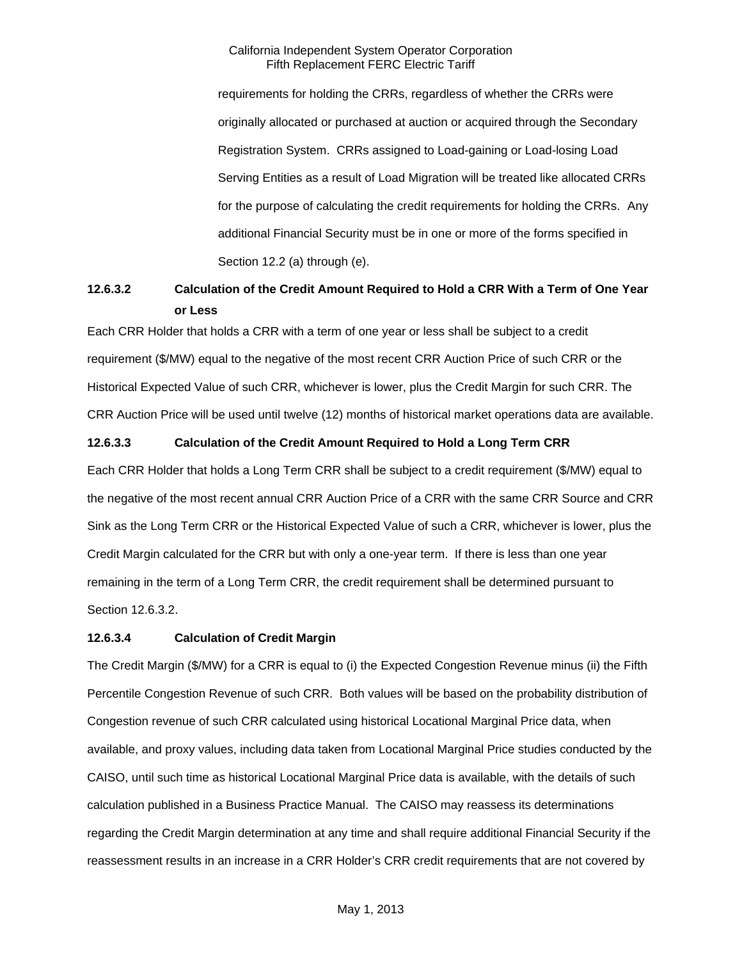requirements for holding the CRRs, regardless of whether the CRRs were originally allocated or purchased at auction or acquired through the Secondary Registration System. CRRs assigned to Load-gaining or Load-losing Load Serving Entities as a result of Load Migration will be treated like allocated CRRs for the purpose of calculating the credit requirements for holding the CRRs. Any additional Financial Security must be in one or more of the forms specified in Section 12.2 (a) through (e).

# **12.6.3.2 Calculation of the Credit Amount Required to Hold a CRR With a Term of One Year or Less**

Each CRR Holder that holds a CRR with a term of one year or less shall be subject to a credit requirement (\$/MW) equal to the negative of the most recent CRR Auction Price of such CRR or the Historical Expected Value of such CRR, whichever is lower, plus the Credit Margin for such CRR. The CRR Auction Price will be used until twelve (12) months of historical market operations data are available.

# **12.6.3.3 Calculation of the Credit Amount Required to Hold a Long Term CRR**

Each CRR Holder that holds a Long Term CRR shall be subject to a credit requirement (\$/MW) equal to the negative of the most recent annual CRR Auction Price of a CRR with the same CRR Source and CRR Sink as the Long Term CRR or the Historical Expected Value of such a CRR, whichever is lower, plus the Credit Margin calculated for the CRR but with only a one-year term. If there is less than one year remaining in the term of a Long Term CRR, the credit requirement shall be determined pursuant to Section 12.6.3.2.

### **12.6.3.4 Calculation of Credit Margin**

The Credit Margin (\$/MW) for a CRR is equal to (i) the Expected Congestion Revenue minus (ii) the Fifth Percentile Congestion Revenue of such CRR. Both values will be based on the probability distribution of Congestion revenue of such CRR calculated using historical Locational Marginal Price data, when available, and proxy values, including data taken from Locational Marginal Price studies conducted by the CAISO, until such time as historical Locational Marginal Price data is available, with the details of such calculation published in a Business Practice Manual. The CAISO may reassess its determinations regarding the Credit Margin determination at any time and shall require additional Financial Security if the reassessment results in an increase in a CRR Holder's CRR credit requirements that are not covered by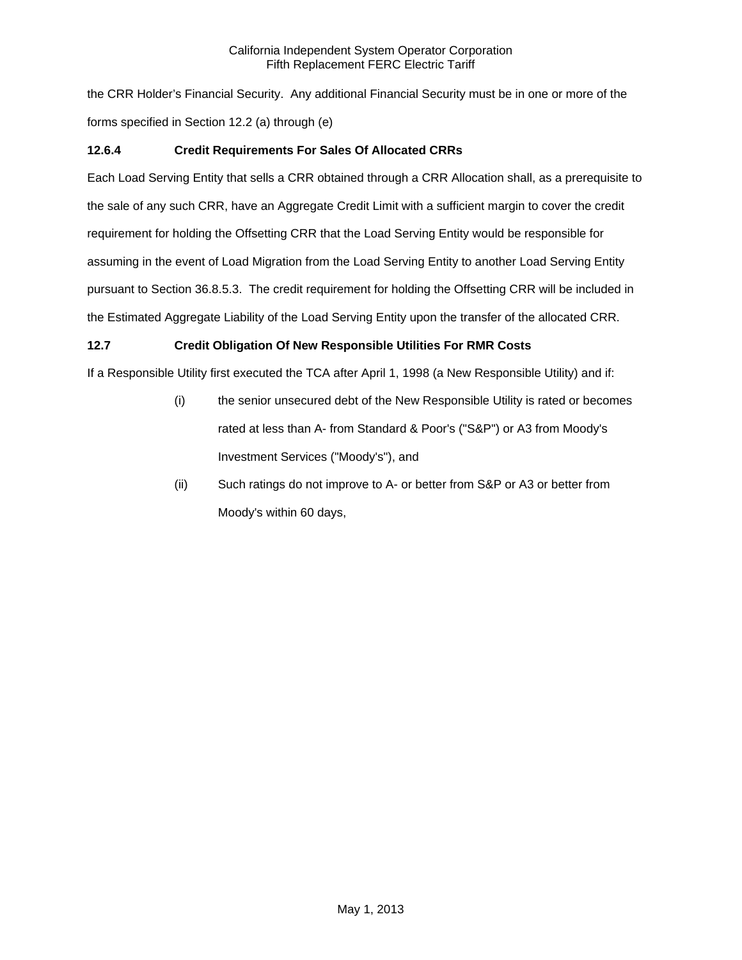the CRR Holder's Financial Security. Any additional Financial Security must be in one or more of the forms specified in Section 12.2 (a) through (e)

# **12.6.4 Credit Requirements For Sales Of Allocated CRRs**

Each Load Serving Entity that sells a CRR obtained through a CRR Allocation shall, as a prerequisite to the sale of any such CRR, have an Aggregate Credit Limit with a sufficient margin to cover the credit requirement for holding the Offsetting CRR that the Load Serving Entity would be responsible for assuming in the event of Load Migration from the Load Serving Entity to another Load Serving Entity pursuant to Section 36.8.5.3. The credit requirement for holding the Offsetting CRR will be included in the Estimated Aggregate Liability of the Load Serving Entity upon the transfer of the allocated CRR.

# **12.7 Credit Obligation Of New Responsible Utilities For RMR Costs**

If a Responsible Utility first executed the TCA after April 1, 1998 (a New Responsible Utility) and if:

- (i) the senior unsecured debt of the New Responsible Utility is rated or becomes rated at less than A- from Standard & Poor's ("S&P") or A3 from Moody's Investment Services ("Moody's"), and
- (ii) Such ratings do not improve to A- or better from S&P or A3 or better from Moody's within 60 days,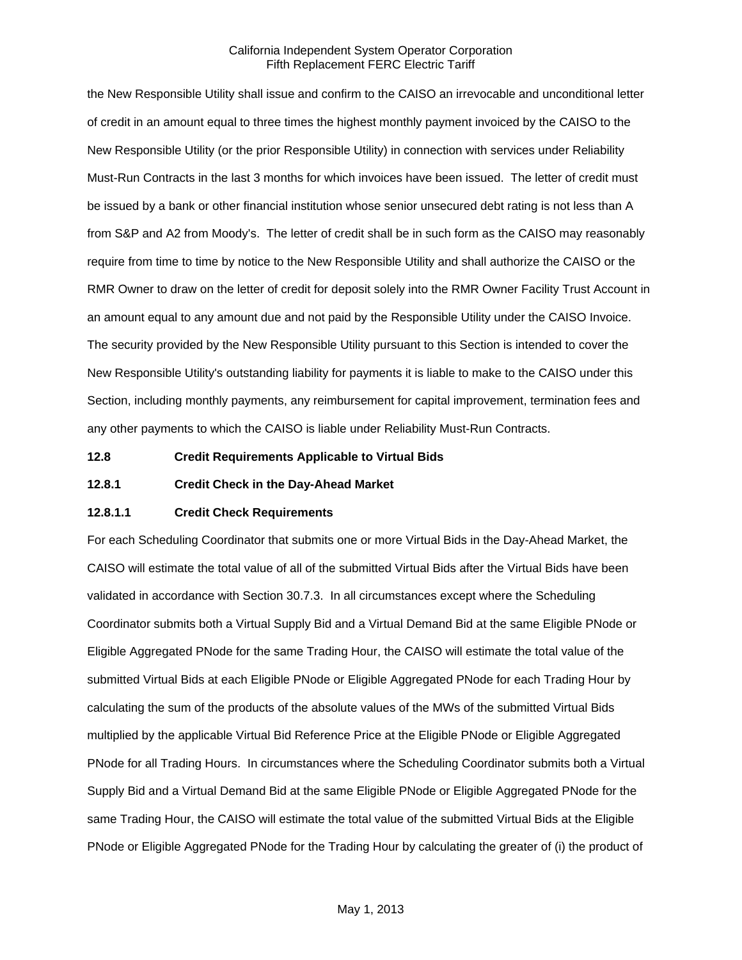the New Responsible Utility shall issue and confirm to the CAISO an irrevocable and unconditional letter of credit in an amount equal to three times the highest monthly payment invoiced by the CAISO to the New Responsible Utility (or the prior Responsible Utility) in connection with services under Reliability Must-Run Contracts in the last 3 months for which invoices have been issued. The letter of credit must be issued by a bank or other financial institution whose senior unsecured debt rating is not less than A from S&P and A2 from Moody's. The letter of credit shall be in such form as the CAISO may reasonably require from time to time by notice to the New Responsible Utility and shall authorize the CAISO or the RMR Owner to draw on the letter of credit for deposit solely into the RMR Owner Facility Trust Account in an amount equal to any amount due and not paid by the Responsible Utility under the CAISO Invoice. The security provided by the New Responsible Utility pursuant to this Section is intended to cover the New Responsible Utility's outstanding liability for payments it is liable to make to the CAISO under this Section, including monthly payments, any reimbursement for capital improvement, termination fees and any other payments to which the CAISO is liable under Reliability Must-Run Contracts.

**12.8 Credit Requirements Applicable to Virtual Bids** 

**12.8.1 Credit Check in the Day-Ahead Market** 

### **12.8.1.1 Credit Check Requirements**

For each Scheduling Coordinator that submits one or more Virtual Bids in the Day-Ahead Market, the CAISO will estimate the total value of all of the submitted Virtual Bids after the Virtual Bids have been validated in accordance with Section 30.7.3. In all circumstances except where the Scheduling Coordinator submits both a Virtual Supply Bid and a Virtual Demand Bid at the same Eligible PNode or Eligible Aggregated PNode for the same Trading Hour, the CAISO will estimate the total value of the submitted Virtual Bids at each Eligible PNode or Eligible Aggregated PNode for each Trading Hour by calculating the sum of the products of the absolute values of the MWs of the submitted Virtual Bids multiplied by the applicable Virtual Bid Reference Price at the Eligible PNode or Eligible Aggregated PNode for all Trading Hours. In circumstances where the Scheduling Coordinator submits both a Virtual Supply Bid and a Virtual Demand Bid at the same Eligible PNode or Eligible Aggregated PNode for the same Trading Hour, the CAISO will estimate the total value of the submitted Virtual Bids at the Eligible PNode or Eligible Aggregated PNode for the Trading Hour by calculating the greater of (i) the product of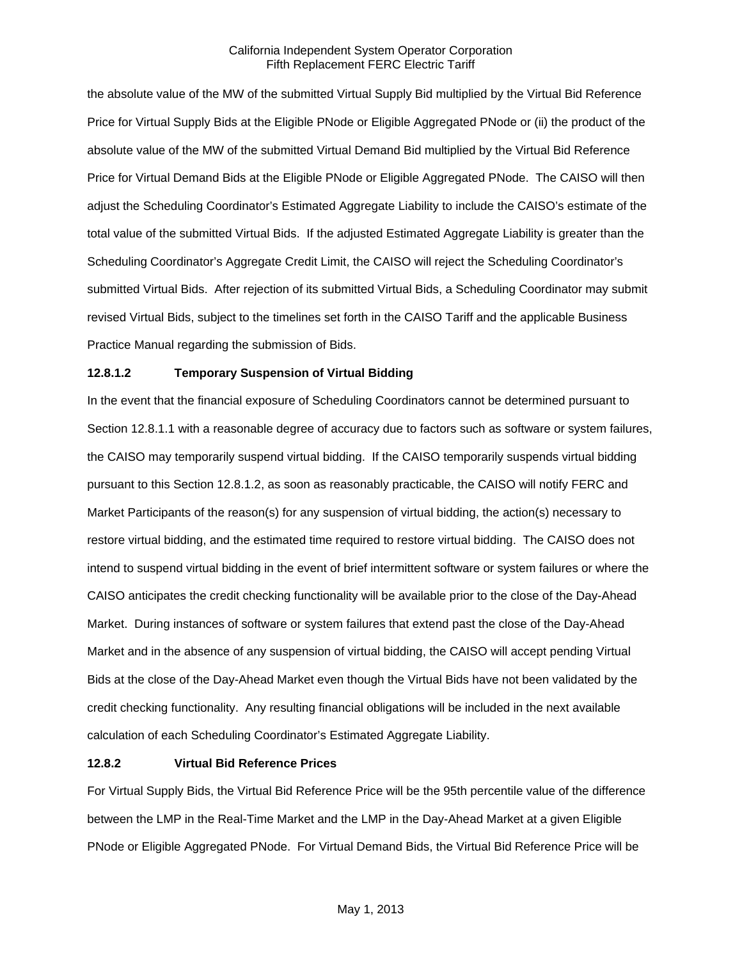the absolute value of the MW of the submitted Virtual Supply Bid multiplied by the Virtual Bid Reference Price for Virtual Supply Bids at the Eligible PNode or Eligible Aggregated PNode or (ii) the product of the absolute value of the MW of the submitted Virtual Demand Bid multiplied by the Virtual Bid Reference Price for Virtual Demand Bids at the Eligible PNode or Eligible Aggregated PNode. The CAISO will then adjust the Scheduling Coordinator's Estimated Aggregate Liability to include the CAISO's estimate of the total value of the submitted Virtual Bids. If the adjusted Estimated Aggregate Liability is greater than the Scheduling Coordinator's Aggregate Credit Limit, the CAISO will reject the Scheduling Coordinator's submitted Virtual Bids. After rejection of its submitted Virtual Bids, a Scheduling Coordinator may submit revised Virtual Bids, subject to the timelines set forth in the CAISO Tariff and the applicable Business Practice Manual regarding the submission of Bids.

### **12.8.1.2 Temporary Suspension of Virtual Bidding**

In the event that the financial exposure of Scheduling Coordinators cannot be determined pursuant to Section 12.8.1.1 with a reasonable degree of accuracy due to factors such as software or system failures, the CAISO may temporarily suspend virtual bidding. If the CAISO temporarily suspends virtual bidding pursuant to this Section 12.8.1.2, as soon as reasonably practicable, the CAISO will notify FERC and Market Participants of the reason(s) for any suspension of virtual bidding, the action(s) necessary to restore virtual bidding, and the estimated time required to restore virtual bidding. The CAISO does not intend to suspend virtual bidding in the event of brief intermittent software or system failures or where the CAISO anticipates the credit checking functionality will be available prior to the close of the Day-Ahead Market. During instances of software or system failures that extend past the close of the Day-Ahead Market and in the absence of any suspension of virtual bidding, the CAISO will accept pending Virtual Bids at the close of the Day-Ahead Market even though the Virtual Bids have not been validated by the credit checking functionality. Any resulting financial obligations will be included in the next available calculation of each Scheduling Coordinator's Estimated Aggregate Liability.

### **12.8.2 Virtual Bid Reference Prices**

For Virtual Supply Bids, the Virtual Bid Reference Price will be the 95th percentile value of the difference between the LMP in the Real-Time Market and the LMP in the Day-Ahead Market at a given Eligible PNode or Eligible Aggregated PNode. For Virtual Demand Bids, the Virtual Bid Reference Price will be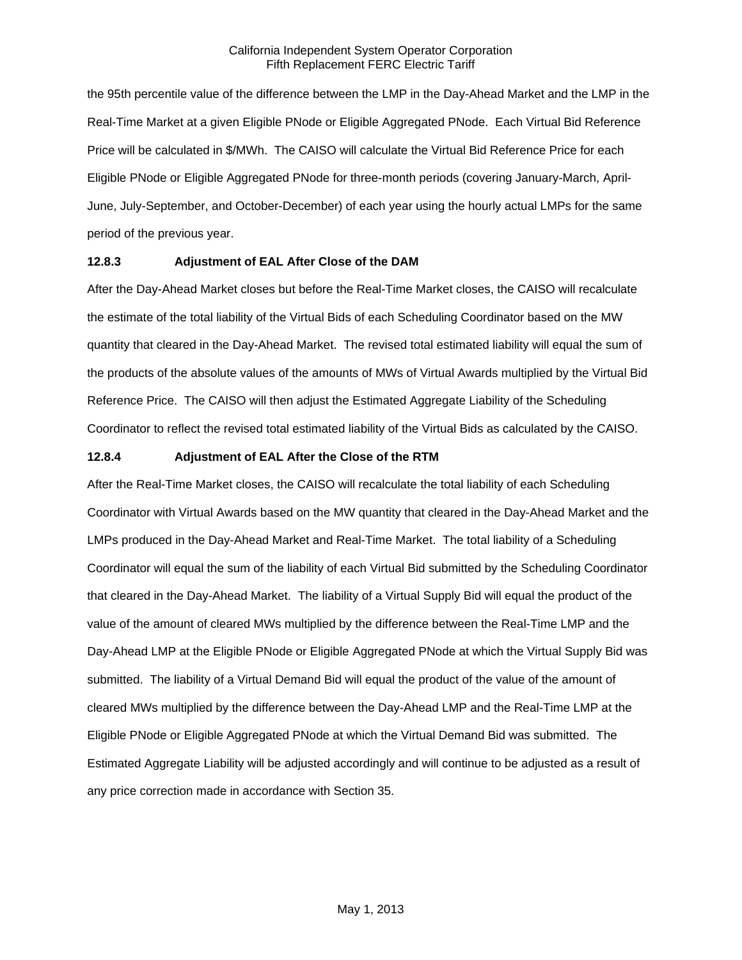the 95th percentile value of the difference between the LMP in the Day-Ahead Market and the LMP in the Real-Time Market at a given Eligible PNode or Eligible Aggregated PNode. Each Virtual Bid Reference Price will be calculated in \$/MWh. The CAISO will calculate the Virtual Bid Reference Price for each Eligible PNode or Eligible Aggregated PNode for three-month periods (covering January-March, April-June, July-September, and October-December) of each year using the hourly actual LMPs for the same period of the previous year.

### **12.8.3 Adjustment of EAL After Close of the DAM**

After the Day-Ahead Market closes but before the Real-Time Market closes, the CAISO will recalculate the estimate of the total liability of the Virtual Bids of each Scheduling Coordinator based on the MW quantity that cleared in the Day-Ahead Market. The revised total estimated liability will equal the sum of the products of the absolute values of the amounts of MWs of Virtual Awards multiplied by the Virtual Bid Reference Price. The CAISO will then adjust the Estimated Aggregate Liability of the Scheduling Coordinator to reflect the revised total estimated liability of the Virtual Bids as calculated by the CAISO.

### **12.8.4 Adjustment of EAL After the Close of the RTM**

After the Real-Time Market closes, the CAISO will recalculate the total liability of each Scheduling Coordinator with Virtual Awards based on the MW quantity that cleared in the Day-Ahead Market and the LMPs produced in the Day-Ahead Market and Real-Time Market. The total liability of a Scheduling Coordinator will equal the sum of the liability of each Virtual Bid submitted by the Scheduling Coordinator that cleared in the Day-Ahead Market. The liability of a Virtual Supply Bid will equal the product of the value of the amount of cleared MWs multiplied by the difference between the Real-Time LMP and the Day-Ahead LMP at the Eligible PNode or Eligible Aggregated PNode at which the Virtual Supply Bid was submitted. The liability of a Virtual Demand Bid will equal the product of the value of the amount of cleared MWs multiplied by the difference between the Day-Ahead LMP and the Real-Time LMP at the Eligible PNode or Eligible Aggregated PNode at which the Virtual Demand Bid was submitted. The Estimated Aggregate Liability will be adjusted accordingly and will continue to be adjusted as a result of any price correction made in accordance with Section 35.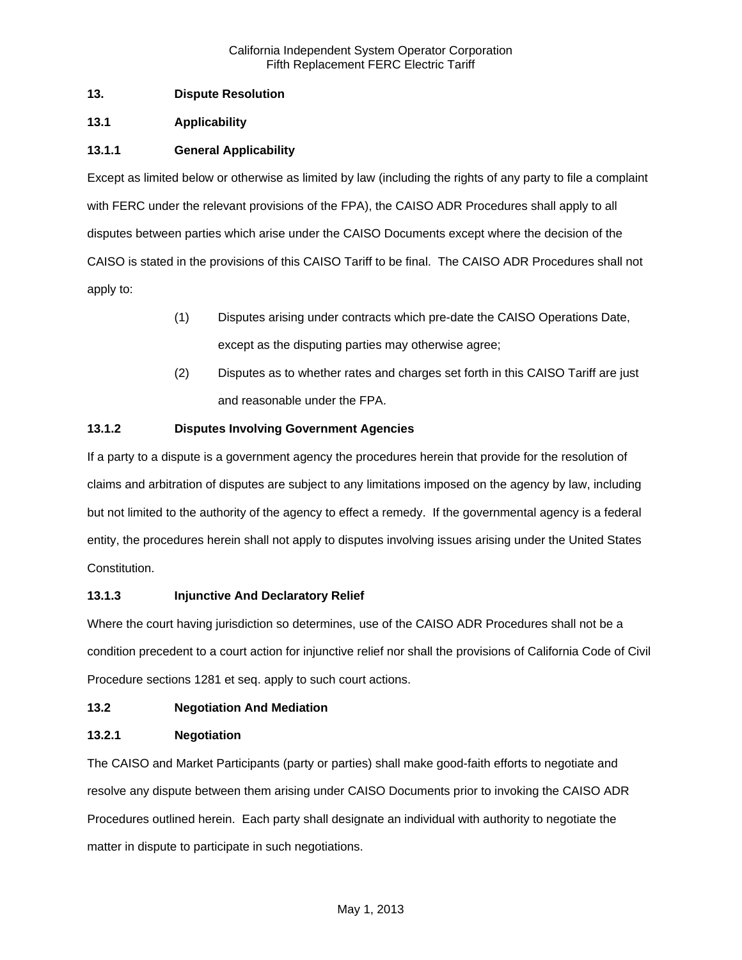# **13. Dispute Resolution**

# **13.1 Applicability**

# **13.1.1 General Applicability**

Except as limited below or otherwise as limited by law (including the rights of any party to file a complaint with FERC under the relevant provisions of the FPA), the CAISO ADR Procedures shall apply to all disputes between parties which arise under the CAISO Documents except where the decision of the CAISO is stated in the provisions of this CAISO Tariff to be final. The CAISO ADR Procedures shall not apply to:

- (1) Disputes arising under contracts which pre-date the CAISO Operations Date, except as the disputing parties may otherwise agree;
- (2) Disputes as to whether rates and charges set forth in this CAISO Tariff are just and reasonable under the FPA.

# **13.1.2 Disputes Involving Government Agencies**

If a party to a dispute is a government agency the procedures herein that provide for the resolution of claims and arbitration of disputes are subject to any limitations imposed on the agency by law, including but not limited to the authority of the agency to effect a remedy. If the governmental agency is a federal entity, the procedures herein shall not apply to disputes involving issues arising under the United States Constitution.

# **13.1.3 Injunctive And Declaratory Relief**

Where the court having jurisdiction so determines, use of the CAISO ADR Procedures shall not be a condition precedent to a court action for injunctive relief nor shall the provisions of California Code of Civil Procedure sections 1281 et seq. apply to such court actions.

# **13.2 Negotiation And Mediation**

# **13.2.1 Negotiation**

The CAISO and Market Participants (party or parties) shall make good-faith efforts to negotiate and resolve any dispute between them arising under CAISO Documents prior to invoking the CAISO ADR Procedures outlined herein. Each party shall designate an individual with authority to negotiate the matter in dispute to participate in such negotiations.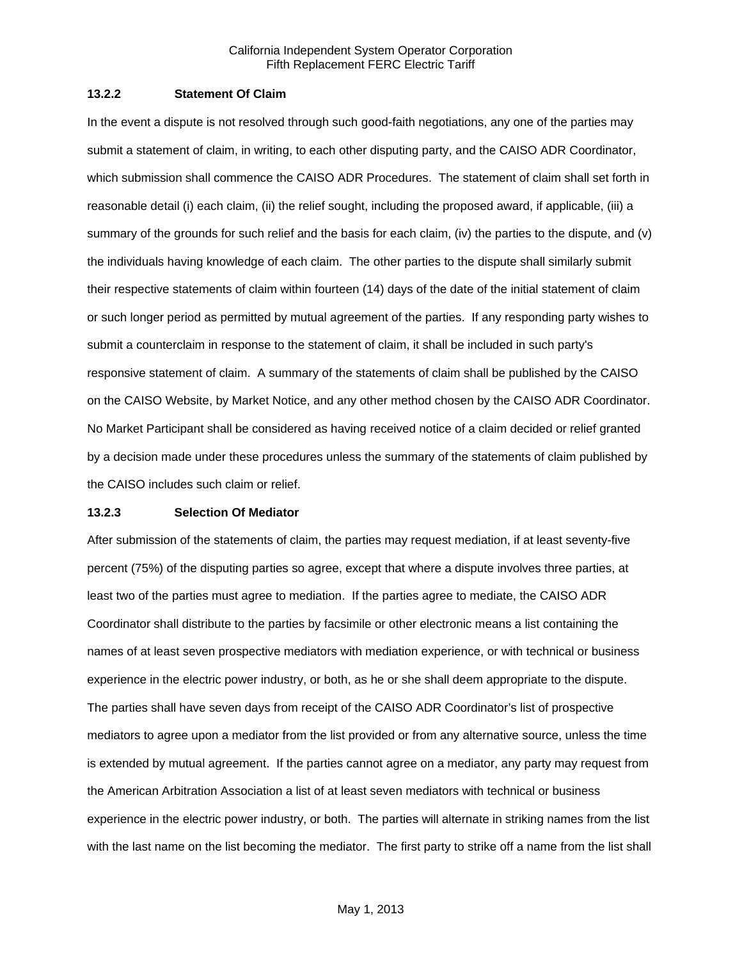### **13.2.2 Statement Of Claim**

In the event a dispute is not resolved through such good-faith negotiations, any one of the parties may submit a statement of claim, in writing, to each other disputing party, and the CAISO ADR Coordinator, which submission shall commence the CAISO ADR Procedures. The statement of claim shall set forth in reasonable detail (i) each claim, (ii) the relief sought, including the proposed award, if applicable, (iii) a summary of the grounds for such relief and the basis for each claim, (iv) the parties to the dispute, and (v) the individuals having knowledge of each claim. The other parties to the dispute shall similarly submit their respective statements of claim within fourteen (14) days of the date of the initial statement of claim or such longer period as permitted by mutual agreement of the parties. If any responding party wishes to submit a counterclaim in response to the statement of claim, it shall be included in such party's responsive statement of claim. A summary of the statements of claim shall be published by the CAISO on the CAISO Website, by Market Notice, and any other method chosen by the CAISO ADR Coordinator. No Market Participant shall be considered as having received notice of a claim decided or relief granted by a decision made under these procedures unless the summary of the statements of claim published by the CAISO includes such claim or relief.

#### **13.2.3 Selection Of Mediator**

After submission of the statements of claim, the parties may request mediation, if at least seventy-five percent (75%) of the disputing parties so agree, except that where a dispute involves three parties, at least two of the parties must agree to mediation. If the parties agree to mediate, the CAISO ADR Coordinator shall distribute to the parties by facsimile or other electronic means a list containing the names of at least seven prospective mediators with mediation experience, or with technical or business experience in the electric power industry, or both, as he or she shall deem appropriate to the dispute. The parties shall have seven days from receipt of the CAISO ADR Coordinator's list of prospective mediators to agree upon a mediator from the list provided or from any alternative source, unless the time is extended by mutual agreement. If the parties cannot agree on a mediator, any party may request from the American Arbitration Association a list of at least seven mediators with technical or business experience in the electric power industry, or both. The parties will alternate in striking names from the list with the last name on the list becoming the mediator. The first party to strike off a name from the list shall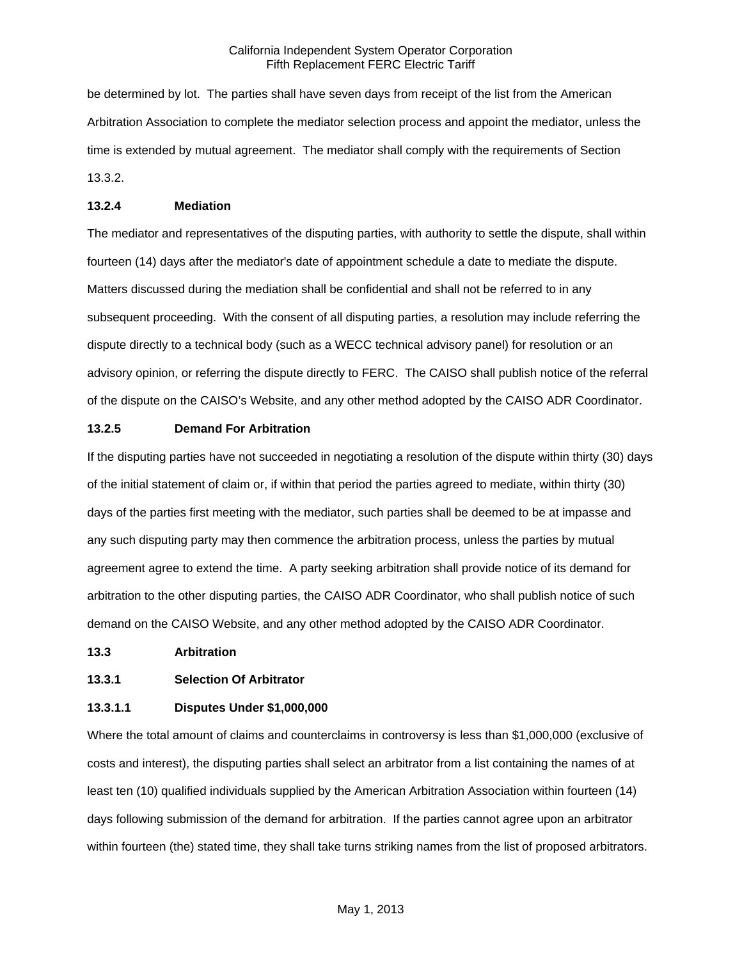be determined by lot. The parties shall have seven days from receipt of the list from the American Arbitration Association to complete the mediator selection process and appoint the mediator, unless the time is extended by mutual agreement. The mediator shall comply with the requirements of Section 13.3.2.

## **13.2.4 Mediation**

The mediator and representatives of the disputing parties, with authority to settle the dispute, shall within fourteen (14) days after the mediator's date of appointment schedule a date to mediate the dispute. Matters discussed during the mediation shall be confidential and shall not be referred to in any subsequent proceeding. With the consent of all disputing parties, a resolution may include referring the dispute directly to a technical body (such as a WECC technical advisory panel) for resolution or an advisory opinion, or referring the dispute directly to FERC. The CAISO shall publish notice of the referral of the dispute on the CAISO's Website, and any other method adopted by the CAISO ADR Coordinator.

## **13.2.5 Demand For Arbitration**

If the disputing parties have not succeeded in negotiating a resolution of the dispute within thirty (30) days of the initial statement of claim or, if within that period the parties agreed to mediate, within thirty (30) days of the parties first meeting with the mediator, such parties shall be deemed to be at impasse and any such disputing party may then commence the arbitration process, unless the parties by mutual agreement agree to extend the time. A party seeking arbitration shall provide notice of its demand for arbitration to the other disputing parties, the CAISO ADR Coordinator, who shall publish notice of such demand on the CAISO Website, and any other method adopted by the CAISO ADR Coordinator.

### **13.3 Arbitration**

# **13.3.1 Selection Of Arbitrator**

# **13.3.1.1 Disputes Under \$1,000,000**

Where the total amount of claims and counterclaims in controversy is less than \$1,000,000 (exclusive of costs and interest), the disputing parties shall select an arbitrator from a list containing the names of at least ten (10) qualified individuals supplied by the American Arbitration Association within fourteen (14) days following submission of the demand for arbitration. If the parties cannot agree upon an arbitrator within fourteen (the) stated time, they shall take turns striking names from the list of proposed arbitrators.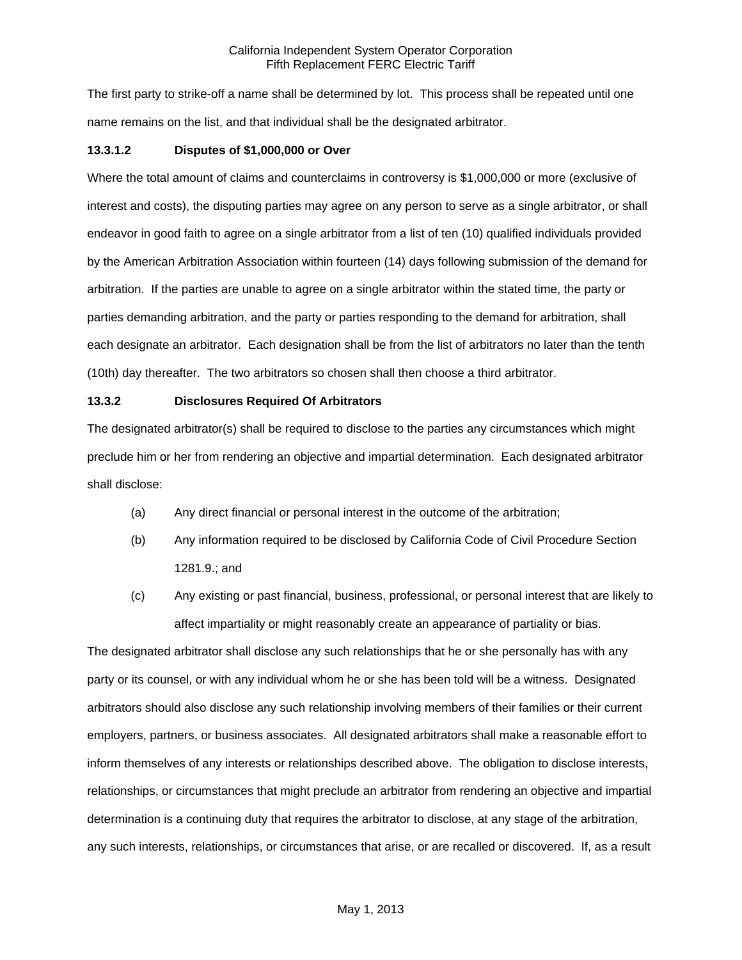The first party to strike-off a name shall be determined by lot. This process shall be repeated until one name remains on the list, and that individual shall be the designated arbitrator.

## **13.3.1.2 Disputes of \$1,000,000 or Over**

Where the total amount of claims and counterclaims in controversy is \$1,000,000 or more (exclusive of interest and costs), the disputing parties may agree on any person to serve as a single arbitrator, or shall endeavor in good faith to agree on a single arbitrator from a list of ten (10) qualified individuals provided by the American Arbitration Association within fourteen (14) days following submission of the demand for arbitration. If the parties are unable to agree on a single arbitrator within the stated time, the party or parties demanding arbitration, and the party or parties responding to the demand for arbitration, shall each designate an arbitrator. Each designation shall be from the list of arbitrators no later than the tenth (10th) day thereafter. The two arbitrators so chosen shall then choose a third arbitrator.

### **13.3.2 Disclosures Required Of Arbitrators**

The designated arbitrator(s) shall be required to disclose to the parties any circumstances which might preclude him or her from rendering an objective and impartial determination. Each designated arbitrator shall disclose:

- (a) Any direct financial or personal interest in the outcome of the arbitration;
- (b) Any information required to be disclosed by California Code of Civil Procedure Section 1281.9.; and
- (c) Any existing or past financial, business, professional, or personal interest that are likely to affect impartiality or might reasonably create an appearance of partiality or bias.

The designated arbitrator shall disclose any such relationships that he or she personally has with any party or its counsel, or with any individual whom he or she has been told will be a witness. Designated arbitrators should also disclose any such relationship involving members of their families or their current employers, partners, or business associates. All designated arbitrators shall make a reasonable effort to inform themselves of any interests or relationships described above. The obligation to disclose interests, relationships, or circumstances that might preclude an arbitrator from rendering an objective and impartial determination is a continuing duty that requires the arbitrator to disclose, at any stage of the arbitration, any such interests, relationships, or circumstances that arise, or are recalled or discovered. If, as a result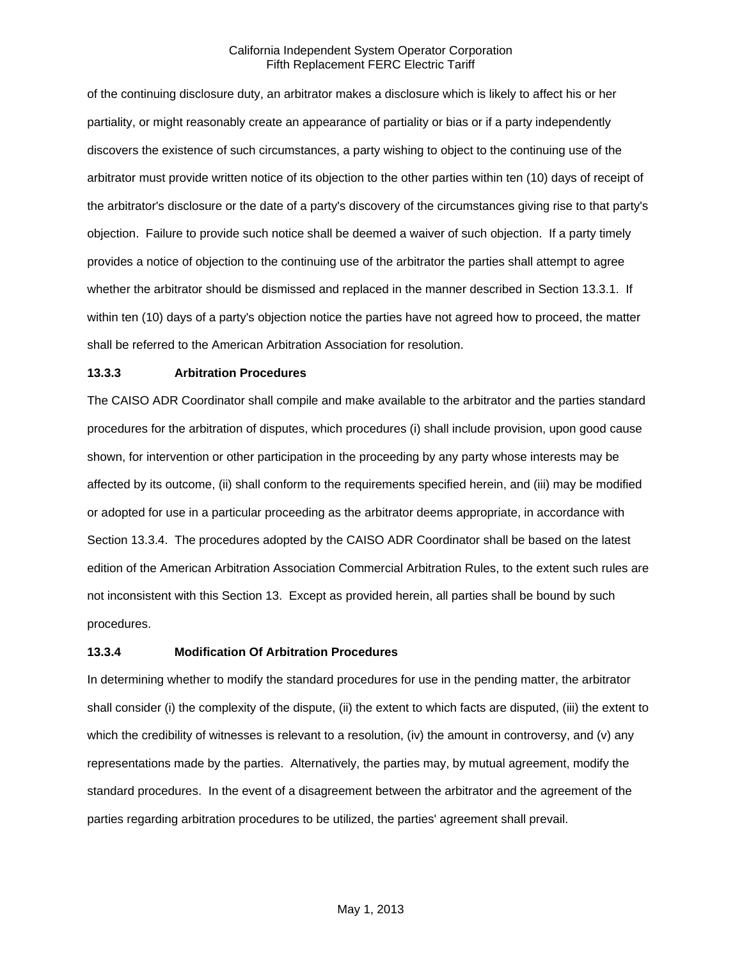of the continuing disclosure duty, an arbitrator makes a disclosure which is likely to affect his or her partiality, or might reasonably create an appearance of partiality or bias or if a party independently discovers the existence of such circumstances, a party wishing to object to the continuing use of the arbitrator must provide written notice of its objection to the other parties within ten (10) days of receipt of the arbitrator's disclosure or the date of a party's discovery of the circumstances giving rise to that party's objection. Failure to provide such notice shall be deemed a waiver of such objection. If a party timely provides a notice of objection to the continuing use of the arbitrator the parties shall attempt to agree whether the arbitrator should be dismissed and replaced in the manner described in Section 13.3.1. If within ten (10) days of a party's objection notice the parties have not agreed how to proceed, the matter shall be referred to the American Arbitration Association for resolution.

## **13.3.3 Arbitration Procedures**

The CAISO ADR Coordinator shall compile and make available to the arbitrator and the parties standard procedures for the arbitration of disputes, which procedures (i) shall include provision, upon good cause shown, for intervention or other participation in the proceeding by any party whose interests may be affected by its outcome, (ii) shall conform to the requirements specified herein, and (iii) may be modified or adopted for use in a particular proceeding as the arbitrator deems appropriate, in accordance with Section 13.3.4. The procedures adopted by the CAISO ADR Coordinator shall be based on the latest edition of the American Arbitration Association Commercial Arbitration Rules, to the extent such rules are not inconsistent with this Section 13. Except as provided herein, all parties shall be bound by such procedures.

#### **13.3.4 Modification Of Arbitration Procedures**

In determining whether to modify the standard procedures for use in the pending matter, the arbitrator shall consider (i) the complexity of the dispute, (ii) the extent to which facts are disputed, (iii) the extent to which the credibility of witnesses is relevant to a resolution, (iv) the amount in controversy, and (v) any representations made by the parties. Alternatively, the parties may, by mutual agreement, modify the standard procedures. In the event of a disagreement between the arbitrator and the agreement of the parties regarding arbitration procedures to be utilized, the parties' agreement shall prevail.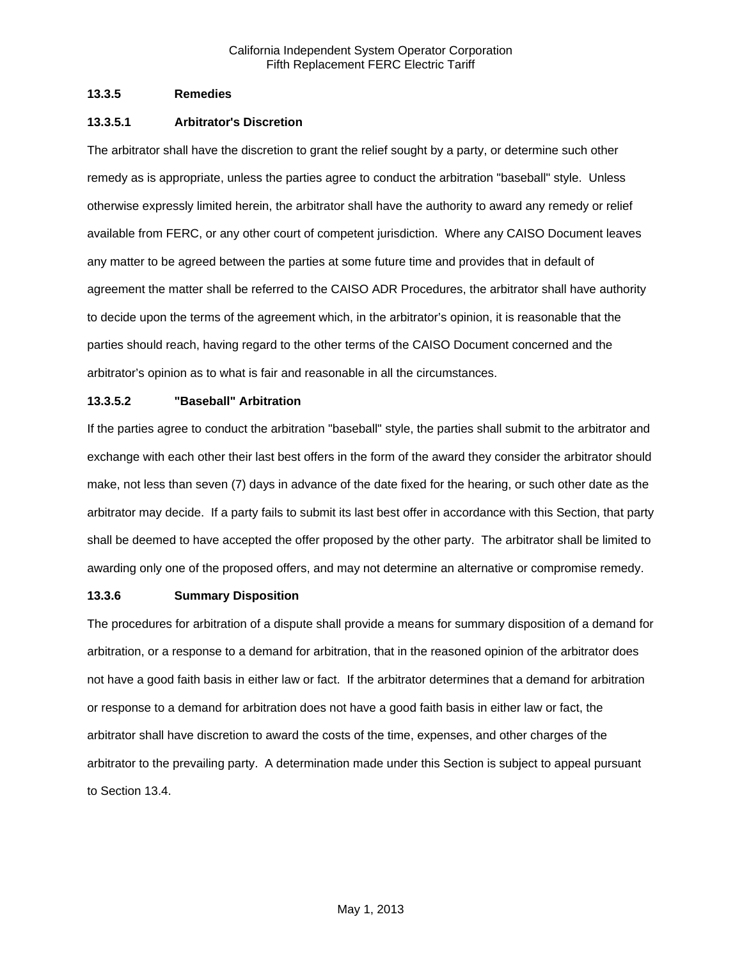## **13.3.5 Remedies**

## **13.3.5.1 Arbitrator's Discretion**

The arbitrator shall have the discretion to grant the relief sought by a party, or determine such other remedy as is appropriate, unless the parties agree to conduct the arbitration "baseball" style. Unless otherwise expressly limited herein, the arbitrator shall have the authority to award any remedy or relief available from FERC, or any other court of competent jurisdiction. Where any CAISO Document leaves any matter to be agreed between the parties at some future time and provides that in default of agreement the matter shall be referred to the CAISO ADR Procedures, the arbitrator shall have authority to decide upon the terms of the agreement which, in the arbitrator's opinion, it is reasonable that the parties should reach, having regard to the other terms of the CAISO Document concerned and the arbitrator's opinion as to what is fair and reasonable in all the circumstances.

# **13.3.5.2 "Baseball" Arbitration**

If the parties agree to conduct the arbitration "baseball" style, the parties shall submit to the arbitrator and exchange with each other their last best offers in the form of the award they consider the arbitrator should make, not less than seven (7) days in advance of the date fixed for the hearing, or such other date as the arbitrator may decide. If a party fails to submit its last best offer in accordance with this Section, that party shall be deemed to have accepted the offer proposed by the other party. The arbitrator shall be limited to awarding only one of the proposed offers, and may not determine an alternative or compromise remedy.

# **13.3.6 Summary Disposition**

The procedures for arbitration of a dispute shall provide a means for summary disposition of a demand for arbitration, or a response to a demand for arbitration, that in the reasoned opinion of the arbitrator does not have a good faith basis in either law or fact. If the arbitrator determines that a demand for arbitration or response to a demand for arbitration does not have a good faith basis in either law or fact, the arbitrator shall have discretion to award the costs of the time, expenses, and other charges of the arbitrator to the prevailing party. A determination made under this Section is subject to appeal pursuant to Section 13.4.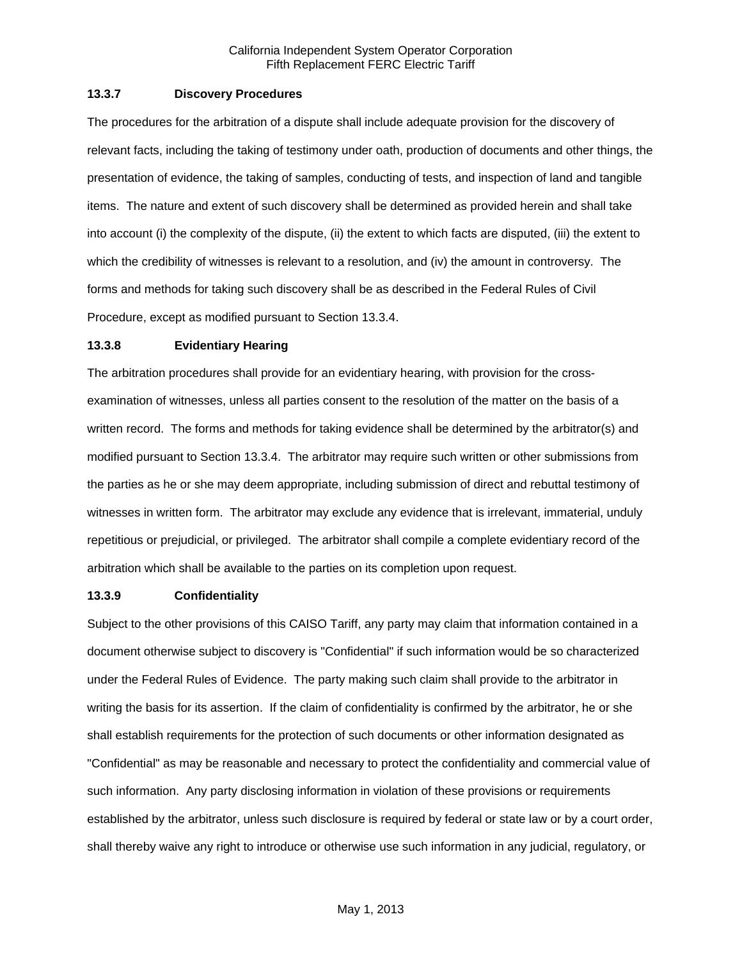## **13.3.7 Discovery Procedures**

The procedures for the arbitration of a dispute shall include adequate provision for the discovery of relevant facts, including the taking of testimony under oath, production of documents and other things, the presentation of evidence, the taking of samples, conducting of tests, and inspection of land and tangible items. The nature and extent of such discovery shall be determined as provided herein and shall take into account (i) the complexity of the dispute, (ii) the extent to which facts are disputed, (iii) the extent to which the credibility of witnesses is relevant to a resolution, and (iv) the amount in controversy. The forms and methods for taking such discovery shall be as described in the Federal Rules of Civil Procedure, except as modified pursuant to Section 13.3.4.

### **13.3.8 Evidentiary Hearing**

The arbitration procedures shall provide for an evidentiary hearing, with provision for the crossexamination of witnesses, unless all parties consent to the resolution of the matter on the basis of a written record. The forms and methods for taking evidence shall be determined by the arbitrator(s) and modified pursuant to Section 13.3.4. The arbitrator may require such written or other submissions from the parties as he or she may deem appropriate, including submission of direct and rebuttal testimony of witnesses in written form. The arbitrator may exclude any evidence that is irrelevant, immaterial, unduly repetitious or prejudicial, or privileged. The arbitrator shall compile a complete evidentiary record of the arbitration which shall be available to the parties on its completion upon request.

### **13.3.9 Confidentiality**

Subject to the other provisions of this CAISO Tariff, any party may claim that information contained in a document otherwise subject to discovery is "Confidential" if such information would be so characterized under the Federal Rules of Evidence. The party making such claim shall provide to the arbitrator in writing the basis for its assertion. If the claim of confidentiality is confirmed by the arbitrator, he or she shall establish requirements for the protection of such documents or other information designated as "Confidential" as may be reasonable and necessary to protect the confidentiality and commercial value of such information. Any party disclosing information in violation of these provisions or requirements established by the arbitrator, unless such disclosure is required by federal or state law or by a court order, shall thereby waive any right to introduce or otherwise use such information in any judicial, regulatory, or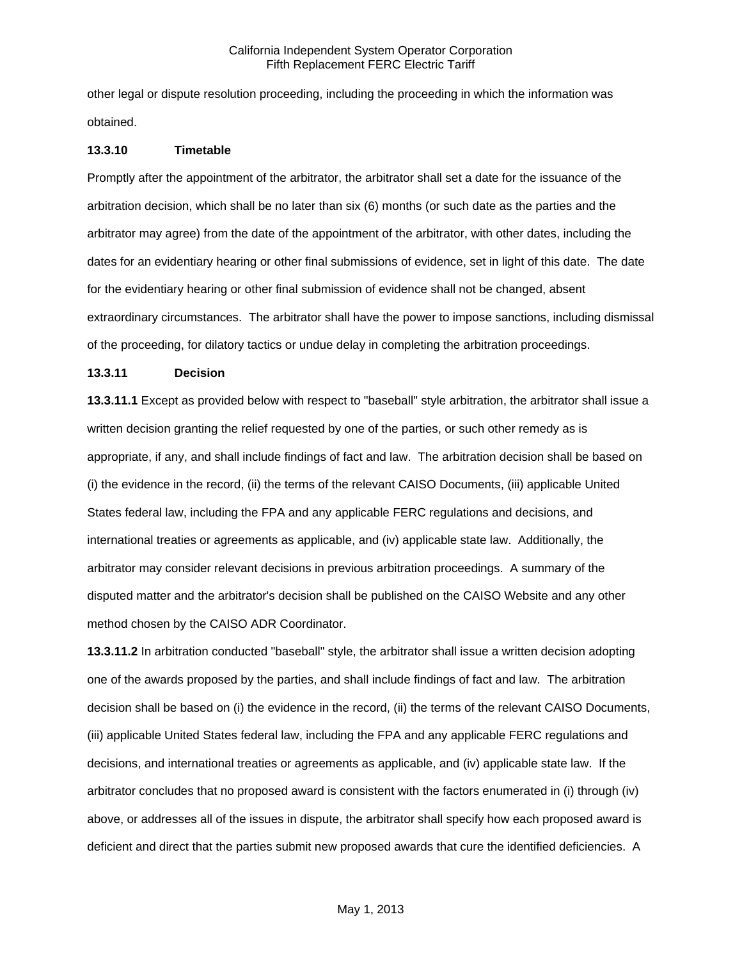other legal or dispute resolution proceeding, including the proceeding in which the information was obtained.

#### **13.3.10 Timetable**

Promptly after the appointment of the arbitrator, the arbitrator shall set a date for the issuance of the arbitration decision, which shall be no later than six (6) months (or such date as the parties and the arbitrator may agree) from the date of the appointment of the arbitrator, with other dates, including the dates for an evidentiary hearing or other final submissions of evidence, set in light of this date. The date for the evidentiary hearing or other final submission of evidence shall not be changed, absent extraordinary circumstances. The arbitrator shall have the power to impose sanctions, including dismissal of the proceeding, for dilatory tactics or undue delay in completing the arbitration proceedings.

## **13.3.11 Decision**

**13.3.11.1** Except as provided below with respect to "baseball" style arbitration, the arbitrator shall issue a written decision granting the relief requested by one of the parties, or such other remedy as is appropriate, if any, and shall include findings of fact and law. The arbitration decision shall be based on (i) the evidence in the record, (ii) the terms of the relevant CAISO Documents, (iii) applicable United States federal law, including the FPA and any applicable FERC regulations and decisions, and international treaties or agreements as applicable, and (iv) applicable state law. Additionally, the arbitrator may consider relevant decisions in previous arbitration proceedings. A summary of the disputed matter and the arbitrator's decision shall be published on the CAISO Website and any other method chosen by the CAISO ADR Coordinator.

**13.3.11.2** In arbitration conducted "baseball" style, the arbitrator shall issue a written decision adopting one of the awards proposed by the parties, and shall include findings of fact and law. The arbitration decision shall be based on (i) the evidence in the record, (ii) the terms of the relevant CAISO Documents, (iii) applicable United States federal law, including the FPA and any applicable FERC regulations and decisions, and international treaties or agreements as applicable, and (iv) applicable state law. If the arbitrator concludes that no proposed award is consistent with the factors enumerated in (i) through (iv) above, or addresses all of the issues in dispute, the arbitrator shall specify how each proposed award is deficient and direct that the parties submit new proposed awards that cure the identified deficiencies. A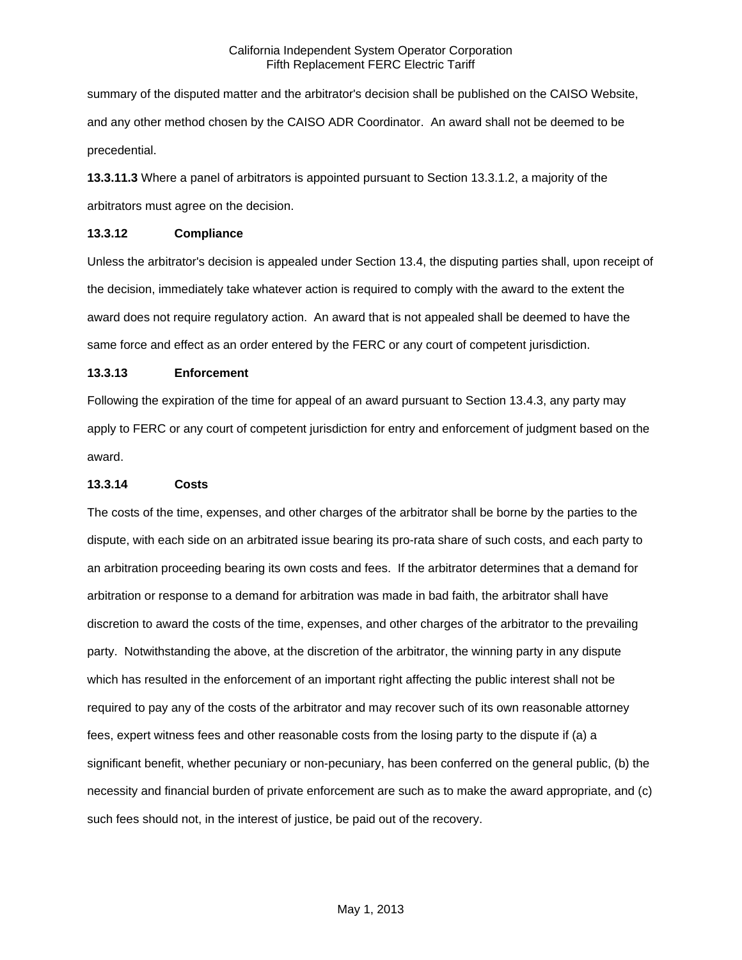summary of the disputed matter and the arbitrator's decision shall be published on the CAISO Website, and any other method chosen by the CAISO ADR Coordinator. An award shall not be deemed to be precedential.

**13.3.11.3** Where a panel of arbitrators is appointed pursuant to Section 13.3.1.2, a majority of the arbitrators must agree on the decision.

### **13.3.12 Compliance**

Unless the arbitrator's decision is appealed under Section 13.4, the disputing parties shall, upon receipt of the decision, immediately take whatever action is required to comply with the award to the extent the award does not require regulatory action. An award that is not appealed shall be deemed to have the same force and effect as an order entered by the FERC or any court of competent jurisdiction.

## **13.3.13 Enforcement**

Following the expiration of the time for appeal of an award pursuant to Section 13.4.3, any party may apply to FERC or any court of competent jurisdiction for entry and enforcement of judgment based on the award.

## **13.3.14 Costs**

The costs of the time, expenses, and other charges of the arbitrator shall be borne by the parties to the dispute, with each side on an arbitrated issue bearing its pro-rata share of such costs, and each party to an arbitration proceeding bearing its own costs and fees. If the arbitrator determines that a demand for arbitration or response to a demand for arbitration was made in bad faith, the arbitrator shall have discretion to award the costs of the time, expenses, and other charges of the arbitrator to the prevailing party. Notwithstanding the above, at the discretion of the arbitrator, the winning party in any dispute which has resulted in the enforcement of an important right affecting the public interest shall not be required to pay any of the costs of the arbitrator and may recover such of its own reasonable attorney fees, expert witness fees and other reasonable costs from the losing party to the dispute if (a) a significant benefit, whether pecuniary or non-pecuniary, has been conferred on the general public, (b) the necessity and financial burden of private enforcement are such as to make the award appropriate, and (c) such fees should not, in the interest of justice, be paid out of the recovery.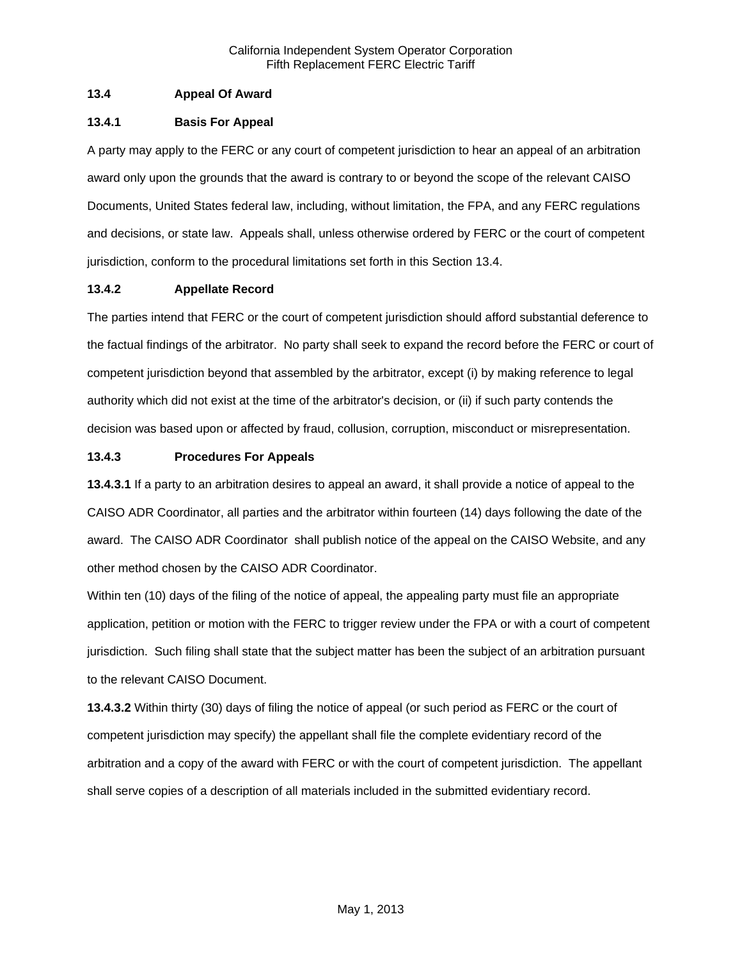# **13.4 Appeal Of Award**

# **13.4.1 Basis For Appeal**

A party may apply to the FERC or any court of competent jurisdiction to hear an appeal of an arbitration award only upon the grounds that the award is contrary to or beyond the scope of the relevant CAISO Documents, United States federal law, including, without limitation, the FPA, and any FERC regulations and decisions, or state law. Appeals shall, unless otherwise ordered by FERC or the court of competent jurisdiction, conform to the procedural limitations set forth in this Section 13.4.

# **13.4.2 Appellate Record**

The parties intend that FERC or the court of competent jurisdiction should afford substantial deference to the factual findings of the arbitrator. No party shall seek to expand the record before the FERC or court of competent jurisdiction beyond that assembled by the arbitrator, except (i) by making reference to legal authority which did not exist at the time of the arbitrator's decision, or (ii) if such party contends the decision was based upon or affected by fraud, collusion, corruption, misconduct or misrepresentation.

## **13.4.3 Procedures For Appeals**

**13.4.3.1** If a party to an arbitration desires to appeal an award, it shall provide a notice of appeal to the CAISO ADR Coordinator, all parties and the arbitrator within fourteen (14) days following the date of the award. The CAISO ADR Coordinator shall publish notice of the appeal on the CAISO Website, and any other method chosen by the CAISO ADR Coordinator.

Within ten (10) days of the filing of the notice of appeal, the appealing party must file an appropriate application, petition or motion with the FERC to trigger review under the FPA or with a court of competent jurisdiction. Such filing shall state that the subject matter has been the subject of an arbitration pursuant to the relevant CAISO Document.

**13.4.3.2** Within thirty (30) days of filing the notice of appeal (or such period as FERC or the court of competent jurisdiction may specify) the appellant shall file the complete evidentiary record of the arbitration and a copy of the award with FERC or with the court of competent jurisdiction. The appellant shall serve copies of a description of all materials included in the submitted evidentiary record.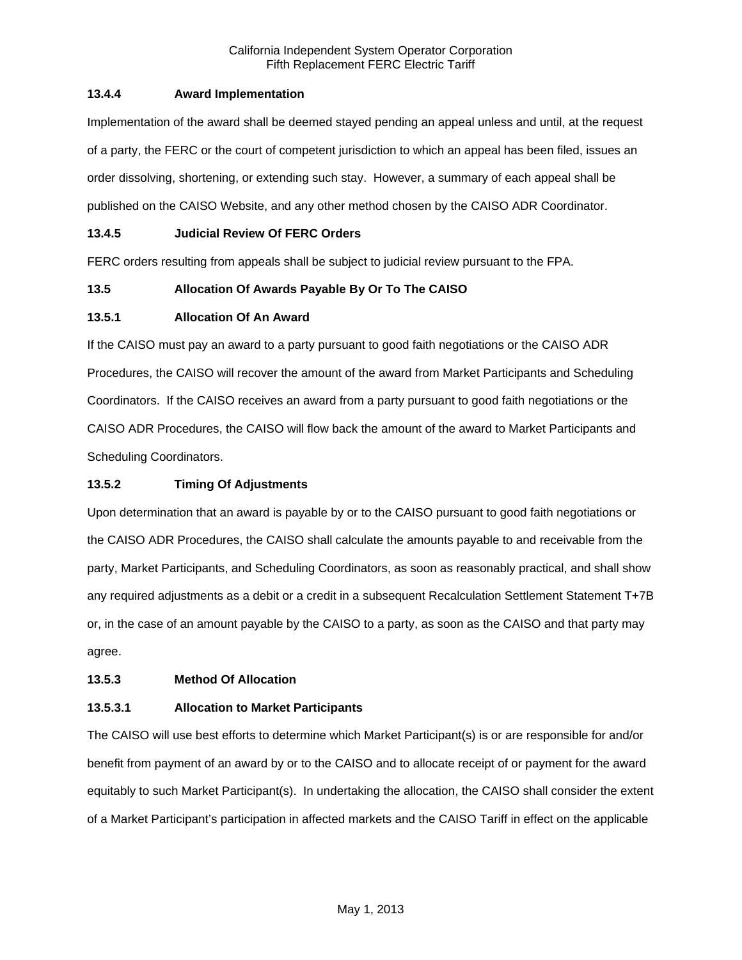# **13.4.4 Award Implementation**

Implementation of the award shall be deemed stayed pending an appeal unless and until, at the request of a party, the FERC or the court of competent jurisdiction to which an appeal has been filed, issues an order dissolving, shortening, or extending such stay. However, a summary of each appeal shall be published on the CAISO Website, and any other method chosen by the CAISO ADR Coordinator.

# **13.4.5 Judicial Review Of FERC Orders**

FERC orders resulting from appeals shall be subject to judicial review pursuant to the FPA.

# **13.5 Allocation Of Awards Payable By Or To The CAISO**

# **13.5.1 Allocation Of An Award**

If the CAISO must pay an award to a party pursuant to good faith negotiations or the CAISO ADR Procedures, the CAISO will recover the amount of the award from Market Participants and Scheduling Coordinators. If the CAISO receives an award from a party pursuant to good faith negotiations or the CAISO ADR Procedures, the CAISO will flow back the amount of the award to Market Participants and Scheduling Coordinators.

# **13.5.2 Timing Of Adjustments**

Upon determination that an award is payable by or to the CAISO pursuant to good faith negotiations or the CAISO ADR Procedures, the CAISO shall calculate the amounts payable to and receivable from the party, Market Participants, and Scheduling Coordinators, as soon as reasonably practical, and shall show any required adjustments as a debit or a credit in a subsequent Recalculation Settlement Statement T+7B or, in the case of an amount payable by the CAISO to a party, as soon as the CAISO and that party may agree.

# **13.5.3 Method Of Allocation**

# **13.5.3.1 Allocation to Market Participants**

The CAISO will use best efforts to determine which Market Participant(s) is or are responsible for and/or benefit from payment of an award by or to the CAISO and to allocate receipt of or payment for the award equitably to such Market Participant(s). In undertaking the allocation, the CAISO shall consider the extent of a Market Participant's participation in affected markets and the CAISO Tariff in effect on the applicable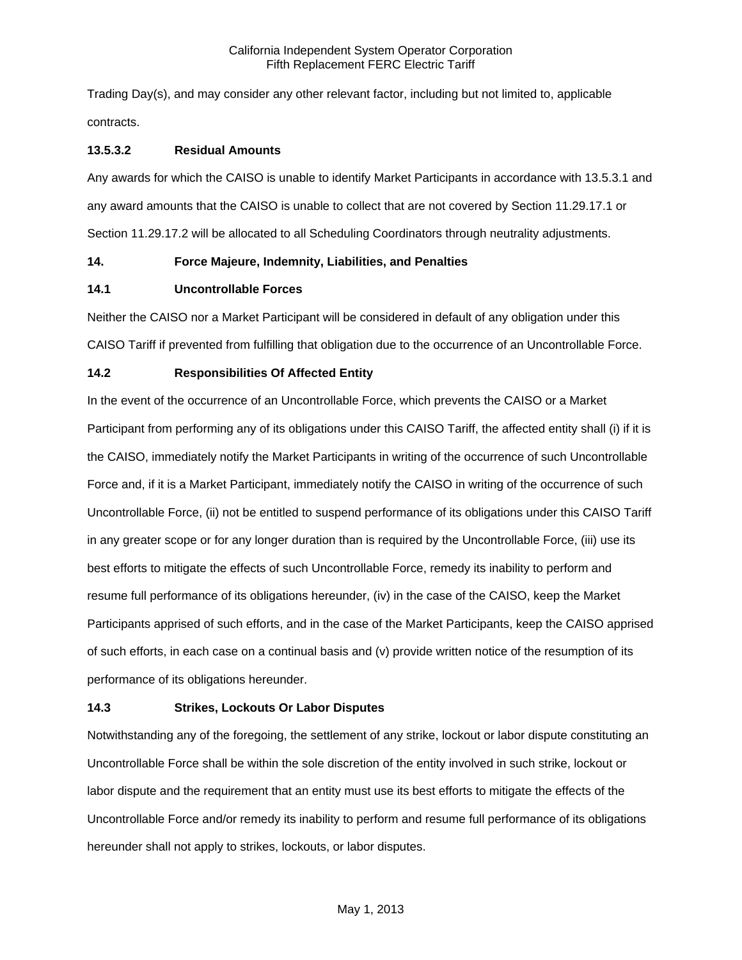Trading Day(s), and may consider any other relevant factor, including but not limited to, applicable contracts.

## **13.5.3.2 Residual Amounts**

Any awards for which the CAISO is unable to identify Market Participants in accordance with 13.5.3.1 and any award amounts that the CAISO is unable to collect that are not covered by Section 11.29.17.1 or Section 11.29.17.2 will be allocated to all Scheduling Coordinators through neutrality adjustments.

## **14. Force Majeure, Indemnity, Liabilities, and Penalties**

## **14.1 Uncontrollable Forces**

Neither the CAISO nor a Market Participant will be considered in default of any obligation under this CAISO Tariff if prevented from fulfilling that obligation due to the occurrence of an Uncontrollable Force.

# **14.2 Responsibilities Of Affected Entity**

In the event of the occurrence of an Uncontrollable Force, which prevents the CAISO or a Market Participant from performing any of its obligations under this CAISO Tariff, the affected entity shall (i) if it is the CAISO, immediately notify the Market Participants in writing of the occurrence of such Uncontrollable Force and, if it is a Market Participant, immediately notify the CAISO in writing of the occurrence of such Uncontrollable Force, (ii) not be entitled to suspend performance of its obligations under this CAISO Tariff in any greater scope or for any longer duration than is required by the Uncontrollable Force, (iii) use its best efforts to mitigate the effects of such Uncontrollable Force, remedy its inability to perform and resume full performance of its obligations hereunder, (iv) in the case of the CAISO, keep the Market Participants apprised of such efforts, and in the case of the Market Participants, keep the CAISO apprised of such efforts, in each case on a continual basis and (v) provide written notice of the resumption of its performance of its obligations hereunder.

# **14.3 Strikes, Lockouts Or Labor Disputes**

Notwithstanding any of the foregoing, the settlement of any strike, lockout or labor dispute constituting an Uncontrollable Force shall be within the sole discretion of the entity involved in such strike, lockout or labor dispute and the requirement that an entity must use its best efforts to mitigate the effects of the Uncontrollable Force and/or remedy its inability to perform and resume full performance of its obligations hereunder shall not apply to strikes, lockouts, or labor disputes.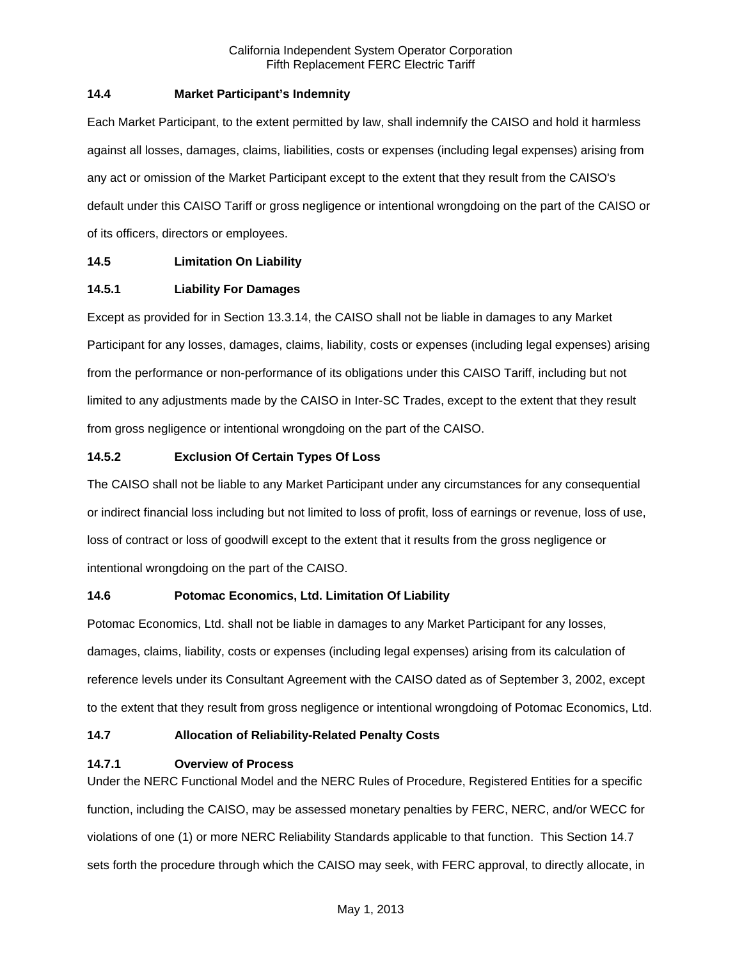## **14.4 Market Participant's Indemnity**

Each Market Participant, to the extent permitted by law, shall indemnify the CAISO and hold it harmless against all losses, damages, claims, liabilities, costs or expenses (including legal expenses) arising from any act or omission of the Market Participant except to the extent that they result from the CAISO's default under this CAISO Tariff or gross negligence or intentional wrongdoing on the part of the CAISO or of its officers, directors or employees.

# **14.5 Limitation On Liability**

## **14.5.1 Liability For Damages**

Except as provided for in Section 13.3.14, the CAISO shall not be liable in damages to any Market Participant for any losses, damages, claims, liability, costs or expenses (including legal expenses) arising from the performance or non-performance of its obligations under this CAISO Tariff, including but not limited to any adjustments made by the CAISO in Inter-SC Trades, except to the extent that they result from gross negligence or intentional wrongdoing on the part of the CAISO.

## **14.5.2 Exclusion Of Certain Types Of Loss**

The CAISO shall not be liable to any Market Participant under any circumstances for any consequential or indirect financial loss including but not limited to loss of profit, loss of earnings or revenue, loss of use, loss of contract or loss of goodwill except to the extent that it results from the gross negligence or intentional wrongdoing on the part of the CAISO.

# **14.6 Potomac Economics, Ltd. Limitation Of Liability**

Potomac Economics, Ltd. shall not be liable in damages to any Market Participant for any losses, damages, claims, liability, costs or expenses (including legal expenses) arising from its calculation of reference levels under its Consultant Agreement with the CAISO dated as of September 3, 2002, except to the extent that they result from gross negligence or intentional wrongdoing of Potomac Economics, Ltd.

# **14.7 Allocation of Reliability-Related Penalty Costs**

### **14.7.1 Overview of Process**

Under the NERC Functional Model and the NERC Rules of Procedure, Registered Entities for a specific function, including the CAISO, may be assessed monetary penalties by FERC, NERC, and/or WECC for violations of one (1) or more NERC Reliability Standards applicable to that function. This Section 14.7 sets forth the procedure through which the CAISO may seek, with FERC approval, to directly allocate, in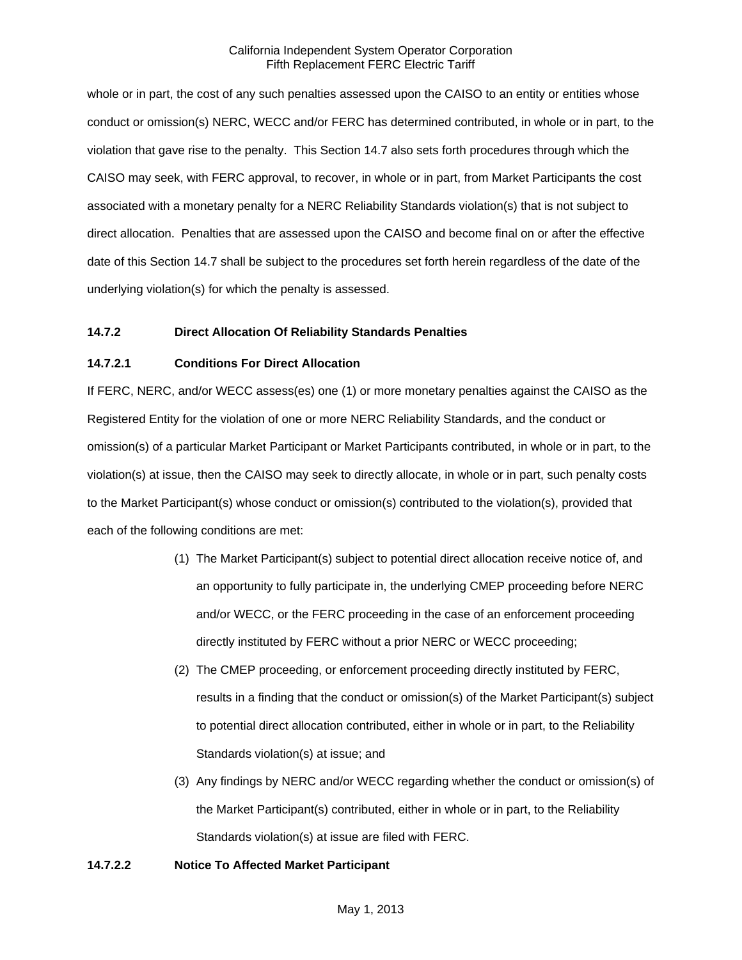whole or in part, the cost of any such penalties assessed upon the CAISO to an entity or entities whose conduct or omission(s) NERC, WECC and/or FERC has determined contributed, in whole or in part, to the violation that gave rise to the penalty. This Section 14.7 also sets forth procedures through which the CAISO may seek, with FERC approval, to recover, in whole or in part, from Market Participants the cost associated with a monetary penalty for a NERC Reliability Standards violation(s) that is not subject to direct allocation. Penalties that are assessed upon the CAISO and become final on or after the effective date of this Section 14.7 shall be subject to the procedures set forth herein regardless of the date of the underlying violation(s) for which the penalty is assessed.

## **14.7.2 Direct Allocation Of Reliability Standards Penalties**

## **14.7.2.1 Conditions For Direct Allocation**

If FERC, NERC, and/or WECC assess(es) one (1) or more monetary penalties against the CAISO as the Registered Entity for the violation of one or more NERC Reliability Standards, and the conduct or omission(s) of a particular Market Participant or Market Participants contributed, in whole or in part, to the violation(s) at issue, then the CAISO may seek to directly allocate, in whole or in part, such penalty costs to the Market Participant(s) whose conduct or omission(s) contributed to the violation(s), provided that each of the following conditions are met:

- (1) The Market Participant(s) subject to potential direct allocation receive notice of, and an opportunity to fully participate in, the underlying CMEP proceeding before NERC and/or WECC, or the FERC proceeding in the case of an enforcement proceeding directly instituted by FERC without a prior NERC or WECC proceeding;
- (2) The CMEP proceeding, or enforcement proceeding directly instituted by FERC, results in a finding that the conduct or omission(s) of the Market Participant(s) subject to potential direct allocation contributed, either in whole or in part, to the Reliability Standards violation(s) at issue; and
- (3) Any findings by NERC and/or WECC regarding whether the conduct or omission(s) of the Market Participant(s) contributed, either in whole or in part, to the Reliability Standards violation(s) at issue are filed with FERC.

### **14.7.2.2 Notice To Affected Market Participant**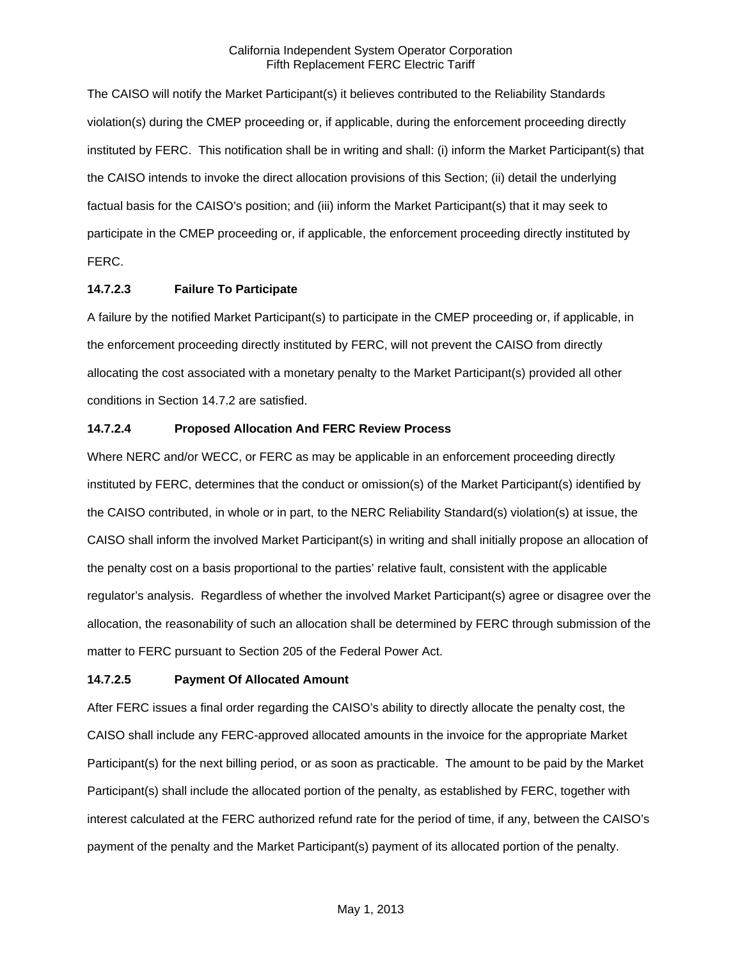The CAISO will notify the Market Participant(s) it believes contributed to the Reliability Standards violation(s) during the CMEP proceeding or, if applicable, during the enforcement proceeding directly instituted by FERC. This notification shall be in writing and shall: (i) inform the Market Participant(s) that the CAISO intends to invoke the direct allocation provisions of this Section; (ii) detail the underlying factual basis for the CAISO's position; and (iii) inform the Market Participant(s) that it may seek to participate in the CMEP proceeding or, if applicable, the enforcement proceeding directly instituted by FERC.

# **14.7.2.3 Failure To Participate**

A failure by the notified Market Participant(s) to participate in the CMEP proceeding or, if applicable, in the enforcement proceeding directly instituted by FERC, will not prevent the CAISO from directly allocating the cost associated with a monetary penalty to the Market Participant(s) provided all other conditions in Section 14.7.2 are satisfied.

## **14.7.2.4 Proposed Allocation And FERC Review Process**

Where NERC and/or WECC, or FERC as may be applicable in an enforcement proceeding directly instituted by FERC, determines that the conduct or omission(s) of the Market Participant(s) identified by the CAISO contributed, in whole or in part, to the NERC Reliability Standard(s) violation(s) at issue, the CAISO shall inform the involved Market Participant(s) in writing and shall initially propose an allocation of the penalty cost on a basis proportional to the parties' relative fault, consistent with the applicable regulator's analysis. Regardless of whether the involved Market Participant(s) agree or disagree over the allocation, the reasonability of such an allocation shall be determined by FERC through submission of the matter to FERC pursuant to Section 205 of the Federal Power Act.

# **14.7.2.5 Payment Of Allocated Amount**

After FERC issues a final order regarding the CAISO's ability to directly allocate the penalty cost, the CAISO shall include any FERC-approved allocated amounts in the invoice for the appropriate Market Participant(s) for the next billing period, or as soon as practicable. The amount to be paid by the Market Participant(s) shall include the allocated portion of the penalty, as established by FERC, together with interest calculated at the FERC authorized refund rate for the period of time, if any, between the CAISO's payment of the penalty and the Market Participant(s) payment of its allocated portion of the penalty.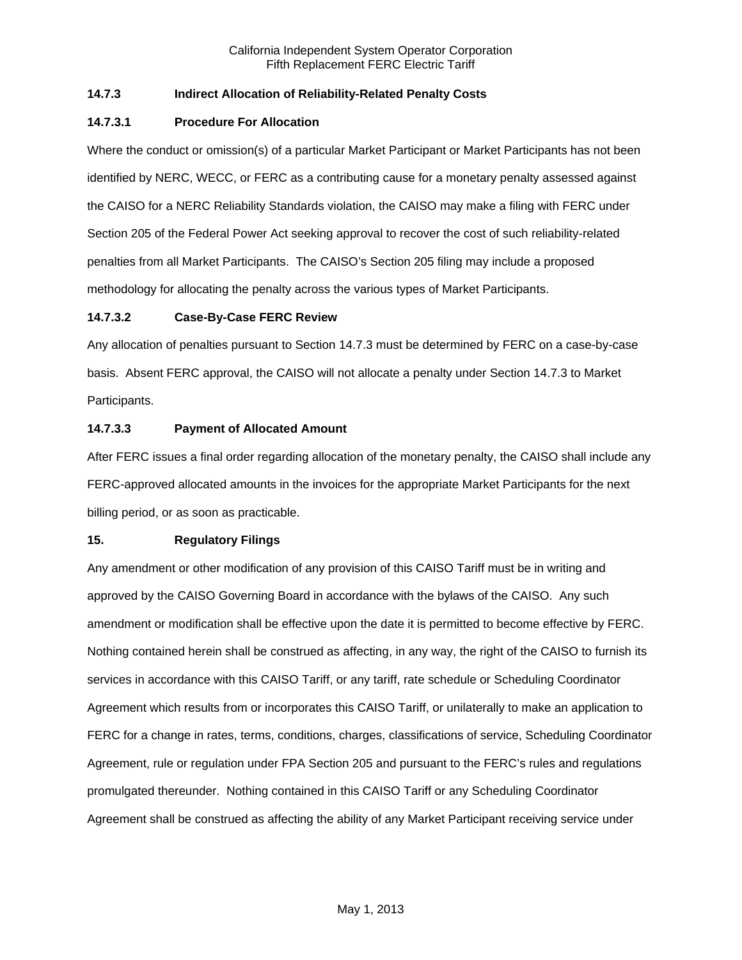# **14.7.3 Indirect Allocation of Reliability-Related Penalty Costs**

## **14.7.3.1 Procedure For Allocation**

Where the conduct or omission(s) of a particular Market Participant or Market Participants has not been identified by NERC, WECC, or FERC as a contributing cause for a monetary penalty assessed against the CAISO for a NERC Reliability Standards violation, the CAISO may make a filing with FERC under Section 205 of the Federal Power Act seeking approval to recover the cost of such reliability-related penalties from all Market Participants. The CAISO's Section 205 filing may include a proposed methodology for allocating the penalty across the various types of Market Participants.

## **14.7.3.2 Case-By-Case FERC Review**

Any allocation of penalties pursuant to Section 14.7.3 must be determined by FERC on a case-by-case basis. Absent FERC approval, the CAISO will not allocate a penalty under Section 14.7.3 to Market Participants.

## **14.7.3.3 Payment of Allocated Amount**

After FERC issues a final order regarding allocation of the monetary penalty, the CAISO shall include any FERC-approved allocated amounts in the invoices for the appropriate Market Participants for the next billing period, or as soon as practicable.

### **15. Regulatory Filings**

Any amendment or other modification of any provision of this CAISO Tariff must be in writing and approved by the CAISO Governing Board in accordance with the bylaws of the CAISO. Any such amendment or modification shall be effective upon the date it is permitted to become effective by FERC. Nothing contained herein shall be construed as affecting, in any way, the right of the CAISO to furnish its services in accordance with this CAISO Tariff, or any tariff, rate schedule or Scheduling Coordinator Agreement which results from or incorporates this CAISO Tariff, or unilaterally to make an application to FERC for a change in rates, terms, conditions, charges, classifications of service, Scheduling Coordinator Agreement, rule or regulation under FPA Section 205 and pursuant to the FERC's rules and regulations promulgated thereunder. Nothing contained in this CAISO Tariff or any Scheduling Coordinator Agreement shall be construed as affecting the ability of any Market Participant receiving service under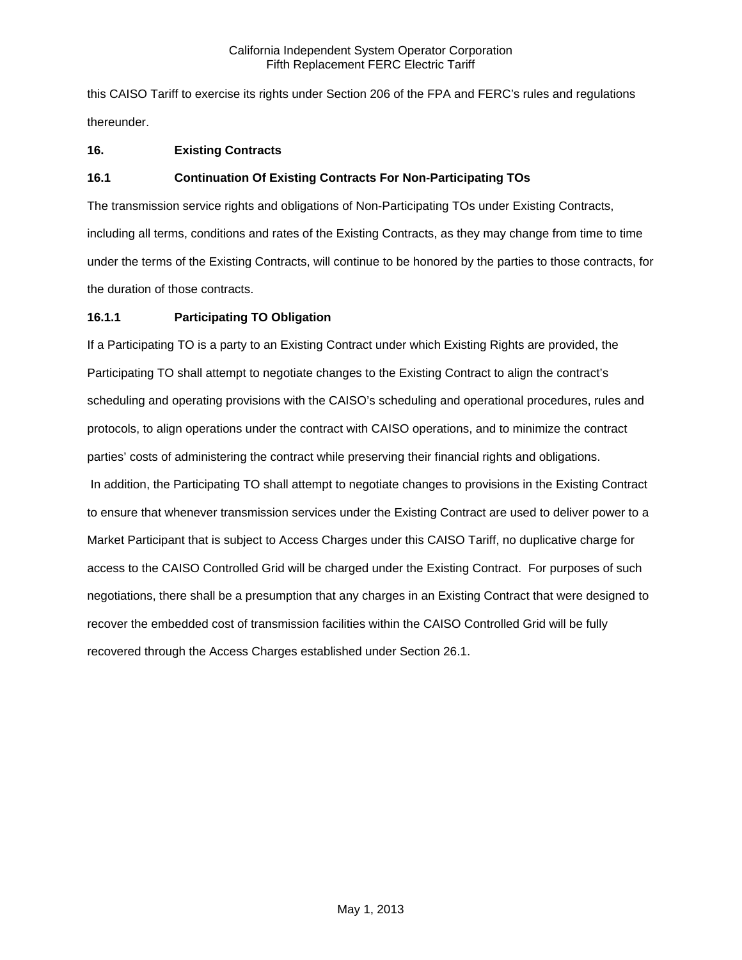this CAISO Tariff to exercise its rights under Section 206 of the FPA and FERC's rules and regulations thereunder.

# **16. Existing Contracts**

# **16.1 Continuation Of Existing Contracts For Non-Participating TOs**

The transmission service rights and obligations of Non-Participating TOs under Existing Contracts, including all terms, conditions and rates of the Existing Contracts, as they may change from time to time under the terms of the Existing Contracts, will continue to be honored by the parties to those contracts, for the duration of those contracts.

# **16.1.1 Participating TO Obligation**

If a Participating TO is a party to an Existing Contract under which Existing Rights are provided, the Participating TO shall attempt to negotiate changes to the Existing Contract to align the contract's scheduling and operating provisions with the CAISO's scheduling and operational procedures, rules and protocols, to align operations under the contract with CAISO operations, and to minimize the contract parties' costs of administering the contract while preserving their financial rights and obligations. In addition, the Participating TO shall attempt to negotiate changes to provisions in the Existing Contract to ensure that whenever transmission services under the Existing Contract are used to deliver power to a Market Participant that is subject to Access Charges under this CAISO Tariff, no duplicative charge for access to the CAISO Controlled Grid will be charged under the Existing Contract. For purposes of such negotiations, there shall be a presumption that any charges in an Existing Contract that were designed to recover the embedded cost of transmission facilities within the CAISO Controlled Grid will be fully recovered through the Access Charges established under Section 26.1.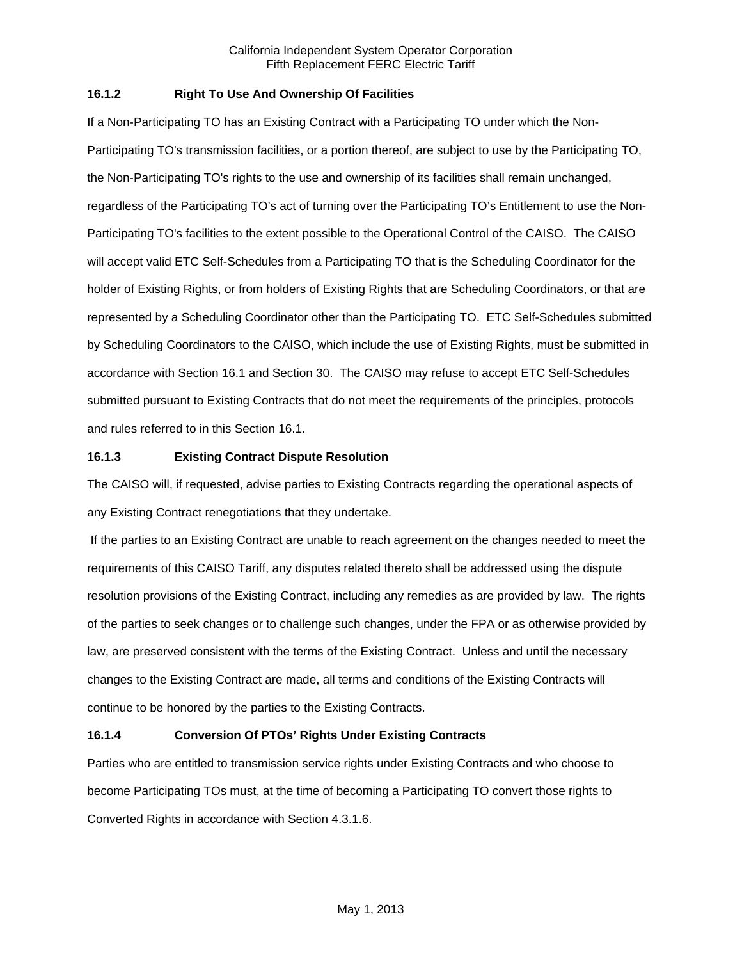## **16.1.2 Right To Use And Ownership Of Facilities**

If a Non-Participating TO has an Existing Contract with a Participating TO under which the Non-Participating TO's transmission facilities, or a portion thereof, are subject to use by the Participating TO, the Non-Participating TO's rights to the use and ownership of its facilities shall remain unchanged, regardless of the Participating TO's act of turning over the Participating TO's Entitlement to use the Non-Participating TO's facilities to the extent possible to the Operational Control of the CAISO. The CAISO will accept valid ETC Self-Schedules from a Participating TO that is the Scheduling Coordinator for the holder of Existing Rights, or from holders of Existing Rights that are Scheduling Coordinators, or that are represented by a Scheduling Coordinator other than the Participating TO. ETC Self-Schedules submitted by Scheduling Coordinators to the CAISO, which include the use of Existing Rights, must be submitted in accordance with Section 16.1 and Section 30. The CAISO may refuse to accept ETC Self-Schedules submitted pursuant to Existing Contracts that do not meet the requirements of the principles, protocols and rules referred to in this Section 16.1.

## **16.1.3 Existing Contract Dispute Resolution**

The CAISO will, if requested, advise parties to Existing Contracts regarding the operational aspects of any Existing Contract renegotiations that they undertake.

 If the parties to an Existing Contract are unable to reach agreement on the changes needed to meet the requirements of this CAISO Tariff, any disputes related thereto shall be addressed using the dispute resolution provisions of the Existing Contract, including any remedies as are provided by law. The rights of the parties to seek changes or to challenge such changes, under the FPA or as otherwise provided by law, are preserved consistent with the terms of the Existing Contract. Unless and until the necessary changes to the Existing Contract are made, all terms and conditions of the Existing Contracts will continue to be honored by the parties to the Existing Contracts.

# **16.1.4 Conversion Of PTOs' Rights Under Existing Contracts**

Parties who are entitled to transmission service rights under Existing Contracts and who choose to become Participating TOs must, at the time of becoming a Participating TO convert those rights to Converted Rights in accordance with Section 4.3.1.6.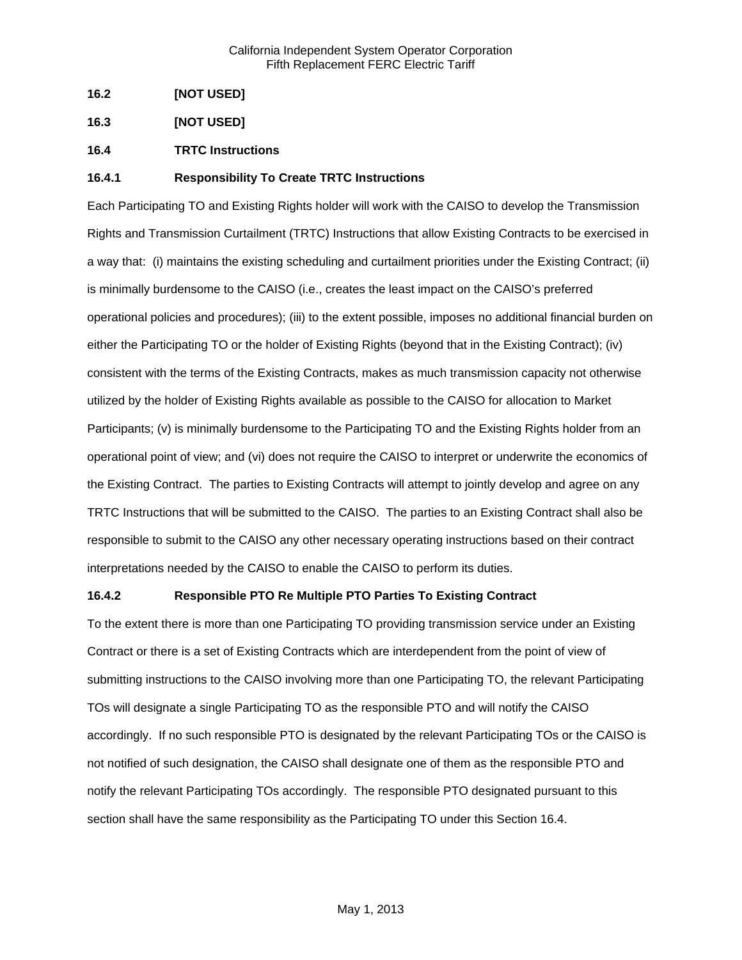- **16.2 [NOT USED]**
- **16.3 [NOT USED]**
- **16.4 TRTC Instructions**

## **16.4.1 Responsibility To Create TRTC Instructions**

Each Participating TO and Existing Rights holder will work with the CAISO to develop the Transmission Rights and Transmission Curtailment (TRTC) Instructions that allow Existing Contracts to be exercised in a way that: (i) maintains the existing scheduling and curtailment priorities under the Existing Contract; (ii) is minimally burdensome to the CAISO (i.e., creates the least impact on the CAISO's preferred operational policies and procedures); (iii) to the extent possible, imposes no additional financial burden on either the Participating TO or the holder of Existing Rights (beyond that in the Existing Contract); (iv) consistent with the terms of the Existing Contracts, makes as much transmission capacity not otherwise utilized by the holder of Existing Rights available as possible to the CAISO for allocation to Market Participants; (v) is minimally burdensome to the Participating TO and the Existing Rights holder from an operational point of view; and (vi) does not require the CAISO to interpret or underwrite the economics of the Existing Contract. The parties to Existing Contracts will attempt to jointly develop and agree on any TRTC Instructions that will be submitted to the CAISO. The parties to an Existing Contract shall also be responsible to submit to the CAISO any other necessary operating instructions based on their contract interpretations needed by the CAISO to enable the CAISO to perform its duties.

### **16.4.2 Responsible PTO Re Multiple PTO Parties To Existing Contract**

To the extent there is more than one Participating TO providing transmission service under an Existing Contract or there is a set of Existing Contracts which are interdependent from the point of view of submitting instructions to the CAISO involving more than one Participating TO, the relevant Participating TOs will designate a single Participating TO as the responsible PTO and will notify the CAISO accordingly. If no such responsible PTO is designated by the relevant Participating TOs or the CAISO is not notified of such designation, the CAISO shall designate one of them as the responsible PTO and notify the relevant Participating TOs accordingly. The responsible PTO designated pursuant to this section shall have the same responsibility as the Participating TO under this Section 16.4.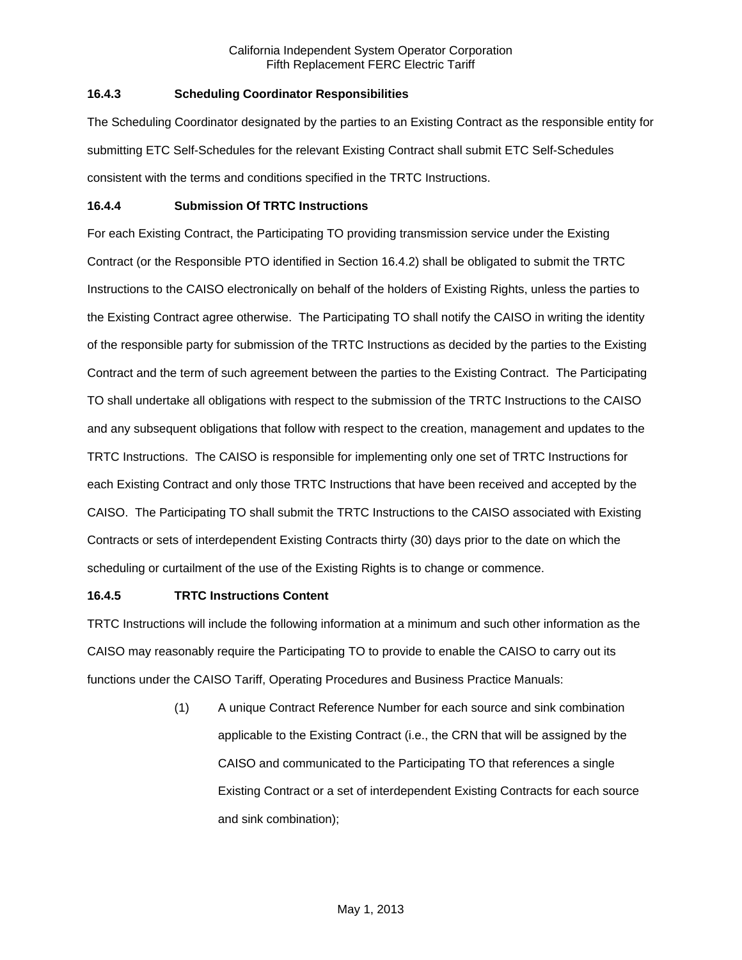# **16.4.3 Scheduling Coordinator Responsibilities**

The Scheduling Coordinator designated by the parties to an Existing Contract as the responsible entity for submitting ETC Self-Schedules for the relevant Existing Contract shall submit ETC Self-Schedules consistent with the terms and conditions specified in the TRTC Instructions.

## **16.4.4 Submission Of TRTC Instructions**

For each Existing Contract, the Participating TO providing transmission service under the Existing Contract (or the Responsible PTO identified in Section 16.4.2) shall be obligated to submit the TRTC Instructions to the CAISO electronically on behalf of the holders of Existing Rights, unless the parties to the Existing Contract agree otherwise. The Participating TO shall notify the CAISO in writing the identity of the responsible party for submission of the TRTC Instructions as decided by the parties to the Existing Contract and the term of such agreement between the parties to the Existing Contract. The Participating TO shall undertake all obligations with respect to the submission of the TRTC Instructions to the CAISO and any subsequent obligations that follow with respect to the creation, management and updates to the TRTC Instructions. The CAISO is responsible for implementing only one set of TRTC Instructions for each Existing Contract and only those TRTC Instructions that have been received and accepted by the CAISO. The Participating TO shall submit the TRTC Instructions to the CAISO associated with Existing Contracts or sets of interdependent Existing Contracts thirty (30) days prior to the date on which the scheduling or curtailment of the use of the Existing Rights is to change or commence.

# **16.4.5 TRTC Instructions Content**

TRTC Instructions will include the following information at a minimum and such other information as the CAISO may reasonably require the Participating TO to provide to enable the CAISO to carry out its functions under the CAISO Tariff, Operating Procedures and Business Practice Manuals:

> (1) A unique Contract Reference Number for each source and sink combination applicable to the Existing Contract (i.e., the CRN that will be assigned by the CAISO and communicated to the Participating TO that references a single Existing Contract or a set of interdependent Existing Contracts for each source and sink combination);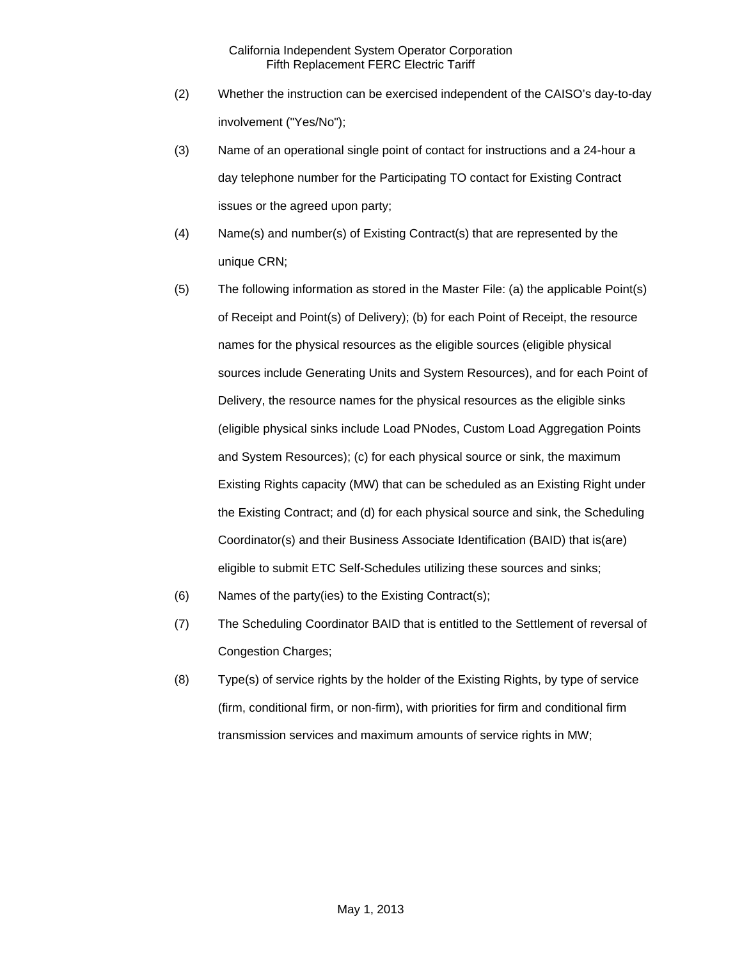- (2) Whether the instruction can be exercised independent of the CAISO's day-to-day involvement ("Yes/No");
- (3) Name of an operational single point of contact for instructions and a 24-hour a day telephone number for the Participating TO contact for Existing Contract issues or the agreed upon party;
- (4) Name(s) and number(s) of Existing Contract(s) that are represented by the unique CRN;
- (5) The following information as stored in the Master File: (a) the applicable Point(s) of Receipt and Point(s) of Delivery); (b) for each Point of Receipt, the resource names for the physical resources as the eligible sources (eligible physical sources include Generating Units and System Resources), and for each Point of Delivery, the resource names for the physical resources as the eligible sinks (eligible physical sinks include Load PNodes, Custom Load Aggregation Points and System Resources); (c) for each physical source or sink, the maximum Existing Rights capacity (MW) that can be scheduled as an Existing Right under the Existing Contract; and (d) for each physical source and sink, the Scheduling Coordinator(s) and their Business Associate Identification (BAID) that is(are) eligible to submit ETC Self-Schedules utilizing these sources and sinks;
- (6) Names of the party(ies) to the Existing Contract(s);
- (7) The Scheduling Coordinator BAID that is entitled to the Settlement of reversal of Congestion Charges;
- (8) Type(s) of service rights by the holder of the Existing Rights, by type of service (firm, conditional firm, or non-firm), with priorities for firm and conditional firm transmission services and maximum amounts of service rights in MW;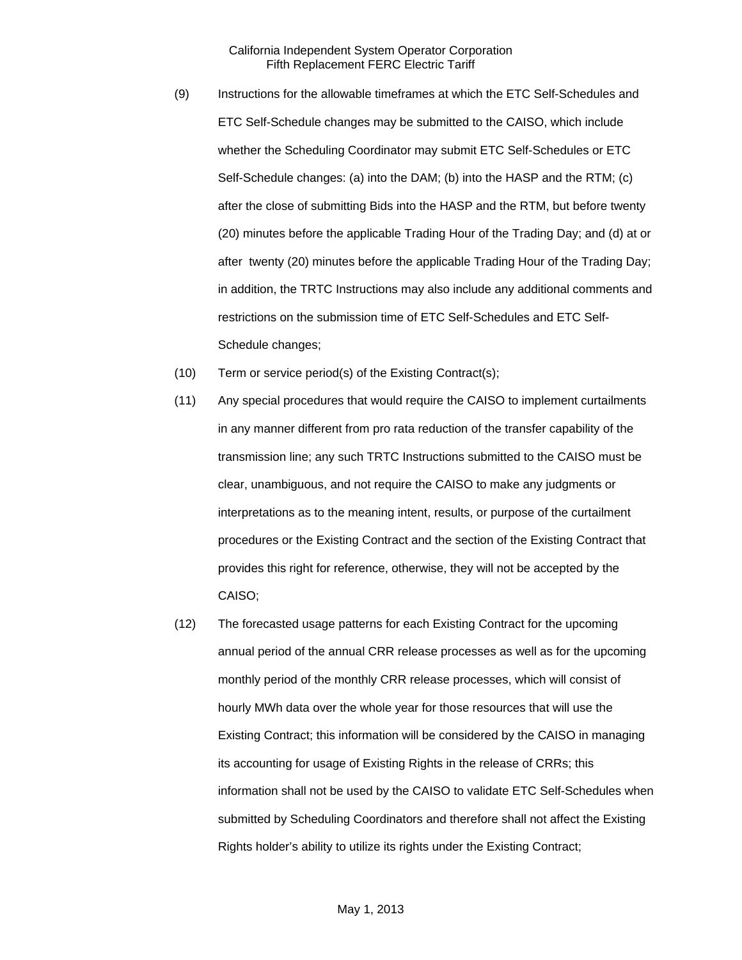- (9) Instructions for the allowable timeframes at which the ETC Self-Schedules and ETC Self-Schedule changes may be submitted to the CAISO, which include whether the Scheduling Coordinator may submit ETC Self-Schedules or ETC Self-Schedule changes: (a) into the DAM; (b) into the HASP and the RTM; (c) after the close of submitting Bids into the HASP and the RTM, but before twenty (20) minutes before the applicable Trading Hour of the Trading Day; and (d) at or after twenty (20) minutes before the applicable Trading Hour of the Trading Day; in addition, the TRTC Instructions may also include any additional comments and restrictions on the submission time of ETC Self-Schedules and ETC Self-Schedule changes;
- (10) Term or service period(s) of the Existing Contract(s);
- (11) Any special procedures that would require the CAISO to implement curtailments in any manner different from pro rata reduction of the transfer capability of the transmission line; any such TRTC Instructions submitted to the CAISO must be clear, unambiguous, and not require the CAISO to make any judgments or interpretations as to the meaning intent, results, or purpose of the curtailment procedures or the Existing Contract and the section of the Existing Contract that provides this right for reference, otherwise, they will not be accepted by the CAISO;
- (12) The forecasted usage patterns for each Existing Contract for the upcoming annual period of the annual CRR release processes as well as for the upcoming monthly period of the monthly CRR release processes, which will consist of hourly MWh data over the whole year for those resources that will use the Existing Contract; this information will be considered by the CAISO in managing its accounting for usage of Existing Rights in the release of CRRs; this information shall not be used by the CAISO to validate ETC Self-Schedules when submitted by Scheduling Coordinators and therefore shall not affect the Existing Rights holder's ability to utilize its rights under the Existing Contract;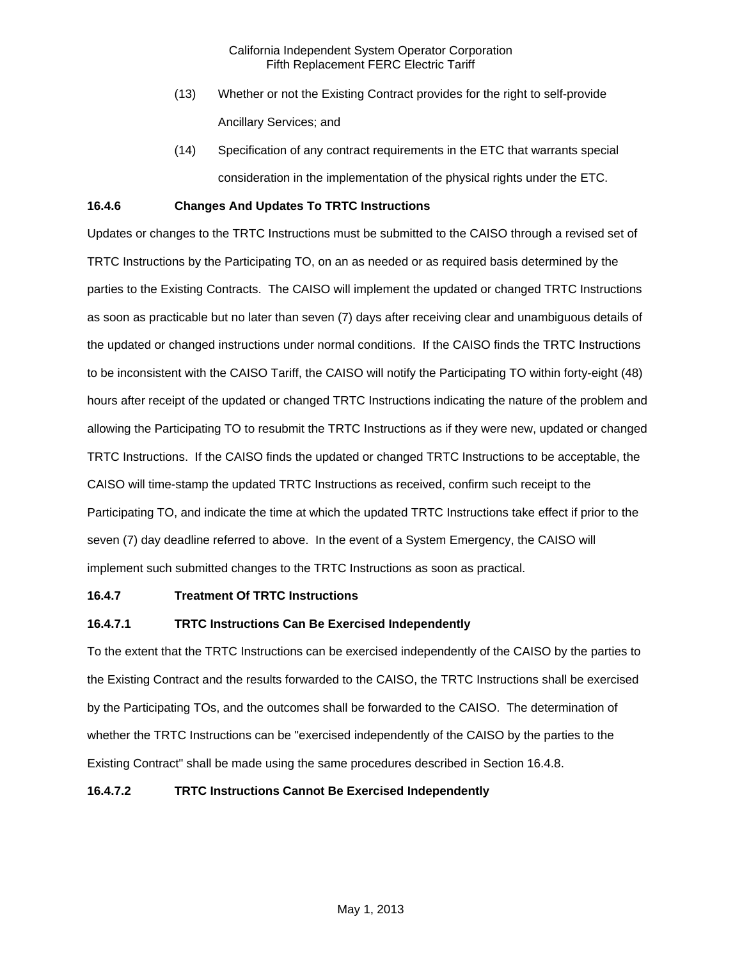- (13) Whether or not the Existing Contract provides for the right to self-provide Ancillary Services; and
- (14) Specification of any contract requirements in the ETC that warrants special consideration in the implementation of the physical rights under the ETC.

## **16.4.6 Changes And Updates To TRTC Instructions**

Updates or changes to the TRTC Instructions must be submitted to the CAISO through a revised set of TRTC Instructions by the Participating TO, on an as needed or as required basis determined by the parties to the Existing Contracts. The CAISO will implement the updated or changed TRTC Instructions as soon as practicable but no later than seven (7) days after receiving clear and unambiguous details of the updated or changed instructions under normal conditions. If the CAISO finds the TRTC Instructions to be inconsistent with the CAISO Tariff, the CAISO will notify the Participating TO within forty-eight (48) hours after receipt of the updated or changed TRTC Instructions indicating the nature of the problem and allowing the Participating TO to resubmit the TRTC Instructions as if they were new, updated or changed TRTC Instructions. If the CAISO finds the updated or changed TRTC Instructions to be acceptable, the CAISO will time-stamp the updated TRTC Instructions as received, confirm such receipt to the Participating TO, and indicate the time at which the updated TRTC Instructions take effect if prior to the seven (7) day deadline referred to above. In the event of a System Emergency, the CAISO will implement such submitted changes to the TRTC Instructions as soon as practical.

### **16.4.7 Treatment Of TRTC Instructions**

# **16.4.7.1 TRTC Instructions Can Be Exercised Independently**

To the extent that the TRTC Instructions can be exercised independently of the CAISO by the parties to the Existing Contract and the results forwarded to the CAISO, the TRTC Instructions shall be exercised by the Participating TOs, and the outcomes shall be forwarded to the CAISO. The determination of whether the TRTC Instructions can be "exercised independently of the CAISO by the parties to the Existing Contract" shall be made using the same procedures described in Section 16.4.8.

## **16.4.7.2 TRTC Instructions Cannot Be Exercised Independently**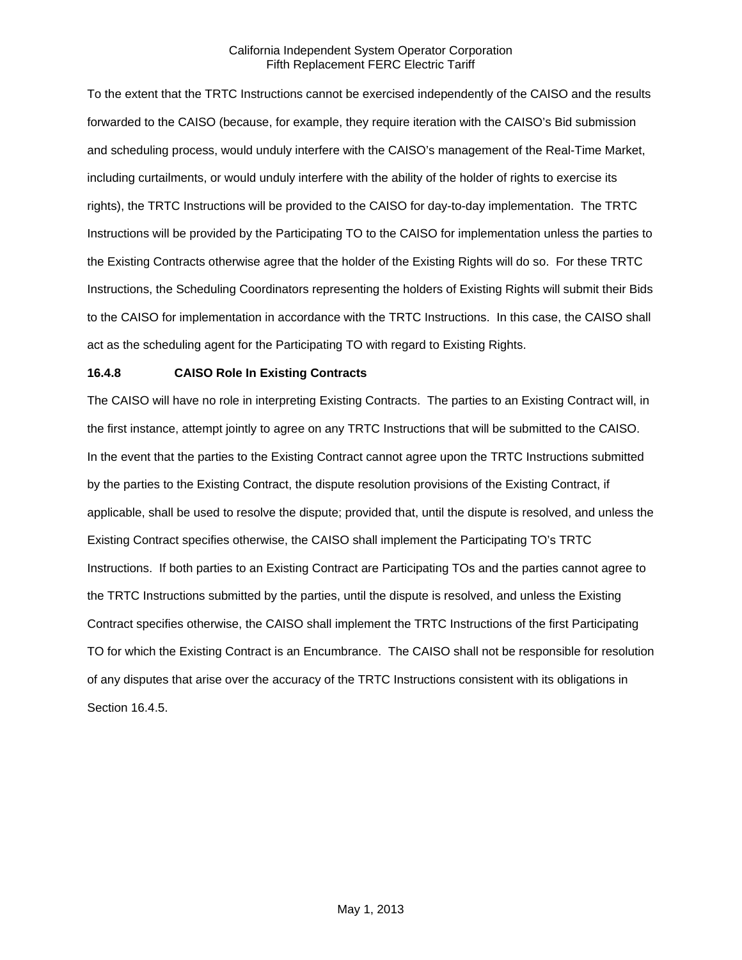To the extent that the TRTC Instructions cannot be exercised independently of the CAISO and the results forwarded to the CAISO (because, for example, they require iteration with the CAISO's Bid submission and scheduling process, would unduly interfere with the CAISO's management of the Real-Time Market, including curtailments, or would unduly interfere with the ability of the holder of rights to exercise its rights), the TRTC Instructions will be provided to the CAISO for day-to-day implementation. The TRTC Instructions will be provided by the Participating TO to the CAISO for implementation unless the parties to the Existing Contracts otherwise agree that the holder of the Existing Rights will do so. For these TRTC Instructions, the Scheduling Coordinators representing the holders of Existing Rights will submit their Bids to the CAISO for implementation in accordance with the TRTC Instructions. In this case, the CAISO shall act as the scheduling agent for the Participating TO with regard to Existing Rights.

# **16.4.8 CAISO Role In Existing Contracts**

The CAISO will have no role in interpreting Existing Contracts. The parties to an Existing Contract will, in the first instance, attempt jointly to agree on any TRTC Instructions that will be submitted to the CAISO. In the event that the parties to the Existing Contract cannot agree upon the TRTC Instructions submitted by the parties to the Existing Contract, the dispute resolution provisions of the Existing Contract, if applicable, shall be used to resolve the dispute; provided that, until the dispute is resolved, and unless the Existing Contract specifies otherwise, the CAISO shall implement the Participating TO's TRTC Instructions. If both parties to an Existing Contract are Participating TOs and the parties cannot agree to the TRTC Instructions submitted by the parties, until the dispute is resolved, and unless the Existing Contract specifies otherwise, the CAISO shall implement the TRTC Instructions of the first Participating TO for which the Existing Contract is an Encumbrance. The CAISO shall not be responsible for resolution of any disputes that arise over the accuracy of the TRTC Instructions consistent with its obligations in Section 16.4.5.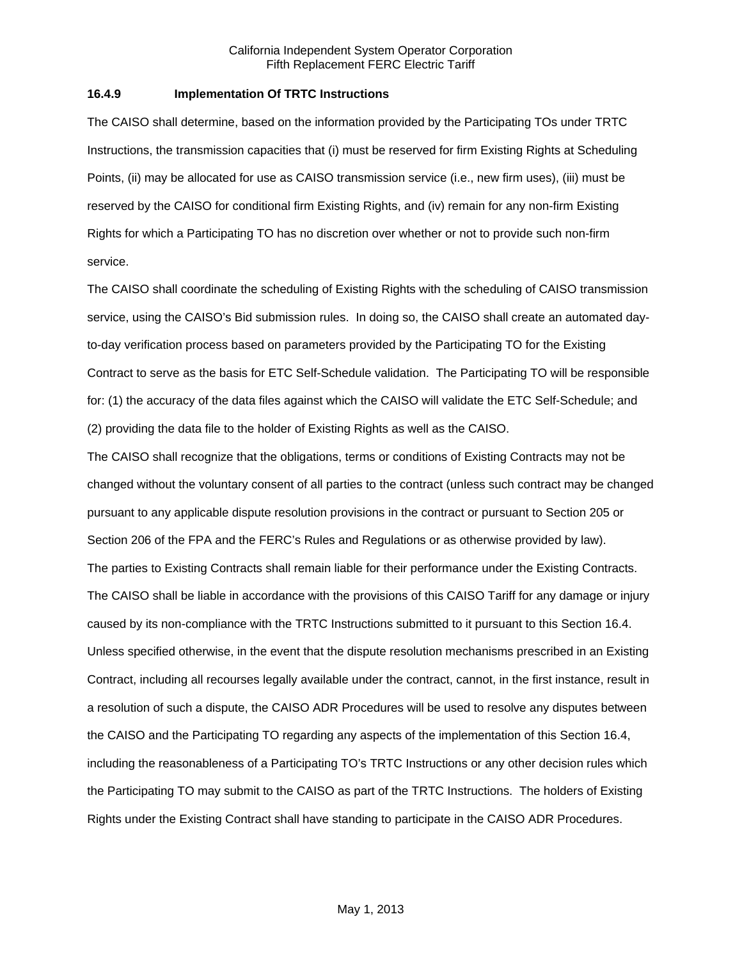### **16.4.9 Implementation Of TRTC Instructions**

The CAISO shall determine, based on the information provided by the Participating TOs under TRTC Instructions, the transmission capacities that (i) must be reserved for firm Existing Rights at Scheduling Points, (ii) may be allocated for use as CAISO transmission service (i.e., new firm uses), (iii) must be reserved by the CAISO for conditional firm Existing Rights, and (iv) remain for any non-firm Existing Rights for which a Participating TO has no discretion over whether or not to provide such non-firm service.

The CAISO shall coordinate the scheduling of Existing Rights with the scheduling of CAISO transmission service, using the CAISO's Bid submission rules. In doing so, the CAISO shall create an automated dayto-day verification process based on parameters provided by the Participating TO for the Existing Contract to serve as the basis for ETC Self-Schedule validation. The Participating TO will be responsible for: (1) the accuracy of the data files against which the CAISO will validate the ETC Self-Schedule; and (2) providing the data file to the holder of Existing Rights as well as the CAISO.

The CAISO shall recognize that the obligations, terms or conditions of Existing Contracts may not be changed without the voluntary consent of all parties to the contract (unless such contract may be changed pursuant to any applicable dispute resolution provisions in the contract or pursuant to Section 205 or Section 206 of the FPA and the FERC's Rules and Regulations or as otherwise provided by law). The parties to Existing Contracts shall remain liable for their performance under the Existing Contracts. The CAISO shall be liable in accordance with the provisions of this CAISO Tariff for any damage or injury caused by its non-compliance with the TRTC Instructions submitted to it pursuant to this Section 16.4. Unless specified otherwise, in the event that the dispute resolution mechanisms prescribed in an Existing Contract, including all recourses legally available under the contract, cannot, in the first instance, result in a resolution of such a dispute, the CAISO ADR Procedures will be used to resolve any disputes between the CAISO and the Participating TO regarding any aspects of the implementation of this Section 16.4, including the reasonableness of a Participating TO's TRTC Instructions or any other decision rules which the Participating TO may submit to the CAISO as part of the TRTC Instructions. The holders of Existing Rights under the Existing Contract shall have standing to participate in the CAISO ADR Procedures.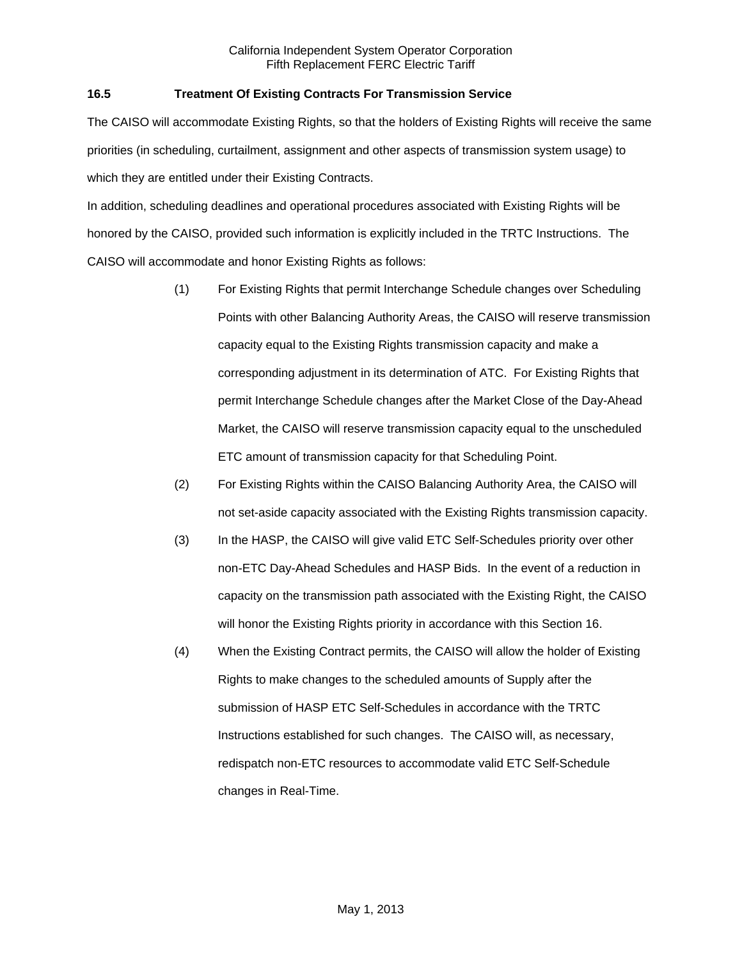# **16.5 Treatment Of Existing Contracts For Transmission Service**

The CAISO will accommodate Existing Rights, so that the holders of Existing Rights will receive the same priorities (in scheduling, curtailment, assignment and other aspects of transmission system usage) to which they are entitled under their Existing Contracts.

In addition, scheduling deadlines and operational procedures associated with Existing Rights will be honored by the CAISO, provided such information is explicitly included in the TRTC Instructions. The CAISO will accommodate and honor Existing Rights as follows:

- (1) For Existing Rights that permit Interchange Schedule changes over Scheduling Points with other Balancing Authority Areas, the CAISO will reserve transmission capacity equal to the Existing Rights transmission capacity and make a corresponding adjustment in its determination of ATC. For Existing Rights that permit Interchange Schedule changes after the Market Close of the Day-Ahead Market, the CAISO will reserve transmission capacity equal to the unscheduled ETC amount of transmission capacity for that Scheduling Point.
- (2) For Existing Rights within the CAISO Balancing Authority Area, the CAISO will not set-aside capacity associated with the Existing Rights transmission capacity.
- (3) In the HASP, the CAISO will give valid ETC Self-Schedules priority over other non-ETC Day-Ahead Schedules and HASP Bids. In the event of a reduction in capacity on the transmission path associated with the Existing Right, the CAISO will honor the Existing Rights priority in accordance with this Section 16.
- (4) When the Existing Contract permits, the CAISO will allow the holder of Existing Rights to make changes to the scheduled amounts of Supply after the submission of HASP ETC Self-Schedules in accordance with the TRTC Instructions established for such changes. The CAISO will, as necessary, redispatch non-ETC resources to accommodate valid ETC Self-Schedule changes in Real-Time.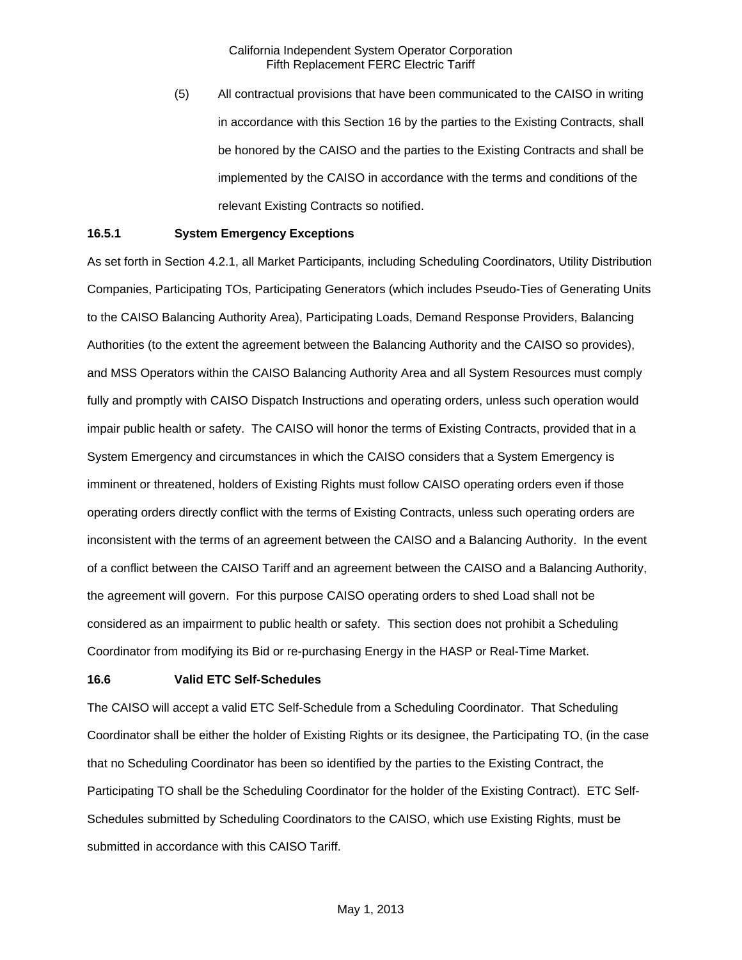(5) All contractual provisions that have been communicated to the CAISO in writing in accordance with this Section 16 by the parties to the Existing Contracts, shall be honored by the CAISO and the parties to the Existing Contracts and shall be implemented by the CAISO in accordance with the terms and conditions of the relevant Existing Contracts so notified.

### **16.5.1 System Emergency Exceptions**

As set forth in Section 4.2.1, all Market Participants, including Scheduling Coordinators, Utility Distribution Companies, Participating TOs, Participating Generators (which includes Pseudo-Ties of Generating Units to the CAISO Balancing Authority Area), Participating Loads, Demand Response Providers, Balancing Authorities (to the extent the agreement between the Balancing Authority and the CAISO so provides), and MSS Operators within the CAISO Balancing Authority Area and all System Resources must comply fully and promptly with CAISO Dispatch Instructions and operating orders, unless such operation would impair public health or safety. The CAISO will honor the terms of Existing Contracts, provided that in a System Emergency and circumstances in which the CAISO considers that a System Emergency is imminent or threatened, holders of Existing Rights must follow CAISO operating orders even if those operating orders directly conflict with the terms of Existing Contracts, unless such operating orders are inconsistent with the terms of an agreement between the CAISO and a Balancing Authority. In the event of a conflict between the CAISO Tariff and an agreement between the CAISO and a Balancing Authority, the agreement will govern. For this purpose CAISO operating orders to shed Load shall not be considered as an impairment to public health or safety. This section does not prohibit a Scheduling Coordinator from modifying its Bid or re-purchasing Energy in the HASP or Real-Time Market.

#### **16.6 Valid ETC Self-Schedules**

The CAISO will accept a valid ETC Self-Schedule from a Scheduling Coordinator. That Scheduling Coordinator shall be either the holder of Existing Rights or its designee, the Participating TO, (in the case that no Scheduling Coordinator has been so identified by the parties to the Existing Contract, the Participating TO shall be the Scheduling Coordinator for the holder of the Existing Contract). ETC Self-Schedules submitted by Scheduling Coordinators to the CAISO, which use Existing Rights, must be submitted in accordance with this CAISO Tariff.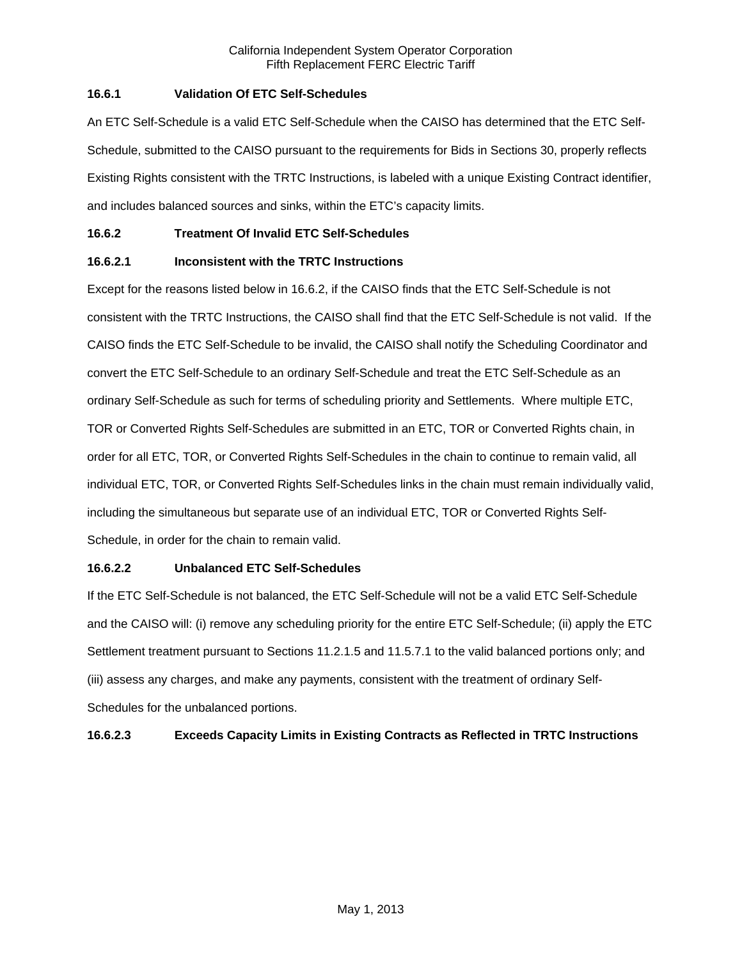# **16.6.1 Validation Of ETC Self-Schedules**

An ETC Self-Schedule is a valid ETC Self-Schedule when the CAISO has determined that the ETC Self-Schedule, submitted to the CAISO pursuant to the requirements for Bids in Sections 30, properly reflects Existing Rights consistent with the TRTC Instructions, is labeled with a unique Existing Contract identifier, and includes balanced sources and sinks, within the ETC's capacity limits.

## **16.6.2 Treatment Of Invalid ETC Self-Schedules**

# **16.6.2.1 Inconsistent with the TRTC Instructions**

Except for the reasons listed below in 16.6.2, if the CAISO finds that the ETC Self-Schedule is not consistent with the TRTC Instructions, the CAISO shall find that the ETC Self-Schedule is not valid. If the CAISO finds the ETC Self-Schedule to be invalid, the CAISO shall notify the Scheduling Coordinator and convert the ETC Self-Schedule to an ordinary Self-Schedule and treat the ETC Self-Schedule as an ordinary Self-Schedule as such for terms of scheduling priority and Settlements. Where multiple ETC, TOR or Converted Rights Self-Schedules are submitted in an ETC, TOR or Converted Rights chain, in order for all ETC, TOR, or Converted Rights Self-Schedules in the chain to continue to remain valid, all individual ETC, TOR, or Converted Rights Self-Schedules links in the chain must remain individually valid, including the simultaneous but separate use of an individual ETC, TOR or Converted Rights Self-Schedule, in order for the chain to remain valid.

## **16.6.2.2 Unbalanced ETC Self-Schedules**

If the ETC Self-Schedule is not balanced, the ETC Self-Schedule will not be a valid ETC Self-Schedule and the CAISO will: (i) remove any scheduling priority for the entire ETC Self-Schedule; (ii) apply the ETC Settlement treatment pursuant to Sections 11.2.1.5 and 11.5.7.1 to the valid balanced portions only; and (iii) assess any charges, and make any payments, consistent with the treatment of ordinary Self-Schedules for the unbalanced portions.

# **16.6.2.3 Exceeds Capacity Limits in Existing Contracts as Reflected in TRTC Instructions**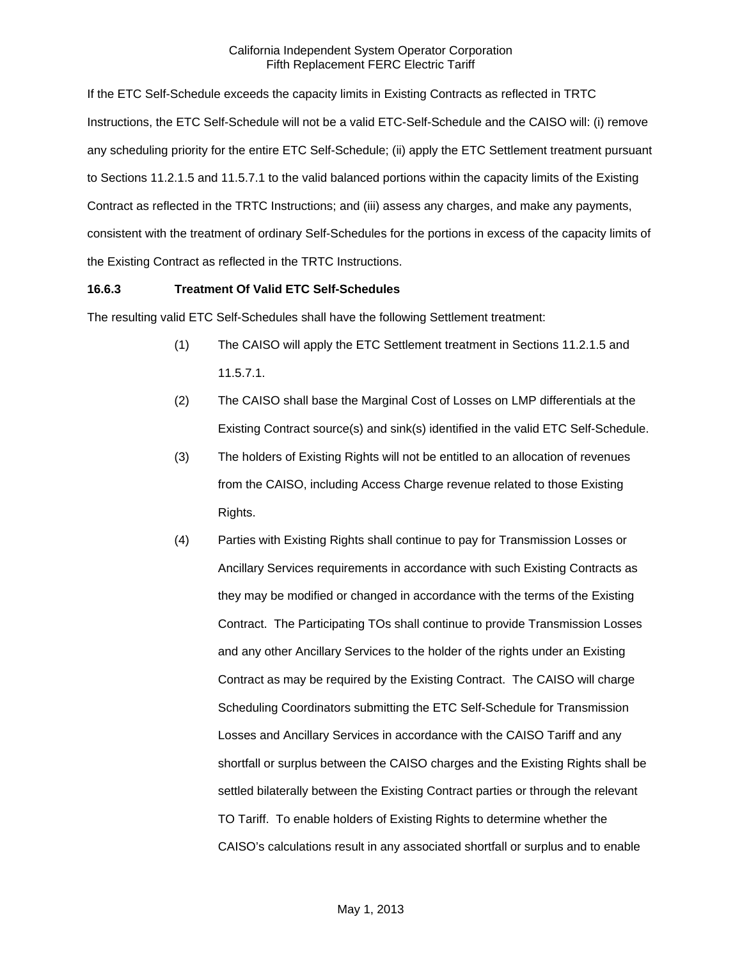If the ETC Self-Schedule exceeds the capacity limits in Existing Contracts as reflected in TRTC Instructions, the ETC Self-Schedule will not be a valid ETC-Self-Schedule and the CAISO will: (i) remove any scheduling priority for the entire ETC Self-Schedule; (ii) apply the ETC Settlement treatment pursuant to Sections 11.2.1.5 and 11.5.7.1 to the valid balanced portions within the capacity limits of the Existing Contract as reflected in the TRTC Instructions; and (iii) assess any charges, and make any payments, consistent with the treatment of ordinary Self-Schedules for the portions in excess of the capacity limits of the Existing Contract as reflected in the TRTC Instructions.

## **16.6.3 Treatment Of Valid ETC Self-Schedules**

The resulting valid ETC Self-Schedules shall have the following Settlement treatment:

- (1) The CAISO will apply the ETC Settlement treatment in Sections 11.2.1.5 and 11.5.7.1.
- (2) The CAISO shall base the Marginal Cost of Losses on LMP differentials at the Existing Contract source(s) and sink(s) identified in the valid ETC Self-Schedule.
- (3) The holders of Existing Rights will not be entitled to an allocation of revenues from the CAISO, including Access Charge revenue related to those Existing Rights.
- (4) Parties with Existing Rights shall continue to pay for Transmission Losses or Ancillary Services requirements in accordance with such Existing Contracts as they may be modified or changed in accordance with the terms of the Existing Contract. The Participating TOs shall continue to provide Transmission Losses and any other Ancillary Services to the holder of the rights under an Existing Contract as may be required by the Existing Contract. The CAISO will charge Scheduling Coordinators submitting the ETC Self-Schedule for Transmission Losses and Ancillary Services in accordance with the CAISO Tariff and any shortfall or surplus between the CAISO charges and the Existing Rights shall be settled bilaterally between the Existing Contract parties or through the relevant TO Tariff. To enable holders of Existing Rights to determine whether the CAISO's calculations result in any associated shortfall or surplus and to enable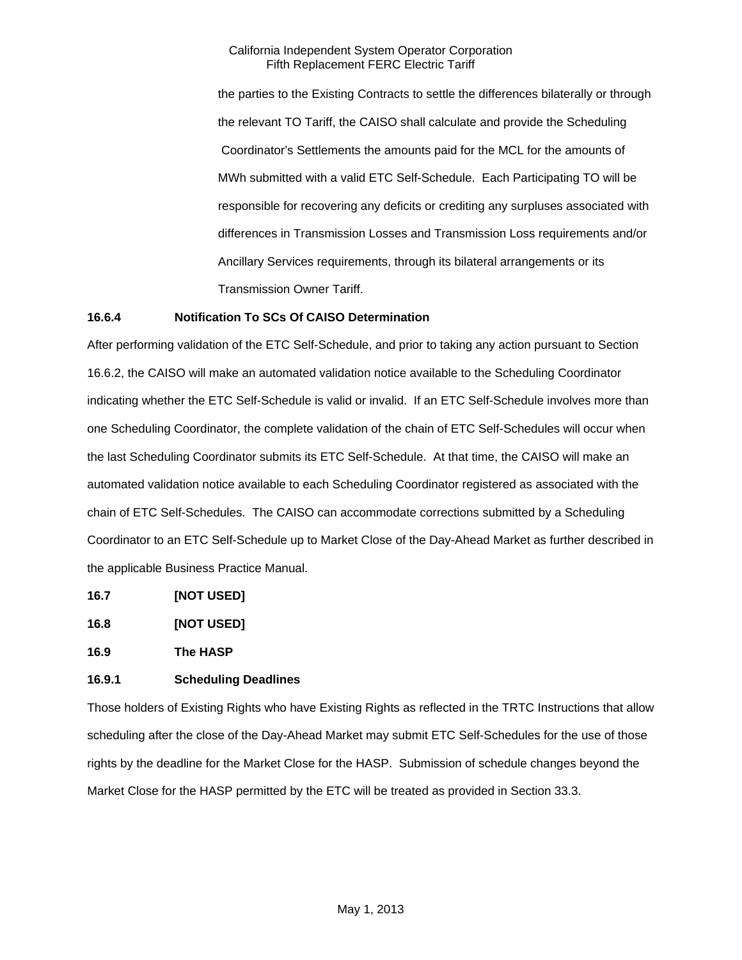the parties to the Existing Contracts to settle the differences bilaterally or through the relevant TO Tariff, the CAISO shall calculate and provide the Scheduling Coordinator's Settlements the amounts paid for the MCL for the amounts of MWh submitted with a valid ETC Self-Schedule. Each Participating TO will be responsible for recovering any deficits or crediting any surpluses associated with differences in Transmission Losses and Transmission Loss requirements and/or Ancillary Services requirements, through its bilateral arrangements or its Transmission Owner Tariff.

## **16.6.4 Notification To SCs Of CAISO Determination**

After performing validation of the ETC Self-Schedule, and prior to taking any action pursuant to Section 16.6.2, the CAISO will make an automated validation notice available to the Scheduling Coordinator indicating whether the ETC Self-Schedule is valid or invalid. If an ETC Self-Schedule involves more than one Scheduling Coordinator, the complete validation of the chain of ETC Self-Schedules will occur when the last Scheduling Coordinator submits its ETC Self-Schedule. At that time, the CAISO will make an automated validation notice available to each Scheduling Coordinator registered as associated with the chain of ETC Self-Schedules. The CAISO can accommodate corrections submitted by a Scheduling Coordinator to an ETC Self-Schedule up to Market Close of the Day-Ahead Market as further described in the applicable Business Practice Manual.

- **16.7 [NOT USED]**
- **16.8 [NOT USED]**

**16.9 The HASP** 

# **16.9.1 Scheduling Deadlines**

Those holders of Existing Rights who have Existing Rights as reflected in the TRTC Instructions that allow scheduling after the close of the Day-Ahead Market may submit ETC Self-Schedules for the use of those rights by the deadline for the Market Close for the HASP. Submission of schedule changes beyond the Market Close for the HASP permitted by the ETC will be treated as provided in Section 33.3.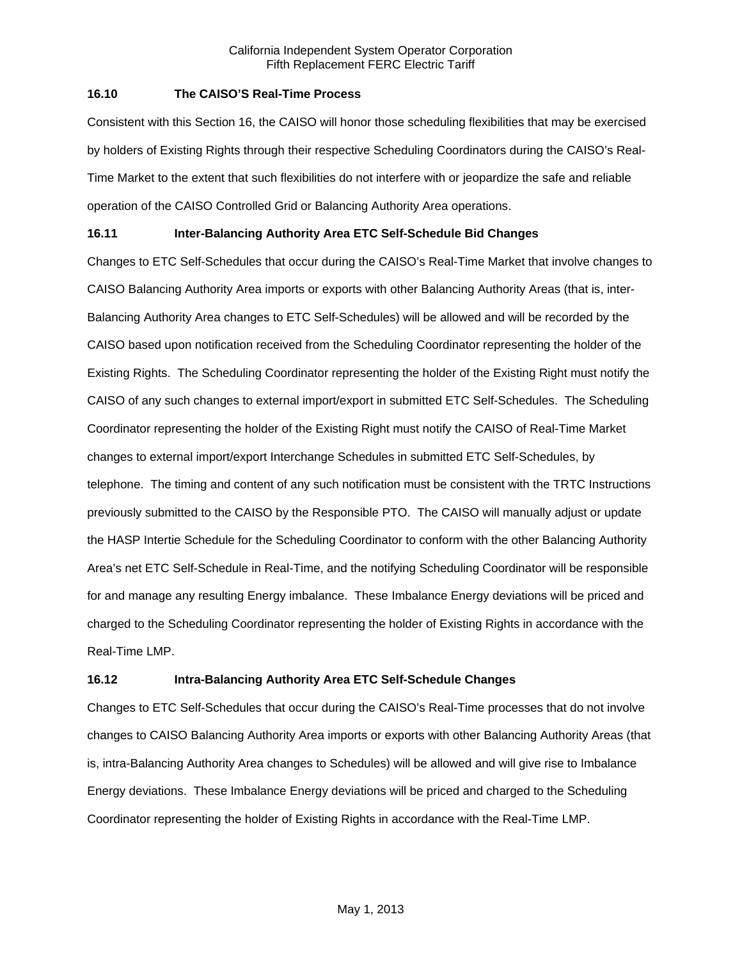## **16.10 The CAISO'S Real-Time Process**

Consistent with this Section 16, the CAISO will honor those scheduling flexibilities that may be exercised by holders of Existing Rights through their respective Scheduling Coordinators during the CAISO's Real-Time Market to the extent that such flexibilities do not interfere with or jeopardize the safe and reliable operation of the CAISO Controlled Grid or Balancing Authority Area operations.

# **16.11 Inter-Balancing Authority Area ETC Self-Schedule Bid Changes**

Changes to ETC Self-Schedules that occur during the CAISO's Real-Time Market that involve changes to CAISO Balancing Authority Area imports or exports with other Balancing Authority Areas (that is, inter-Balancing Authority Area changes to ETC Self-Schedules) will be allowed and will be recorded by the CAISO based upon notification received from the Scheduling Coordinator representing the holder of the Existing Rights. The Scheduling Coordinator representing the holder of the Existing Right must notify the CAISO of any such changes to external import/export in submitted ETC Self-Schedules. The Scheduling Coordinator representing the holder of the Existing Right must notify the CAISO of Real-Time Market changes to external import/export Interchange Schedules in submitted ETC Self-Schedules, by telephone. The timing and content of any such notification must be consistent with the TRTC Instructions previously submitted to the CAISO by the Responsible PTO. The CAISO will manually adjust or update the HASP Intertie Schedule for the Scheduling Coordinator to conform with the other Balancing Authority Area's net ETC Self-Schedule in Real-Time, and the notifying Scheduling Coordinator will be responsible for and manage any resulting Energy imbalance. These Imbalance Energy deviations will be priced and charged to the Scheduling Coordinator representing the holder of Existing Rights in accordance with the Real-Time LMP.

# **16.12 Intra-Balancing Authority Area ETC Self-Schedule Changes**

Changes to ETC Self-Schedules that occur during the CAISO's Real-Time processes that do not involve changes to CAISO Balancing Authority Area imports or exports with other Balancing Authority Areas (that is, intra-Balancing Authority Area changes to Schedules) will be allowed and will give rise to Imbalance Energy deviations. These Imbalance Energy deviations will be priced and charged to the Scheduling Coordinator representing the holder of Existing Rights in accordance with the Real-Time LMP.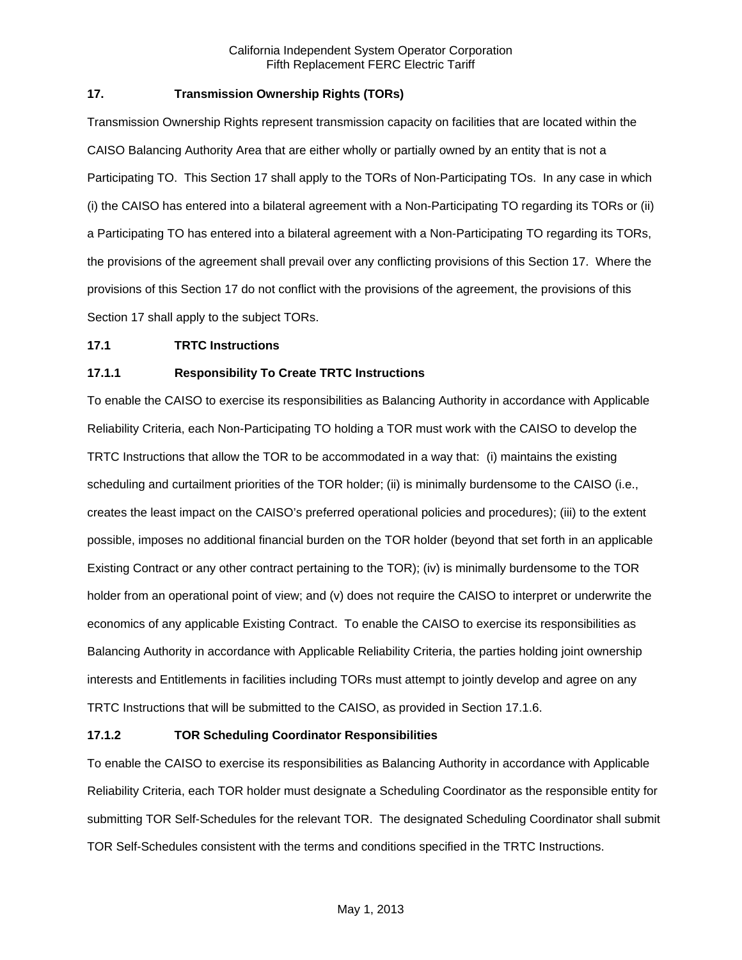# **17. Transmission Ownership Rights (TORs)**

Transmission Ownership Rights represent transmission capacity on facilities that are located within the CAISO Balancing Authority Area that are either wholly or partially owned by an entity that is not a Participating TO. This Section 17 shall apply to the TORs of Non-Participating TOs. In any case in which (i) the CAISO has entered into a bilateral agreement with a Non-Participating TO regarding its TORs or (ii) a Participating TO has entered into a bilateral agreement with a Non-Participating TO regarding its TORs, the provisions of the agreement shall prevail over any conflicting provisions of this Section 17. Where the provisions of this Section 17 do not conflict with the provisions of the agreement, the provisions of this Section 17 shall apply to the subject TORs.

### **17.1 TRTC Instructions**

## **17.1.1 Responsibility To Create TRTC Instructions**

To enable the CAISO to exercise its responsibilities as Balancing Authority in accordance with Applicable Reliability Criteria, each Non-Participating TO holding a TOR must work with the CAISO to develop the TRTC Instructions that allow the TOR to be accommodated in a way that: (i) maintains the existing scheduling and curtailment priorities of the TOR holder; (ii) is minimally burdensome to the CAISO (i.e., creates the least impact on the CAISO's preferred operational policies and procedures); (iii) to the extent possible, imposes no additional financial burden on the TOR holder (beyond that set forth in an applicable Existing Contract or any other contract pertaining to the TOR); (iv) is minimally burdensome to the TOR holder from an operational point of view; and (v) does not require the CAISO to interpret or underwrite the economics of any applicable Existing Contract. To enable the CAISO to exercise its responsibilities as Balancing Authority in accordance with Applicable Reliability Criteria, the parties holding joint ownership interests and Entitlements in facilities including TORs must attempt to jointly develop and agree on any TRTC Instructions that will be submitted to the CAISO, as provided in Section 17.1.6.

### **17.1.2 TOR Scheduling Coordinator Responsibilities**

To enable the CAISO to exercise its responsibilities as Balancing Authority in accordance with Applicable Reliability Criteria, each TOR holder must designate a Scheduling Coordinator as the responsible entity for submitting TOR Self-Schedules for the relevant TOR. The designated Scheduling Coordinator shall submit TOR Self-Schedules consistent with the terms and conditions specified in the TRTC Instructions.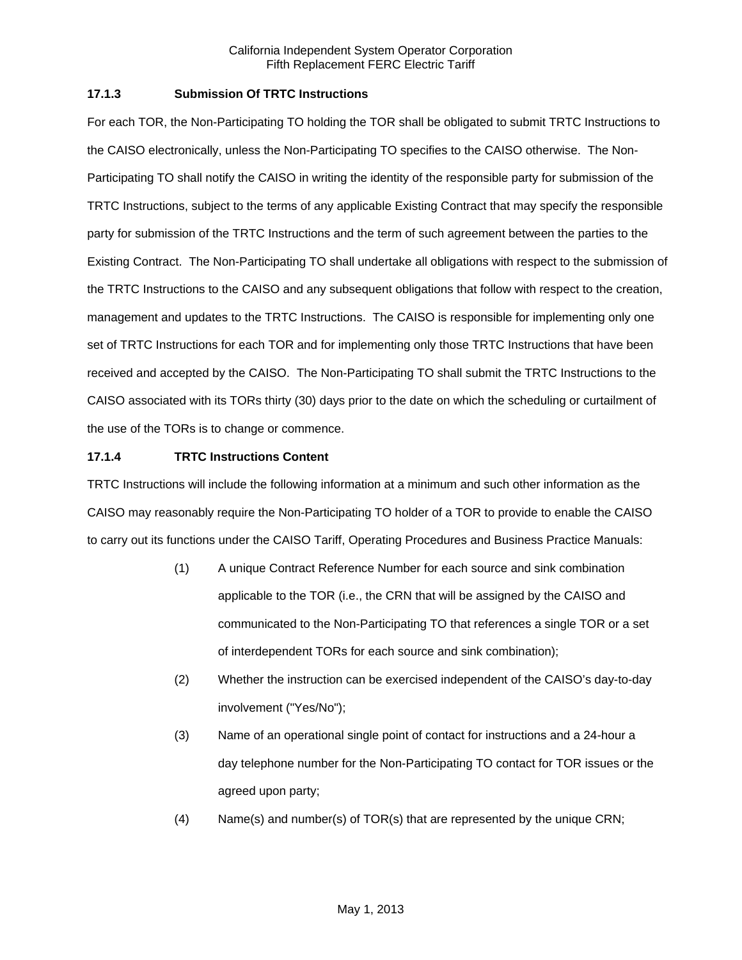# **17.1.3 Submission Of TRTC Instructions**

For each TOR, the Non-Participating TO holding the TOR shall be obligated to submit TRTC Instructions to the CAISO electronically, unless the Non-Participating TO specifies to the CAISO otherwise. The Non-Participating TO shall notify the CAISO in writing the identity of the responsible party for submission of the TRTC Instructions, subject to the terms of any applicable Existing Contract that may specify the responsible party for submission of the TRTC Instructions and the term of such agreement between the parties to the Existing Contract. The Non-Participating TO shall undertake all obligations with respect to the submission of the TRTC Instructions to the CAISO and any subsequent obligations that follow with respect to the creation, management and updates to the TRTC Instructions. The CAISO is responsible for implementing only one set of TRTC Instructions for each TOR and for implementing only those TRTC Instructions that have been received and accepted by the CAISO. The Non-Participating TO shall submit the TRTC Instructions to the CAISO associated with its TORs thirty (30) days prior to the date on which the scheduling or curtailment of the use of the TORs is to change or commence.

## **17.1.4 TRTC Instructions Content**

TRTC Instructions will include the following information at a minimum and such other information as the CAISO may reasonably require the Non-Participating TO holder of a TOR to provide to enable the CAISO to carry out its functions under the CAISO Tariff, Operating Procedures and Business Practice Manuals:

- (1) A unique Contract Reference Number for each source and sink combination applicable to the TOR (i.e., the CRN that will be assigned by the CAISO and communicated to the Non-Participating TO that references a single TOR or a set of interdependent TORs for each source and sink combination);
- (2) Whether the instruction can be exercised independent of the CAISO's day-to-day involvement ("Yes/No");
- (3) Name of an operational single point of contact for instructions and a 24-hour a day telephone number for the Non-Participating TO contact for TOR issues or the agreed upon party;
- (4) Name(s) and number(s) of TOR(s) that are represented by the unique CRN;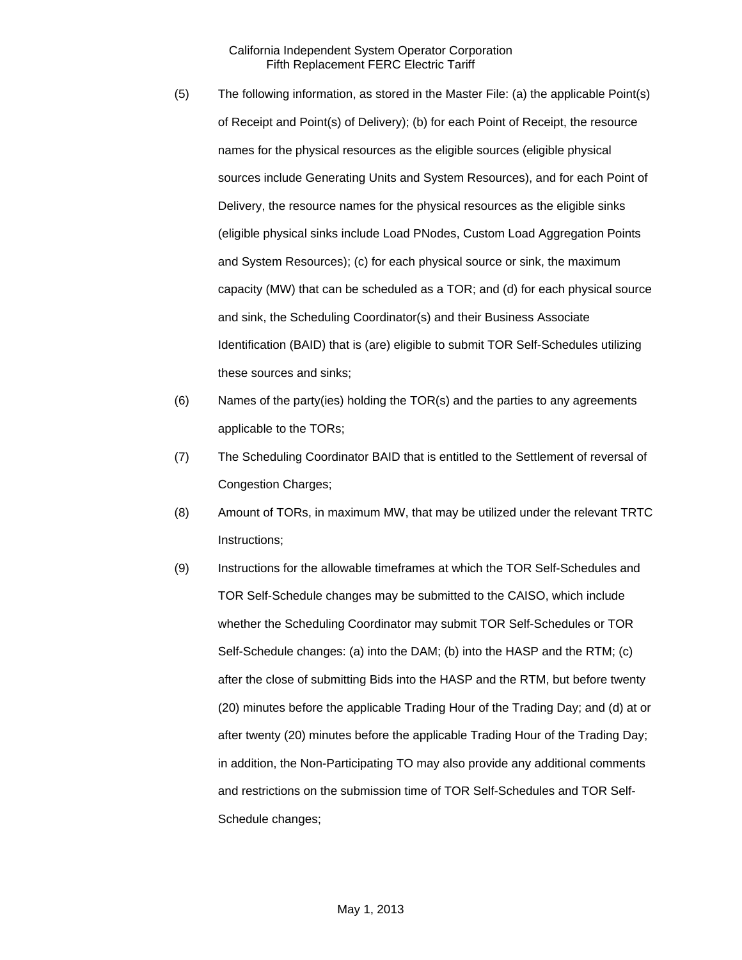- (5) The following information, as stored in the Master File: (a) the applicable Point(s) of Receipt and Point(s) of Delivery); (b) for each Point of Receipt, the resource names for the physical resources as the eligible sources (eligible physical sources include Generating Units and System Resources), and for each Point of Delivery, the resource names for the physical resources as the eligible sinks (eligible physical sinks include Load PNodes, Custom Load Aggregation Points and System Resources); (c) for each physical source or sink, the maximum capacity (MW) that can be scheduled as a TOR; and (d) for each physical source and sink, the Scheduling Coordinator(s) and their Business Associate Identification (BAID) that is (are) eligible to submit TOR Self-Schedules utilizing these sources and sinks;
- (6) Names of the party(ies) holding the TOR(s) and the parties to any agreements applicable to the TORs;
- (7) The Scheduling Coordinator BAID that is entitled to the Settlement of reversal of Congestion Charges;
- (8) Amount of TORs, in maximum MW, that may be utilized under the relevant TRTC Instructions;
- (9) Instructions for the allowable timeframes at which the TOR Self-Schedules and TOR Self-Schedule changes may be submitted to the CAISO, which include whether the Scheduling Coordinator may submit TOR Self-Schedules or TOR Self-Schedule changes: (a) into the DAM; (b) into the HASP and the RTM; (c) after the close of submitting Bids into the HASP and the RTM, but before twenty (20) minutes before the applicable Trading Hour of the Trading Day; and (d) at or after twenty (20) minutes before the applicable Trading Hour of the Trading Day; in addition, the Non-Participating TO may also provide any additional comments and restrictions on the submission time of TOR Self-Schedules and TOR Self-Schedule changes;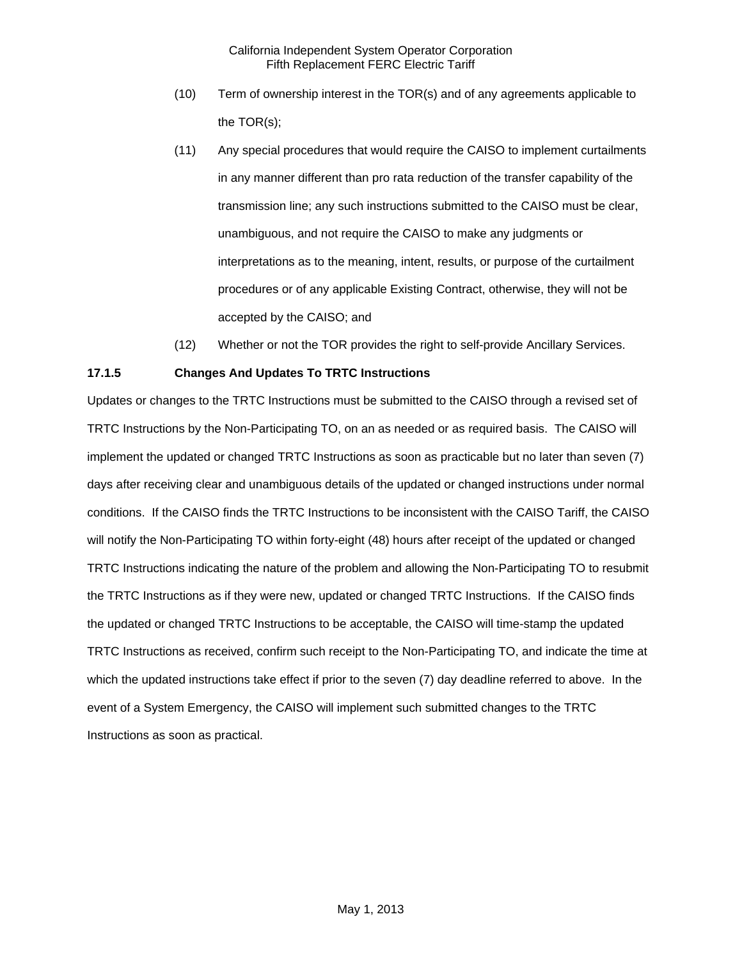- (10) Term of ownership interest in the TOR(s) and of any agreements applicable to the TOR(s);
- (11) Any special procedures that would require the CAISO to implement curtailments in any manner different than pro rata reduction of the transfer capability of the transmission line; any such instructions submitted to the CAISO must be clear, unambiguous, and not require the CAISO to make any judgments or interpretations as to the meaning, intent, results, or purpose of the curtailment procedures or of any applicable Existing Contract, otherwise, they will not be accepted by the CAISO; and
- (12) Whether or not the TOR provides the right to self-provide Ancillary Services.

## **17.1.5 Changes And Updates To TRTC Instructions**

Updates or changes to the TRTC Instructions must be submitted to the CAISO through a revised set of TRTC Instructions by the Non-Participating TO, on an as needed or as required basis. The CAISO will implement the updated or changed TRTC Instructions as soon as practicable but no later than seven (7) days after receiving clear and unambiguous details of the updated or changed instructions under normal conditions. If the CAISO finds the TRTC Instructions to be inconsistent with the CAISO Tariff, the CAISO will notify the Non-Participating TO within forty-eight (48) hours after receipt of the updated or changed TRTC Instructions indicating the nature of the problem and allowing the Non-Participating TO to resubmit the TRTC Instructions as if they were new, updated or changed TRTC Instructions. If the CAISO finds the updated or changed TRTC Instructions to be acceptable, the CAISO will time-stamp the updated TRTC Instructions as received, confirm such receipt to the Non-Participating TO, and indicate the time at which the updated instructions take effect if prior to the seven (7) day deadline referred to above. In the event of a System Emergency, the CAISO will implement such submitted changes to the TRTC Instructions as soon as practical.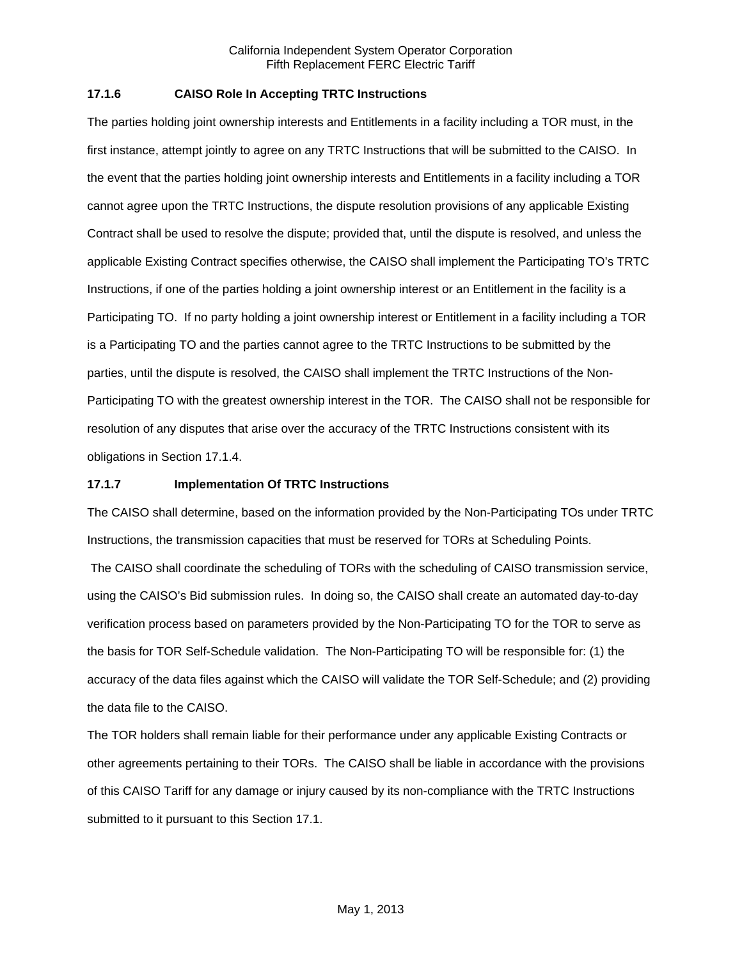## **17.1.6 CAISO Role In Accepting TRTC Instructions**

The parties holding joint ownership interests and Entitlements in a facility including a TOR must, in the first instance, attempt jointly to agree on any TRTC Instructions that will be submitted to the CAISO. In the event that the parties holding joint ownership interests and Entitlements in a facility including a TOR cannot agree upon the TRTC Instructions, the dispute resolution provisions of any applicable Existing Contract shall be used to resolve the dispute; provided that, until the dispute is resolved, and unless the applicable Existing Contract specifies otherwise, the CAISO shall implement the Participating TO's TRTC Instructions, if one of the parties holding a joint ownership interest or an Entitlement in the facility is a Participating TO. If no party holding a joint ownership interest or Entitlement in a facility including a TOR is a Participating TO and the parties cannot agree to the TRTC Instructions to be submitted by the parties, until the dispute is resolved, the CAISO shall implement the TRTC Instructions of the Non-Participating TO with the greatest ownership interest in the TOR. The CAISO shall not be responsible for resolution of any disputes that arise over the accuracy of the TRTC Instructions consistent with its obligations in Section 17.1.4.

### **17.1.7 Implementation Of TRTC Instructions**

The CAISO shall determine, based on the information provided by the Non-Participating TOs under TRTC Instructions, the transmission capacities that must be reserved for TORs at Scheduling Points.

 The CAISO shall coordinate the scheduling of TORs with the scheduling of CAISO transmission service, using the CAISO's Bid submission rules. In doing so, the CAISO shall create an automated day-to-day verification process based on parameters provided by the Non-Participating TO for the TOR to serve as the basis for TOR Self-Schedule validation. The Non-Participating TO will be responsible for: (1) the accuracy of the data files against which the CAISO will validate the TOR Self-Schedule; and (2) providing the data file to the CAISO.

The TOR holders shall remain liable for their performance under any applicable Existing Contracts or other agreements pertaining to their TORs. The CAISO shall be liable in accordance with the provisions of this CAISO Tariff for any damage or injury caused by its non-compliance with the TRTC Instructions submitted to it pursuant to this Section 17.1.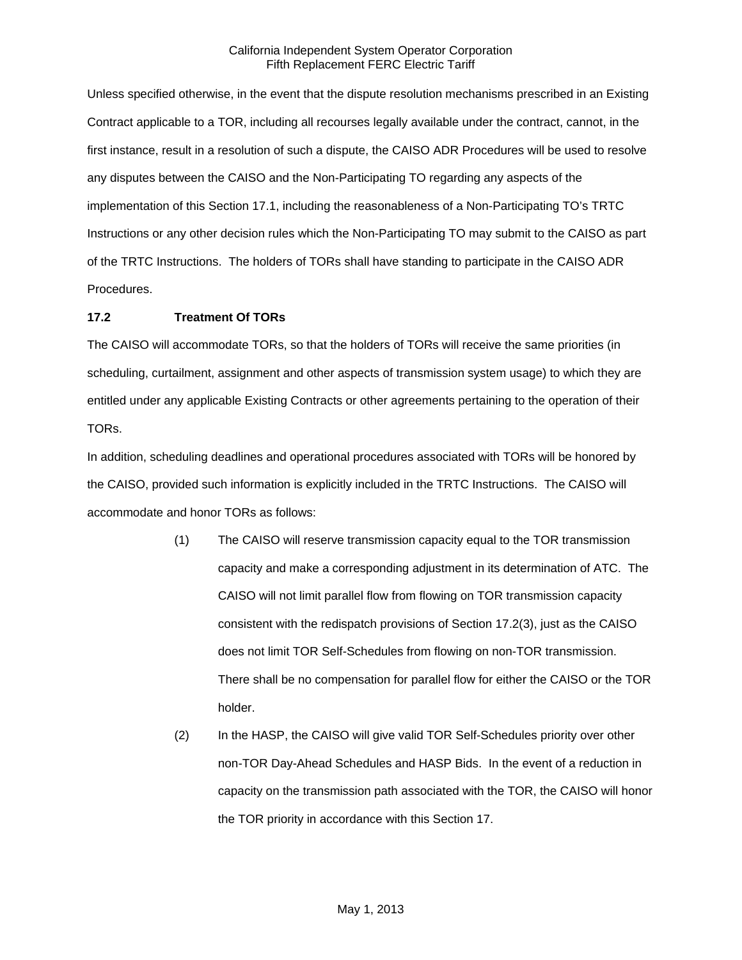Unless specified otherwise, in the event that the dispute resolution mechanisms prescribed in an Existing Contract applicable to a TOR, including all recourses legally available under the contract, cannot, in the first instance, result in a resolution of such a dispute, the CAISO ADR Procedures will be used to resolve any disputes between the CAISO and the Non-Participating TO regarding any aspects of the implementation of this Section 17.1, including the reasonableness of a Non-Participating TO's TRTC Instructions or any other decision rules which the Non-Participating TO may submit to the CAISO as part of the TRTC Instructions. The holders of TORs shall have standing to participate in the CAISO ADR Procedures.

## **17.2 Treatment Of TORs**

The CAISO will accommodate TORs, so that the holders of TORs will receive the same priorities (in scheduling, curtailment, assignment and other aspects of transmission system usage) to which they are entitled under any applicable Existing Contracts or other agreements pertaining to the operation of their TORs.

In addition, scheduling deadlines and operational procedures associated with TORs will be honored by the CAISO, provided such information is explicitly included in the TRTC Instructions. The CAISO will accommodate and honor TORs as follows:

- (1) The CAISO will reserve transmission capacity equal to the TOR transmission capacity and make a corresponding adjustment in its determination of ATC. The CAISO will not limit parallel flow from flowing on TOR transmission capacity consistent with the redispatch provisions of Section 17.2(3), just as the CAISO does not limit TOR Self-Schedules from flowing on non-TOR transmission. There shall be no compensation for parallel flow for either the CAISO or the TOR holder.
- (2) In the HASP, the CAISO will give valid TOR Self-Schedules priority over other non-TOR Day-Ahead Schedules and HASP Bids. In the event of a reduction in capacity on the transmission path associated with the TOR, the CAISO will honor the TOR priority in accordance with this Section 17.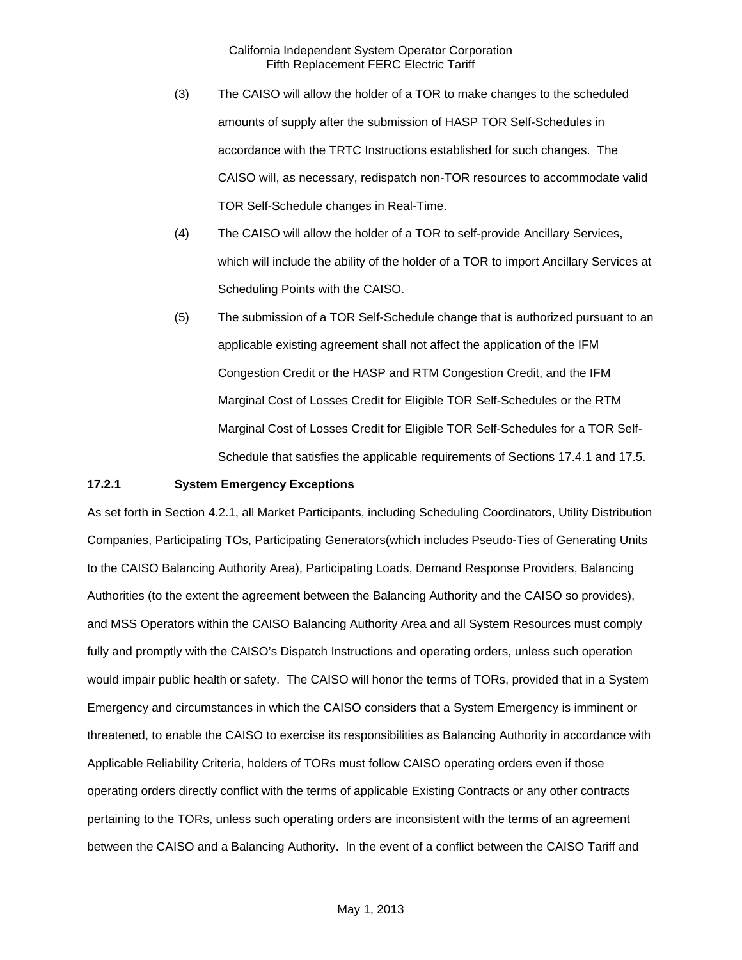- (3) The CAISO will allow the holder of a TOR to make changes to the scheduled amounts of supply after the submission of HASP TOR Self-Schedules in accordance with the TRTC Instructions established for such changes. The CAISO will, as necessary, redispatch non-TOR resources to accommodate valid TOR Self-Schedule changes in Real-Time.
- (4) The CAISO will allow the holder of a TOR to self-provide Ancillary Services, which will include the ability of the holder of a TOR to import Ancillary Services at Scheduling Points with the CAISO.
- (5) The submission of a TOR Self-Schedule change that is authorized pursuant to an applicable existing agreement shall not affect the application of the IFM Congestion Credit or the HASP and RTM Congestion Credit, and the IFM Marginal Cost of Losses Credit for Eligible TOR Self-Schedules or the RTM Marginal Cost of Losses Credit for Eligible TOR Self-Schedules for a TOR Self-Schedule that satisfies the applicable requirements of Sections 17.4.1 and 17.5.

### **17.2.1 System Emergency Exceptions**

As set forth in Section 4.2.1, all Market Participants, including Scheduling Coordinators, Utility Distribution Companies, Participating TOs, Participating Generators(which includes Pseudo-Ties of Generating Units to the CAISO Balancing Authority Area), Participating Loads, Demand Response Providers, Balancing Authorities (to the extent the agreement between the Balancing Authority and the CAISO so provides), and MSS Operators within the CAISO Balancing Authority Area and all System Resources must comply fully and promptly with the CAISO's Dispatch Instructions and operating orders, unless such operation would impair public health or safety. The CAISO will honor the terms of TORs, provided that in a System Emergency and circumstances in which the CAISO considers that a System Emergency is imminent or threatened, to enable the CAISO to exercise its responsibilities as Balancing Authority in accordance with Applicable Reliability Criteria, holders of TORs must follow CAISO operating orders even if those operating orders directly conflict with the terms of applicable Existing Contracts or any other contracts pertaining to the TORs, unless such operating orders are inconsistent with the terms of an agreement between the CAISO and a Balancing Authority. In the event of a conflict between the CAISO Tariff and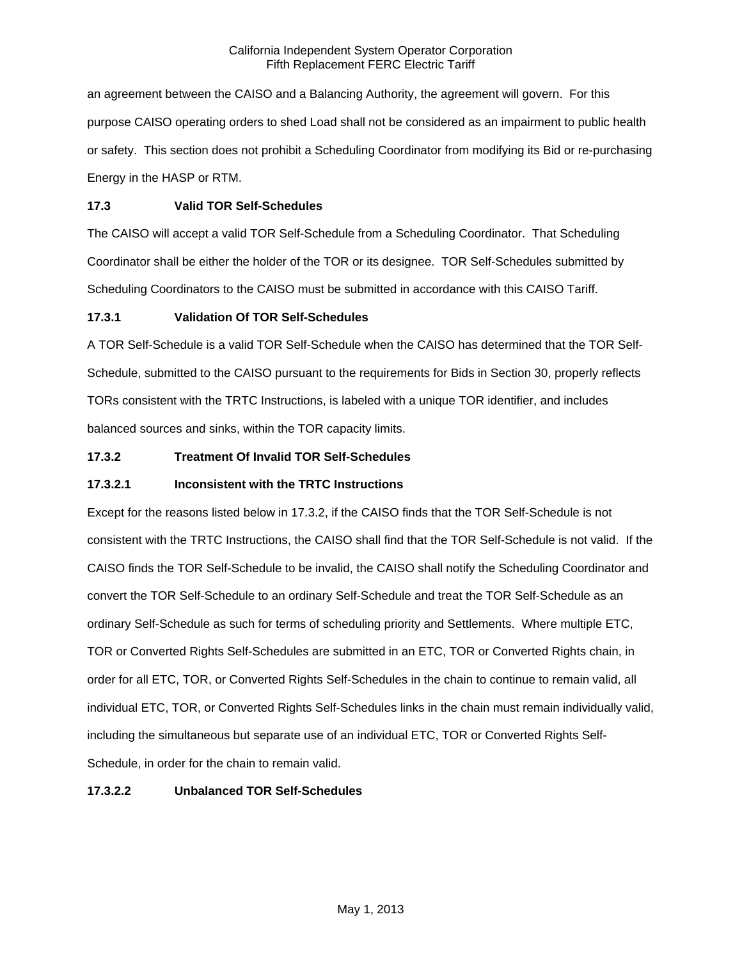an agreement between the CAISO and a Balancing Authority, the agreement will govern. For this purpose CAISO operating orders to shed Load shall not be considered as an impairment to public health or safety. This section does not prohibit a Scheduling Coordinator from modifying its Bid or re-purchasing Energy in the HASP or RTM.

## **17.3 Valid TOR Self-Schedules**

The CAISO will accept a valid TOR Self-Schedule from a Scheduling Coordinator. That Scheduling Coordinator shall be either the holder of the TOR or its designee. TOR Self-Schedules submitted by Scheduling Coordinators to the CAISO must be submitted in accordance with this CAISO Tariff.

### **17.3.1 Validation Of TOR Self-Schedules**

A TOR Self-Schedule is a valid TOR Self-Schedule when the CAISO has determined that the TOR Self-Schedule, submitted to the CAISO pursuant to the requirements for Bids in Section 30, properly reflects TORs consistent with the TRTC Instructions, is labeled with a unique TOR identifier, and includes balanced sources and sinks, within the TOR capacity limits.

# **17.3.2 Treatment Of Invalid TOR Self-Schedules**

## **17.3.2.1 Inconsistent with the TRTC Instructions**

Except for the reasons listed below in 17.3.2, if the CAISO finds that the TOR Self-Schedule is not consistent with the TRTC Instructions, the CAISO shall find that the TOR Self-Schedule is not valid. If the CAISO finds the TOR Self-Schedule to be invalid, the CAISO shall notify the Scheduling Coordinator and convert the TOR Self-Schedule to an ordinary Self-Schedule and treat the TOR Self-Schedule as an ordinary Self-Schedule as such for terms of scheduling priority and Settlements. Where multiple ETC, TOR or Converted Rights Self-Schedules are submitted in an ETC, TOR or Converted Rights chain, in order for all ETC, TOR, or Converted Rights Self-Schedules in the chain to continue to remain valid, all individual ETC, TOR, or Converted Rights Self-Schedules links in the chain must remain individually valid, including the simultaneous but separate use of an individual ETC, TOR or Converted Rights Self-Schedule, in order for the chain to remain valid.

# **17.3.2.2 Unbalanced TOR Self-Schedules**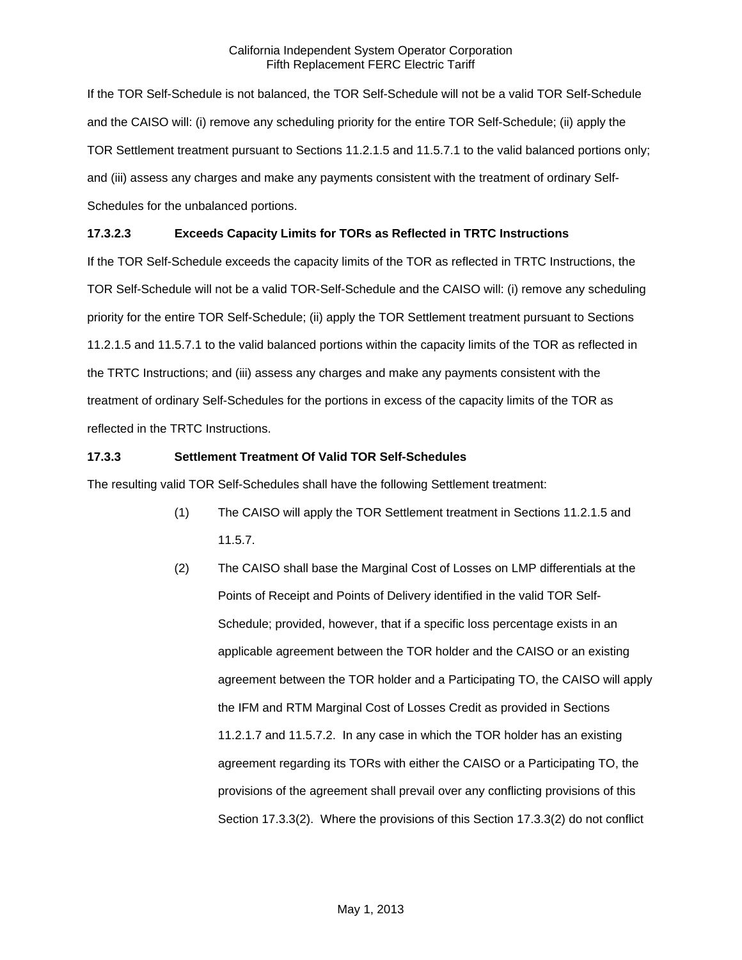If the TOR Self-Schedule is not balanced, the TOR Self-Schedule will not be a valid TOR Self-Schedule and the CAISO will: (i) remove any scheduling priority for the entire TOR Self-Schedule; (ii) apply the TOR Settlement treatment pursuant to Sections 11.2.1.5 and 11.5.7.1 to the valid balanced portions only; and (iii) assess any charges and make any payments consistent with the treatment of ordinary Self-Schedules for the unbalanced portions.

# **17.3.2.3 Exceeds Capacity Limits for TORs as Reflected in TRTC Instructions**

If the TOR Self-Schedule exceeds the capacity limits of the TOR as reflected in TRTC Instructions, the TOR Self-Schedule will not be a valid TOR-Self-Schedule and the CAISO will: (i) remove any scheduling priority for the entire TOR Self-Schedule; (ii) apply the TOR Settlement treatment pursuant to Sections 11.2.1.5 and 11.5.7.1 to the valid balanced portions within the capacity limits of the TOR as reflected in the TRTC Instructions; and (iii) assess any charges and make any payments consistent with the treatment of ordinary Self-Schedules for the portions in excess of the capacity limits of the TOR as reflected in the TRTC Instructions.

# **17.3.3 Settlement Treatment Of Valid TOR Self-Schedules**

The resulting valid TOR Self-Schedules shall have the following Settlement treatment:

- (1) The CAISO will apply the TOR Settlement treatment in Sections 11.2.1.5 and 11.5.7.
- (2) The CAISO shall base the Marginal Cost of Losses on LMP differentials at the Points of Receipt and Points of Delivery identified in the valid TOR Self-Schedule; provided, however, that if a specific loss percentage exists in an applicable agreement between the TOR holder and the CAISO or an existing agreement between the TOR holder and a Participating TO, the CAISO will apply the IFM and RTM Marginal Cost of Losses Credit as provided in Sections 11.2.1.7 and 11.5.7.2. In any case in which the TOR holder has an existing agreement regarding its TORs with either the CAISO or a Participating TO, the provisions of the agreement shall prevail over any conflicting provisions of this Section 17.3.3(2). Where the provisions of this Section 17.3.3(2) do not conflict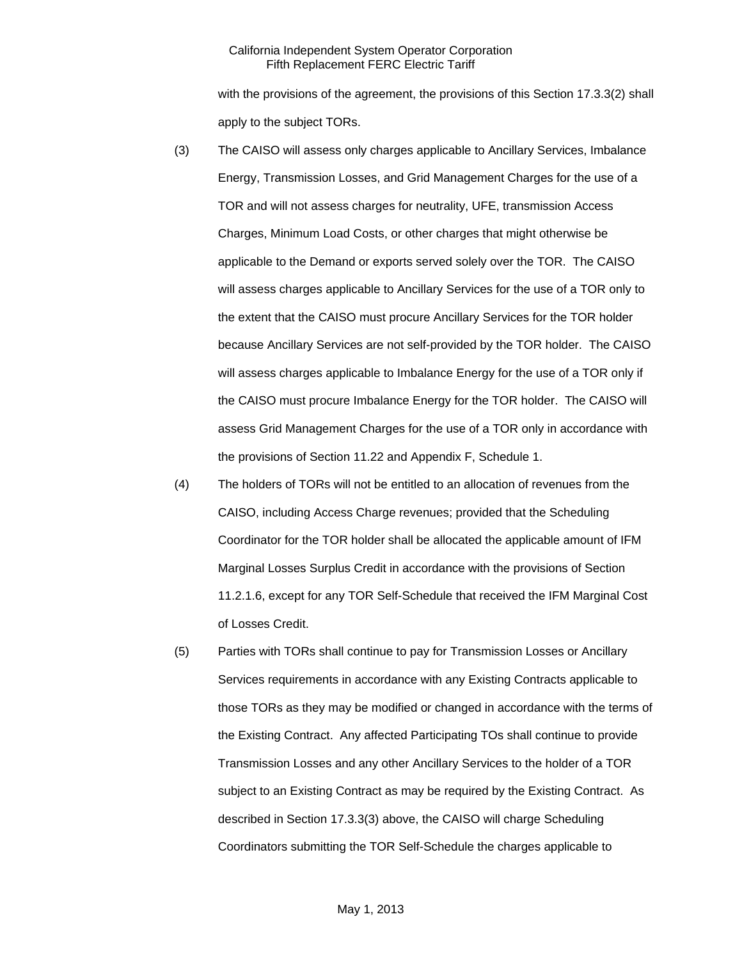with the provisions of the agreement, the provisions of this Section 17.3.3(2) shall apply to the subject TORs.

- (3) The CAISO will assess only charges applicable to Ancillary Services, Imbalance Energy, Transmission Losses, and Grid Management Charges for the use of a TOR and will not assess charges for neutrality, UFE, transmission Access Charges, Minimum Load Costs, or other charges that might otherwise be applicable to the Demand or exports served solely over the TOR. The CAISO will assess charges applicable to Ancillary Services for the use of a TOR only to the extent that the CAISO must procure Ancillary Services for the TOR holder because Ancillary Services are not self-provided by the TOR holder. The CAISO will assess charges applicable to Imbalance Energy for the use of a TOR only if the CAISO must procure Imbalance Energy for the TOR holder. The CAISO will assess Grid Management Charges for the use of a TOR only in accordance with the provisions of Section 11.22 and Appendix F, Schedule 1.
- (4) The holders of TORs will not be entitled to an allocation of revenues from the CAISO, including Access Charge revenues; provided that the Scheduling Coordinator for the TOR holder shall be allocated the applicable amount of IFM Marginal Losses Surplus Credit in accordance with the provisions of Section 11.2.1.6, except for any TOR Self-Schedule that received the IFM Marginal Cost of Losses Credit.
- (5) Parties with TORs shall continue to pay for Transmission Losses or Ancillary Services requirements in accordance with any Existing Contracts applicable to those TORs as they may be modified or changed in accordance with the terms of the Existing Contract. Any affected Participating TOs shall continue to provide Transmission Losses and any other Ancillary Services to the holder of a TOR subject to an Existing Contract as may be required by the Existing Contract. As described in Section 17.3.3(3) above, the CAISO will charge Scheduling Coordinators submitting the TOR Self-Schedule the charges applicable to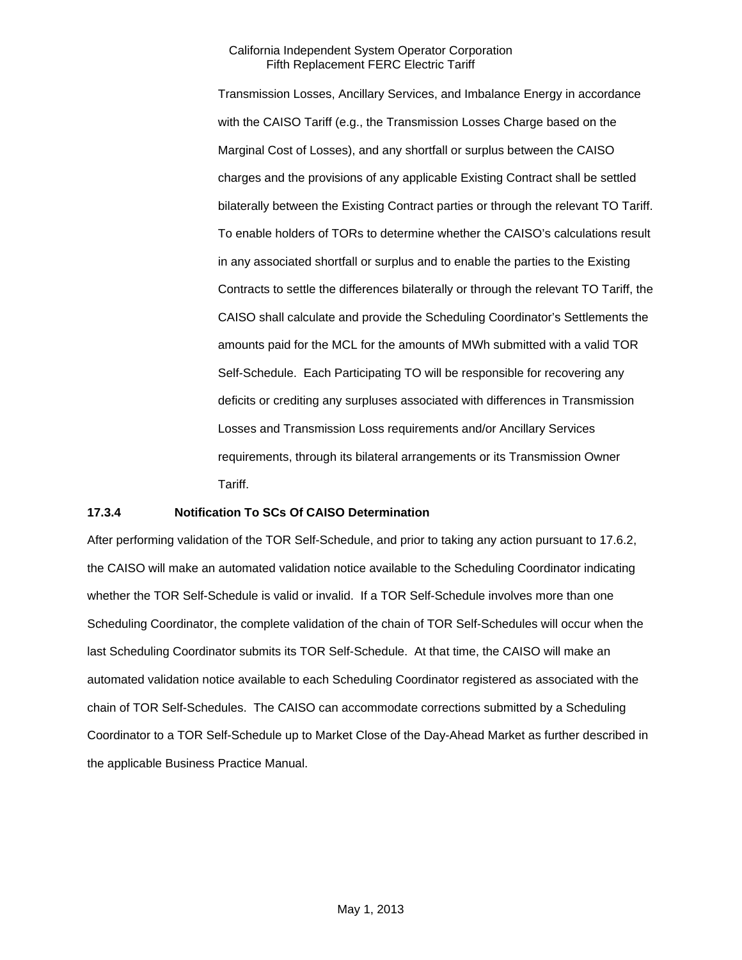Transmission Losses, Ancillary Services, and Imbalance Energy in accordance with the CAISO Tariff (e.g., the Transmission Losses Charge based on the Marginal Cost of Losses), and any shortfall or surplus between the CAISO charges and the provisions of any applicable Existing Contract shall be settled bilaterally between the Existing Contract parties or through the relevant TO Tariff. To enable holders of TORs to determine whether the CAISO's calculations result in any associated shortfall or surplus and to enable the parties to the Existing Contracts to settle the differences bilaterally or through the relevant TO Tariff, the CAISO shall calculate and provide the Scheduling Coordinator's Settlements the amounts paid for the MCL for the amounts of MWh submitted with a valid TOR Self-Schedule. Each Participating TO will be responsible for recovering any deficits or crediting any surpluses associated with differences in Transmission Losses and Transmission Loss requirements and/or Ancillary Services requirements, through its bilateral arrangements or its Transmission Owner Tariff.

### **17.3.4 Notification To SCs Of CAISO Determination**

After performing validation of the TOR Self-Schedule, and prior to taking any action pursuant to 17.6.2, the CAISO will make an automated validation notice available to the Scheduling Coordinator indicating whether the TOR Self-Schedule is valid or invalid. If a TOR Self-Schedule involves more than one Scheduling Coordinator, the complete validation of the chain of TOR Self-Schedules will occur when the last Scheduling Coordinator submits its TOR Self-Schedule. At that time, the CAISO will make an automated validation notice available to each Scheduling Coordinator registered as associated with the chain of TOR Self-Schedules. The CAISO can accommodate corrections submitted by a Scheduling Coordinator to a TOR Self-Schedule up to Market Close of the Day-Ahead Market as further described in the applicable Business Practice Manual.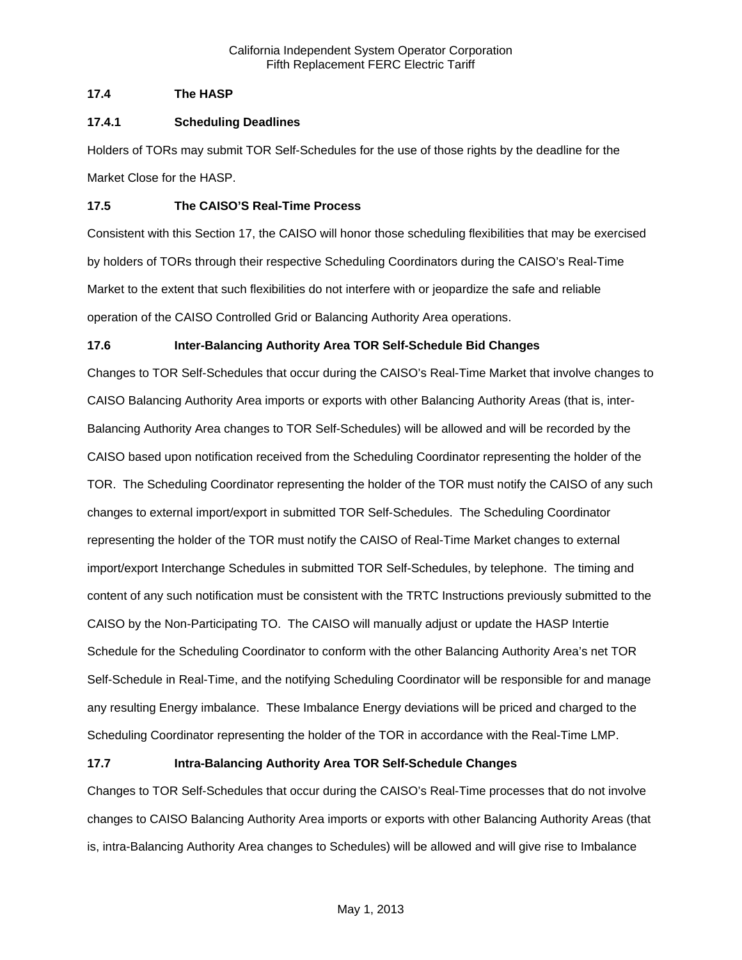# **17.4 The HASP**

### **17.4.1 Scheduling Deadlines**

Holders of TORs may submit TOR Self-Schedules for the use of those rights by the deadline for the Market Close for the HASP.

### **17.5 The CAISO'S Real-Time Process**

Consistent with this Section 17, the CAISO will honor those scheduling flexibilities that may be exercised by holders of TORs through their respective Scheduling Coordinators during the CAISO's Real-Time Market to the extent that such flexibilities do not interfere with or jeopardize the safe and reliable operation of the CAISO Controlled Grid or Balancing Authority Area operations.

# **17.6 Inter-Balancing Authority Area TOR Self-Schedule Bid Changes**

Changes to TOR Self-Schedules that occur during the CAISO's Real-Time Market that involve changes to CAISO Balancing Authority Area imports or exports with other Balancing Authority Areas (that is, inter-Balancing Authority Area changes to TOR Self-Schedules) will be allowed and will be recorded by the CAISO based upon notification received from the Scheduling Coordinator representing the holder of the TOR. The Scheduling Coordinator representing the holder of the TOR must notify the CAISO of any such changes to external import/export in submitted TOR Self-Schedules. The Scheduling Coordinator representing the holder of the TOR must notify the CAISO of Real-Time Market changes to external import/export Interchange Schedules in submitted TOR Self-Schedules, by telephone. The timing and content of any such notification must be consistent with the TRTC Instructions previously submitted to the CAISO by the Non-Participating TO. The CAISO will manually adjust or update the HASP Intertie Schedule for the Scheduling Coordinator to conform with the other Balancing Authority Area's net TOR Self-Schedule in Real-Time, and the notifying Scheduling Coordinator will be responsible for and manage any resulting Energy imbalance. These Imbalance Energy deviations will be priced and charged to the Scheduling Coordinator representing the holder of the TOR in accordance with the Real-Time LMP.

# **17.7 Intra-Balancing Authority Area TOR Self-Schedule Changes**

Changes to TOR Self-Schedules that occur during the CAISO's Real-Time processes that do not involve changes to CAISO Balancing Authority Area imports or exports with other Balancing Authority Areas (that is, intra-Balancing Authority Area changes to Schedules) will be allowed and will give rise to Imbalance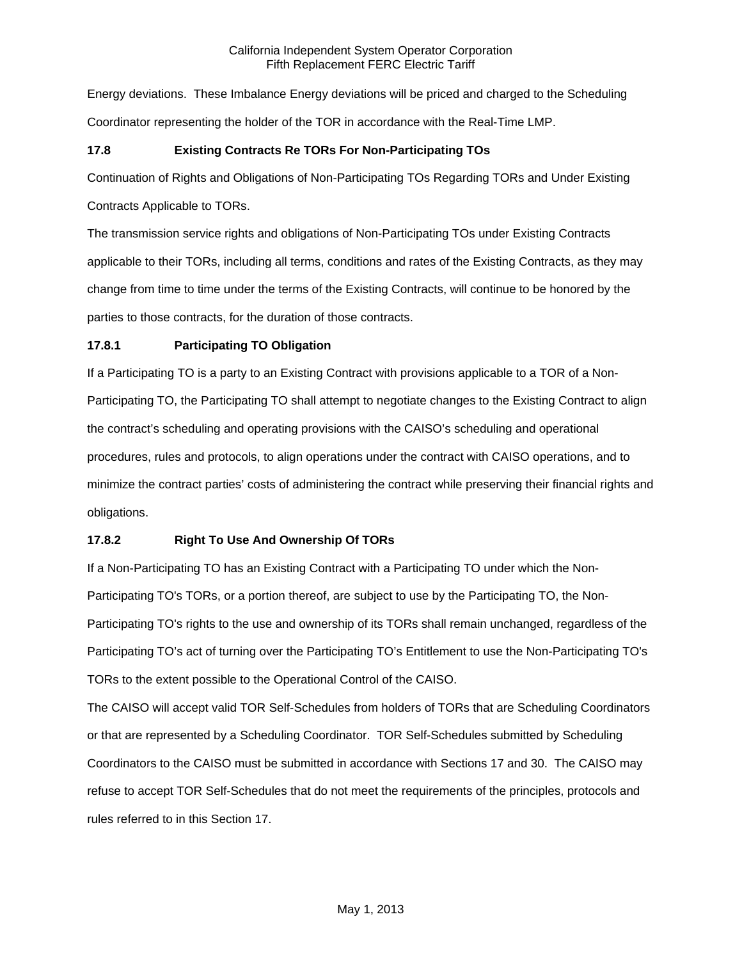Energy deviations. These Imbalance Energy deviations will be priced and charged to the Scheduling Coordinator representing the holder of the TOR in accordance with the Real-Time LMP.

# **17.8 Existing Contracts Re TORs For Non-Participating TOs**

Continuation of Rights and Obligations of Non-Participating TOs Regarding TORs and Under Existing

Contracts Applicable to TORs.

The transmission service rights and obligations of Non-Participating TOs under Existing Contracts applicable to their TORs, including all terms, conditions and rates of the Existing Contracts, as they may change from time to time under the terms of the Existing Contracts, will continue to be honored by the parties to those contracts, for the duration of those contracts.

# **17.8.1 Participating TO Obligation**

If a Participating TO is a party to an Existing Contract with provisions applicable to a TOR of a Non-Participating TO, the Participating TO shall attempt to negotiate changes to the Existing Contract to align the contract's scheduling and operating provisions with the CAISO's scheduling and operational procedures, rules and protocols, to align operations under the contract with CAISO operations, and to minimize the contract parties' costs of administering the contract while preserving their financial rights and obligations.

# **17.8.2 Right To Use And Ownership Of TORs**

If a Non-Participating TO has an Existing Contract with a Participating TO under which the Non-Participating TO's TORs, or a portion thereof, are subject to use by the Participating TO, the Non-Participating TO's rights to the use and ownership of its TORs shall remain unchanged, regardless of the Participating TO's act of turning over the Participating TO's Entitlement to use the Non-Participating TO's TORs to the extent possible to the Operational Control of the CAISO.

The CAISO will accept valid TOR Self-Schedules from holders of TORs that are Scheduling Coordinators or that are represented by a Scheduling Coordinator. TOR Self-Schedules submitted by Scheduling Coordinators to the CAISO must be submitted in accordance with Sections 17 and 30. The CAISO may refuse to accept TOR Self-Schedules that do not meet the requirements of the principles, protocols and rules referred to in this Section 17.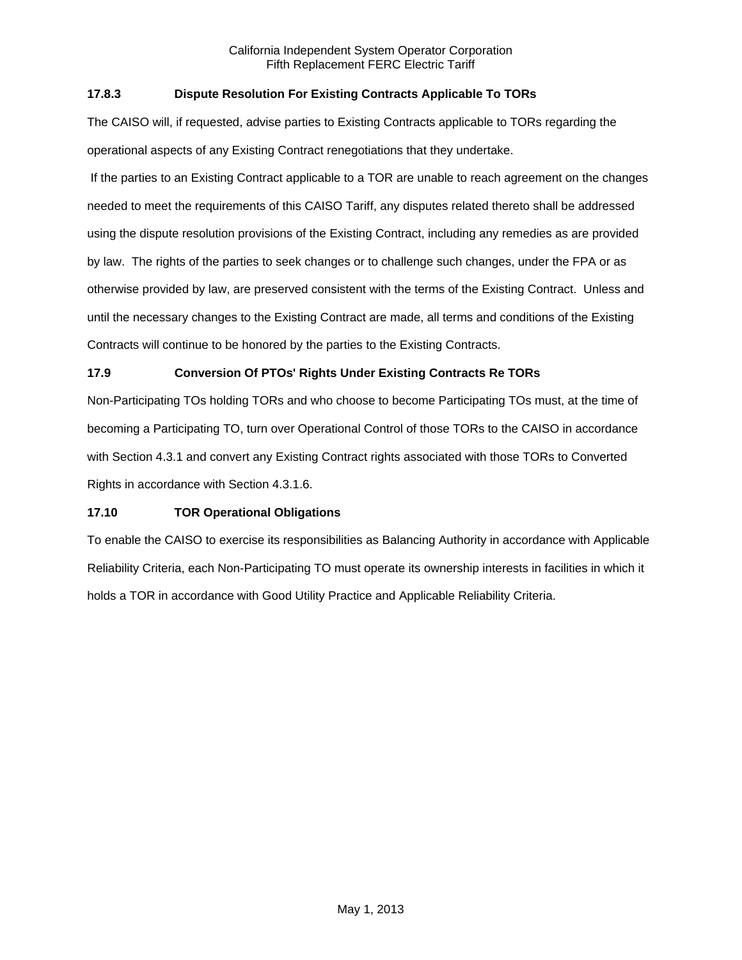# **17.8.3 Dispute Resolution For Existing Contracts Applicable To TORs**

The CAISO will, if requested, advise parties to Existing Contracts applicable to TORs regarding the operational aspects of any Existing Contract renegotiations that they undertake.

 If the parties to an Existing Contract applicable to a TOR are unable to reach agreement on the changes needed to meet the requirements of this CAISO Tariff, any disputes related thereto shall be addressed using the dispute resolution provisions of the Existing Contract, including any remedies as are provided by law. The rights of the parties to seek changes or to challenge such changes, under the FPA or as otherwise provided by law, are preserved consistent with the terms of the Existing Contract. Unless and until the necessary changes to the Existing Contract are made, all terms and conditions of the Existing Contracts will continue to be honored by the parties to the Existing Contracts.

# **17.9 Conversion Of PTOs' Rights Under Existing Contracts Re TORs**

Non-Participating TOs holding TORs and who choose to become Participating TOs must, at the time of becoming a Participating TO, turn over Operational Control of those TORs to the CAISO in accordance with Section 4.3.1 and convert any Existing Contract rights associated with those TORs to Converted Rights in accordance with Section 4.3.1.6.

# **17.10 TOR Operational Obligations**

To enable the CAISO to exercise its responsibilities as Balancing Authority in accordance with Applicable Reliability Criteria, each Non-Participating TO must operate its ownership interests in facilities in which it holds a TOR in accordance with Good Utility Practice and Applicable Reliability Criteria.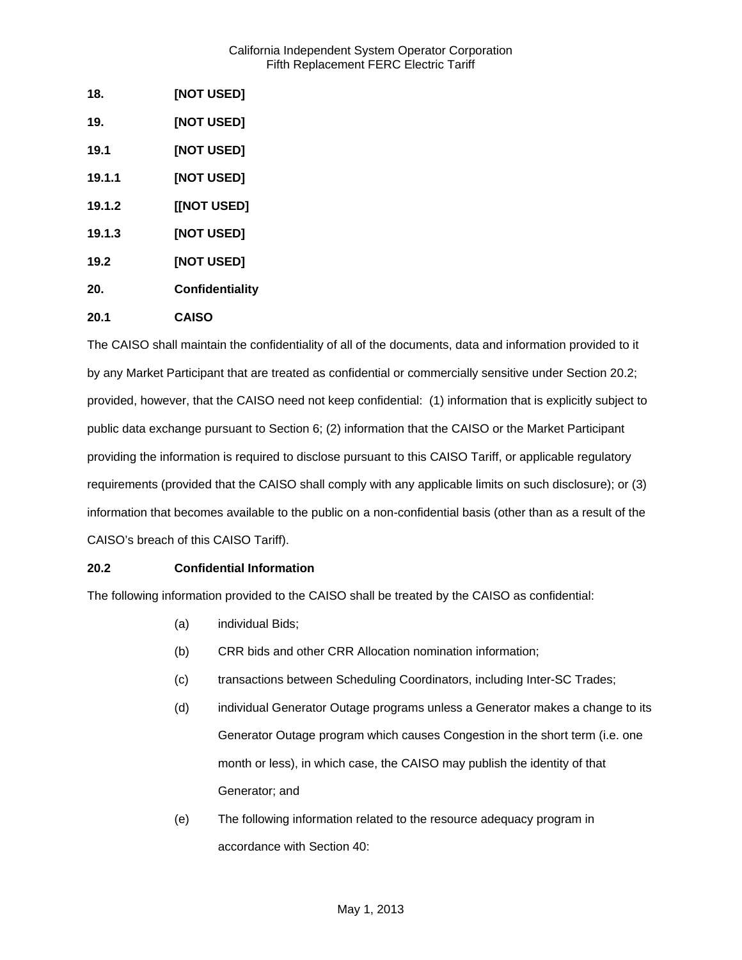| 18.    | [NOT USED]             |
|--------|------------------------|
| 19.    | <b>[NOT USED]</b>      |
| 19.1   | [NOT USED]             |
| 19.1.1 | [NOT USED]             |
| 19.1.2 | [[NOT USED]            |
| 19.1.3 | <b>[NOT USED]</b>      |
| 19.2   | <b>[NOT USED]</b>      |
| 20.    | <b>Confidentiality</b> |
| 20.1   | <b>CAISO</b>           |

The CAISO shall maintain the confidentiality of all of the documents, data and information provided to it by any Market Participant that are treated as confidential or commercially sensitive under Section 20.2; provided, however, that the CAISO need not keep confidential: (1) information that is explicitly subject to public data exchange pursuant to Section 6; (2) information that the CAISO or the Market Participant providing the information is required to disclose pursuant to this CAISO Tariff, or applicable regulatory requirements (provided that the CAISO shall comply with any applicable limits on such disclosure); or (3) information that becomes available to the public on a non-confidential basis (other than as a result of the CAISO's breach of this CAISO Tariff).

# **20.2 Confidential Information**

The following information provided to the CAISO shall be treated by the CAISO as confidential:

- (a) individual Bids;
- (b) CRR bids and other CRR Allocation nomination information;
- (c) transactions between Scheduling Coordinators, including Inter-SC Trades;
- (d) individual Generator Outage programs unless a Generator makes a change to its Generator Outage program which causes Congestion in the short term (i.e. one month or less), in which case, the CAISO may publish the identity of that Generator; and
- (e) The following information related to the resource adequacy program in accordance with Section 40: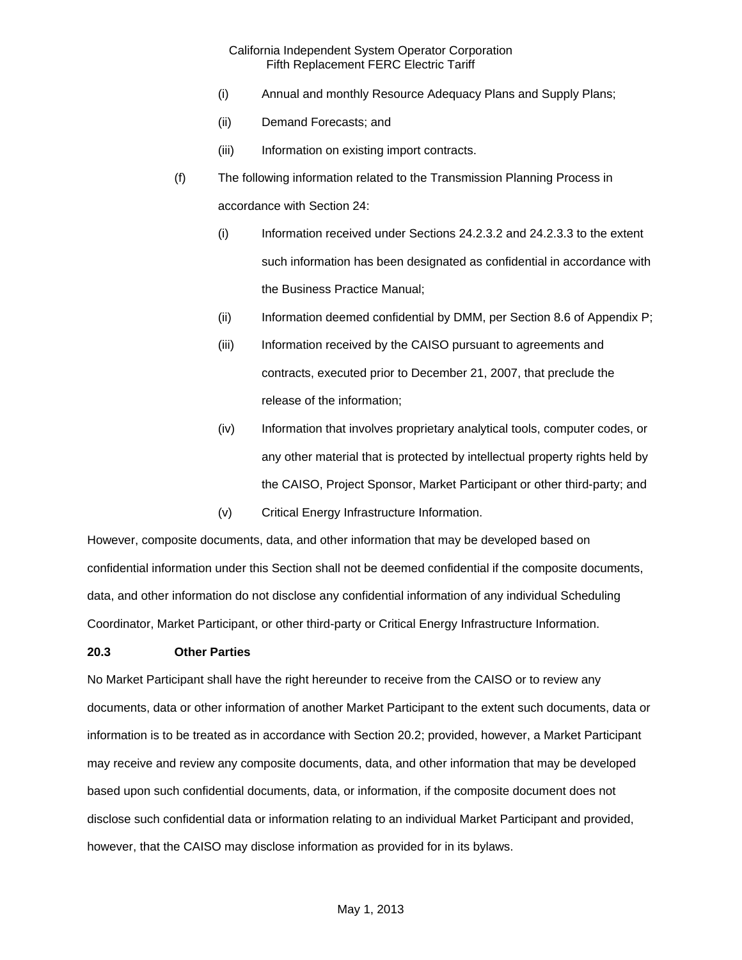- (i) Annual and monthly Resource Adequacy Plans and Supply Plans;
- (ii) Demand Forecasts; and
- (iii) Information on existing import contracts.
- (f) The following information related to the Transmission Planning Process in accordance with Section 24:
	- (i) Information received under Sections 24.2.3.2 and 24.2.3.3 to the extent such information has been designated as confidential in accordance with the Business Practice Manual;
	- (ii) Information deemed confidential by DMM, per Section 8.6 of Appendix P;
	- (iii) Information received by the CAISO pursuant to agreements and contracts, executed prior to December 21, 2007, that preclude the release of the information;
	- (iv) Information that involves proprietary analytical tools, computer codes, or any other material that is protected by intellectual property rights held by the CAISO, Project Sponsor, Market Participant or other third-party; and
	- (v) Critical Energy Infrastructure Information.

However, composite documents, data, and other information that may be developed based on confidential information under this Section shall not be deemed confidential if the composite documents, data, and other information do not disclose any confidential information of any individual Scheduling Coordinator, Market Participant, or other third-party or Critical Energy Infrastructure Information.

### **20.3 Other Parties**

No Market Participant shall have the right hereunder to receive from the CAISO or to review any documents, data or other information of another Market Participant to the extent such documents, data or information is to be treated as in accordance with Section 20.2; provided, however, a Market Participant may receive and review any composite documents, data, and other information that may be developed based upon such confidential documents, data, or information, if the composite document does not disclose such confidential data or information relating to an individual Market Participant and provided, however, that the CAISO may disclose information as provided for in its bylaws.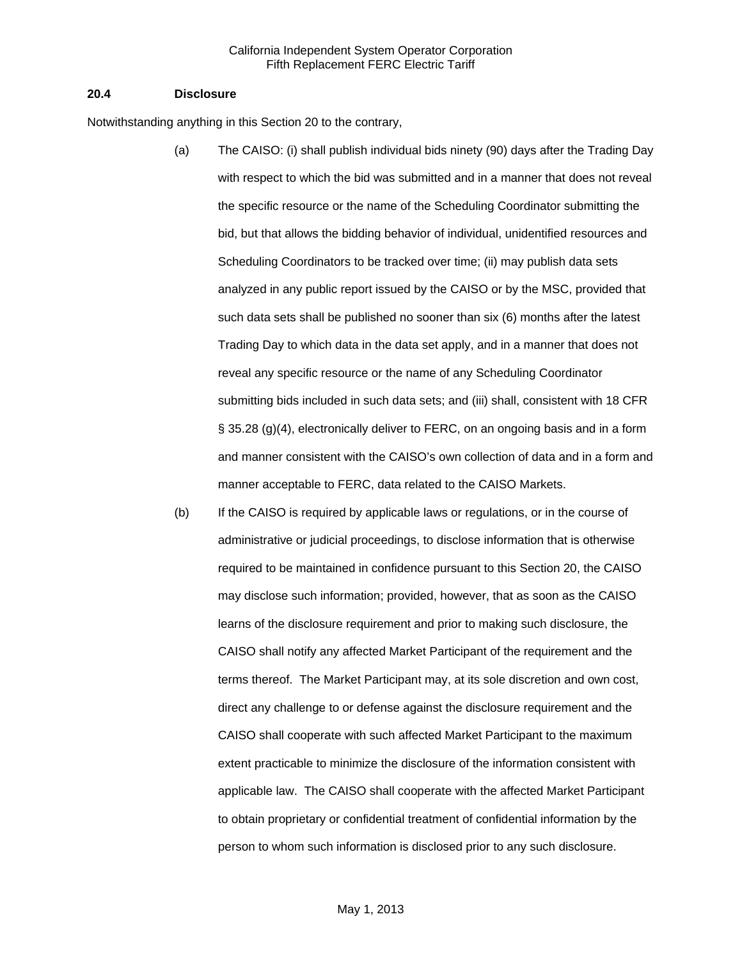#### **20.4 Disclosure**

Notwithstanding anything in this Section 20 to the contrary,

- (a) The CAISO: (i) shall publish individual bids ninety (90) days after the Trading Day with respect to which the bid was submitted and in a manner that does not reveal the specific resource or the name of the Scheduling Coordinator submitting the bid, but that allows the bidding behavior of individual, unidentified resources and Scheduling Coordinators to be tracked over time; (ii) may publish data sets analyzed in any public report issued by the CAISO or by the MSC, provided that such data sets shall be published no sooner than six (6) months after the latest Trading Day to which data in the data set apply, and in a manner that does not reveal any specific resource or the name of any Scheduling Coordinator submitting bids included in such data sets; and (iii) shall, consistent with 18 CFR § 35.28 (g)(4), electronically deliver to FERC, on an ongoing basis and in a form and manner consistent with the CAISO's own collection of data and in a form and manner acceptable to FERC, data related to the CAISO Markets.
- (b) If the CAISO is required by applicable laws or regulations, or in the course of administrative or judicial proceedings, to disclose information that is otherwise required to be maintained in confidence pursuant to this Section 20, the CAISO may disclose such information; provided, however, that as soon as the CAISO learns of the disclosure requirement and prior to making such disclosure, the CAISO shall notify any affected Market Participant of the requirement and the terms thereof. The Market Participant may, at its sole discretion and own cost, direct any challenge to or defense against the disclosure requirement and the CAISO shall cooperate with such affected Market Participant to the maximum extent practicable to minimize the disclosure of the information consistent with applicable law. The CAISO shall cooperate with the affected Market Participant to obtain proprietary or confidential treatment of confidential information by the person to whom such information is disclosed prior to any such disclosure.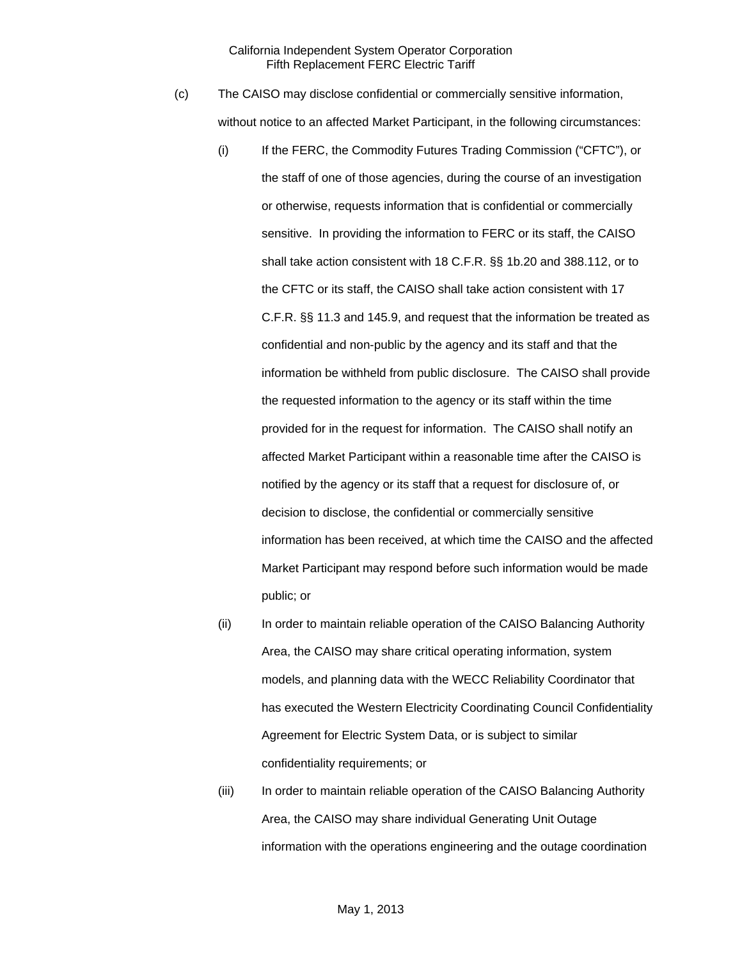- (c) The CAISO may disclose confidential or commercially sensitive information, without notice to an affected Market Participant, in the following circumstances:
	- (i) If the FERC, the Commodity Futures Trading Commission ("CFTC"), or the staff of one of those agencies, during the course of an investigation or otherwise, requests information that is confidential or commercially sensitive. In providing the information to FERC or its staff, the CAISO shall take action consistent with 18 C.F.R. §§ 1b.20 and 388.112, or to the CFTC or its staff, the CAISO shall take action consistent with 17 C.F.R. §§ 11.3 and 145.9, and request that the information be treated as confidential and non-public by the agency and its staff and that the information be withheld from public disclosure. The CAISO shall provide the requested information to the agency or its staff within the time provided for in the request for information. The CAISO shall notify an affected Market Participant within a reasonable time after the CAISO is notified by the agency or its staff that a request for disclosure of, or decision to disclose, the confidential or commercially sensitive information has been received, at which time the CAISO and the affected Market Participant may respond before such information would be made public; or
	- (ii) In order to maintain reliable operation of the CAISO Balancing Authority Area, the CAISO may share critical operating information, system models, and planning data with the WECC Reliability Coordinator that has executed the Western Electricity Coordinating Council Confidentiality Agreement for Electric System Data, or is subject to similar confidentiality requirements; or
	- (iii) In order to maintain reliable operation of the CAISO Balancing Authority Area, the CAISO may share individual Generating Unit Outage information with the operations engineering and the outage coordination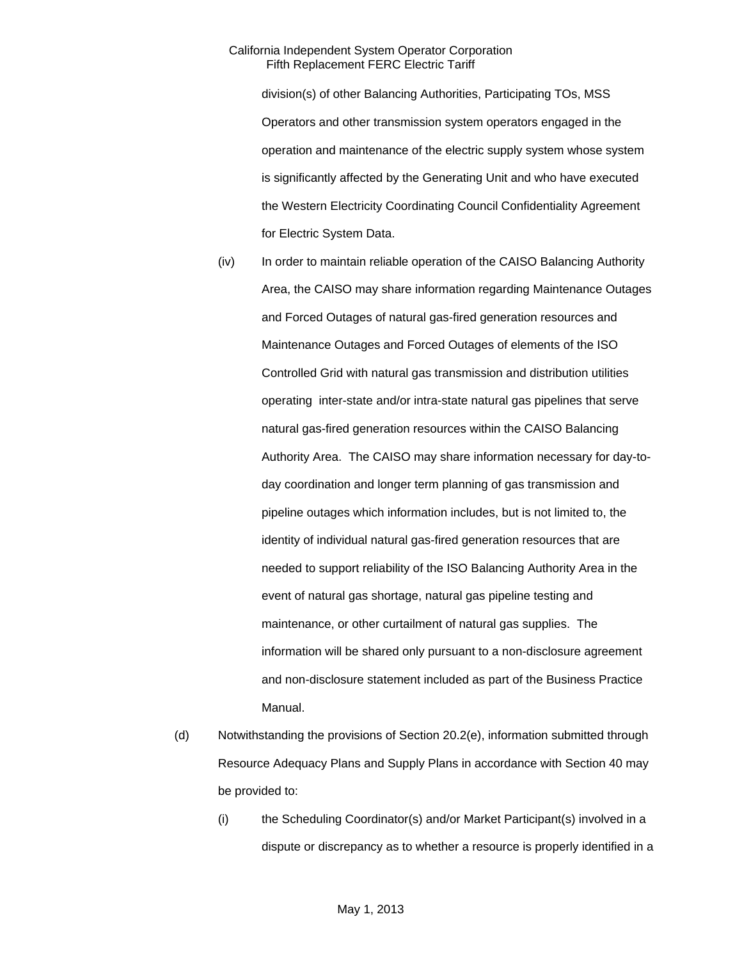division(s) of other Balancing Authorities, Participating TOs, MSS Operators and other transmission system operators engaged in the operation and maintenance of the electric supply system whose system is significantly affected by the Generating Unit and who have executed the Western Electricity Coordinating Council Confidentiality Agreement for Electric System Data.

- (iv) In order to maintain reliable operation of the CAISO Balancing Authority Area, the CAISO may share information regarding Maintenance Outages and Forced Outages of natural gas-fired generation resources and Maintenance Outages and Forced Outages of elements of the ISO Controlled Grid with natural gas transmission and distribution utilities operating inter-state and/or intra-state natural gas pipelines that serve natural gas-fired generation resources within the CAISO Balancing Authority Area. The CAISO may share information necessary for day-today coordination and longer term planning of gas transmission and pipeline outages which information includes, but is not limited to, the identity of individual natural gas-fired generation resources that are needed to support reliability of the ISO Balancing Authority Area in the event of natural gas shortage, natural gas pipeline testing and maintenance, or other curtailment of natural gas supplies. The information will be shared only pursuant to a non-disclosure agreement and non-disclosure statement included as part of the Business Practice Manual.
- (d) Notwithstanding the provisions of Section 20.2(e), information submitted through Resource Adequacy Plans and Supply Plans in accordance with Section 40 may be provided to:
	- (i) the Scheduling Coordinator(s) and/or Market Participant(s) involved in a dispute or discrepancy as to whether a resource is properly identified in a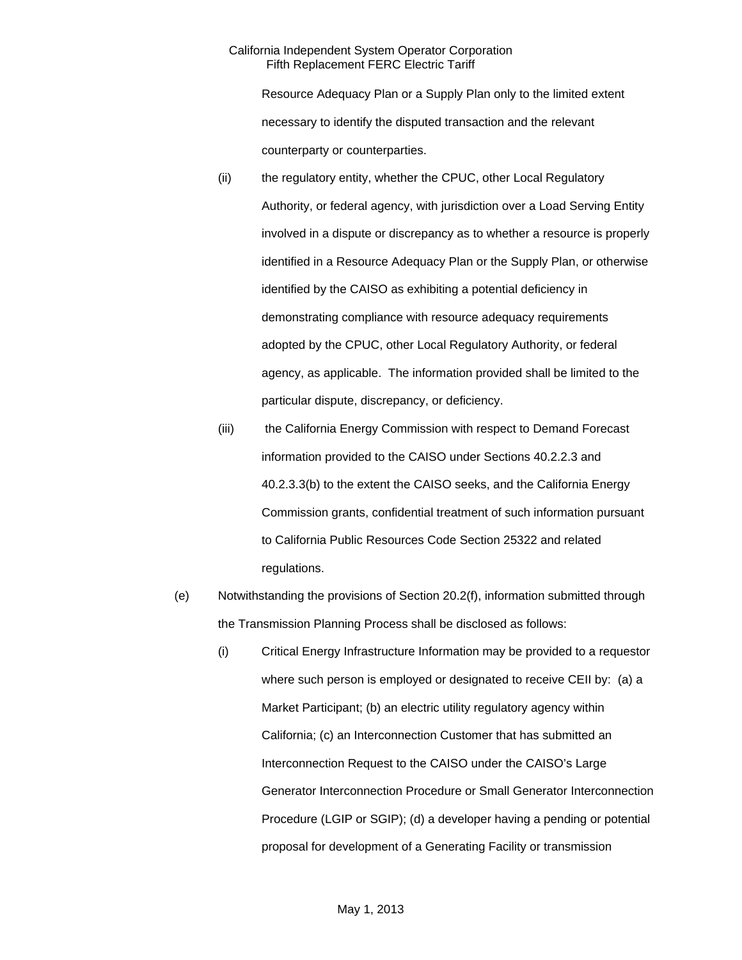Resource Adequacy Plan or a Supply Plan only to the limited extent necessary to identify the disputed transaction and the relevant counterparty or counterparties.

- (ii) the regulatory entity, whether the CPUC, other Local Regulatory Authority, or federal agency, with jurisdiction over a Load Serving Entity involved in a dispute or discrepancy as to whether a resource is properly identified in a Resource Adequacy Plan or the Supply Plan, or otherwise identified by the CAISO as exhibiting a potential deficiency in demonstrating compliance with resource adequacy requirements adopted by the CPUC, other Local Regulatory Authority, or federal agency, as applicable. The information provided shall be limited to the particular dispute, discrepancy, or deficiency.
- (iii) the California Energy Commission with respect to Demand Forecast information provided to the CAISO under Sections 40.2.2.3 and 40.2.3.3(b) to the extent the CAISO seeks, and the California Energy Commission grants, confidential treatment of such information pursuant to California Public Resources Code Section 25322 and related regulations.
- (e) Notwithstanding the provisions of Section 20.2(f), information submitted through the Transmission Planning Process shall be disclosed as follows:
	- (i) Critical Energy Infrastructure Information may be provided to a requestor where such person is employed or designated to receive CEII by: (a) a Market Participant; (b) an electric utility regulatory agency within California; (c) an Interconnection Customer that has submitted an Interconnection Request to the CAISO under the CAISO's Large Generator Interconnection Procedure or Small Generator Interconnection Procedure (LGIP or SGIP); (d) a developer having a pending or potential proposal for development of a Generating Facility or transmission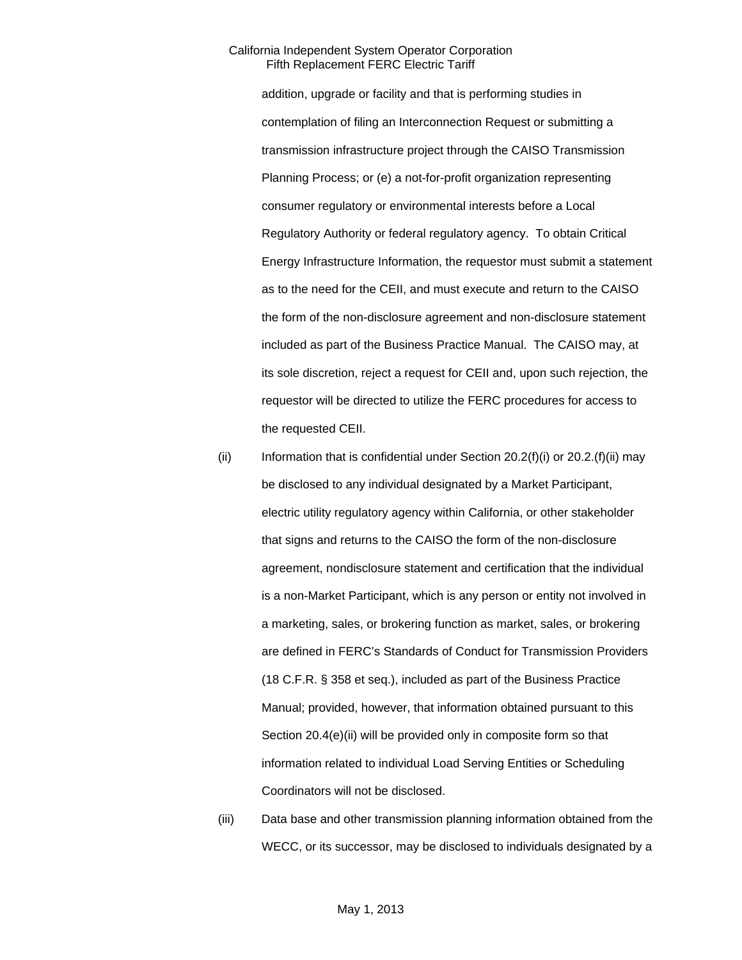addition, upgrade or facility and that is performing studies in contemplation of filing an Interconnection Request or submitting a transmission infrastructure project through the CAISO Transmission Planning Process; or (e) a not-for-profit organization representing consumer regulatory or environmental interests before a Local Regulatory Authority or federal regulatory agency. To obtain Critical Energy Infrastructure Information, the requestor must submit a statement as to the need for the CEII, and must execute and return to the CAISO the form of the non-disclosure agreement and non-disclosure statement included as part of the Business Practice Manual. The CAISO may, at its sole discretion, reject a request for CEII and, upon such rejection, the requestor will be directed to utilize the FERC procedures for access to the requested CEII.

- (ii) Information that is confidential under Section  $20.2(f)(i)$  or  $20.2(f)(ii)$  may be disclosed to any individual designated by a Market Participant, electric utility regulatory agency within California, or other stakeholder that signs and returns to the CAISO the form of the non-disclosure agreement, nondisclosure statement and certification that the individual is a non-Market Participant, which is any person or entity not involved in a marketing, sales, or brokering function as market, sales, or brokering are defined in FERC's Standards of Conduct for Transmission Providers (18 C.F.R. § 358 et seq.), included as part of the Business Practice Manual; provided, however, that information obtained pursuant to this Section 20.4(e)(ii) will be provided only in composite form so that information related to individual Load Serving Entities or Scheduling Coordinators will not be disclosed.
- (iii) Data base and other transmission planning information obtained from the WECC, or its successor, may be disclosed to individuals designated by a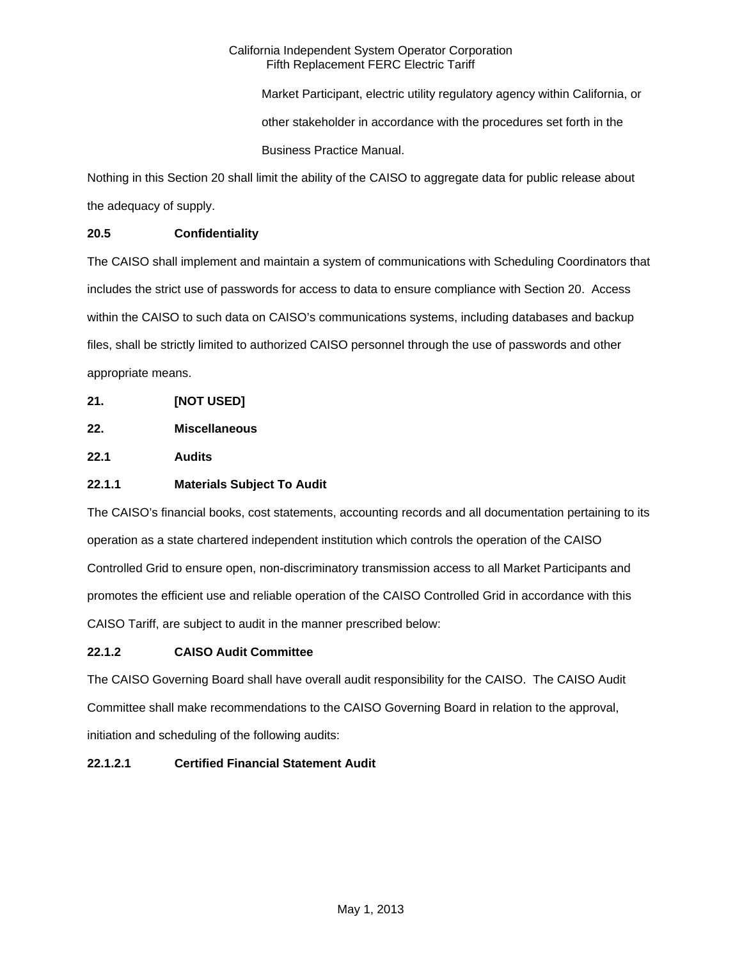Market Participant, electric utility regulatory agency within California, or other stakeholder in accordance with the procedures set forth in the Business Practice Manual.

Nothing in this Section 20 shall limit the ability of the CAISO to aggregate data for public release about the adequacy of supply.

# **20.5 Confidentiality**

The CAISO shall implement and maintain a system of communications with Scheduling Coordinators that includes the strict use of passwords for access to data to ensure compliance with Section 20. Access within the CAISO to such data on CAISO's communications systems, including databases and backup files, shall be strictly limited to authorized CAISO personnel through the use of passwords and other appropriate means.

- **21. [NOT USED]**
- **22. Miscellaneous**

**22.1 Audits** 

# **22.1.1 Materials Subject To Audit**

The CAISO's financial books, cost statements, accounting records and all documentation pertaining to its operation as a state chartered independent institution which controls the operation of the CAISO Controlled Grid to ensure open, non-discriminatory transmission access to all Market Participants and promotes the efficient use and reliable operation of the CAISO Controlled Grid in accordance with this CAISO Tariff, are subject to audit in the manner prescribed below:

# **22.1.2 CAISO Audit Committee**

The CAISO Governing Board shall have overall audit responsibility for the CAISO. The CAISO Audit Committee shall make recommendations to the CAISO Governing Board in relation to the approval, initiation and scheduling of the following audits:

# **22.1.2.1 Certified Financial Statement Audit**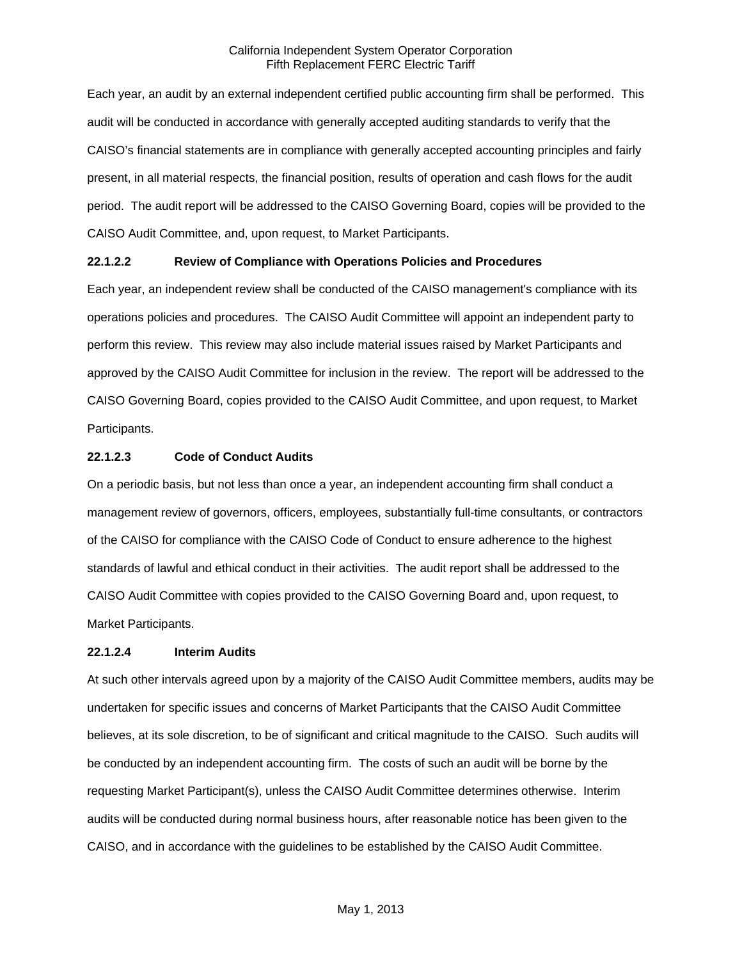Each year, an audit by an external independent certified public accounting firm shall be performed. This audit will be conducted in accordance with generally accepted auditing standards to verify that the CAISO's financial statements are in compliance with generally accepted accounting principles and fairly present, in all material respects, the financial position, results of operation and cash flows for the audit period. The audit report will be addressed to the CAISO Governing Board, copies will be provided to the CAISO Audit Committee, and, upon request, to Market Participants.

### **22.1.2.2 Review of Compliance with Operations Policies and Procedures**

Each year, an independent review shall be conducted of the CAISO management's compliance with its operations policies and procedures. The CAISO Audit Committee will appoint an independent party to perform this review. This review may also include material issues raised by Market Participants and approved by the CAISO Audit Committee for inclusion in the review. The report will be addressed to the CAISO Governing Board, copies provided to the CAISO Audit Committee, and upon request, to Market Participants.

#### **22.1.2.3 Code of Conduct Audits**

On a periodic basis, but not less than once a year, an independent accounting firm shall conduct a management review of governors, officers, employees, substantially full-time consultants, or contractors of the CAISO for compliance with the CAISO Code of Conduct to ensure adherence to the highest standards of lawful and ethical conduct in their activities. The audit report shall be addressed to the CAISO Audit Committee with copies provided to the CAISO Governing Board and, upon request, to Market Participants.

#### **22.1.2.4 Interim Audits**

At such other intervals agreed upon by a majority of the CAISO Audit Committee members, audits may be undertaken for specific issues and concerns of Market Participants that the CAISO Audit Committee believes, at its sole discretion, to be of significant and critical magnitude to the CAISO. Such audits will be conducted by an independent accounting firm. The costs of such an audit will be borne by the requesting Market Participant(s), unless the CAISO Audit Committee determines otherwise. Interim audits will be conducted during normal business hours, after reasonable notice has been given to the CAISO, and in accordance with the guidelines to be established by the CAISO Audit Committee.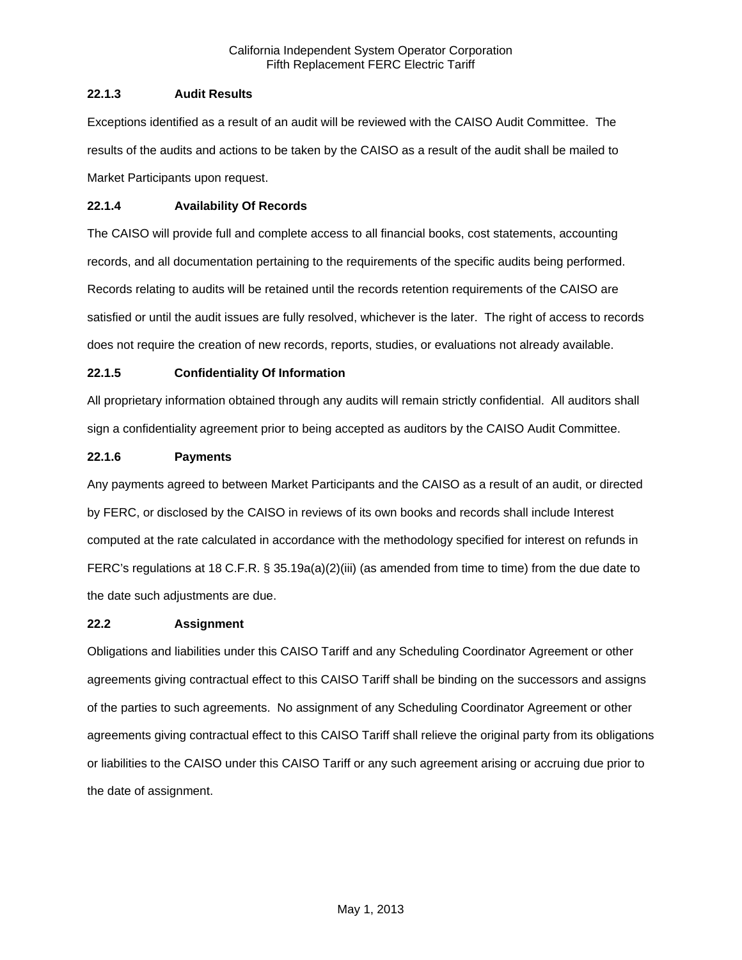# **22.1.3 Audit Results**

Exceptions identified as a result of an audit will be reviewed with the CAISO Audit Committee. The results of the audits and actions to be taken by the CAISO as a result of the audit shall be mailed to Market Participants upon request.

### **22.1.4 Availability Of Records**

The CAISO will provide full and complete access to all financial books, cost statements, accounting records, and all documentation pertaining to the requirements of the specific audits being performed. Records relating to audits will be retained until the records retention requirements of the CAISO are satisfied or until the audit issues are fully resolved, whichever is the later. The right of access to records does not require the creation of new records, reports, studies, or evaluations not already available.

# **22.1.5 Confidentiality Of Information**

All proprietary information obtained through any audits will remain strictly confidential. All auditors shall sign a confidentiality agreement prior to being accepted as auditors by the CAISO Audit Committee.

### **22.1.6 Payments**

Any payments agreed to between Market Participants and the CAISO as a result of an audit, or directed by FERC, or disclosed by the CAISO in reviews of its own books and records shall include Interest computed at the rate calculated in accordance with the methodology specified for interest on refunds in FERC's regulations at 18 C.F.R. § 35.19a(a)(2)(iii) (as amended from time to time) from the due date to the date such adjustments are due.

### **22.2 Assignment**

Obligations and liabilities under this CAISO Tariff and any Scheduling Coordinator Agreement or other agreements giving contractual effect to this CAISO Tariff shall be binding on the successors and assigns of the parties to such agreements. No assignment of any Scheduling Coordinator Agreement or other agreements giving contractual effect to this CAISO Tariff shall relieve the original party from its obligations or liabilities to the CAISO under this CAISO Tariff or any such agreement arising or accruing due prior to the date of assignment.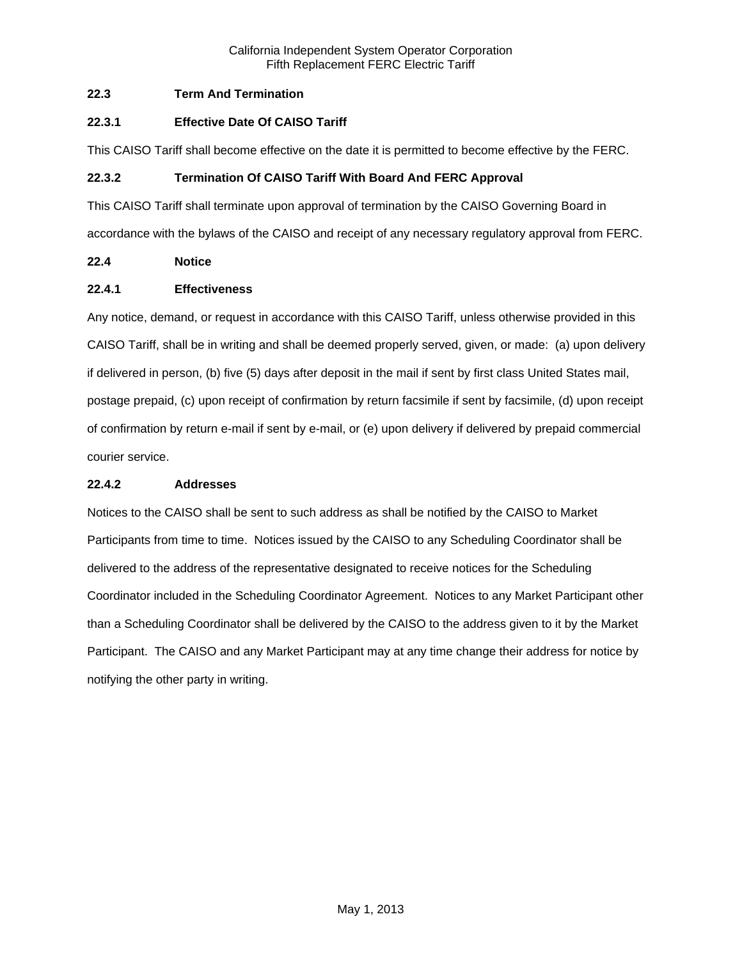# **22.3 Term And Termination**

## **22.3.1 Effective Date Of CAISO Tariff**

This CAISO Tariff shall become effective on the date it is permitted to become effective by the FERC.

## **22.3.2 Termination Of CAISO Tariff With Board And FERC Approval**

This CAISO Tariff shall terminate upon approval of termination by the CAISO Governing Board in accordance with the bylaws of the CAISO and receipt of any necessary regulatory approval from FERC.

# **22.4 Notice**

### **22.4.1 Effectiveness**

Any notice, demand, or request in accordance with this CAISO Tariff, unless otherwise provided in this CAISO Tariff, shall be in writing and shall be deemed properly served, given, or made: (a) upon delivery if delivered in person, (b) five (5) days after deposit in the mail if sent by first class United States mail, postage prepaid, (c) upon receipt of confirmation by return facsimile if sent by facsimile, (d) upon receipt of confirmation by return e-mail if sent by e-mail, or (e) upon delivery if delivered by prepaid commercial courier service.

### **22.4.2 Addresses**

Notices to the CAISO shall be sent to such address as shall be notified by the CAISO to Market Participants from time to time. Notices issued by the CAISO to any Scheduling Coordinator shall be delivered to the address of the representative designated to receive notices for the Scheduling Coordinator included in the Scheduling Coordinator Agreement. Notices to any Market Participant other than a Scheduling Coordinator shall be delivered by the CAISO to the address given to it by the Market Participant. The CAISO and any Market Participant may at any time change their address for notice by notifying the other party in writing.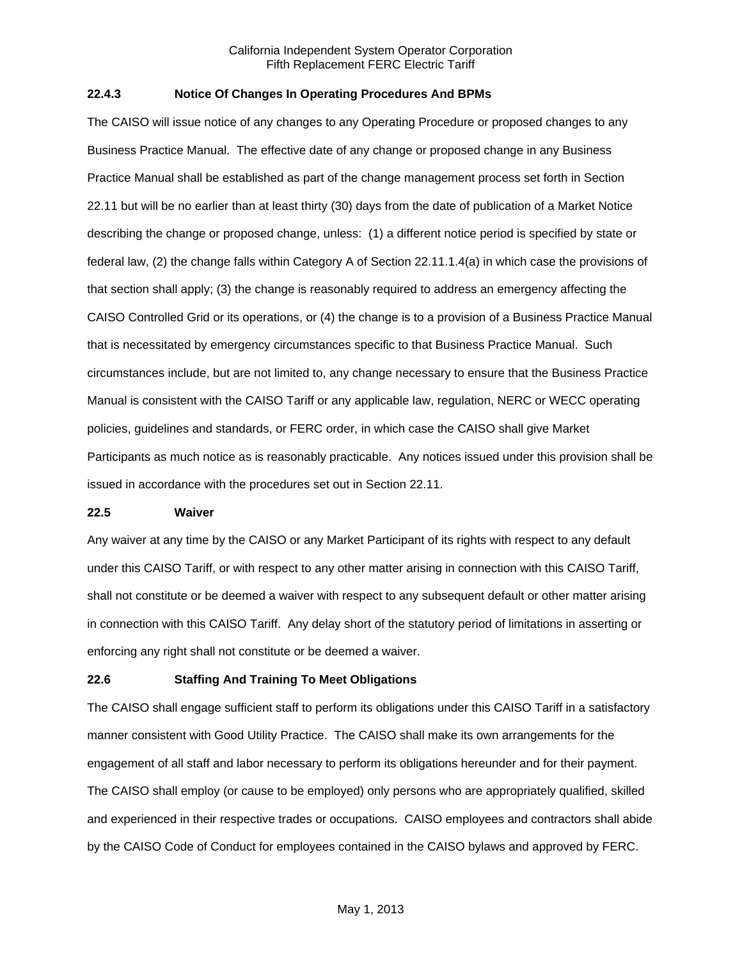### **22.4.3 Notice Of Changes In Operating Procedures And BPMs**

The CAISO will issue notice of any changes to any Operating Procedure or proposed changes to any Business Practice Manual. The effective date of any change or proposed change in any Business Practice Manual shall be established as part of the change management process set forth in Section 22.11 but will be no earlier than at least thirty (30) days from the date of publication of a Market Notice describing the change or proposed change, unless: (1) a different notice period is specified by state or federal law, (2) the change falls within Category A of Section 22.11.1.4(a) in which case the provisions of that section shall apply; (3) the change is reasonably required to address an emergency affecting the CAISO Controlled Grid or its operations, or (4) the change is to a provision of a Business Practice Manual that is necessitated by emergency circumstances specific to that Business Practice Manual. Such circumstances include, but are not limited to, any change necessary to ensure that the Business Practice Manual is consistent with the CAISO Tariff or any applicable law, regulation, NERC or WECC operating policies, guidelines and standards, or FERC order, in which case the CAISO shall give Market Participants as much notice as is reasonably practicable. Any notices issued under this provision shall be issued in accordance with the procedures set out in Section 22.11.

#### **22.5 Waiver**

Any waiver at any time by the CAISO or any Market Participant of its rights with respect to any default under this CAISO Tariff, or with respect to any other matter arising in connection with this CAISO Tariff, shall not constitute or be deemed a waiver with respect to any subsequent default or other matter arising in connection with this CAISO Tariff. Any delay short of the statutory period of limitations in asserting or enforcing any right shall not constitute or be deemed a waiver.

# **22.6 Staffing And Training To Meet Obligations**

The CAISO shall engage sufficient staff to perform its obligations under this CAISO Tariff in a satisfactory manner consistent with Good Utility Practice. The CAISO shall make its own arrangements for the engagement of all staff and labor necessary to perform its obligations hereunder and for their payment. The CAISO shall employ (or cause to be employed) only persons who are appropriately qualified, skilled and experienced in their respective trades or occupations. CAISO employees and contractors shall abide by the CAISO Code of Conduct for employees contained in the CAISO bylaws and approved by FERC.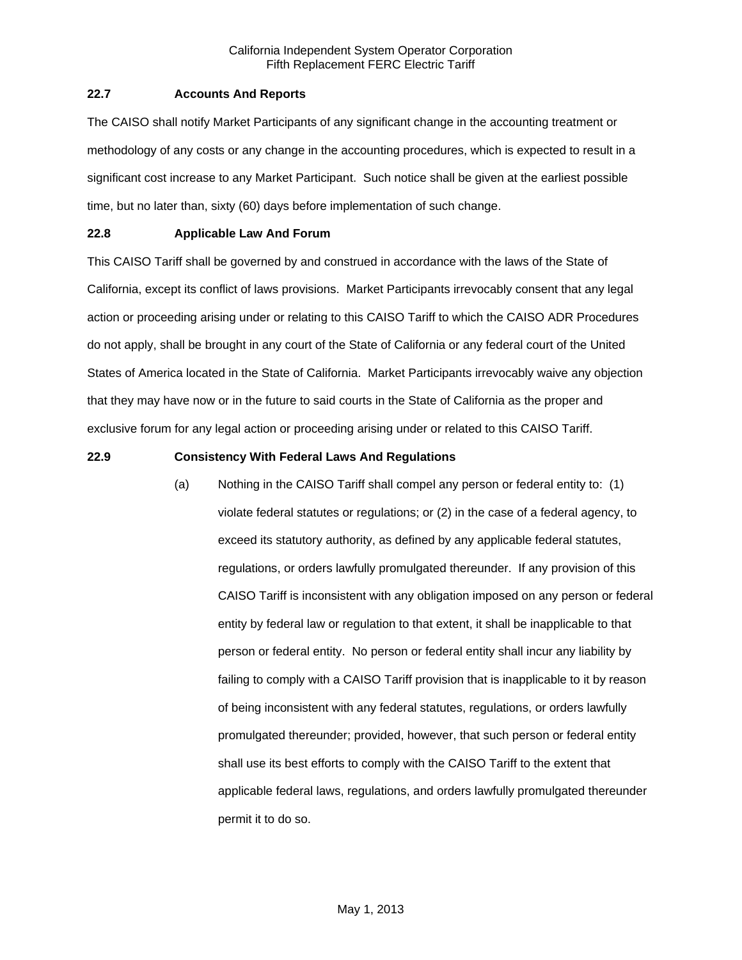### **22.7 Accounts And Reports**

The CAISO shall notify Market Participants of any significant change in the accounting treatment or methodology of any costs or any change in the accounting procedures, which is expected to result in a significant cost increase to any Market Participant. Such notice shall be given at the earliest possible time, but no later than, sixty (60) days before implementation of such change.

### **22.8 Applicable Law And Forum**

This CAISO Tariff shall be governed by and construed in accordance with the laws of the State of California, except its conflict of laws provisions. Market Participants irrevocably consent that any legal action or proceeding arising under or relating to this CAISO Tariff to which the CAISO ADR Procedures do not apply, shall be brought in any court of the State of California or any federal court of the United States of America located in the State of California. Market Participants irrevocably waive any objection that they may have now or in the future to said courts in the State of California as the proper and exclusive forum for any legal action or proceeding arising under or related to this CAISO Tariff.

### **22.9 Consistency With Federal Laws And Regulations**

(a) Nothing in the CAISO Tariff shall compel any person or federal entity to: (1) violate federal statutes or regulations; or (2) in the case of a federal agency, to exceed its statutory authority, as defined by any applicable federal statutes, regulations, or orders lawfully promulgated thereunder. If any provision of this CAISO Tariff is inconsistent with any obligation imposed on any person or federal entity by federal law or regulation to that extent, it shall be inapplicable to that person or federal entity. No person or federal entity shall incur any liability by failing to comply with a CAISO Tariff provision that is inapplicable to it by reason of being inconsistent with any federal statutes, regulations, or orders lawfully promulgated thereunder; provided, however, that such person or federal entity shall use its best efforts to comply with the CAISO Tariff to the extent that applicable federal laws, regulations, and orders lawfully promulgated thereunder permit it to do so.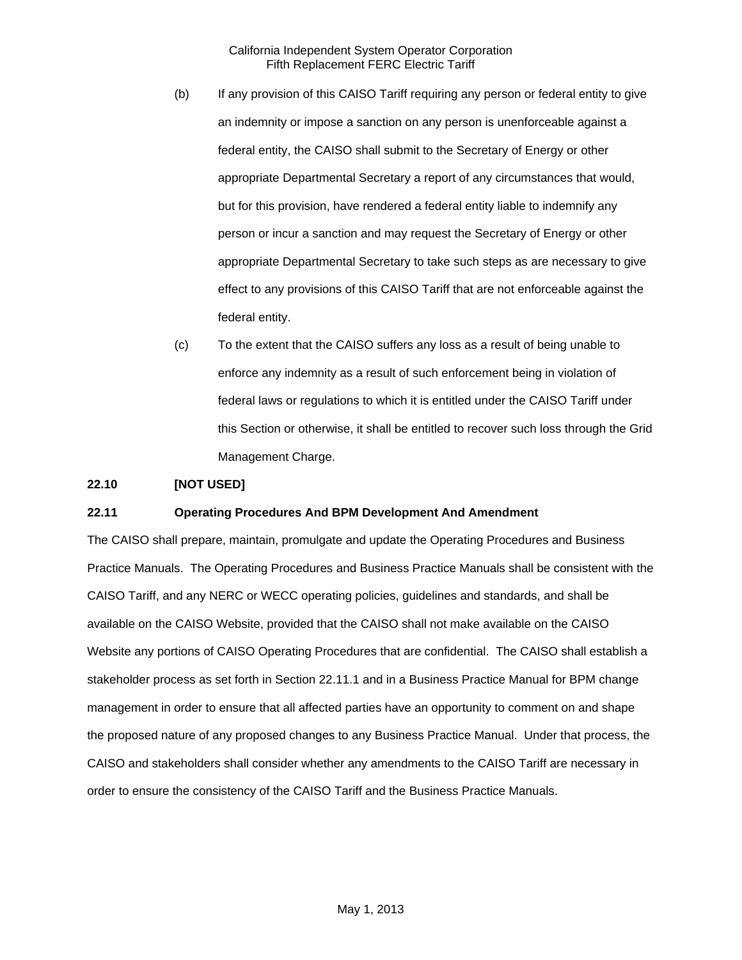- (b) If any provision of this CAISO Tariff requiring any person or federal entity to give an indemnity or impose a sanction on any person is unenforceable against a federal entity, the CAISO shall submit to the Secretary of Energy or other appropriate Departmental Secretary a report of any circumstances that would, but for this provision, have rendered a federal entity liable to indemnify any person or incur a sanction and may request the Secretary of Energy or other appropriate Departmental Secretary to take such steps as are necessary to give effect to any provisions of this CAISO Tariff that are not enforceable against the federal entity.
- (c) To the extent that the CAISO suffers any loss as a result of being unable to enforce any indemnity as a result of such enforcement being in violation of federal laws or regulations to which it is entitled under the CAISO Tariff under this Section or otherwise, it shall be entitled to recover such loss through the Grid Management Charge.

### **22.10 [NOT USED]**

### **22.11 Operating Procedures And BPM Development And Amendment**

The CAISO shall prepare, maintain, promulgate and update the Operating Procedures and Business Practice Manuals. The Operating Procedures and Business Practice Manuals shall be consistent with the CAISO Tariff, and any NERC or WECC operating policies, guidelines and standards, and shall be available on the CAISO Website, provided that the CAISO shall not make available on the CAISO Website any portions of CAISO Operating Procedures that are confidential. The CAISO shall establish a stakeholder process as set forth in Section 22.11.1 and in a Business Practice Manual for BPM change management in order to ensure that all affected parties have an opportunity to comment on and shape the proposed nature of any proposed changes to any Business Practice Manual. Under that process, the CAISO and stakeholders shall consider whether any amendments to the CAISO Tariff are necessary in order to ensure the consistency of the CAISO Tariff and the Business Practice Manuals.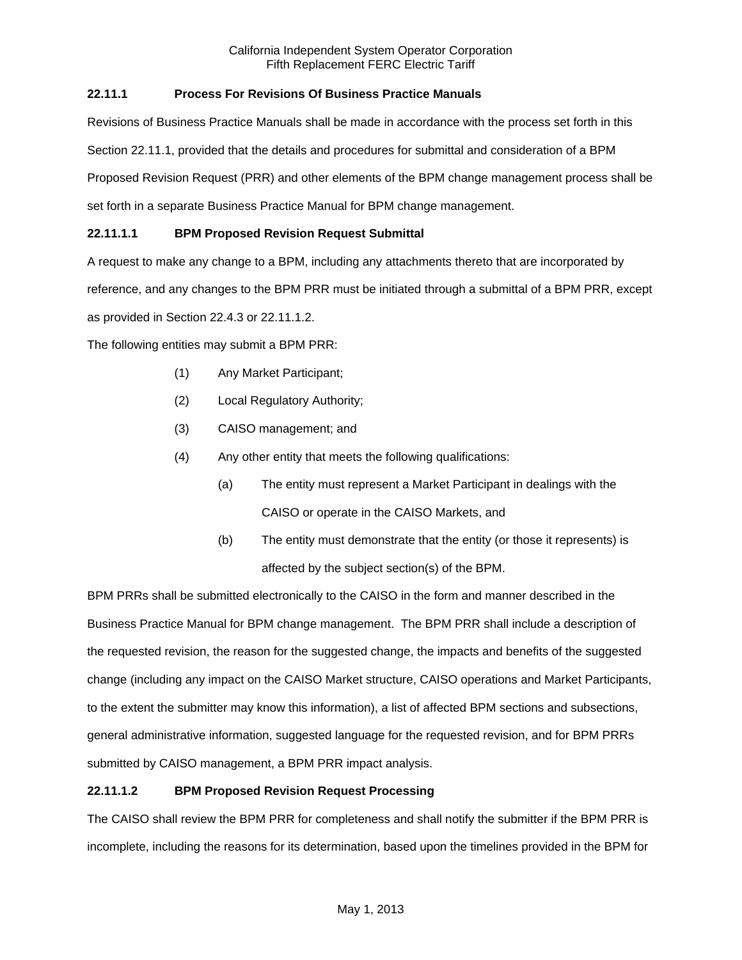# **22.11.1 Process For Revisions Of Business Practice Manuals**

Revisions of Business Practice Manuals shall be made in accordance with the process set forth in this Section 22.11.1, provided that the details and procedures for submittal and consideration of a BPM Proposed Revision Request (PRR) and other elements of the BPM change management process shall be set forth in a separate Business Practice Manual for BPM change management.

# **22.11.1.1 BPM Proposed Revision Request Submittal**

A request to make any change to a BPM, including any attachments thereto that are incorporated by

reference, and any changes to the BPM PRR must be initiated through a submittal of a BPM PRR, except

as provided in Section 22.4.3 or 22.11.1.2.

The following entities may submit a BPM PRR:

- (1) Any Market Participant;
- (2) Local Regulatory Authority;
- (3) CAISO management; and
- (4) Any other entity that meets the following qualifications:
	- (a) The entity must represent a Market Participant in dealings with the CAISO or operate in the CAISO Markets, and
	- (b) The entity must demonstrate that the entity (or those it represents) is affected by the subject section(s) of the BPM.

BPM PRRs shall be submitted electronically to the CAISO in the form and manner described in the Business Practice Manual for BPM change management. The BPM PRR shall include a description of the requested revision, the reason for the suggested change, the impacts and benefits of the suggested change (including any impact on the CAISO Market structure, CAISO operations and Market Participants, to the extent the submitter may know this information), a list of affected BPM sections and subsections, general administrative information, suggested language for the requested revision, and for BPM PRRs submitted by CAISO management, a BPM PRR impact analysis.

# **22.11.1.2 BPM Proposed Revision Request Processing**

The CAISO shall review the BPM PRR for completeness and shall notify the submitter if the BPM PRR is incomplete, including the reasons for its determination, based upon the timelines provided in the BPM for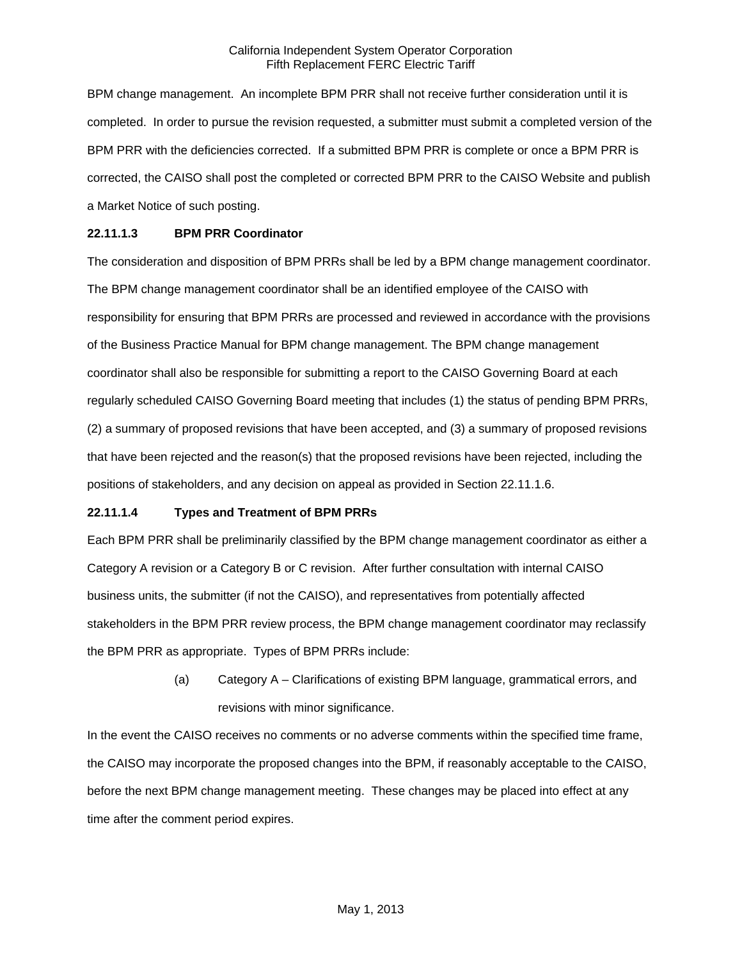BPM change management. An incomplete BPM PRR shall not receive further consideration until it is completed. In order to pursue the revision requested, a submitter must submit a completed version of the BPM PRR with the deficiencies corrected. If a submitted BPM PRR is complete or once a BPM PRR is corrected, the CAISO shall post the completed or corrected BPM PRR to the CAISO Website and publish a Market Notice of such posting.

### **22.11.1.3 BPM PRR Coordinator**

The consideration and disposition of BPM PRRs shall be led by a BPM change management coordinator. The BPM change management coordinator shall be an identified employee of the CAISO with responsibility for ensuring that BPM PRRs are processed and reviewed in accordance with the provisions of the Business Practice Manual for BPM change management. The BPM change management coordinator shall also be responsible for submitting a report to the CAISO Governing Board at each regularly scheduled CAISO Governing Board meeting that includes (1) the status of pending BPM PRRs, (2) a summary of proposed revisions that have been accepted, and (3) a summary of proposed revisions that have been rejected and the reason(s) that the proposed revisions have been rejected, including the positions of stakeholders, and any decision on appeal as provided in Section 22.11.1.6.

### **22.11.1.4 Types and Treatment of BPM PRRs**

Each BPM PRR shall be preliminarily classified by the BPM change management coordinator as either a Category A revision or a Category B or C revision. After further consultation with internal CAISO business units, the submitter (if not the CAISO), and representatives from potentially affected stakeholders in the BPM PRR review process, the BPM change management coordinator may reclassify the BPM PRR as appropriate. Types of BPM PRRs include:

> (a) Category A – Clarifications of existing BPM language, grammatical errors, and revisions with minor significance.

In the event the CAISO receives no comments or no adverse comments within the specified time frame, the CAISO may incorporate the proposed changes into the BPM, if reasonably acceptable to the CAISO, before the next BPM change management meeting. These changes may be placed into effect at any time after the comment period expires.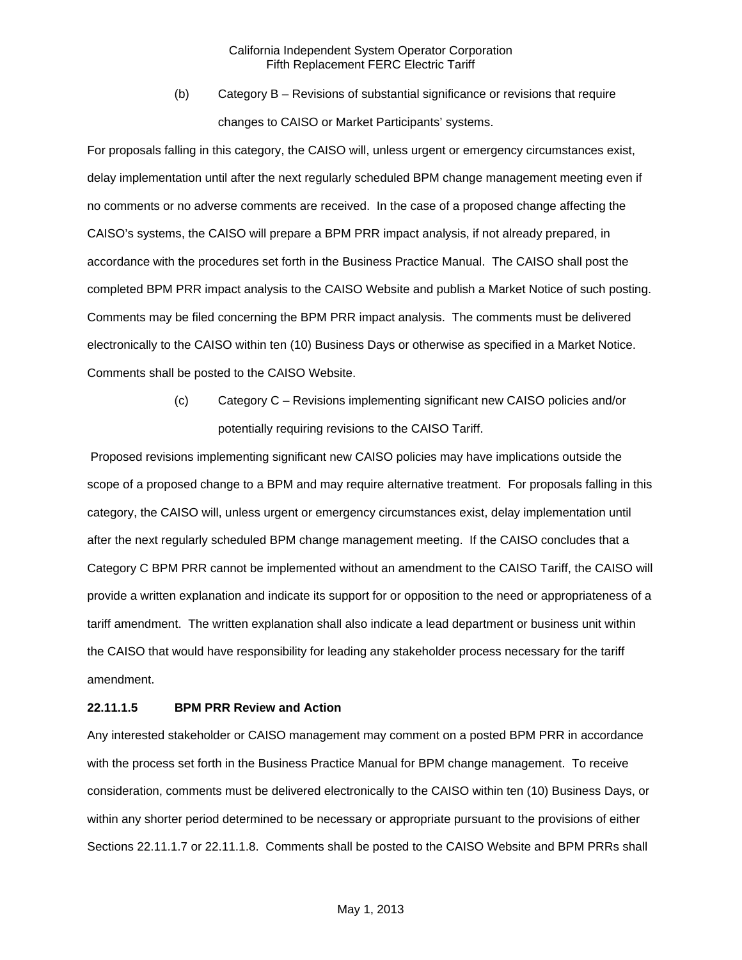(b) Category B – Revisions of substantial significance or revisions that require changes to CAISO or Market Participants' systems.

For proposals falling in this category, the CAISO will, unless urgent or emergency circumstances exist, delay implementation until after the next regularly scheduled BPM change management meeting even if no comments or no adverse comments are received. In the case of a proposed change affecting the CAISO's systems, the CAISO will prepare a BPM PRR impact analysis, if not already prepared, in accordance with the procedures set forth in the Business Practice Manual. The CAISO shall post the completed BPM PRR impact analysis to the CAISO Website and publish a Market Notice of such posting. Comments may be filed concerning the BPM PRR impact analysis. The comments must be delivered electronically to the CAISO within ten (10) Business Days or otherwise as specified in a Market Notice. Comments shall be posted to the CAISO Website.

> (c) Category C – Revisions implementing significant new CAISO policies and/or potentially requiring revisions to the CAISO Tariff.

 Proposed revisions implementing significant new CAISO policies may have implications outside the scope of a proposed change to a BPM and may require alternative treatment. For proposals falling in this category, the CAISO will, unless urgent or emergency circumstances exist, delay implementation until after the next regularly scheduled BPM change management meeting. If the CAISO concludes that a Category C BPM PRR cannot be implemented without an amendment to the CAISO Tariff, the CAISO will provide a written explanation and indicate its support for or opposition to the need or appropriateness of a tariff amendment. The written explanation shall also indicate a lead department or business unit within the CAISO that would have responsibility for leading any stakeholder process necessary for the tariff amendment.

### **22.11.1.5 BPM PRR Review and Action**

Any interested stakeholder or CAISO management may comment on a posted BPM PRR in accordance with the process set forth in the Business Practice Manual for BPM change management. To receive consideration, comments must be delivered electronically to the CAISO within ten (10) Business Days, or within any shorter period determined to be necessary or appropriate pursuant to the provisions of either Sections 22.11.1.7 or 22.11.1.8. Comments shall be posted to the CAISO Website and BPM PRRs shall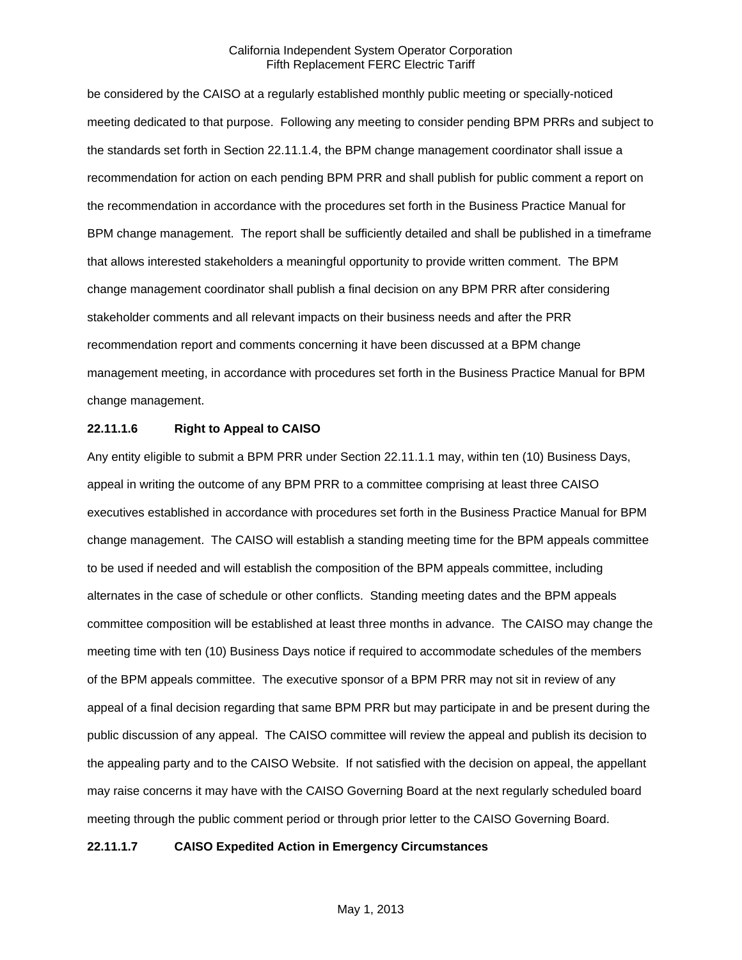be considered by the CAISO at a regularly established monthly public meeting or specially-noticed meeting dedicated to that purpose. Following any meeting to consider pending BPM PRRs and subject to the standards set forth in Section 22.11.1.4, the BPM change management coordinator shall issue a recommendation for action on each pending BPM PRR and shall publish for public comment a report on the recommendation in accordance with the procedures set forth in the Business Practice Manual for BPM change management. The report shall be sufficiently detailed and shall be published in a timeframe that allows interested stakeholders a meaningful opportunity to provide written comment. The BPM change management coordinator shall publish a final decision on any BPM PRR after considering stakeholder comments and all relevant impacts on their business needs and after the PRR recommendation report and comments concerning it have been discussed at a BPM change management meeting, in accordance with procedures set forth in the Business Practice Manual for BPM change management.

### **22.11.1.6 Right to Appeal to CAISO**

Any entity eligible to submit a BPM PRR under Section 22.11.1.1 may, within ten (10) Business Days, appeal in writing the outcome of any BPM PRR to a committee comprising at least three CAISO executives established in accordance with procedures set forth in the Business Practice Manual for BPM change management. The CAISO will establish a standing meeting time for the BPM appeals committee to be used if needed and will establish the composition of the BPM appeals committee, including alternates in the case of schedule or other conflicts. Standing meeting dates and the BPM appeals committee composition will be established at least three months in advance. The CAISO may change the meeting time with ten (10) Business Days notice if required to accommodate schedules of the members of the BPM appeals committee. The executive sponsor of a BPM PRR may not sit in review of any appeal of a final decision regarding that same BPM PRR but may participate in and be present during the public discussion of any appeal. The CAISO committee will review the appeal and publish its decision to the appealing party and to the CAISO Website. If not satisfied with the decision on appeal, the appellant may raise concerns it may have with the CAISO Governing Board at the next regularly scheduled board meeting through the public comment period or through prior letter to the CAISO Governing Board.

### **22.11.1.7 CAISO Expedited Action in Emergency Circumstances**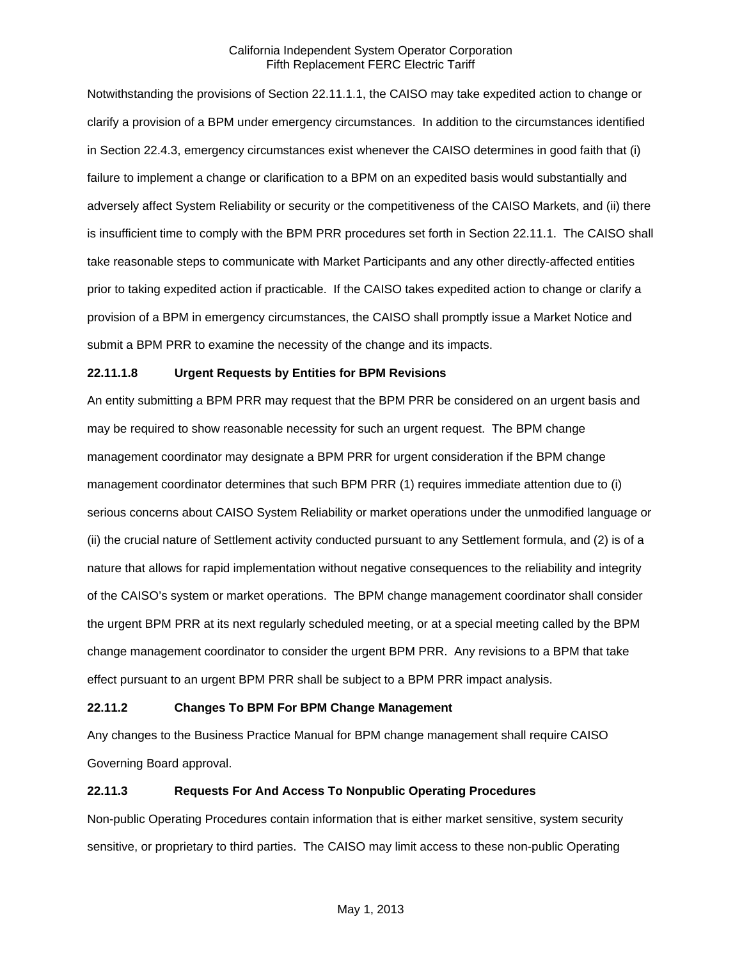Notwithstanding the provisions of Section 22.11.1.1, the CAISO may take expedited action to change or clarify a provision of a BPM under emergency circumstances. In addition to the circumstances identified in Section 22.4.3, emergency circumstances exist whenever the CAISO determines in good faith that (i) failure to implement a change or clarification to a BPM on an expedited basis would substantially and adversely affect System Reliability or security or the competitiveness of the CAISO Markets, and (ii) there is insufficient time to comply with the BPM PRR procedures set forth in Section 22.11.1. The CAISO shall take reasonable steps to communicate with Market Participants and any other directly-affected entities prior to taking expedited action if practicable. If the CAISO takes expedited action to change or clarify a provision of a BPM in emergency circumstances, the CAISO shall promptly issue a Market Notice and submit a BPM PRR to examine the necessity of the change and its impacts.

### **22.11.1.8 Urgent Requests by Entities for BPM Revisions**

An entity submitting a BPM PRR may request that the BPM PRR be considered on an urgent basis and may be required to show reasonable necessity for such an urgent request. The BPM change management coordinator may designate a BPM PRR for urgent consideration if the BPM change management coordinator determines that such BPM PRR (1) requires immediate attention due to (i) serious concerns about CAISO System Reliability or market operations under the unmodified language or (ii) the crucial nature of Settlement activity conducted pursuant to any Settlement formula, and (2) is of a nature that allows for rapid implementation without negative consequences to the reliability and integrity of the CAISO's system or market operations. The BPM change management coordinator shall consider the urgent BPM PRR at its next regularly scheduled meeting, or at a special meeting called by the BPM change management coordinator to consider the urgent BPM PRR. Any revisions to a BPM that take effect pursuant to an urgent BPM PRR shall be subject to a BPM PRR impact analysis.

### **22.11.2 Changes To BPM For BPM Change Management**

Any changes to the Business Practice Manual for BPM change management shall require CAISO Governing Board approval.

### **22.11.3 Requests For And Access To Nonpublic Operating Procedures**

Non-public Operating Procedures contain information that is either market sensitive, system security sensitive, or proprietary to third parties. The CAISO may limit access to these non-public Operating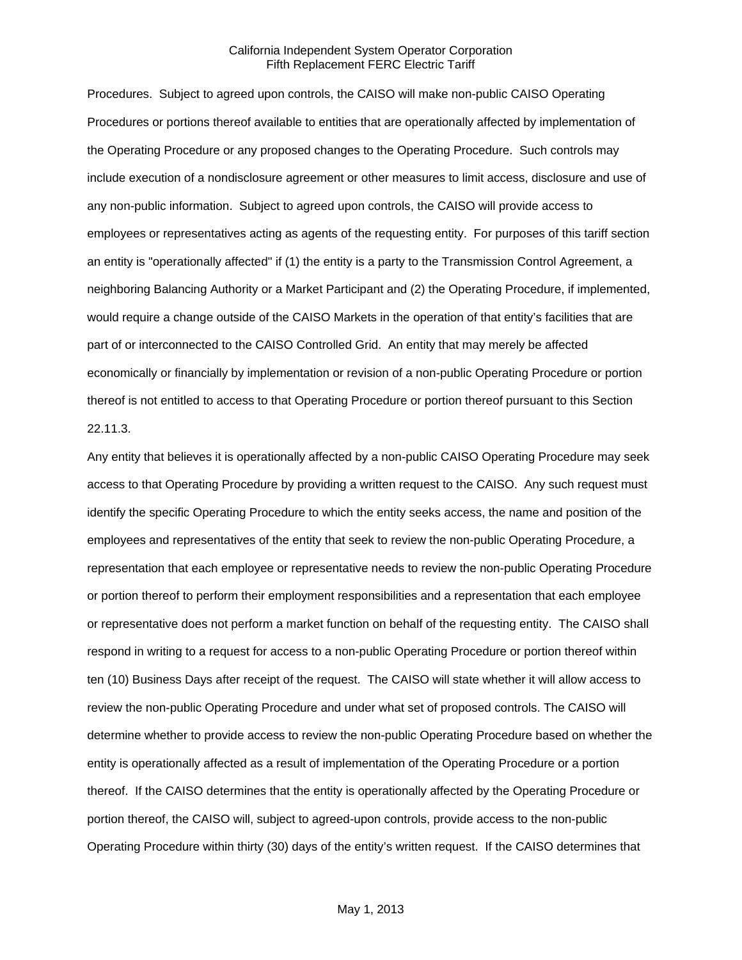Procedures. Subject to agreed upon controls, the CAISO will make non-public CAISO Operating Procedures or portions thereof available to entities that are operationally affected by implementation of the Operating Procedure or any proposed changes to the Operating Procedure. Such controls may include execution of a nondisclosure agreement or other measures to limit access, disclosure and use of any non-public information. Subject to agreed upon controls, the CAISO will provide access to employees or representatives acting as agents of the requesting entity. For purposes of this tariff section an entity is "operationally affected" if (1) the entity is a party to the Transmission Control Agreement, a neighboring Balancing Authority or a Market Participant and (2) the Operating Procedure, if implemented, would require a change outside of the CAISO Markets in the operation of that entity's facilities that are part of or interconnected to the CAISO Controlled Grid. An entity that may merely be affected economically or financially by implementation or revision of a non-public Operating Procedure or portion thereof is not entitled to access to that Operating Procedure or portion thereof pursuant to this Section 22.11.3.

Any entity that believes it is operationally affected by a non-public CAISO Operating Procedure may seek access to that Operating Procedure by providing a written request to the CAISO. Any such request must identify the specific Operating Procedure to which the entity seeks access, the name and position of the employees and representatives of the entity that seek to review the non-public Operating Procedure, a representation that each employee or representative needs to review the non-public Operating Procedure or portion thereof to perform their employment responsibilities and a representation that each employee or representative does not perform a market function on behalf of the requesting entity. The CAISO shall respond in writing to a request for access to a non-public Operating Procedure or portion thereof within ten (10) Business Days after receipt of the request. The CAISO will state whether it will allow access to review the non-public Operating Procedure and under what set of proposed controls. The CAISO will determine whether to provide access to review the non-public Operating Procedure based on whether the entity is operationally affected as a result of implementation of the Operating Procedure or a portion thereof. If the CAISO determines that the entity is operationally affected by the Operating Procedure or portion thereof, the CAISO will, subject to agreed-upon controls, provide access to the non-public Operating Procedure within thirty (30) days of the entity's written request. If the CAISO determines that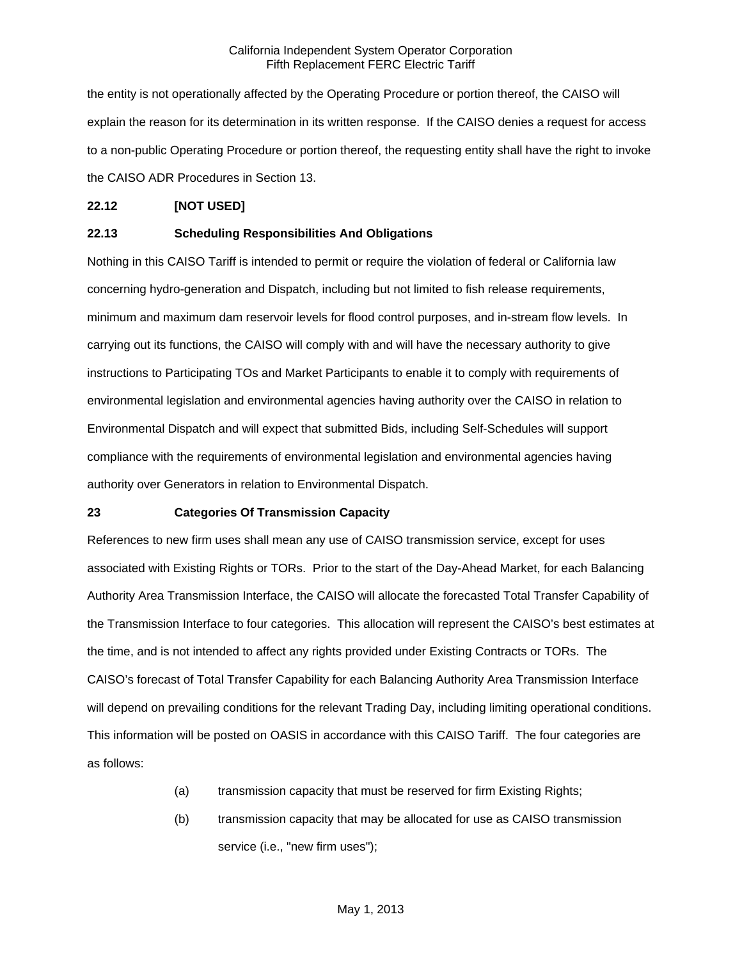the entity is not operationally affected by the Operating Procedure or portion thereof, the CAISO will explain the reason for its determination in its written response. If the CAISO denies a request for access to a non-public Operating Procedure or portion thereof, the requesting entity shall have the right to invoke the CAISO ADR Procedures in Section 13.

### **22.12 [NOT USED]**

### **22.13 Scheduling Responsibilities And Obligations**

Nothing in this CAISO Tariff is intended to permit or require the violation of federal or California law concerning hydro-generation and Dispatch, including but not limited to fish release requirements, minimum and maximum dam reservoir levels for flood control purposes, and in-stream flow levels. In carrying out its functions, the CAISO will comply with and will have the necessary authority to give instructions to Participating TOs and Market Participants to enable it to comply with requirements of environmental legislation and environmental agencies having authority over the CAISO in relation to Environmental Dispatch and will expect that submitted Bids, including Self-Schedules will support compliance with the requirements of environmental legislation and environmental agencies having authority over Generators in relation to Environmental Dispatch.

### **23 Categories Of Transmission Capacity**

References to new firm uses shall mean any use of CAISO transmission service, except for uses associated with Existing Rights or TORs. Prior to the start of the Day-Ahead Market, for each Balancing Authority Area Transmission Interface, the CAISO will allocate the forecasted Total Transfer Capability of the Transmission Interface to four categories. This allocation will represent the CAISO's best estimates at the time, and is not intended to affect any rights provided under Existing Contracts or TORs. The CAISO's forecast of Total Transfer Capability for each Balancing Authority Area Transmission Interface will depend on prevailing conditions for the relevant Trading Day, including limiting operational conditions. This information will be posted on OASIS in accordance with this CAISO Tariff. The four categories are as follows:

- (a) transmission capacity that must be reserved for firm Existing Rights;
- (b) transmission capacity that may be allocated for use as CAISO transmission service (i.e., "new firm uses");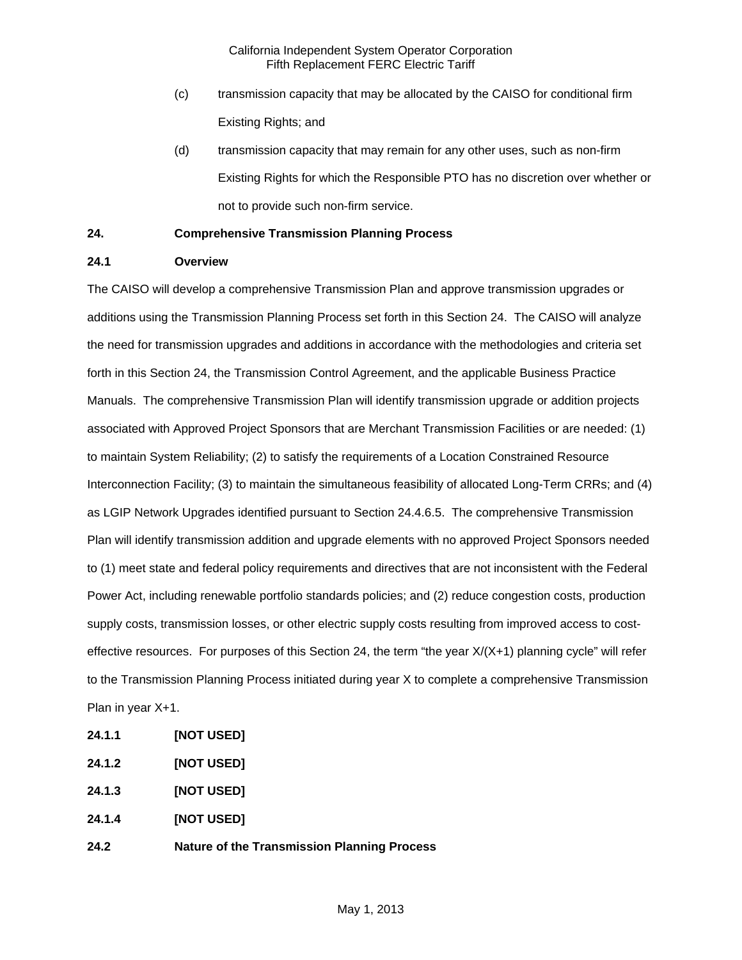- (c) transmission capacity that may be allocated by the CAISO for conditional firm Existing Rights; and
- (d) transmission capacity that may remain for any other uses, such as non-firm Existing Rights for which the Responsible PTO has no discretion over whether or not to provide such non-firm service.

# **24. Comprehensive Transmission Planning Process**

# **24.1 Overview**

The CAISO will develop a comprehensive Transmission Plan and approve transmission upgrades or additions using the Transmission Planning Process set forth in this Section 24. The CAISO will analyze the need for transmission upgrades and additions in accordance with the methodologies and criteria set forth in this Section 24, the Transmission Control Agreement, and the applicable Business Practice Manuals. The comprehensive Transmission Plan will identify transmission upgrade or addition projects associated with Approved Project Sponsors that are Merchant Transmission Facilities or are needed: (1) to maintain System Reliability; (2) to satisfy the requirements of a Location Constrained Resource Interconnection Facility; (3) to maintain the simultaneous feasibility of allocated Long-Term CRRs; and (4) as LGIP Network Upgrades identified pursuant to Section 24.4.6.5. The comprehensive Transmission Plan will identify transmission addition and upgrade elements with no approved Project Sponsors needed to (1) meet state and federal policy requirements and directives that are not inconsistent with the Federal Power Act, including renewable portfolio standards policies; and (2) reduce congestion costs, production supply costs, transmission losses, or other electric supply costs resulting from improved access to costeffective resources. For purposes of this Section 24, the term "the year X/(X+1) planning cycle" will refer to the Transmission Planning Process initiated during year X to complete a comprehensive Transmission Plan in year X+1.

- **24.1.1 [NOT USED]**
- **24.1.2 [NOT USED]**
- **24.1.3 [NOT USED]**
- **24.1.4 [NOT USED]**
- **24.2 Nature of the Transmission Planning Process**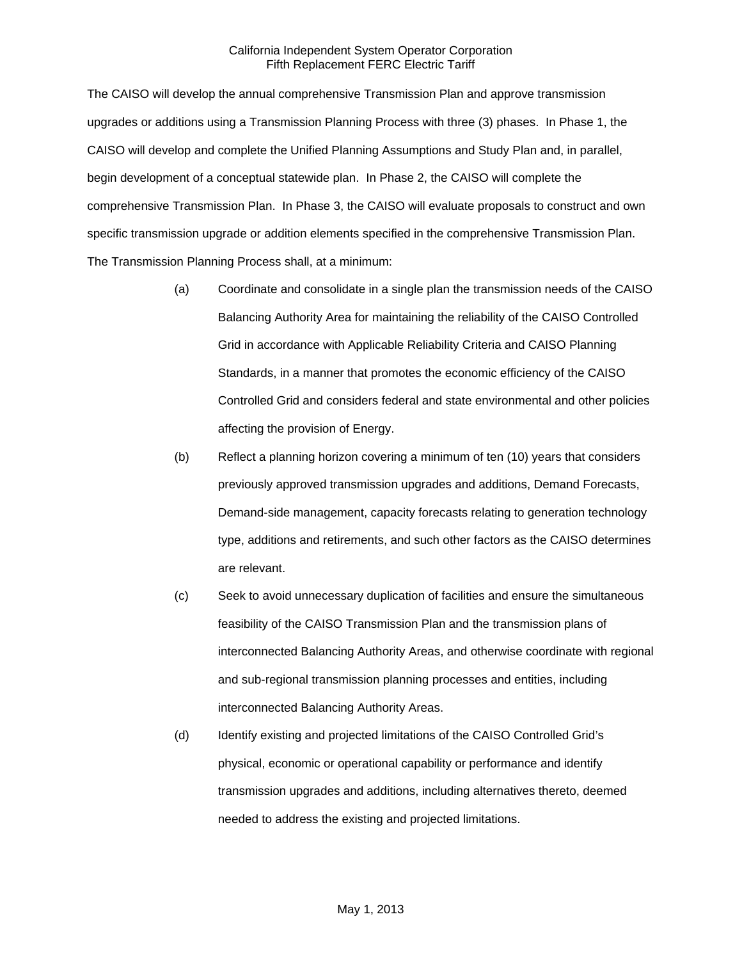The CAISO will develop the annual comprehensive Transmission Plan and approve transmission upgrades or additions using a Transmission Planning Process with three (3) phases. In Phase 1, the CAISO will develop and complete the Unified Planning Assumptions and Study Plan and, in parallel, begin development of a conceptual statewide plan. In Phase 2, the CAISO will complete the comprehensive Transmission Plan. In Phase 3, the CAISO will evaluate proposals to construct and own specific transmission upgrade or addition elements specified in the comprehensive Transmission Plan. The Transmission Planning Process shall, at a minimum:

- (a) Coordinate and consolidate in a single plan the transmission needs of the CAISO Balancing Authority Area for maintaining the reliability of the CAISO Controlled Grid in accordance with Applicable Reliability Criteria and CAISO Planning Standards, in a manner that promotes the economic efficiency of the CAISO Controlled Grid and considers federal and state environmental and other policies affecting the provision of Energy.
- (b) Reflect a planning horizon covering a minimum of ten (10) years that considers previously approved transmission upgrades and additions, Demand Forecasts, Demand-side management, capacity forecasts relating to generation technology type, additions and retirements, and such other factors as the CAISO determines are relevant.
- (c) Seek to avoid unnecessary duplication of facilities and ensure the simultaneous feasibility of the CAISO Transmission Plan and the transmission plans of interconnected Balancing Authority Areas, and otherwise coordinate with regional and sub-regional transmission planning processes and entities, including interconnected Balancing Authority Areas.
- (d) Identify existing and projected limitations of the CAISO Controlled Grid's physical, economic or operational capability or performance and identify transmission upgrades and additions, including alternatives thereto, deemed needed to address the existing and projected limitations.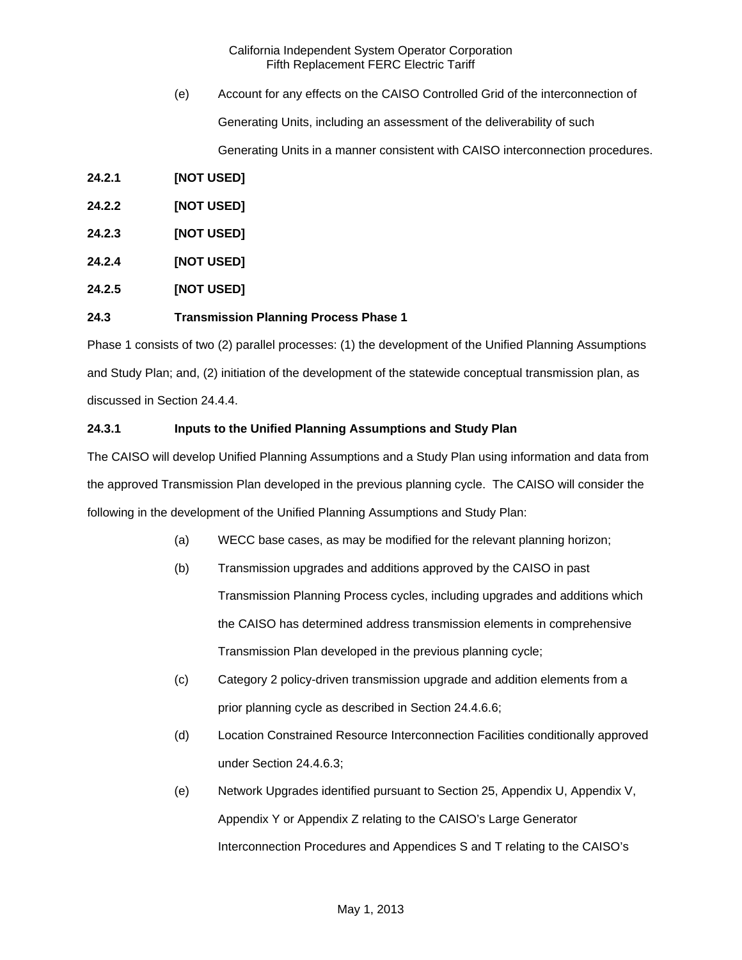(e) Account for any effects on the CAISO Controlled Grid of the interconnection of Generating Units, including an assessment of the deliverability of such

Generating Units in a manner consistent with CAISO interconnection procedures.

**24.2.1 [NOT USED]** 

**24.2.2 [NOT USED]** 

- **24.2.3 [NOT USED]**
- **24.2.4 [NOT USED]**
- **24.2.5 [NOT USED]**

### **24.3 Transmission Planning Process Phase 1**

Phase 1 consists of two (2) parallel processes: (1) the development of the Unified Planning Assumptions and Study Plan; and, (2) initiation of the development of the statewide conceptual transmission plan, as discussed in Section 24.4.4.

### **24.3.1 Inputs to the Unified Planning Assumptions and Study Plan**

The CAISO will develop Unified Planning Assumptions and a Study Plan using information and data from the approved Transmission Plan developed in the previous planning cycle. The CAISO will consider the following in the development of the Unified Planning Assumptions and Study Plan:

- (a) WECC base cases, as may be modified for the relevant planning horizon;
- (b) Transmission upgrades and additions approved by the CAISO in past Transmission Planning Process cycles, including upgrades and additions which the CAISO has determined address transmission elements in comprehensive Transmission Plan developed in the previous planning cycle;
- (c) Category 2 policy-driven transmission upgrade and addition elements from a prior planning cycle as described in Section 24.4.6.6;
- (d) Location Constrained Resource Interconnection Facilities conditionally approved under Section 24.4.6.3;
- (e) Network Upgrades identified pursuant to Section 25, Appendix U, Appendix V, Appendix Y or Appendix Z relating to the CAISO's Large Generator Interconnection Procedures and Appendices S and T relating to the CAISO's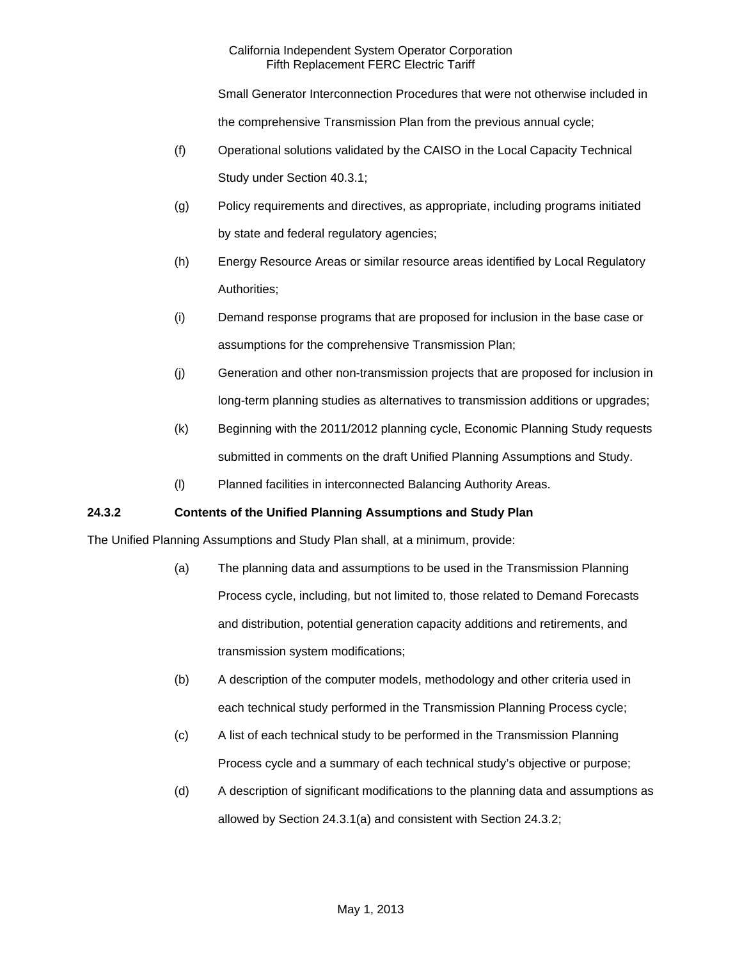Small Generator Interconnection Procedures that were not otherwise included in the comprehensive Transmission Plan from the previous annual cycle;

- (f) Operational solutions validated by the CAISO in the Local Capacity Technical Study under Section 40.3.1;
- (g) Policy requirements and directives, as appropriate, including programs initiated by state and federal regulatory agencies;
- (h) Energy Resource Areas or similar resource areas identified by Local Regulatory Authorities;
- (i) Demand response programs that are proposed for inclusion in the base case or assumptions for the comprehensive Transmission Plan;
- (j) Generation and other non-transmission projects that are proposed for inclusion in long-term planning studies as alternatives to transmission additions or upgrades;
- (k) Beginning with the 2011/2012 planning cycle, Economic Planning Study requests submitted in comments on the draft Unified Planning Assumptions and Study.
- (l) Planned facilities in interconnected Balancing Authority Areas.

# **24.3.2 Contents of the Unified Planning Assumptions and Study Plan**

The Unified Planning Assumptions and Study Plan shall, at a minimum, provide:

- (a) The planning data and assumptions to be used in the Transmission Planning Process cycle, including, but not limited to, those related to Demand Forecasts and distribution, potential generation capacity additions and retirements, and transmission system modifications;
- (b) A description of the computer models, methodology and other criteria used in each technical study performed in the Transmission Planning Process cycle;
- (c) A list of each technical study to be performed in the Transmission Planning Process cycle and a summary of each technical study's objective or purpose;
- (d) A description of significant modifications to the planning data and assumptions as allowed by Section 24.3.1(a) and consistent with Section 24.3.2;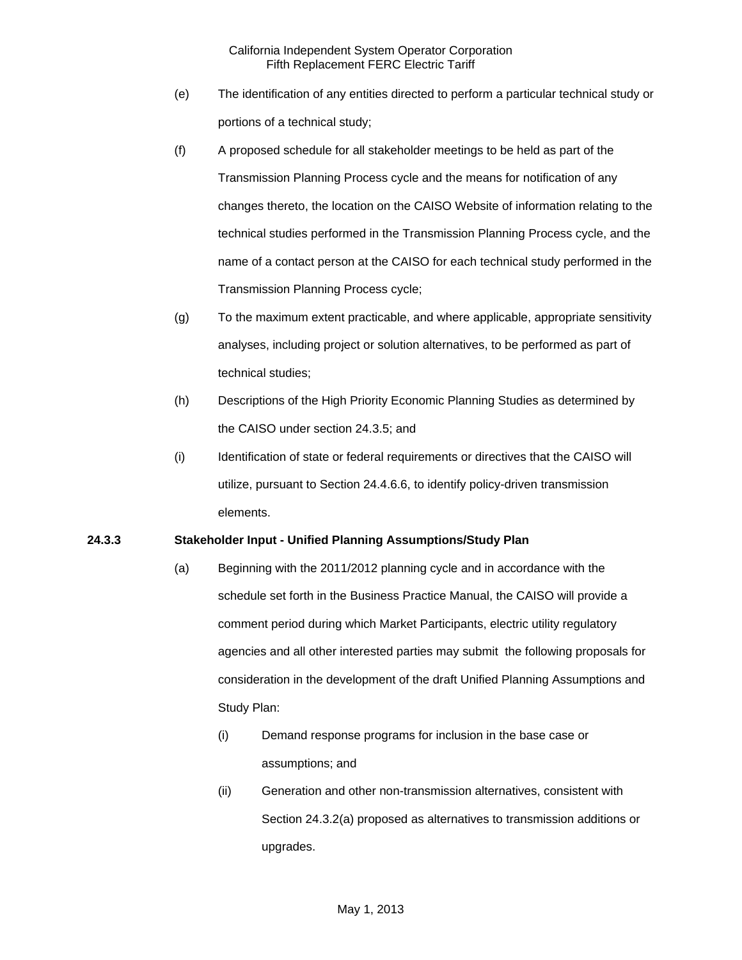- (e) The identification of any entities directed to perform a particular technical study or portions of a technical study;
- (f) A proposed schedule for all stakeholder meetings to be held as part of the Transmission Planning Process cycle and the means for notification of any changes thereto, the location on the CAISO Website of information relating to the technical studies performed in the Transmission Planning Process cycle, and the name of a contact person at the CAISO for each technical study performed in the Transmission Planning Process cycle;
- (g) To the maximum extent practicable, and where applicable, appropriate sensitivity analyses, including project or solution alternatives, to be performed as part of technical studies;
- (h) Descriptions of the High Priority Economic Planning Studies as determined by the CAISO under section 24.3.5; and
- (i) Identification of state or federal requirements or directives that the CAISO will utilize, pursuant to Section 24.4.6.6, to identify policy-driven transmission elements.

# **24.3.3 Stakeholder Input - Unified Planning Assumptions/Study Plan**

- (a) Beginning with the 2011/2012 planning cycle and in accordance with the schedule set forth in the Business Practice Manual, the CAISO will provide a comment period during which Market Participants, electric utility regulatory agencies and all other interested parties may submit the following proposals for consideration in the development of the draft Unified Planning Assumptions and Study Plan:
	- (i) Demand response programs for inclusion in the base case or assumptions; and
	- (ii) Generation and other non-transmission alternatives, consistent with Section 24.3.2(a) proposed as alternatives to transmission additions or upgrades.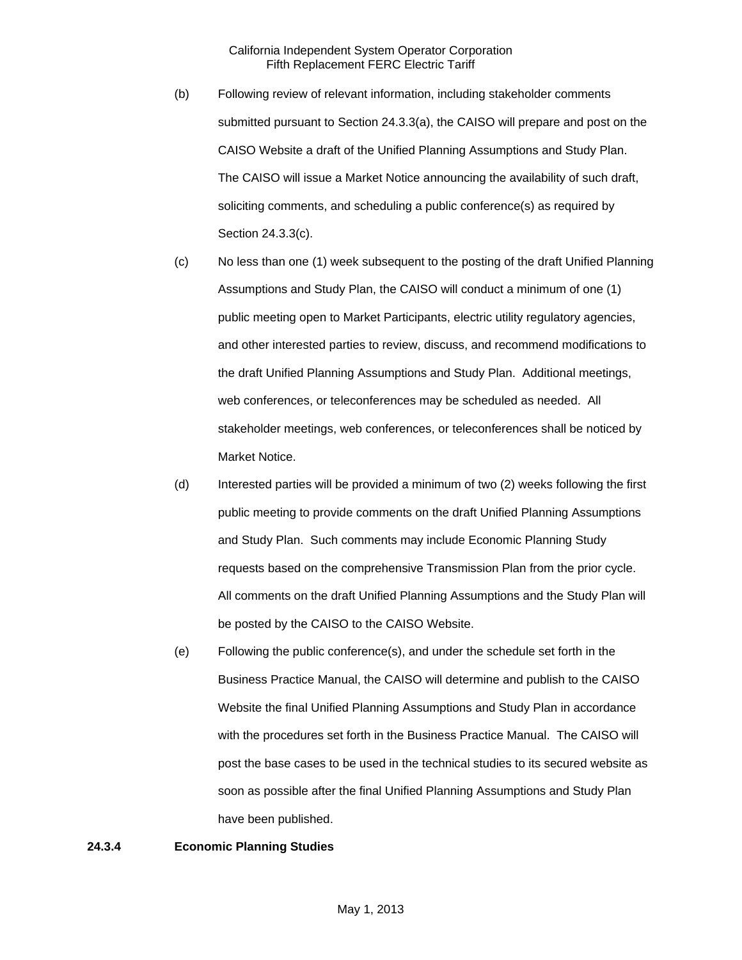- (b) Following review of relevant information, including stakeholder comments submitted pursuant to Section 24.3.3(a), the CAISO will prepare and post on the CAISO Website a draft of the Unified Planning Assumptions and Study Plan. The CAISO will issue a Market Notice announcing the availability of such draft, soliciting comments, and scheduling a public conference(s) as required by Section 24.3.3(c).
- (c) No less than one (1) week subsequent to the posting of the draft Unified Planning Assumptions and Study Plan, the CAISO will conduct a minimum of one (1) public meeting open to Market Participants, electric utility regulatory agencies, and other interested parties to review, discuss, and recommend modifications to the draft Unified Planning Assumptions and Study Plan. Additional meetings, web conferences, or teleconferences may be scheduled as needed. All stakeholder meetings, web conferences, or teleconferences shall be noticed by Market Notice.
- (d) Interested parties will be provided a minimum of two (2) weeks following the first public meeting to provide comments on the draft Unified Planning Assumptions and Study Plan. Such comments may include Economic Planning Study requests based on the comprehensive Transmission Plan from the prior cycle. All comments on the draft Unified Planning Assumptions and the Study Plan will be posted by the CAISO to the CAISO Website.
- (e) Following the public conference(s), and under the schedule set forth in the Business Practice Manual, the CAISO will determine and publish to the CAISO Website the final Unified Planning Assumptions and Study Plan in accordance with the procedures set forth in the Business Practice Manual. The CAISO will post the base cases to be used in the technical studies to its secured website as soon as possible after the final Unified Planning Assumptions and Study Plan have been published.

### **24.3.4 Economic Planning Studies**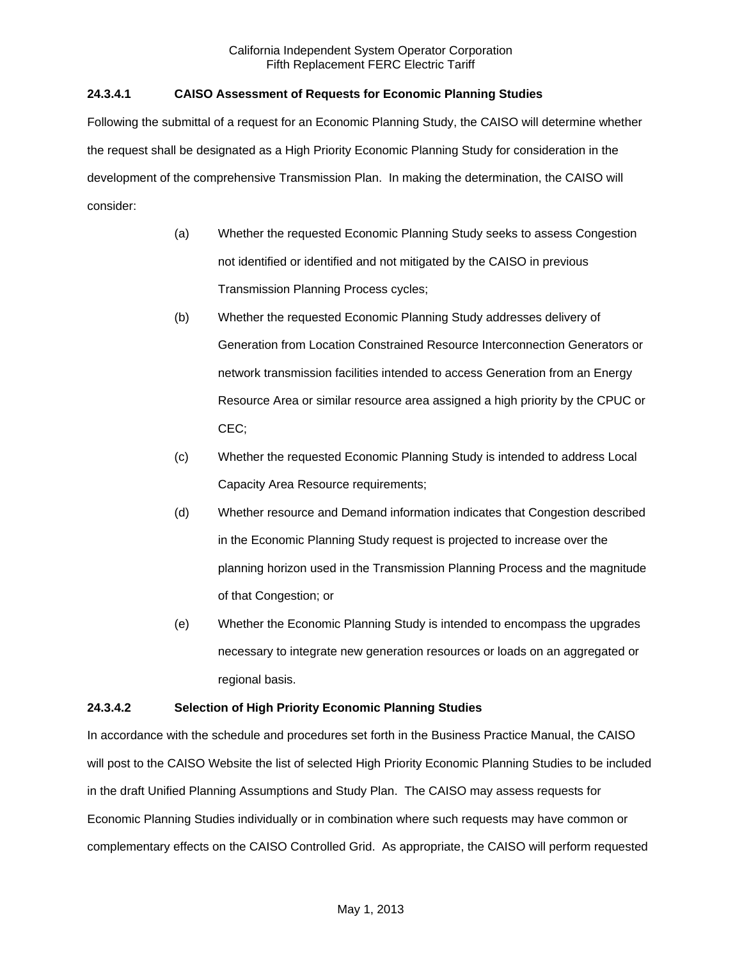# **24.3.4.1 CAISO Assessment of Requests for Economic Planning Studies**

Following the submittal of a request for an Economic Planning Study, the CAISO will determine whether the request shall be designated as a High Priority Economic Planning Study for consideration in the development of the comprehensive Transmission Plan. In making the determination, the CAISO will consider:

- (a) Whether the requested Economic Planning Study seeks to assess Congestion not identified or identified and not mitigated by the CAISO in previous Transmission Planning Process cycles;
- (b) Whether the requested Economic Planning Study addresses delivery of Generation from Location Constrained Resource Interconnection Generators or network transmission facilities intended to access Generation from an Energy Resource Area or similar resource area assigned a high priority by the CPUC or CEC;
- (c) Whether the requested Economic Planning Study is intended to address Local Capacity Area Resource requirements;
- (d) Whether resource and Demand information indicates that Congestion described in the Economic Planning Study request is projected to increase over the planning horizon used in the Transmission Planning Process and the magnitude of that Congestion; or
- (e) Whether the Economic Planning Study is intended to encompass the upgrades necessary to integrate new generation resources or loads on an aggregated or regional basis.

# **24.3.4.2 Selection of High Priority Economic Planning Studies**

In accordance with the schedule and procedures set forth in the Business Practice Manual, the CAISO will post to the CAISO Website the list of selected High Priority Economic Planning Studies to be included in the draft Unified Planning Assumptions and Study Plan. The CAISO may assess requests for Economic Planning Studies individually or in combination where such requests may have common or complementary effects on the CAISO Controlled Grid. As appropriate, the CAISO will perform requested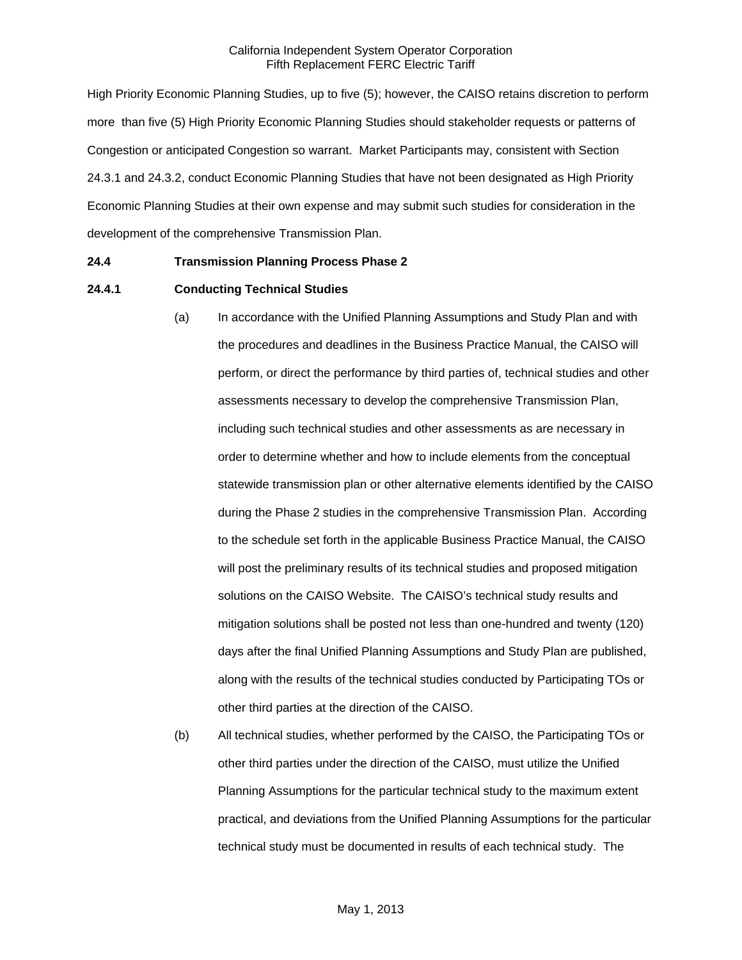High Priority Economic Planning Studies, up to five (5); however, the CAISO retains discretion to perform more than five (5) High Priority Economic Planning Studies should stakeholder requests or patterns of Congestion or anticipated Congestion so warrant. Market Participants may, consistent with Section 24.3.1 and 24.3.2, conduct Economic Planning Studies that have not been designated as High Priority Economic Planning Studies at their own expense and may submit such studies for consideration in the development of the comprehensive Transmission Plan.

### **24.4 Transmission Planning Process Phase 2**

### **24.4.1 Conducting Technical Studies**

- (a) In accordance with the Unified Planning Assumptions and Study Plan and with the procedures and deadlines in the Business Practice Manual, the CAISO will perform, or direct the performance by third parties of, technical studies and other assessments necessary to develop the comprehensive Transmission Plan, including such technical studies and other assessments as are necessary in order to determine whether and how to include elements from the conceptual statewide transmission plan or other alternative elements identified by the CAISO during the Phase 2 studies in the comprehensive Transmission Plan. According to the schedule set forth in the applicable Business Practice Manual, the CAISO will post the preliminary results of its technical studies and proposed mitigation solutions on the CAISO Website. The CAISO's technical study results and mitigation solutions shall be posted not less than one-hundred and twenty (120) days after the final Unified Planning Assumptions and Study Plan are published, along with the results of the technical studies conducted by Participating TOs or other third parties at the direction of the CAISO.
- (b) All technical studies, whether performed by the CAISO, the Participating TOs or other third parties under the direction of the CAISO, must utilize the Unified Planning Assumptions for the particular technical study to the maximum extent practical, and deviations from the Unified Planning Assumptions for the particular technical study must be documented in results of each technical study. The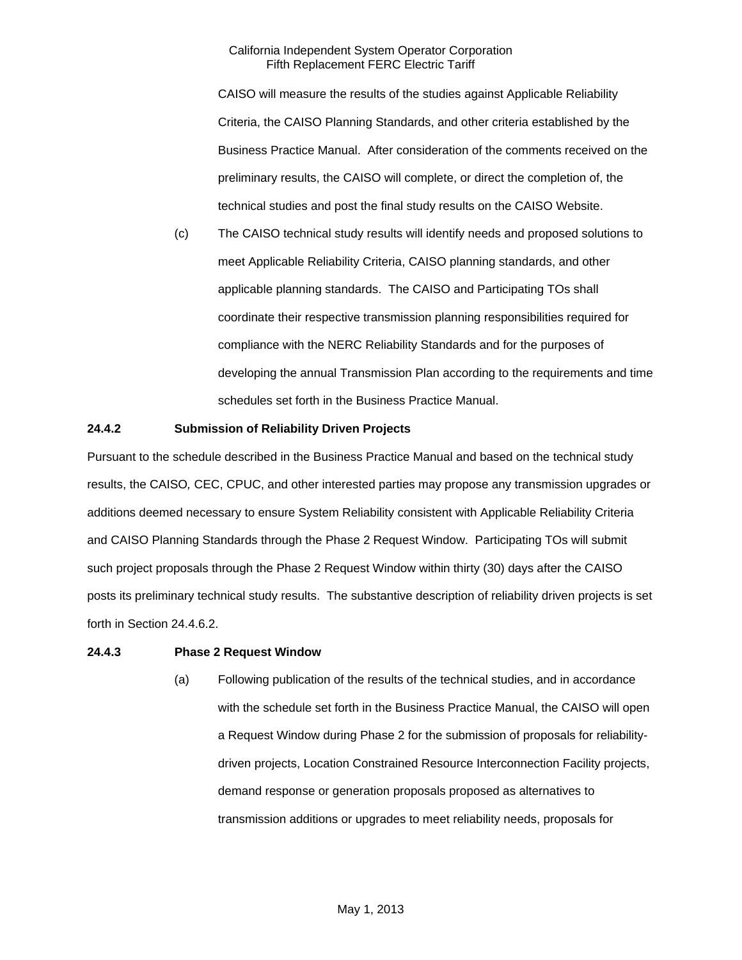CAISO will measure the results of the studies against Applicable Reliability Criteria, the CAISO Planning Standards, and other criteria established by the Business Practice Manual. After consideration of the comments received on the preliminary results, the CAISO will complete, or direct the completion of, the technical studies and post the final study results on the CAISO Website.

(c) The CAISO technical study results will identify needs and proposed solutions to meet Applicable Reliability Criteria, CAISO planning standards, and other applicable planning standards. The CAISO and Participating TOs shall coordinate their respective transmission planning responsibilities required for compliance with the NERC Reliability Standards and for the purposes of developing the annual Transmission Plan according to the requirements and time schedules set forth in the Business Practice Manual.

### **24.4.2 Submission of Reliability Driven Projects**

Pursuant to the schedule described in the Business Practice Manual and based on the technical study results, the CAISO*,* CEC, CPUC, and other interested parties may propose any transmission upgrades or additions deemed necessary to ensure System Reliability consistent with Applicable Reliability Criteria and CAISO Planning Standards through the Phase 2 Request Window. Participating TOs will submit such project proposals through the Phase 2 Request Window within thirty (30) days after the CAISO posts its preliminary technical study results. The substantive description of reliability driven projects is set forth in Section 24.4.6.2.

### **24.4.3 Phase 2 Request Window**

(a) Following publication of the results of the technical studies, and in accordance with the schedule set forth in the Business Practice Manual, the CAISO will open a Request Window during Phase 2 for the submission of proposals for reliabilitydriven projects, Location Constrained Resource Interconnection Facility projects, demand response or generation proposals proposed as alternatives to transmission additions or upgrades to meet reliability needs, proposals for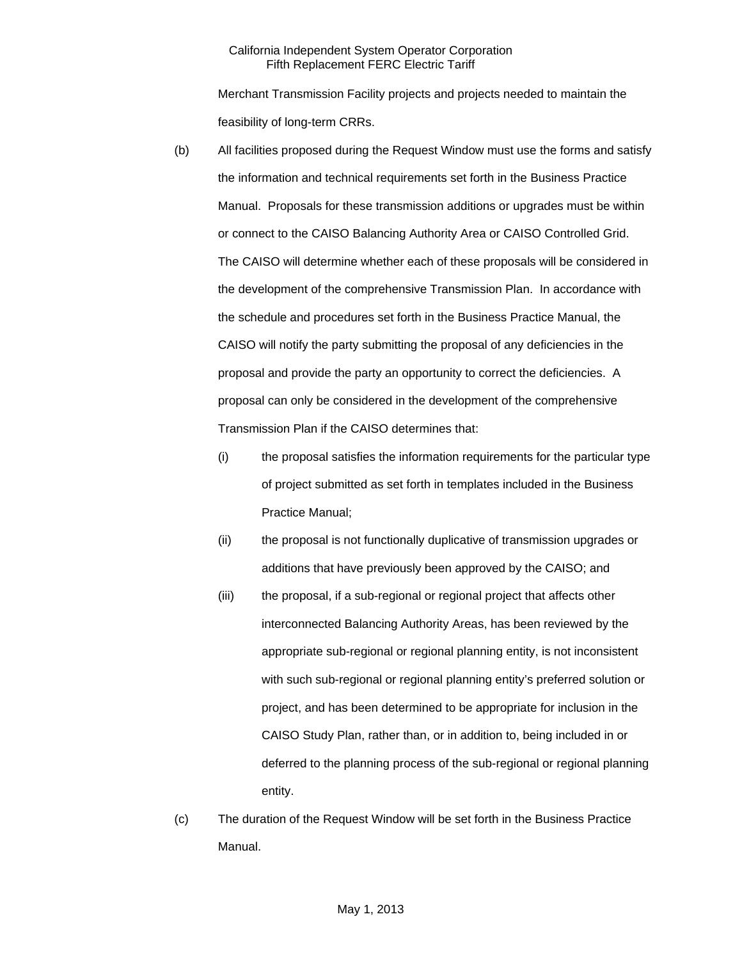Merchant Transmission Facility projects and projects needed to maintain the feasibility of long-term CRRs.

- (b) All facilities proposed during the Request Window must use the forms and satisfy the information and technical requirements set forth in the Business Practice Manual. Proposals for these transmission additions or upgrades must be within or connect to the CAISO Balancing Authority Area or CAISO Controlled Grid. The CAISO will determine whether each of these proposals will be considered in the development of the comprehensive Transmission Plan. In accordance with the schedule and procedures set forth in the Business Practice Manual, the CAISO will notify the party submitting the proposal of any deficiencies in the proposal and provide the party an opportunity to correct the deficiencies. A proposal can only be considered in the development of the comprehensive Transmission Plan if the CAISO determines that:
	- (i) the proposal satisfies the information requirements for the particular type of project submitted as set forth in templates included in the Business Practice Manual;
	- (ii) the proposal is not functionally duplicative of transmission upgrades or additions that have previously been approved by the CAISO; and
	- (iii) the proposal, if a sub-regional or regional project that affects other interconnected Balancing Authority Areas, has been reviewed by the appropriate sub-regional or regional planning entity, is not inconsistent with such sub-regional or regional planning entity's preferred solution or project, and has been determined to be appropriate for inclusion in the CAISO Study Plan, rather than, or in addition to, being included in or deferred to the planning process of the sub-regional or regional planning entity.
- (c) The duration of the Request Window will be set forth in the Business Practice Manual.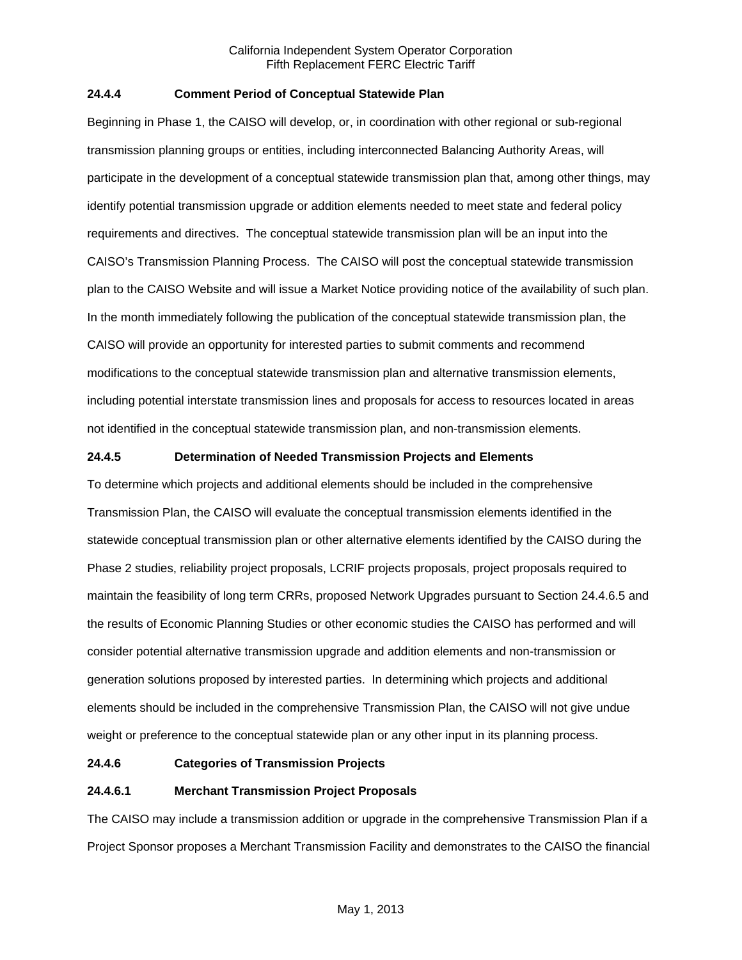## **24.4.4 Comment Period of Conceptual Statewide Plan**

Beginning in Phase 1, the CAISO will develop, or, in coordination with other regional or sub-regional transmission planning groups or entities, including interconnected Balancing Authority Areas, will participate in the development of a conceptual statewide transmission plan that, among other things, may identify potential transmission upgrade or addition elements needed to meet state and federal policy requirements and directives. The conceptual statewide transmission plan will be an input into the CAISO's Transmission Planning Process. The CAISO will post the conceptual statewide transmission plan to the CAISO Website and will issue a Market Notice providing notice of the availability of such plan. In the month immediately following the publication of the conceptual statewide transmission plan, the CAISO will provide an opportunity for interested parties to submit comments and recommend modifications to the conceptual statewide transmission plan and alternative transmission elements, including potential interstate transmission lines and proposals for access to resources located in areas not identified in the conceptual statewide transmission plan, and non-transmission elements.

## **24.4.5 Determination of Needed Transmission Projects and Elements**

To determine which projects and additional elements should be included in the comprehensive Transmission Plan, the CAISO will evaluate the conceptual transmission elements identified in the statewide conceptual transmission plan or other alternative elements identified by the CAISO during the Phase 2 studies, reliability project proposals, LCRIF projects proposals, project proposals required to maintain the feasibility of long term CRRs, proposed Network Upgrades pursuant to Section 24.4.6.5 and the results of Economic Planning Studies or other economic studies the CAISO has performed and will consider potential alternative transmission upgrade and addition elements and non-transmission or generation solutions proposed by interested parties. In determining which projects and additional elements should be included in the comprehensive Transmission Plan, the CAISO will not give undue weight or preference to the conceptual statewide plan or any other input in its planning process.

## **24.4.6 Categories of Transmission Projects**

# **24.4.6.1 Merchant Transmission Project Proposals**

The CAISO may include a transmission addition or upgrade in the comprehensive Transmission Plan if a Project Sponsor proposes a Merchant Transmission Facility and demonstrates to the CAISO the financial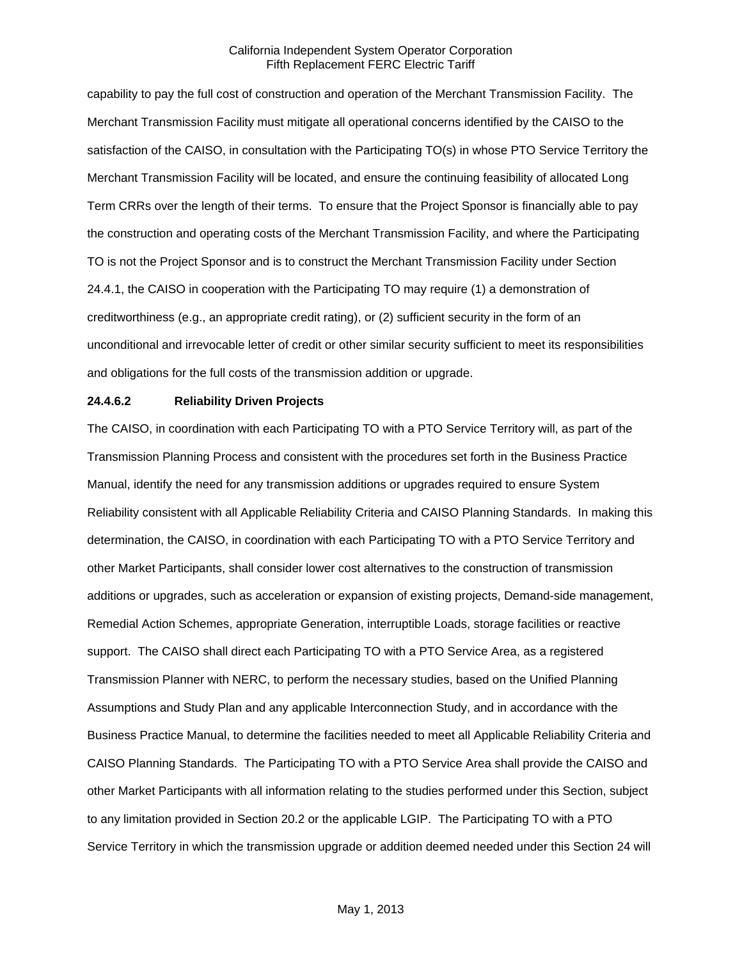capability to pay the full cost of construction and operation of the Merchant Transmission Facility. The Merchant Transmission Facility must mitigate all operational concerns identified by the CAISO to the satisfaction of the CAISO, in consultation with the Participating TO(s) in whose PTO Service Territory the Merchant Transmission Facility will be located, and ensure the continuing feasibility of allocated Long Term CRRs over the length of their terms. To ensure that the Project Sponsor is financially able to pay the construction and operating costs of the Merchant Transmission Facility, and where the Participating TO is not the Project Sponsor and is to construct the Merchant Transmission Facility under Section 24.4.1, the CAISO in cooperation with the Participating TO may require (1) a demonstration of creditworthiness (e.g., an appropriate credit rating), or (2) sufficient security in the form of an unconditional and irrevocable letter of credit or other similar security sufficient to meet its responsibilities and obligations for the full costs of the transmission addition or upgrade.

#### **24.4.6.2 Reliability Driven Projects**

The CAISO, in coordination with each Participating TO with a PTO Service Territory will, as part of the Transmission Planning Process and consistent with the procedures set forth in the Business Practice Manual, identify the need for any transmission additions or upgrades required to ensure System Reliability consistent with all Applicable Reliability Criteria and CAISO Planning Standards. In making this determination, the CAISO, in coordination with each Participating TO with a PTO Service Territory and other Market Participants, shall consider lower cost alternatives to the construction of transmission additions or upgrades, such as acceleration or expansion of existing projects, Demand-side management, Remedial Action Schemes, appropriate Generation, interruptible Loads, storage facilities or reactive support. The CAISO shall direct each Participating TO with a PTO Service Area, as a registered Transmission Planner with NERC, to perform the necessary studies, based on the Unified Planning Assumptions and Study Plan and any applicable Interconnection Study, and in accordance with the Business Practice Manual, to determine the facilities needed to meet all Applicable Reliability Criteria and CAISO Planning Standards. The Participating TO with a PTO Service Area shall provide the CAISO and other Market Participants with all information relating to the studies performed under this Section, subject to any limitation provided in Section 20.2 or the applicable LGIP. The Participating TO with a PTO Service Territory in which the transmission upgrade or addition deemed needed under this Section 24 will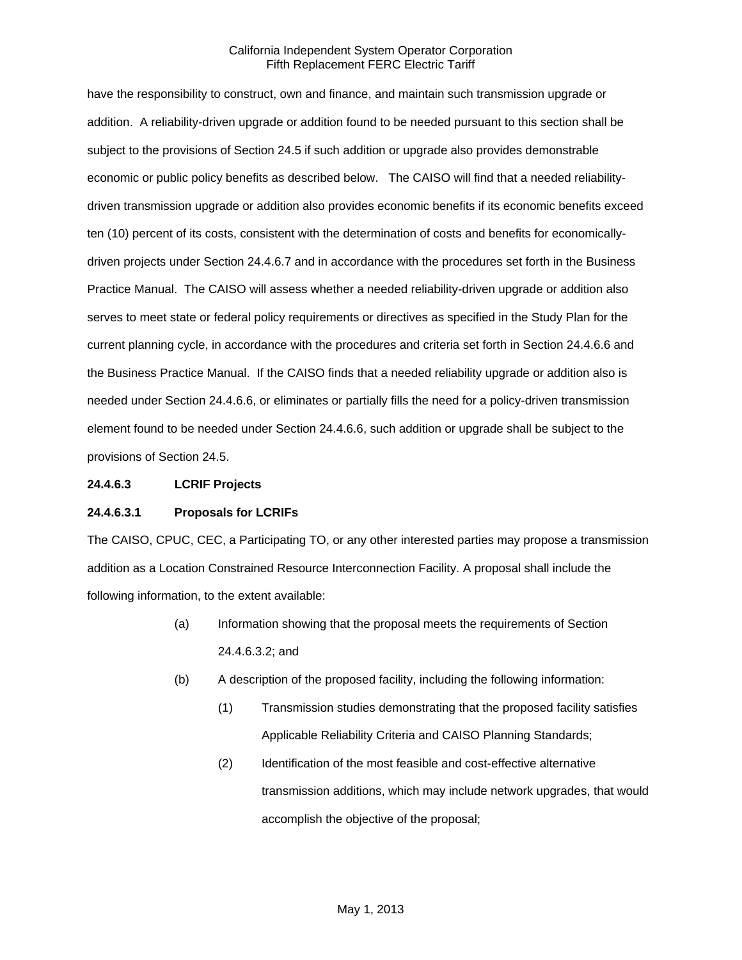have the responsibility to construct, own and finance, and maintain such transmission upgrade or addition. A reliability-driven upgrade or addition found to be needed pursuant to this section shall be subject to the provisions of Section 24.5 if such addition or upgrade also provides demonstrable economic or public policy benefits as described below. The CAISO will find that a needed reliabilitydriven transmission upgrade or addition also provides economic benefits if its economic benefits exceed ten (10) percent of its costs, consistent with the determination of costs and benefits for economicallydriven projects under Section 24.4.6.7 and in accordance with the procedures set forth in the Business Practice Manual. The CAISO will assess whether a needed reliability-driven upgrade or addition also serves to meet state or federal policy requirements or directives as specified in the Study Plan for the current planning cycle, in accordance with the procedures and criteria set forth in Section 24.4.6.6 and the Business Practice Manual. If the CAISO finds that a needed reliability upgrade or addition also is needed under Section 24.4.6.6, or eliminates or partially fills the need for a policy-driven transmission element found to be needed under Section 24.4.6.6, such addition or upgrade shall be subject to the provisions of Section 24.5.

#### **24.4.6.3 LCRIF Projects**

### **24.4.6.3.1 Proposals for LCRIFs**

The CAISO, CPUC, CEC, a Participating TO, or any other interested parties may propose a transmission addition as a Location Constrained Resource Interconnection Facility. A proposal shall include the following information, to the extent available:

- (a) Information showing that the proposal meets the requirements of Section 24.4.6.3.2; and
- (b) A description of the proposed facility, including the following information:
	- (1) Transmission studies demonstrating that the proposed facility satisfies Applicable Reliability Criteria and CAISO Planning Standards;
	- (2) Identification of the most feasible and cost-effective alternative transmission additions, which may include network upgrades, that would accomplish the objective of the proposal;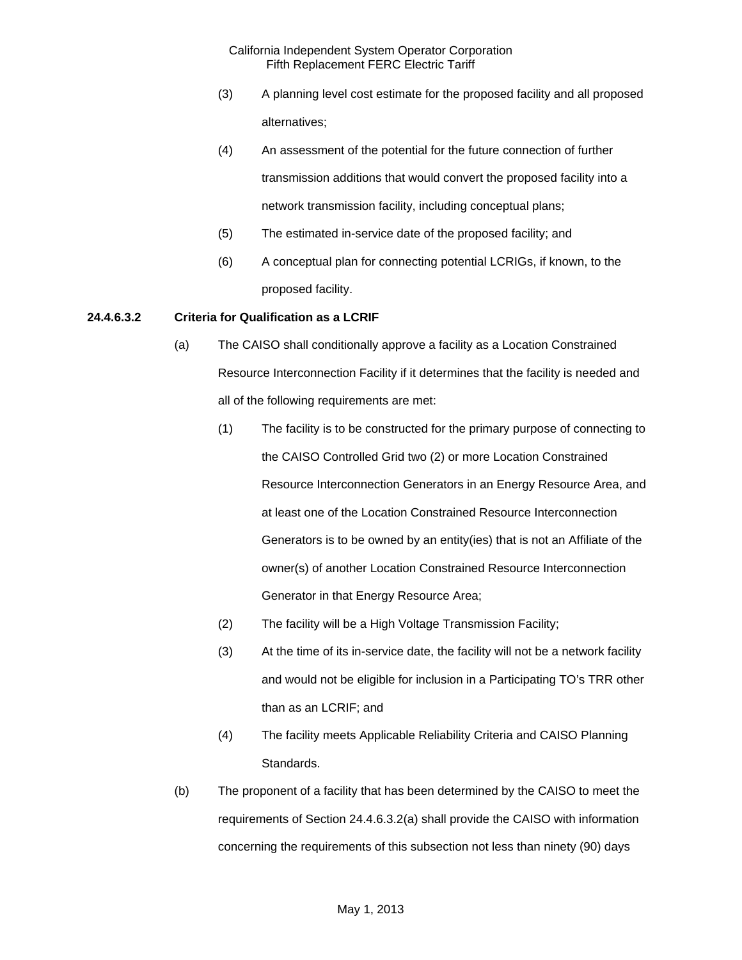- (3) A planning level cost estimate for the proposed facility and all proposed alternatives;
- (4) An assessment of the potential for the future connection of further transmission additions that would convert the proposed facility into a network transmission facility, including conceptual plans;
- (5) The estimated in-service date of the proposed facility; and
- (6) A conceptual plan for connecting potential LCRIGs, if known, to the proposed facility.

## **24.4.6.3.2 Criteria for Qualification as a LCRIF**

- (a) The CAISO shall conditionally approve a facility as a Location Constrained Resource Interconnection Facility if it determines that the facility is needed and all of the following requirements are met:
	- (1) The facility is to be constructed for the primary purpose of connecting to the CAISO Controlled Grid two (2) or more Location Constrained Resource Interconnection Generators in an Energy Resource Area, and at least one of the Location Constrained Resource Interconnection Generators is to be owned by an entity(ies) that is not an Affiliate of the owner(s) of another Location Constrained Resource Interconnection Generator in that Energy Resource Area;
	- (2) The facility will be a High Voltage Transmission Facility;
	- (3) At the time of its in-service date, the facility will not be a network facility and would not be eligible for inclusion in a Participating TO's TRR other than as an LCRIF; and
	- (4) The facility meets Applicable Reliability Criteria and CAISO Planning Standards.
- (b) The proponent of a facility that has been determined by the CAISO to meet the requirements of Section 24.4.6.3.2(a) shall provide the CAISO with information concerning the requirements of this subsection not less than ninety (90) days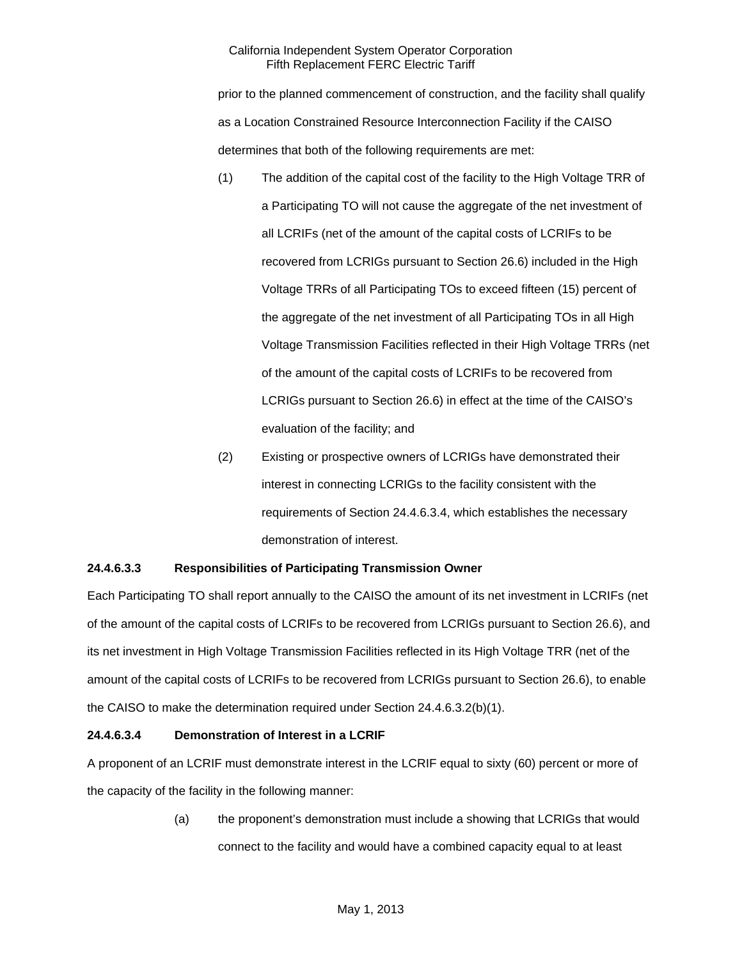prior to the planned commencement of construction, and the facility shall qualify as a Location Constrained Resource Interconnection Facility if the CAISO determines that both of the following requirements are met:

- (1) The addition of the capital cost of the facility to the High Voltage TRR of a Participating TO will not cause the aggregate of the net investment of all LCRIFs (net of the amount of the capital costs of LCRIFs to be recovered from LCRIGs pursuant to Section 26.6) included in the High Voltage TRRs of all Participating TOs to exceed fifteen (15) percent of the aggregate of the net investment of all Participating TOs in all High Voltage Transmission Facilities reflected in their High Voltage TRRs (net of the amount of the capital costs of LCRIFs to be recovered from LCRIGs pursuant to Section 26.6) in effect at the time of the CAISO's evaluation of the facility; and
- (2) Existing or prospective owners of LCRIGs have demonstrated their interest in connecting LCRIGs to the facility consistent with the requirements of Section 24.4.6.3.4, which establishes the necessary demonstration of interest.

# **24.4.6.3.3 Responsibilities of Participating Transmission Owner**

Each Participating TO shall report annually to the CAISO the amount of its net investment in LCRIFs (net of the amount of the capital costs of LCRIFs to be recovered from LCRIGs pursuant to Section 26.6), and its net investment in High Voltage Transmission Facilities reflected in its High Voltage TRR (net of the amount of the capital costs of LCRIFs to be recovered from LCRIGs pursuant to Section 26.6), to enable the CAISO to make the determination required under Section 24.4.6.3.2(b)(1).

# **24.4.6.3.4 Demonstration of Interest in a LCRIF**

A proponent of an LCRIF must demonstrate interest in the LCRIF equal to sixty (60) percent or more of the capacity of the facility in the following manner:

> (a) the proponent's demonstration must include a showing that LCRIGs that would connect to the facility and would have a combined capacity equal to at least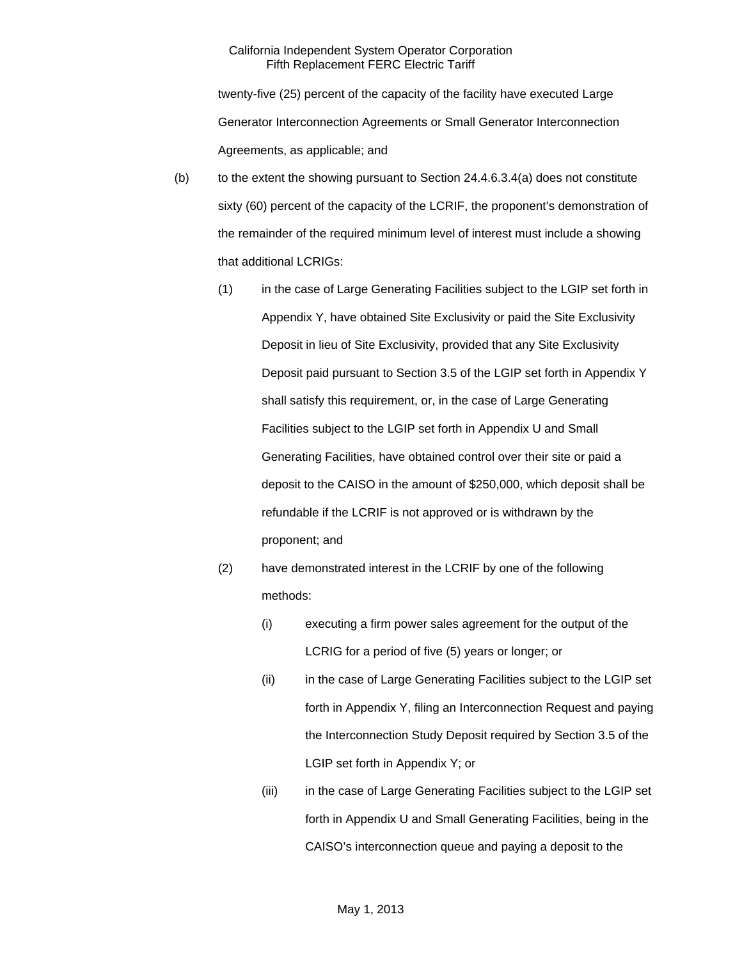twenty-five (25) percent of the capacity of the facility have executed Large Generator Interconnection Agreements or Small Generator Interconnection Agreements, as applicable; and

- $(b)$  to the extent the showing pursuant to Section 24.4.6.3.4(a) does not constitute sixty (60) percent of the capacity of the LCRIF, the proponent's demonstration of the remainder of the required minimum level of interest must include a showing that additional LCRIGs:
	- (1) in the case of Large Generating Facilities subject to the LGIP set forth in Appendix Y, have obtained Site Exclusivity or paid the Site Exclusivity Deposit in lieu of Site Exclusivity, provided that any Site Exclusivity Deposit paid pursuant to Section 3.5 of the LGIP set forth in Appendix Y shall satisfy this requirement, or, in the case of Large Generating Facilities subject to the LGIP set forth in Appendix U and Small Generating Facilities, have obtained control over their site or paid a deposit to the CAISO in the amount of \$250,000, which deposit shall be refundable if the LCRIF is not approved or is withdrawn by the proponent; and
	- (2) have demonstrated interest in the LCRIF by one of the following methods:
		- (i) executing a firm power sales agreement for the output of the LCRIG for a period of five (5) years or longer; or
		- (ii) in the case of Large Generating Facilities subject to the LGIP set forth in Appendix Y, filing an Interconnection Request and paying the Interconnection Study Deposit required by Section 3.5 of the LGIP set forth in Appendix Y; or
		- (iii) in the case of Large Generating Facilities subject to the LGIP set forth in Appendix U and Small Generating Facilities, being in the CAISO's interconnection queue and paying a deposit to the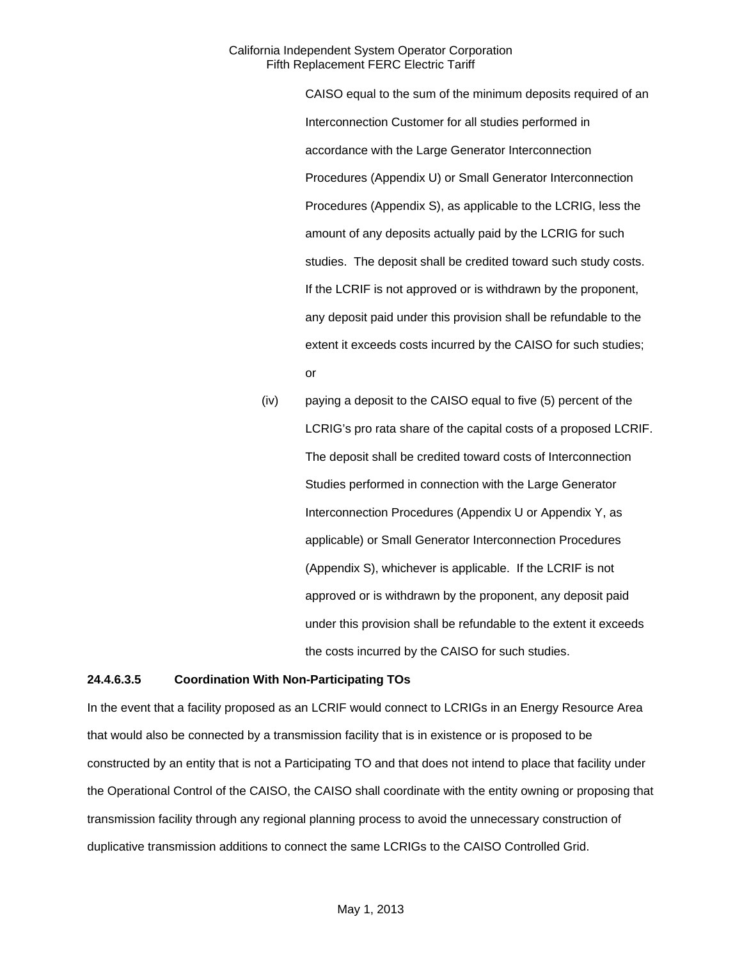> CAISO equal to the sum of the minimum deposits required of an Interconnection Customer for all studies performed in accordance with the Large Generator Interconnection Procedures (Appendix U) or Small Generator Interconnection Procedures (Appendix S), as applicable to the LCRIG, less the amount of any deposits actually paid by the LCRIG for such studies. The deposit shall be credited toward such study costs. If the LCRIF is not approved or is withdrawn by the proponent, any deposit paid under this provision shall be refundable to the extent it exceeds costs incurred by the CAISO for such studies; or

(iv) paying a deposit to the CAISO equal to five (5) percent of the LCRIG's pro rata share of the capital costs of a proposed LCRIF. The deposit shall be credited toward costs of Interconnection Studies performed in connection with the Large Generator Interconnection Procedures (Appendix U or Appendix Y, as applicable) or Small Generator Interconnection Procedures (Appendix S), whichever is applicable. If the LCRIF is not approved or is withdrawn by the proponent, any deposit paid under this provision shall be refundable to the extent it exceeds the costs incurred by the CAISO for such studies.

#### **24.4.6.3.5 Coordination With Non-Participating TOs**

In the event that a facility proposed as an LCRIF would connect to LCRIGs in an Energy Resource Area that would also be connected by a transmission facility that is in existence or is proposed to be constructed by an entity that is not a Participating TO and that does not intend to place that facility under the Operational Control of the CAISO, the CAISO shall coordinate with the entity owning or proposing that transmission facility through any regional planning process to avoid the unnecessary construction of duplicative transmission additions to connect the same LCRIGs to the CAISO Controlled Grid.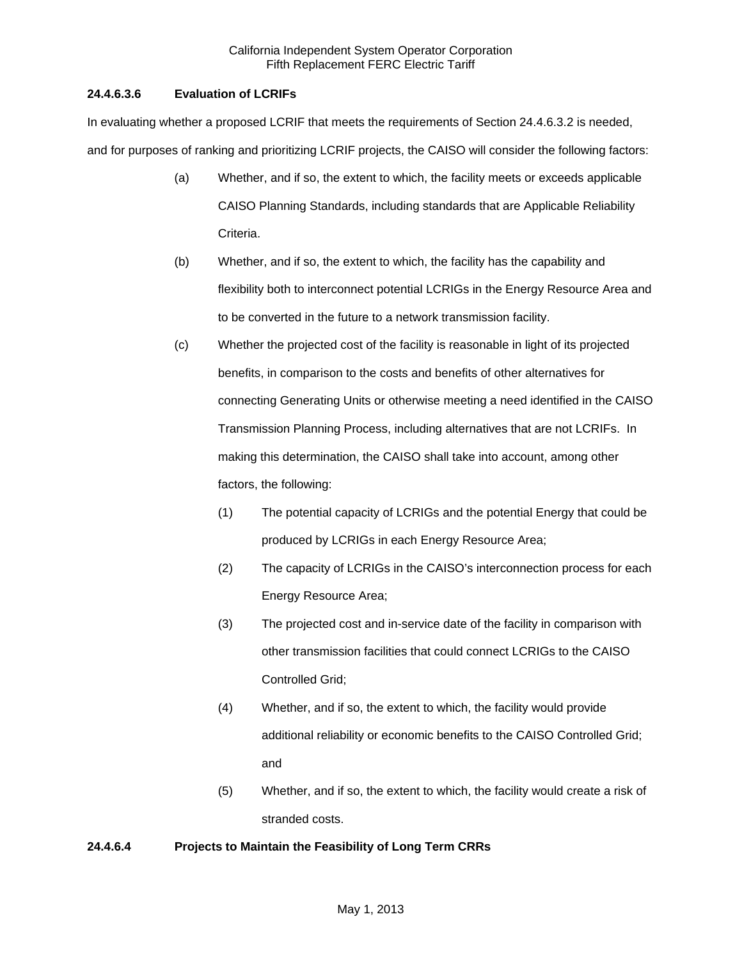# **24.4.6.3.6 Evaluation of LCRIFs**

In evaluating whether a proposed LCRIF that meets the requirements of Section 24.4.6.3.2 is needed, and for purposes of ranking and prioritizing LCRIF projects, the CAISO will consider the following factors:

- (a) Whether, and if so, the extent to which, the facility meets or exceeds applicable CAISO Planning Standards, including standards that are Applicable Reliability Criteria.
- (b) Whether, and if so, the extent to which, the facility has the capability and flexibility both to interconnect potential LCRIGs in the Energy Resource Area and to be converted in the future to a network transmission facility.
- (c) Whether the projected cost of the facility is reasonable in light of its projected benefits, in comparison to the costs and benefits of other alternatives for connecting Generating Units or otherwise meeting a need identified in the CAISO Transmission Planning Process, including alternatives that are not LCRIFs. In making this determination, the CAISO shall take into account, among other factors, the following:
	- (1) The potential capacity of LCRIGs and the potential Energy that could be produced by LCRIGs in each Energy Resource Area;
	- (2) The capacity of LCRIGs in the CAISO's interconnection process for each Energy Resource Area;
	- (3) The projected cost and in-service date of the facility in comparison with other transmission facilities that could connect LCRIGs to the CAISO Controlled Grid;
	- (4) Whether, and if so, the extent to which, the facility would provide additional reliability or economic benefits to the CAISO Controlled Grid; and
	- (5) Whether, and if so, the extent to which, the facility would create a risk of stranded costs.

# **24.4.6.4 Projects to Maintain the Feasibility of Long Term CRRs**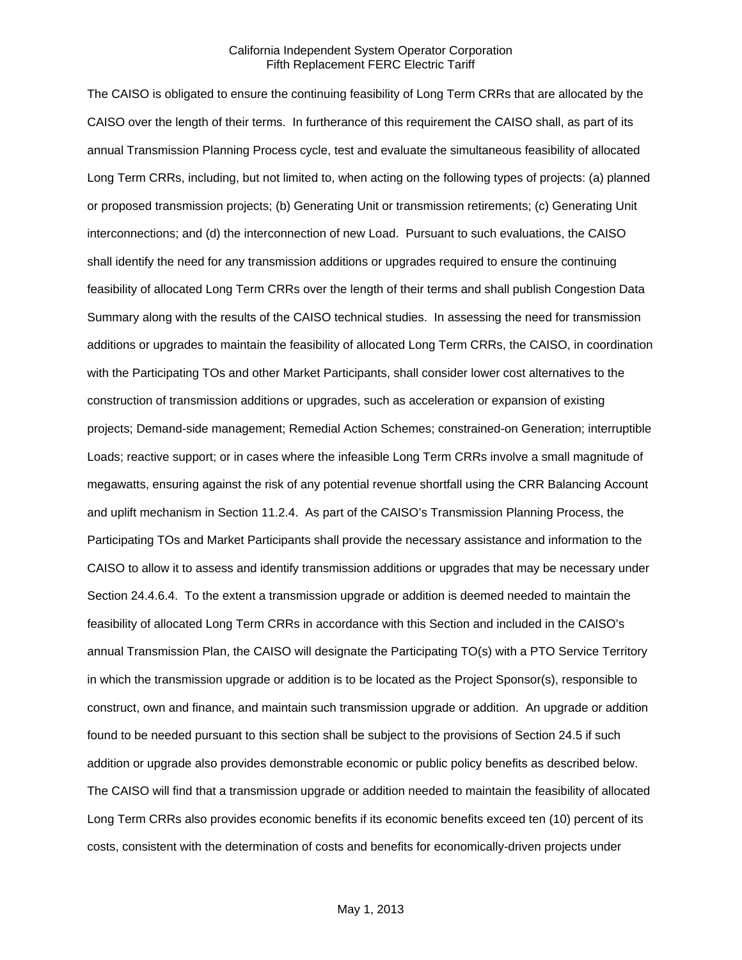The CAISO is obligated to ensure the continuing feasibility of Long Term CRRs that are allocated by the CAISO over the length of their terms. In furtherance of this requirement the CAISO shall, as part of its annual Transmission Planning Process cycle, test and evaluate the simultaneous feasibility of allocated Long Term CRRs, including, but not limited to, when acting on the following types of projects: (a) planned or proposed transmission projects; (b) Generating Unit or transmission retirements; (c) Generating Unit interconnections; and (d) the interconnection of new Load. Pursuant to such evaluations, the CAISO shall identify the need for any transmission additions or upgrades required to ensure the continuing feasibility of allocated Long Term CRRs over the length of their terms and shall publish Congestion Data Summary along with the results of the CAISO technical studies. In assessing the need for transmission additions or upgrades to maintain the feasibility of allocated Long Term CRRs, the CAISO, in coordination with the Participating TOs and other Market Participants, shall consider lower cost alternatives to the construction of transmission additions or upgrades, such as acceleration or expansion of existing projects; Demand-side management; Remedial Action Schemes; constrained-on Generation; interruptible Loads; reactive support; or in cases where the infeasible Long Term CRRs involve a small magnitude of megawatts, ensuring against the risk of any potential revenue shortfall using the CRR Balancing Account and uplift mechanism in Section 11.2.4. As part of the CAISO's Transmission Planning Process, the Participating TOs and Market Participants shall provide the necessary assistance and information to the CAISO to allow it to assess and identify transmission additions or upgrades that may be necessary under Section 24.4.6.4. To the extent a transmission upgrade or addition is deemed needed to maintain the feasibility of allocated Long Term CRRs in accordance with this Section and included in the CAISO's annual Transmission Plan, the CAISO will designate the Participating TO(s) with a PTO Service Territory in which the transmission upgrade or addition is to be located as the Project Sponsor(s), responsible to construct, own and finance, and maintain such transmission upgrade or addition. An upgrade or addition found to be needed pursuant to this section shall be subject to the provisions of Section 24.5 if such addition or upgrade also provides demonstrable economic or public policy benefits as described below. The CAISO will find that a transmission upgrade or addition needed to maintain the feasibility of allocated Long Term CRRs also provides economic benefits if its economic benefits exceed ten (10) percent of its costs, consistent with the determination of costs and benefits for economically-driven projects under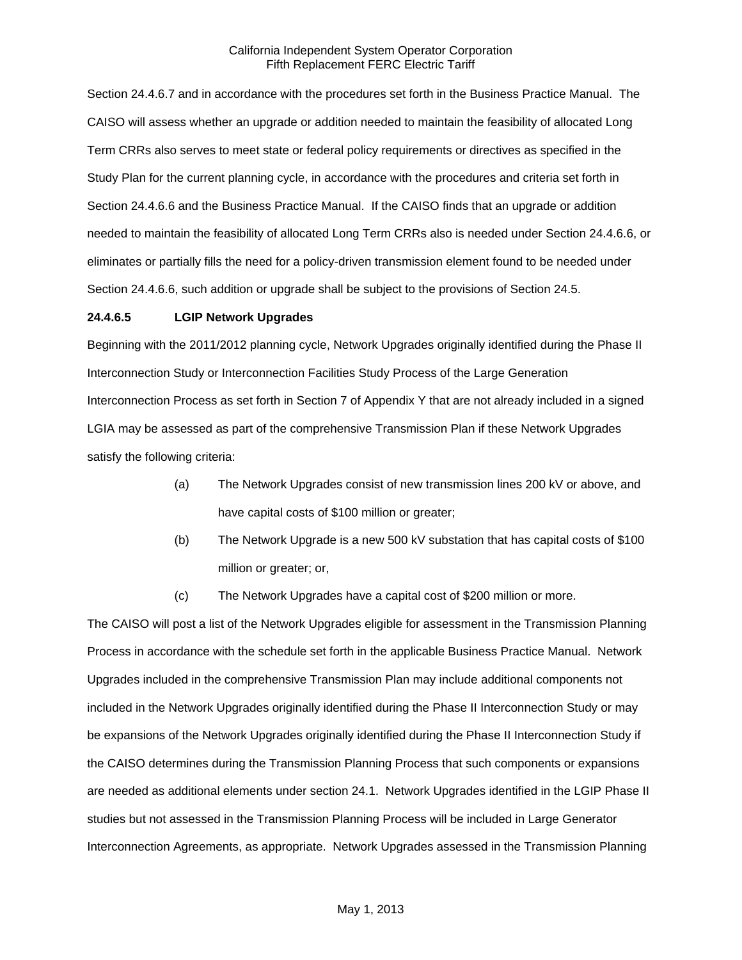Section 24.4.6.7 and in accordance with the procedures set forth in the Business Practice Manual. The CAISO will assess whether an upgrade or addition needed to maintain the feasibility of allocated Long Term CRRs also serves to meet state or federal policy requirements or directives as specified in the Study Plan for the current planning cycle, in accordance with the procedures and criteria set forth in Section 24.4.6.6 and the Business Practice Manual. If the CAISO finds that an upgrade or addition needed to maintain the feasibility of allocated Long Term CRRs also is needed under Section 24.4.6.6, or eliminates or partially fills the need for a policy-driven transmission element found to be needed under Section 24.4.6.6, such addition or upgrade shall be subject to the provisions of Section 24.5.

### **24.4.6.5 LGIP Network Upgrades**

Beginning with the 2011/2012 planning cycle, Network Upgrades originally identified during the Phase II Interconnection Study or Interconnection Facilities Study Process of the Large Generation Interconnection Process as set forth in Section 7 of Appendix Y that are not already included in a signed LGIA may be assessed as part of the comprehensive Transmission Plan if these Network Upgrades satisfy the following criteria:

- (a) The Network Upgrades consist of new transmission lines 200 kV or above, and have capital costs of \$100 million or greater;
- (b) The Network Upgrade is a new 500 kV substation that has capital costs of \$100 million or greater; or,
- (c) The Network Upgrades have a capital cost of \$200 million or more.

The CAISO will post a list of the Network Upgrades eligible for assessment in the Transmission Planning Process in accordance with the schedule set forth in the applicable Business Practice Manual. Network Upgrades included in the comprehensive Transmission Plan may include additional components not included in the Network Upgrades originally identified during the Phase II Interconnection Study or may be expansions of the Network Upgrades originally identified during the Phase II Interconnection Study if the CAISO determines during the Transmission Planning Process that such components or expansions are needed as additional elements under section 24.1. Network Upgrades identified in the LGIP Phase II studies but not assessed in the Transmission Planning Process will be included in Large Generator Interconnection Agreements, as appropriate. Network Upgrades assessed in the Transmission Planning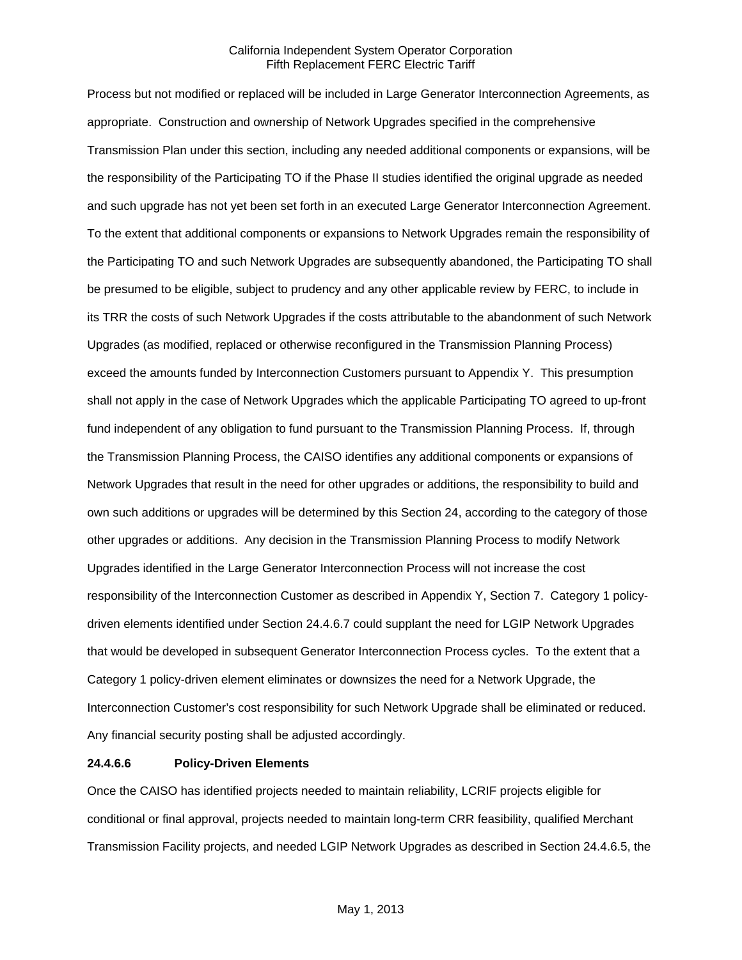Process but not modified or replaced will be included in Large Generator Interconnection Agreements, as appropriate. Construction and ownership of Network Upgrades specified in the comprehensive Transmission Plan under this section, including any needed additional components or expansions, will be the responsibility of the Participating TO if the Phase II studies identified the original upgrade as needed and such upgrade has not yet been set forth in an executed Large Generator Interconnection Agreement. To the extent that additional components or expansions to Network Upgrades remain the responsibility of the Participating TO and such Network Upgrades are subsequently abandoned, the Participating TO shall be presumed to be eligible, subject to prudency and any other applicable review by FERC, to include in its TRR the costs of such Network Upgrades if the costs attributable to the abandonment of such Network Upgrades (as modified, replaced or otherwise reconfigured in the Transmission Planning Process) exceed the amounts funded by Interconnection Customers pursuant to Appendix Y. This presumption shall not apply in the case of Network Upgrades which the applicable Participating TO agreed to up-front fund independent of any obligation to fund pursuant to the Transmission Planning Process. If, through the Transmission Planning Process, the CAISO identifies any additional components or expansions of Network Upgrades that result in the need for other upgrades or additions, the responsibility to build and own such additions or upgrades will be determined by this Section 24, according to the category of those other upgrades or additions. Any decision in the Transmission Planning Process to modify Network Upgrades identified in the Large Generator Interconnection Process will not increase the cost responsibility of the Interconnection Customer as described in Appendix Y, Section 7. Category 1 policydriven elements identified under Section 24.4.6.7 could supplant the need for LGIP Network Upgrades that would be developed in subsequent Generator Interconnection Process cycles. To the extent that a Category 1 policy-driven element eliminates or downsizes the need for a Network Upgrade, the Interconnection Customer's cost responsibility for such Network Upgrade shall be eliminated or reduced. Any financial security posting shall be adjusted accordingly.

#### **24.4.6.6 Policy-Driven Elements**

Once the CAISO has identified projects needed to maintain reliability, LCRIF projects eligible for conditional or final approval, projects needed to maintain long-term CRR feasibility, qualified Merchant Transmission Facility projects, and needed LGIP Network Upgrades as described in Section 24.4.6.5, the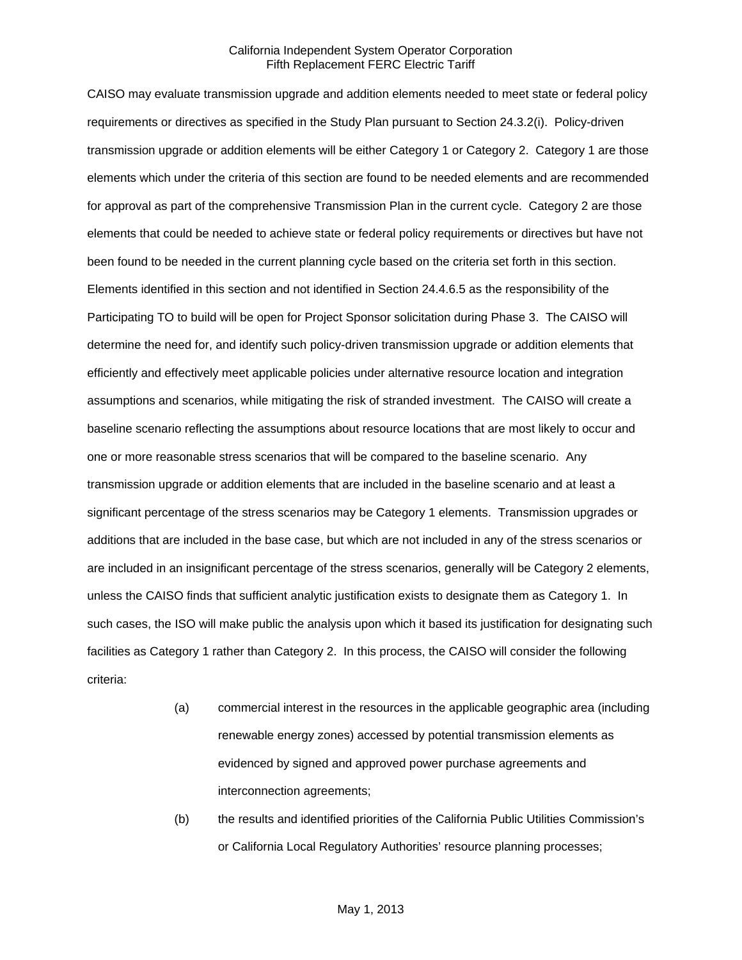CAISO may evaluate transmission upgrade and addition elements needed to meet state or federal policy requirements or directives as specified in the Study Plan pursuant to Section 24.3.2(i). Policy-driven transmission upgrade or addition elements will be either Category 1 or Category 2. Category 1 are those elements which under the criteria of this section are found to be needed elements and are recommended for approval as part of the comprehensive Transmission Plan in the current cycle. Category 2 are those elements that could be needed to achieve state or federal policy requirements or directives but have not been found to be needed in the current planning cycle based on the criteria set forth in this section. Elements identified in this section and not identified in Section 24.4.6.5 as the responsibility of the Participating TO to build will be open for Project Sponsor solicitation during Phase 3. The CAISO will determine the need for, and identify such policy-driven transmission upgrade or addition elements that efficiently and effectively meet applicable policies under alternative resource location and integration assumptions and scenarios, while mitigating the risk of stranded investment. The CAISO will create a baseline scenario reflecting the assumptions about resource locations that are most likely to occur and one or more reasonable stress scenarios that will be compared to the baseline scenario. Any transmission upgrade or addition elements that are included in the baseline scenario and at least a significant percentage of the stress scenarios may be Category 1 elements. Transmission upgrades or additions that are included in the base case, but which are not included in any of the stress scenarios or are included in an insignificant percentage of the stress scenarios, generally will be Category 2 elements, unless the CAISO finds that sufficient analytic justification exists to designate them as Category 1. In such cases, the ISO will make public the analysis upon which it based its justification for designating such facilities as Category 1 rather than Category 2. In this process, the CAISO will consider the following criteria:

- (a) commercial interest in the resources in the applicable geographic area (including renewable energy zones) accessed by potential transmission elements as evidenced by signed and approved power purchase agreements and interconnection agreements;
- (b) the results and identified priorities of the California Public Utilities Commission's or California Local Regulatory Authorities' resource planning processes;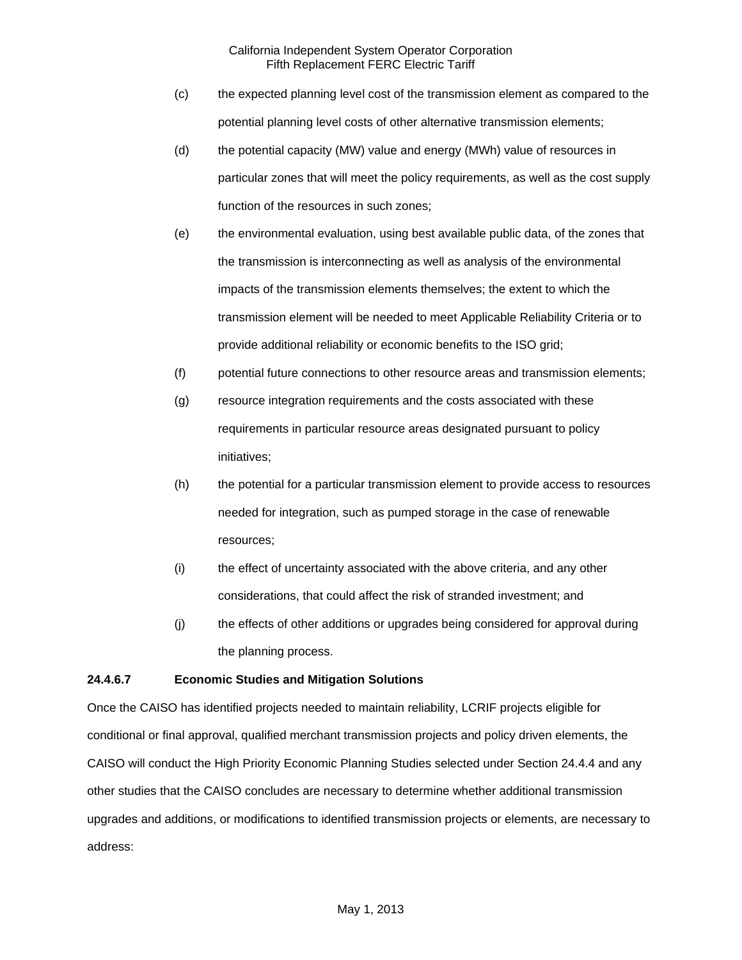- (c) the expected planning level cost of the transmission element as compared to the potential planning level costs of other alternative transmission elements;
- (d) the potential capacity (MW) value and energy (MWh) value of resources in particular zones that will meet the policy requirements, as well as the cost supply function of the resources in such zones;
- (e) the environmental evaluation, using best available public data, of the zones that the transmission is interconnecting as well as analysis of the environmental impacts of the transmission elements themselves; the extent to which the transmission element will be needed to meet Applicable Reliability Criteria or to provide additional reliability or economic benefits to the ISO grid;
- (f) potential future connections to other resource areas and transmission elements;
- (g) resource integration requirements and the costs associated with these requirements in particular resource areas designated pursuant to policy initiatives;
- (h) the potential for a particular transmission element to provide access to resources needed for integration, such as pumped storage in the case of renewable resources;
- (i) the effect of uncertainty associated with the above criteria, and any other considerations, that could affect the risk of stranded investment; and
- (j) the effects of other additions or upgrades being considered for approval during the planning process.

# **24.4.6.7 Economic Studies and Mitigation Solutions**

Once the CAISO has identified projects needed to maintain reliability, LCRIF projects eligible for conditional or final approval, qualified merchant transmission projects and policy driven elements, the CAISO will conduct the High Priority Economic Planning Studies selected under Section 24.4.4 and any other studies that the CAISO concludes are necessary to determine whether additional transmission upgrades and additions, or modifications to identified transmission projects or elements, are necessary to address: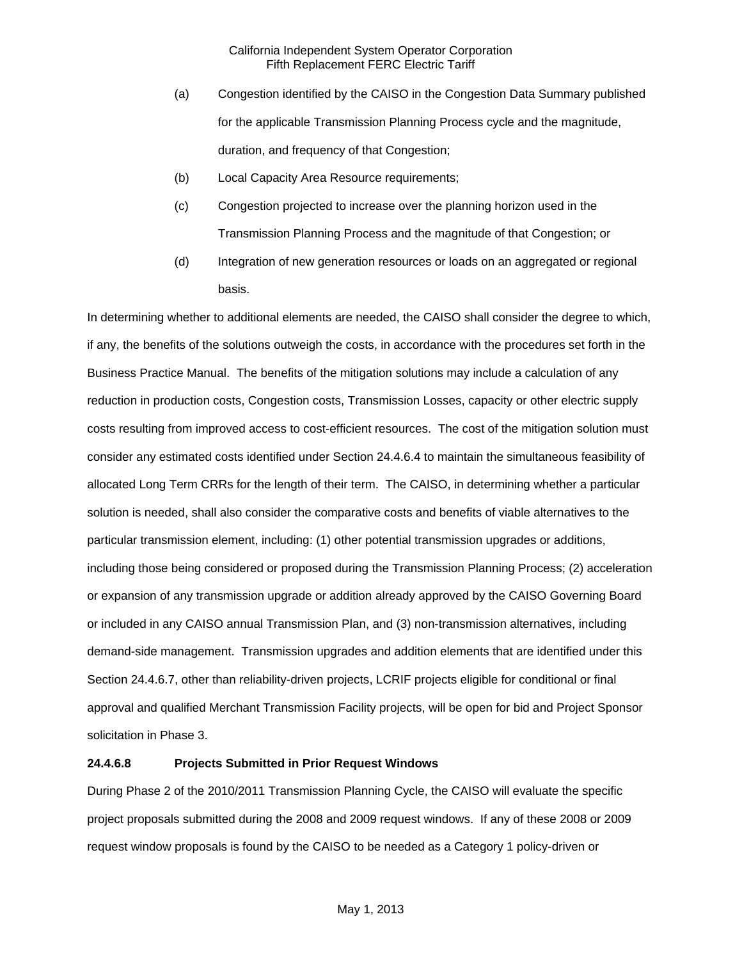- (a) Congestion identified by the CAISO in the Congestion Data Summary published for the applicable Transmission Planning Process cycle and the magnitude, duration, and frequency of that Congestion;
- (b) Local Capacity Area Resource requirements;
- (c) Congestion projected to increase over the planning horizon used in the Transmission Planning Process and the magnitude of that Congestion; or
- (d) Integration of new generation resources or loads on an aggregated or regional basis.

In determining whether to additional elements are needed, the CAISO shall consider the degree to which, if any, the benefits of the solutions outweigh the costs, in accordance with the procedures set forth in the Business Practice Manual. The benefits of the mitigation solutions may include a calculation of any reduction in production costs, Congestion costs, Transmission Losses, capacity or other electric supply costs resulting from improved access to cost-efficient resources. The cost of the mitigation solution must consider any estimated costs identified under Section 24.4.6.4 to maintain the simultaneous feasibility of allocated Long Term CRRs for the length of their term. The CAISO, in determining whether a particular solution is needed, shall also consider the comparative costs and benefits of viable alternatives to the particular transmission element, including: (1) other potential transmission upgrades or additions, including those being considered or proposed during the Transmission Planning Process; (2) acceleration or expansion of any transmission upgrade or addition already approved by the CAISO Governing Board or included in any CAISO annual Transmission Plan, and (3) non-transmission alternatives, including demand-side management. Transmission upgrades and addition elements that are identified under this Section 24.4.6.7, other than reliability-driven projects, LCRIF projects eligible for conditional or final approval and qualified Merchant Transmission Facility projects, will be open for bid and Project Sponsor solicitation in Phase 3.

#### **24.4.6.8 Projects Submitted in Prior Request Windows**

During Phase 2 of the 2010/2011 Transmission Planning Cycle, the CAISO will evaluate the specific project proposals submitted during the 2008 and 2009 request windows. If any of these 2008 or 2009 request window proposals is found by the CAISO to be needed as a Category 1 policy-driven or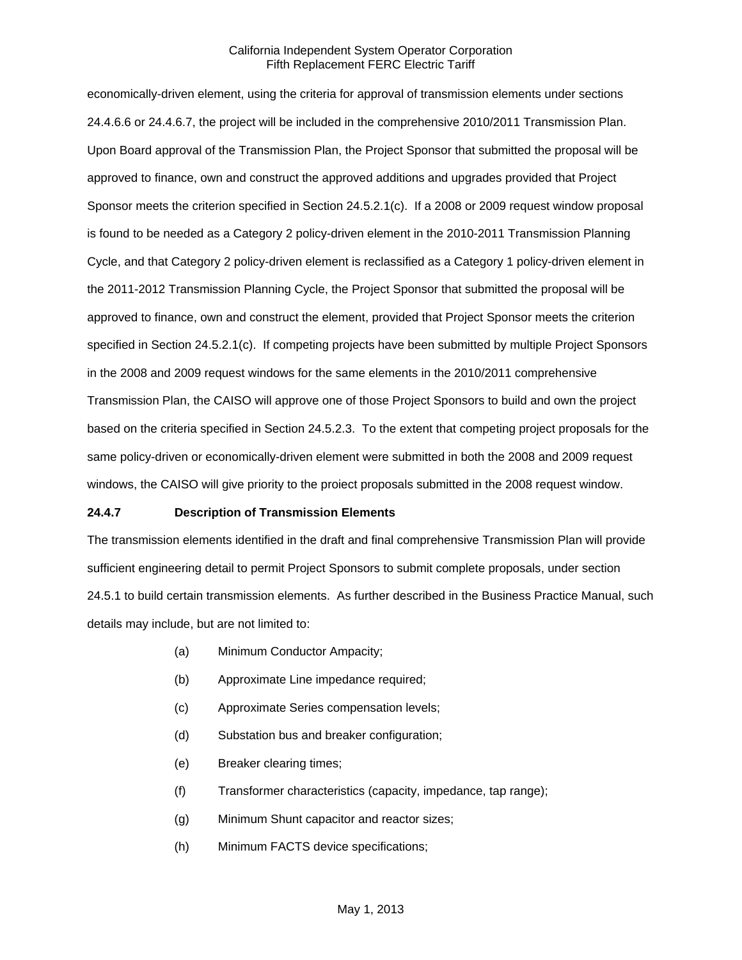economically-driven element, using the criteria for approval of transmission elements under sections 24.4.6.6 or 24.4.6.7, the project will be included in the comprehensive 2010/2011 Transmission Plan. Upon Board approval of the Transmission Plan, the Project Sponsor that submitted the proposal will be approved to finance, own and construct the approved additions and upgrades provided that Project Sponsor meets the criterion specified in Section 24.5.2.1(c). If a 2008 or 2009 request window proposal is found to be needed as a Category 2 policy-driven element in the 2010-2011 Transmission Planning Cycle, and that Category 2 policy-driven element is reclassified as a Category 1 policy-driven element in the 2011-2012 Transmission Planning Cycle, the Project Sponsor that submitted the proposal will be approved to finance, own and construct the element, provided that Project Sponsor meets the criterion specified in Section 24.5.2.1(c). If competing projects have been submitted by multiple Project Sponsors in the 2008 and 2009 request windows for the same elements in the 2010/2011 comprehensive Transmission Plan, the CAISO will approve one of those Project Sponsors to build and own the project based on the criteria specified in Section 24.5.2.3. To the extent that competing project proposals for the same policy-driven or economically-driven element were submitted in both the 2008 and 2009 request windows, the CAISO will give priority to the proiect proposals submitted in the 2008 request window.

### **24.4.7 Description of Transmission Elements**

The transmission elements identified in the draft and final comprehensive Transmission Plan will provide sufficient engineering detail to permit Project Sponsors to submit complete proposals, under section 24.5.1 to build certain transmission elements. As further described in the Business Practice Manual, such details may include, but are not limited to:

- (a) Minimum Conductor Ampacity;
- (b) Approximate Line impedance required;
- (c) Approximate Series compensation levels;
- (d) Substation bus and breaker configuration;
- (e) Breaker clearing times;
- (f) Transformer characteristics (capacity, impedance, tap range);
- (g) Minimum Shunt capacitor and reactor sizes;
- (h) Minimum FACTS device specifications;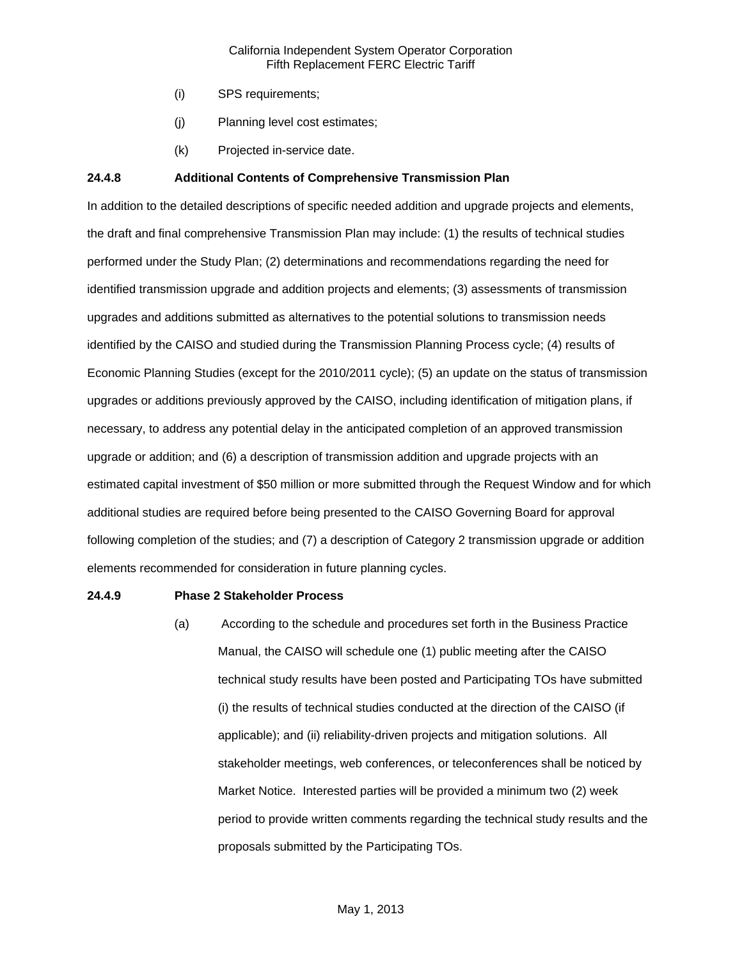- (i) SPS requirements;
- (j) Planning level cost estimates;
- (k) Projected in-service date.

## **24.4.8 Additional Contents of Comprehensive Transmission Plan**

In addition to the detailed descriptions of specific needed addition and upgrade projects and elements, the draft and final comprehensive Transmission Plan may include: (1) the results of technical studies performed under the Study Plan; (2) determinations and recommendations regarding the need for identified transmission upgrade and addition projects and elements; (3) assessments of transmission upgrades and additions submitted as alternatives to the potential solutions to transmission needs identified by the CAISO and studied during the Transmission Planning Process cycle; (4) results of Economic Planning Studies (except for the 2010/2011 cycle); (5) an update on the status of transmission upgrades or additions previously approved by the CAISO, including identification of mitigation plans, if necessary, to address any potential delay in the anticipated completion of an approved transmission upgrade or addition; and (6) a description of transmission addition and upgrade projects with an estimated capital investment of \$50 million or more submitted through the Request Window and for which additional studies are required before being presented to the CAISO Governing Board for approval following completion of the studies; and (7) a description of Category 2 transmission upgrade or addition elements recommended for consideration in future planning cycles.

#### **24.4.9 Phase 2 Stakeholder Process**

(a) According to the schedule and procedures set forth in the Business Practice Manual, the CAISO will schedule one (1) public meeting after the CAISO technical study results have been posted and Participating TOs have submitted (i) the results of technical studies conducted at the direction of the CAISO (if applicable); and (ii) reliability-driven projects and mitigation solutions. All stakeholder meetings, web conferences, or teleconferences shall be noticed by Market Notice. Interested parties will be provided a minimum two (2) week period to provide written comments regarding the technical study results and the proposals submitted by the Participating TOs.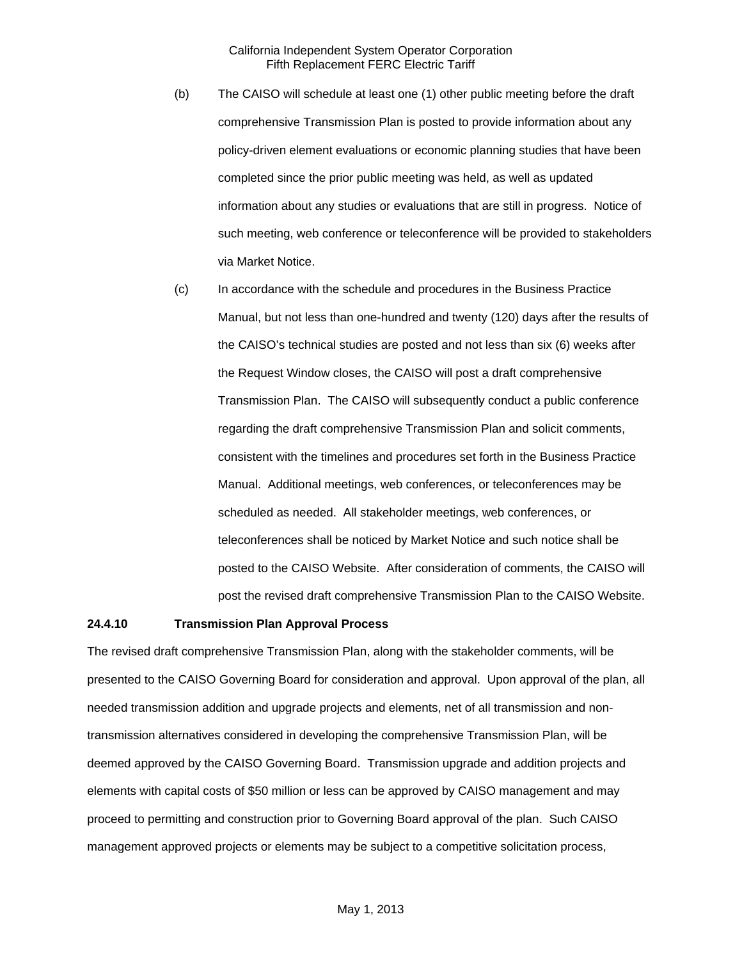- (b) The CAISO will schedule at least one (1) other public meeting before the draft comprehensive Transmission Plan is posted to provide information about any policy-driven element evaluations or economic planning studies that have been completed since the prior public meeting was held, as well as updated information about any studies or evaluations that are still in progress. Notice of such meeting, web conference or teleconference will be provided to stakeholders via Market Notice.
- (c) In accordance with the schedule and procedures in the Business Practice Manual, but not less than one-hundred and twenty (120) days after the results of the CAISO's technical studies are posted and not less than six (6) weeks after the Request Window closes, the CAISO will post a draft comprehensive Transmission Plan. The CAISO will subsequently conduct a public conference regarding the draft comprehensive Transmission Plan and solicit comments, consistent with the timelines and procedures set forth in the Business Practice Manual. Additional meetings, web conferences, or teleconferences may be scheduled as needed. All stakeholder meetings, web conferences, or teleconferences shall be noticed by Market Notice and such notice shall be posted to the CAISO Website. After consideration of comments, the CAISO will post the revised draft comprehensive Transmission Plan to the CAISO Website.

### **24.4.10 Transmission Plan Approval Process**

The revised draft comprehensive Transmission Plan, along with the stakeholder comments, will be presented to the CAISO Governing Board for consideration and approval. Upon approval of the plan, all needed transmission addition and upgrade projects and elements, net of all transmission and nontransmission alternatives considered in developing the comprehensive Transmission Plan, will be deemed approved by the CAISO Governing Board. Transmission upgrade and addition projects and elements with capital costs of \$50 million or less can be approved by CAISO management and may proceed to permitting and construction prior to Governing Board approval of the plan. Such CAISO management approved projects or elements may be subject to a competitive solicitation process,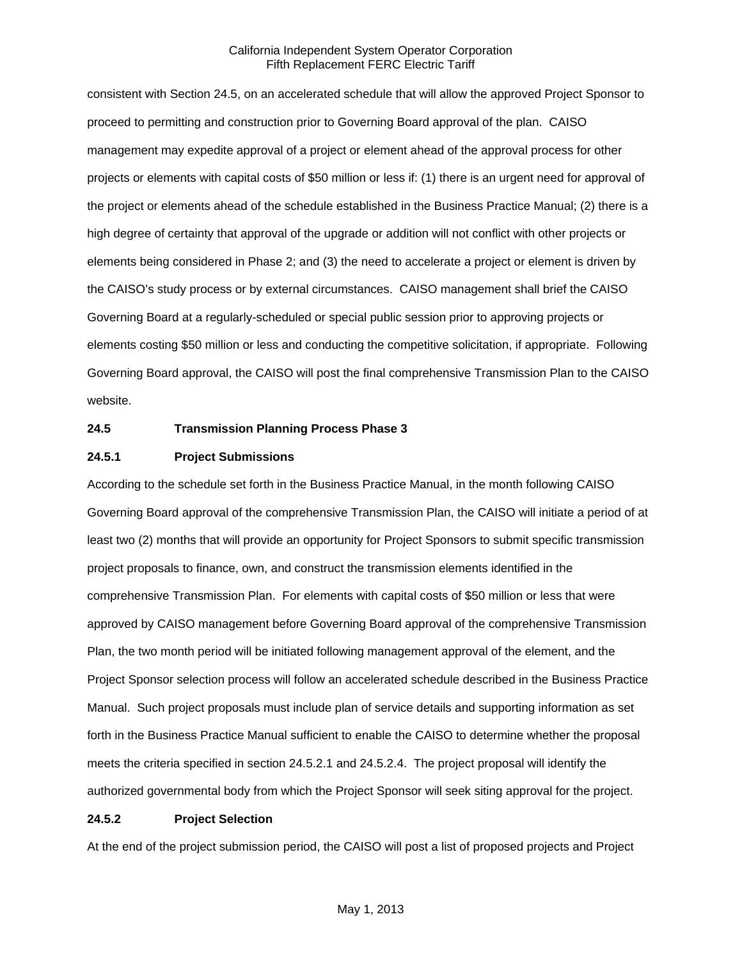consistent with Section 24.5, on an accelerated schedule that will allow the approved Project Sponsor to proceed to permitting and construction prior to Governing Board approval of the plan. CAISO management may expedite approval of a project or element ahead of the approval process for other projects or elements with capital costs of \$50 million or less if: (1) there is an urgent need for approval of the project or elements ahead of the schedule established in the Business Practice Manual; (2) there is a high degree of certainty that approval of the upgrade or addition will not conflict with other projects or elements being considered in Phase 2; and (3) the need to accelerate a project or element is driven by the CAISO's study process or by external circumstances. CAISO management shall brief the CAISO Governing Board at a regularly-scheduled or special public session prior to approving projects or elements costing \$50 million or less and conducting the competitive solicitation, if appropriate. Following Governing Board approval, the CAISO will post the final comprehensive Transmission Plan to the CAISO website.

#### **24.5 Transmission Planning Process Phase 3**

#### **24.5.1 Project Submissions**

According to the schedule set forth in the Business Practice Manual, in the month following CAISO Governing Board approval of the comprehensive Transmission Plan, the CAISO will initiate a period of at least two (2) months that will provide an opportunity for Project Sponsors to submit specific transmission project proposals to finance, own, and construct the transmission elements identified in the comprehensive Transmission Plan. For elements with capital costs of \$50 million or less that were approved by CAISO management before Governing Board approval of the comprehensive Transmission Plan, the two month period will be initiated following management approval of the element, and the Project Sponsor selection process will follow an accelerated schedule described in the Business Practice Manual. Such project proposals must include plan of service details and supporting information as set forth in the Business Practice Manual sufficient to enable the CAISO to determine whether the proposal meets the criteria specified in section 24.5.2.1 and 24.5.2.4. The project proposal will identify the authorized governmental body from which the Project Sponsor will seek siting approval for the project.

#### **24.5.2 Project Selection**

At the end of the project submission period, the CAISO will post a list of proposed projects and Project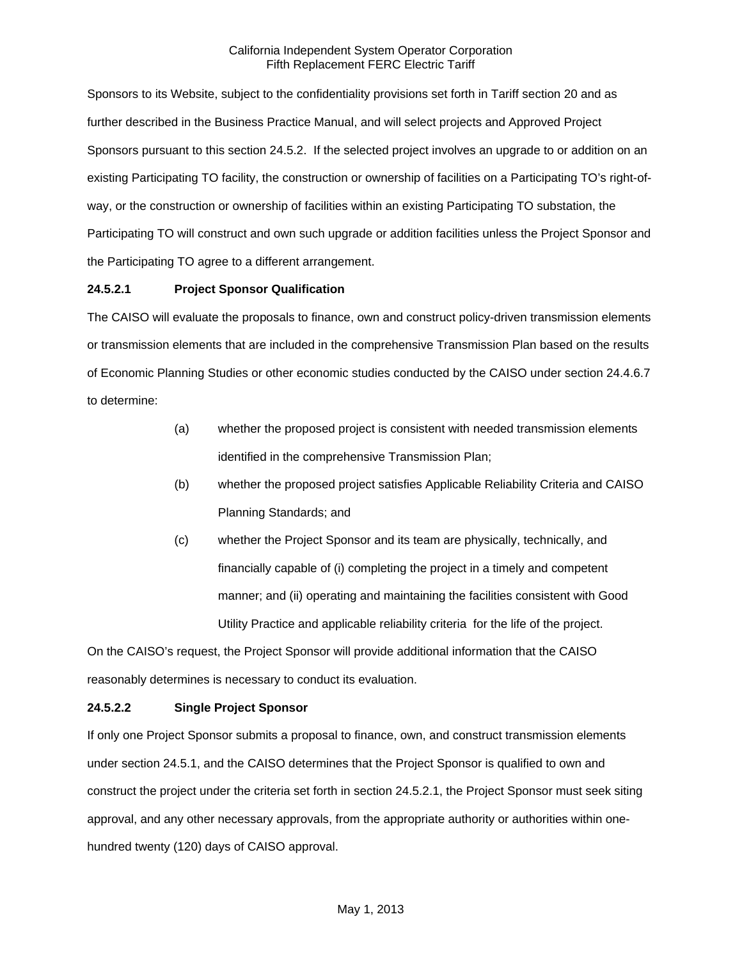Sponsors to its Website, subject to the confidentiality provisions set forth in Tariff section 20 and as further described in the Business Practice Manual, and will select projects and Approved Project Sponsors pursuant to this section 24.5.2. If the selected project involves an upgrade to or addition on an existing Participating TO facility, the construction or ownership of facilities on a Participating TO's right-ofway, or the construction or ownership of facilities within an existing Participating TO substation, the Participating TO will construct and own such upgrade or addition facilities unless the Project Sponsor and the Participating TO agree to a different arrangement.

## **24.5.2.1 Project Sponsor Qualification**

The CAISO will evaluate the proposals to finance, own and construct policy-driven transmission elements or transmission elements that are included in the comprehensive Transmission Plan based on the results of Economic Planning Studies or other economic studies conducted by the CAISO under section 24.4.6.7 to determine:

- (a) whether the proposed project is consistent with needed transmission elements identified in the comprehensive Transmission Plan;
- (b) whether the proposed project satisfies Applicable Reliability Criteria and CAISO Planning Standards; and
- (c) whether the Project Sponsor and its team are physically, technically, and financially capable of (i) completing the project in a timely and competent manner; and (ii) operating and maintaining the facilities consistent with Good Utility Practice and applicable reliability criteria for the life of the project.

On the CAISO's request, the Project Sponsor will provide additional information that the CAISO reasonably determines is necessary to conduct its evaluation.

# **24.5.2.2 Single Project Sponsor**

If only one Project Sponsor submits a proposal to finance, own, and construct transmission elements under section 24.5.1, and the CAISO determines that the Project Sponsor is qualified to own and construct the project under the criteria set forth in section 24.5.2.1, the Project Sponsor must seek siting approval, and any other necessary approvals, from the appropriate authority or authorities within onehundred twenty (120) days of CAISO approval.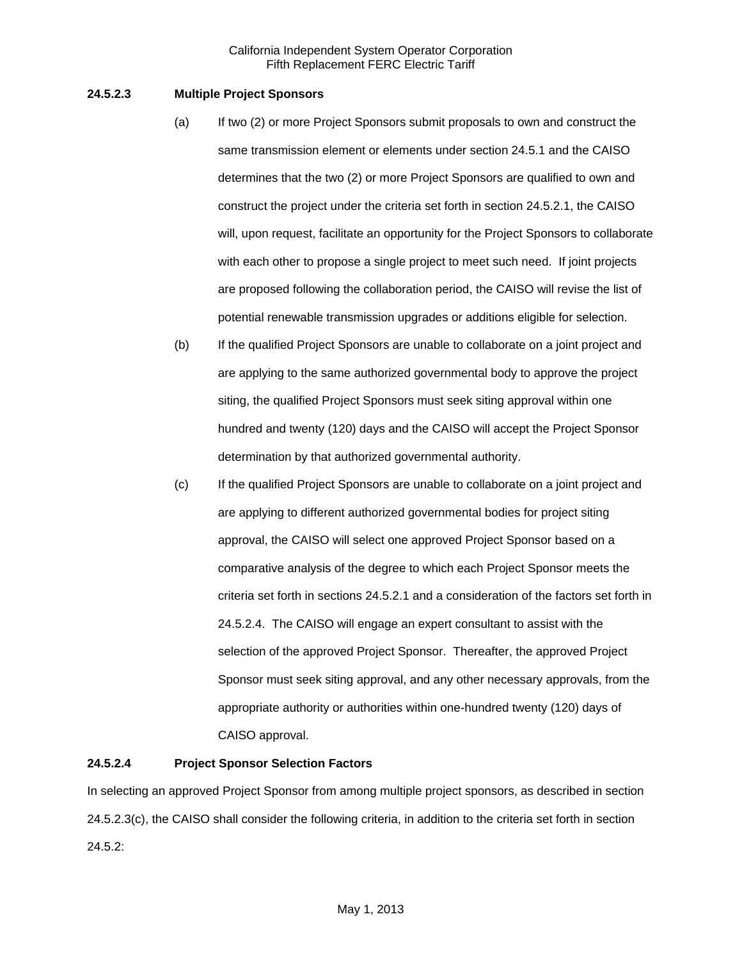## **24.5.2.3 Multiple Project Sponsors**

- (a) If two (2) or more Project Sponsors submit proposals to own and construct the same transmission element or elements under section 24.5.1 and the CAISO determines that the two (2) or more Project Sponsors are qualified to own and construct the project under the criteria set forth in section 24.5.2.1, the CAISO will, upon request, facilitate an opportunity for the Project Sponsors to collaborate with each other to propose a single project to meet such need. If joint projects are proposed following the collaboration period, the CAISO will revise the list of potential renewable transmission upgrades or additions eligible for selection.
- (b) If the qualified Project Sponsors are unable to collaborate on a joint project and are applying to the same authorized governmental body to approve the project siting, the qualified Project Sponsors must seek siting approval within one hundred and twenty (120) days and the CAISO will accept the Project Sponsor determination by that authorized governmental authority.
- (c) If the qualified Project Sponsors are unable to collaborate on a joint project and are applying to different authorized governmental bodies for project siting approval, the CAISO will select one approved Project Sponsor based on a comparative analysis of the degree to which each Project Sponsor meets the criteria set forth in sections 24.5.2.1 and a consideration of the factors set forth in 24.5.2.4. The CAISO will engage an expert consultant to assist with the selection of the approved Project Sponsor. Thereafter, the approved Project Sponsor must seek siting approval, and any other necessary approvals, from the appropriate authority or authorities within one-hundred twenty (120) days of CAISO approval.

## **24.5.2.4 Project Sponsor Selection Factors**

In selecting an approved Project Sponsor from among multiple project sponsors, as described in section 24.5.2.3(c), the CAISO shall consider the following criteria, in addition to the criteria set forth in section 24.5.2: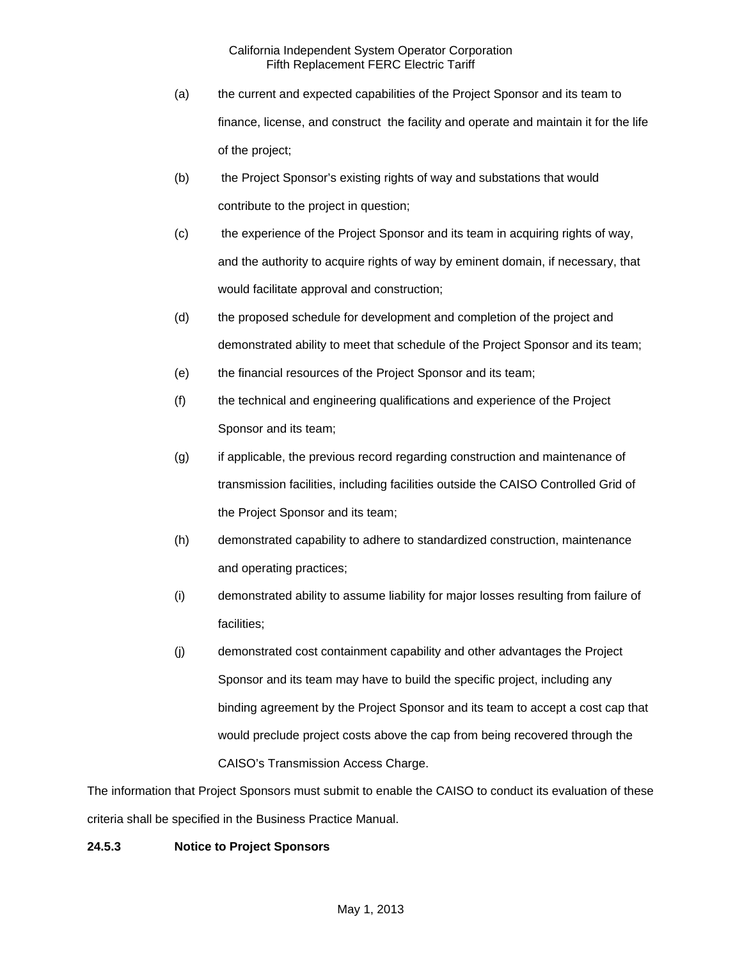- (a) the current and expected capabilities of the Project Sponsor and its team to finance, license, and construct the facility and operate and maintain it for the life of the project;
- (b) the Project Sponsor's existing rights of way and substations that would contribute to the project in question;
- (c) the experience of the Project Sponsor and its team in acquiring rights of way, and the authority to acquire rights of way by eminent domain, if necessary, that would facilitate approval and construction;
- (d) the proposed schedule for development and completion of the project and demonstrated ability to meet that schedule of the Project Sponsor and its team;
- (e) the financial resources of the Project Sponsor and its team;
- (f) the technical and engineering qualifications and experience of the Project Sponsor and its team;
- (g) if applicable, the previous record regarding construction and maintenance of transmission facilities, including facilities outside the CAISO Controlled Grid of the Project Sponsor and its team;
- (h) demonstrated capability to adhere to standardized construction, maintenance and operating practices;
- (i) demonstrated ability to assume liability for major losses resulting from failure of facilities;
- (j) demonstrated cost containment capability and other advantages the Project Sponsor and its team may have to build the specific project, including any binding agreement by the Project Sponsor and its team to accept a cost cap that would preclude project costs above the cap from being recovered through the CAISO's Transmission Access Charge.

The information that Project Sponsors must submit to enable the CAISO to conduct its evaluation of these criteria shall be specified in the Business Practice Manual.

# **24.5.3 Notice to Project Sponsors**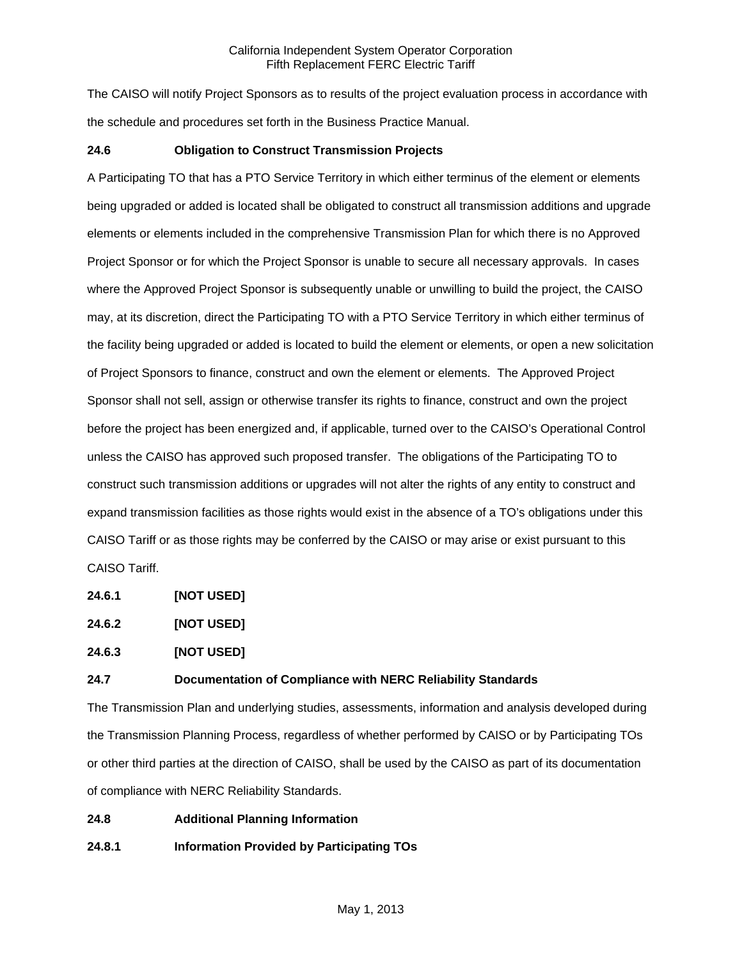The CAISO will notify Project Sponsors as to results of the project evaluation process in accordance with the schedule and procedures set forth in the Business Practice Manual.

## **24.6 Obligation to Construct Transmission Projects**

A Participating TO that has a PTO Service Territory in which either terminus of the element or elements being upgraded or added is located shall be obligated to construct all transmission additions and upgrade elements or elements included in the comprehensive Transmission Plan for which there is no Approved Project Sponsor or for which the Project Sponsor is unable to secure all necessary approvals. In cases where the Approved Project Sponsor is subsequently unable or unwilling to build the project, the CAISO may, at its discretion, direct the Participating TO with a PTO Service Territory in which either terminus of the facility being upgraded or added is located to build the element or elements, or open a new solicitation of Project Sponsors to finance, construct and own the element or elements. The Approved Project Sponsor shall not sell, assign or otherwise transfer its rights to finance, construct and own the project before the project has been energized and, if applicable, turned over to the CAISO's Operational Control unless the CAISO has approved such proposed transfer. The obligations of the Participating TO to construct such transmission additions or upgrades will not alter the rights of any entity to construct and expand transmission facilities as those rights would exist in the absence of a TO's obligations under this CAISO Tariff or as those rights may be conferred by the CAISO or may arise or exist pursuant to this CAISO Tariff.

**24.6.1 [NOT USED]** 

**24.6.2 [NOT USED]**

**24.6.3 [NOT USED]** 

## **24.7 Documentation of Compliance with NERC Reliability Standards**

The Transmission Plan and underlying studies, assessments, information and analysis developed during the Transmission Planning Process, regardless of whether performed by CAISO or by Participating TOs or other third parties at the direction of CAISO, shall be used by the CAISO as part of its documentation of compliance with NERC Reliability Standards.

**24.8 Additional Planning Information**

**24.8.1 Information Provided by Participating TOs**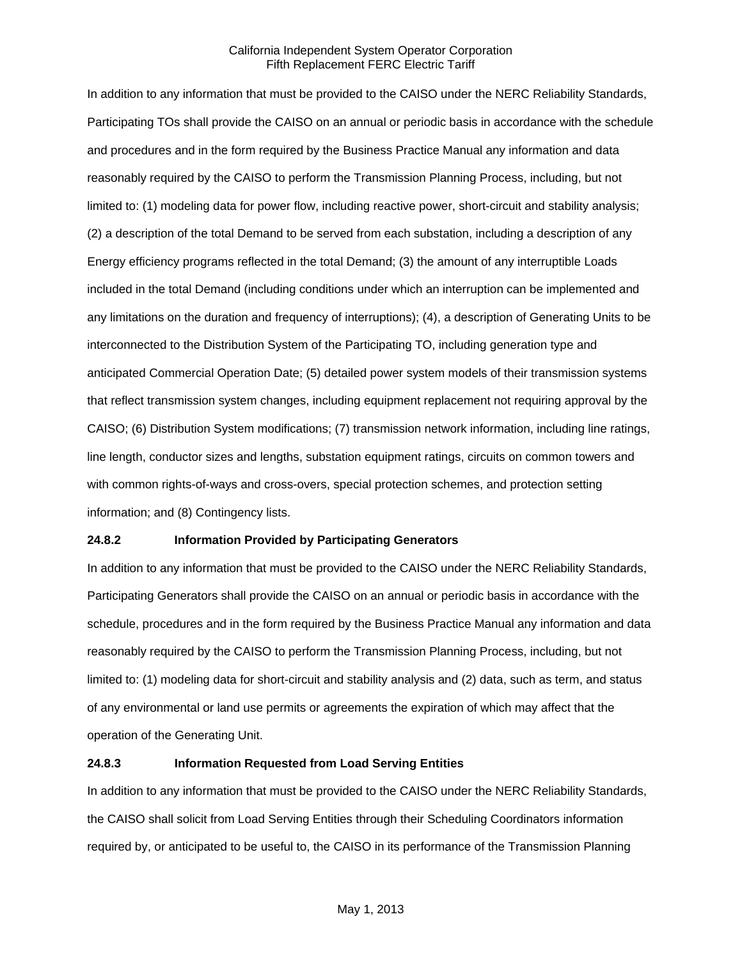In addition to any information that must be provided to the CAISO under the NERC Reliability Standards, Participating TOs shall provide the CAISO on an annual or periodic basis in accordance with the schedule and procedures and in the form required by the Business Practice Manual any information and data reasonably required by the CAISO to perform the Transmission Planning Process, including, but not limited to: (1) modeling data for power flow, including reactive power, short-circuit and stability analysis; (2) a description of the total Demand to be served from each substation, including a description of any Energy efficiency programs reflected in the total Demand; (3) the amount of any interruptible Loads included in the total Demand (including conditions under which an interruption can be implemented and any limitations on the duration and frequency of interruptions); (4), a description of Generating Units to be interconnected to the Distribution System of the Participating TO, including generation type and anticipated Commercial Operation Date; (5) detailed power system models of their transmission systems that reflect transmission system changes, including equipment replacement not requiring approval by the CAISO; (6) Distribution System modifications; (7) transmission network information, including line ratings, line length, conductor sizes and lengths, substation equipment ratings, circuits on common towers and with common rights-of-ways and cross-overs, special protection schemes, and protection setting information; and (8) Contingency lists.

### **24.8.2 Information Provided by Participating Generators**

In addition to any information that must be provided to the CAISO under the NERC Reliability Standards, Participating Generators shall provide the CAISO on an annual or periodic basis in accordance with the schedule, procedures and in the form required by the Business Practice Manual any information and data reasonably required by the CAISO to perform the Transmission Planning Process, including, but not limited to: (1) modeling data for short-circuit and stability analysis and (2) data, such as term, and status of any environmental or land use permits or agreements the expiration of which may affect that the operation of the Generating Unit.

## **24.8.3 Information Requested from Load Serving Entities**

In addition to any information that must be provided to the CAISO under the NERC Reliability Standards, the CAISO shall solicit from Load Serving Entities through their Scheduling Coordinators information required by, or anticipated to be useful to, the CAISO in its performance of the Transmission Planning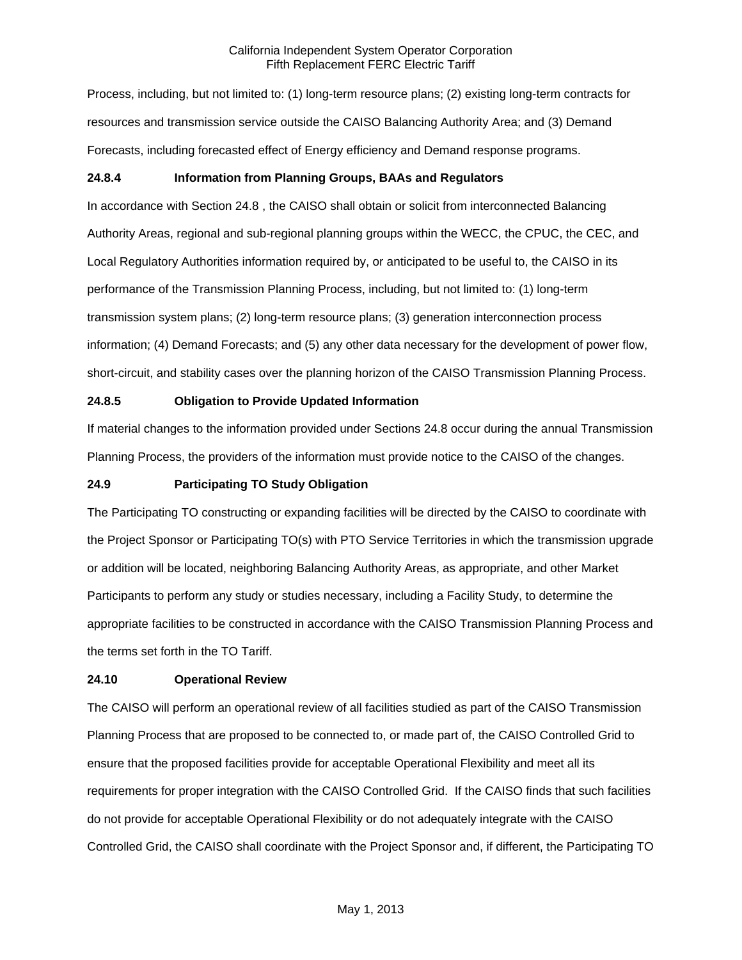Process, including, but not limited to: (1) long-term resource plans; (2) existing long-term contracts for resources and transmission service outside the CAISO Balancing Authority Area; and (3) Demand Forecasts, including forecasted effect of Energy efficiency and Demand response programs.

# **24.8.4 Information from Planning Groups, BAAs and Regulators**

In accordance with Section 24.8 , the CAISO shall obtain or solicit from interconnected Balancing Authority Areas, regional and sub-regional planning groups within the WECC, the CPUC, the CEC, and Local Regulatory Authorities information required by, or anticipated to be useful to, the CAISO in its performance of the Transmission Planning Process, including, but not limited to: (1) long-term transmission system plans; (2) long-term resource plans; (3) generation interconnection process information; (4) Demand Forecasts; and (5) any other data necessary for the development of power flow, short-circuit, and stability cases over the planning horizon of the CAISO Transmission Planning Process.

# **24.8.5 Obligation to Provide Updated Information**

If material changes to the information provided under Sections 24.8 occur during the annual Transmission Planning Process, the providers of the information must provide notice to the CAISO of the changes.

## **24.9 Participating TO Study Obligation**

The Participating TO constructing or expanding facilities will be directed by the CAISO to coordinate with the Project Sponsor or Participating TO(s) with PTO Service Territories in which the transmission upgrade or addition will be located, neighboring Balancing Authority Areas, as appropriate, and other Market Participants to perform any study or studies necessary, including a Facility Study, to determine the appropriate facilities to be constructed in accordance with the CAISO Transmission Planning Process and the terms set forth in the TO Tariff.

# **24.10 Operational Review**

The CAISO will perform an operational review of all facilities studied as part of the CAISO Transmission Planning Process that are proposed to be connected to, or made part of, the CAISO Controlled Grid to ensure that the proposed facilities provide for acceptable Operational Flexibility and meet all its requirements for proper integration with the CAISO Controlled Grid. If the CAISO finds that such facilities do not provide for acceptable Operational Flexibility or do not adequately integrate with the CAISO Controlled Grid, the CAISO shall coordinate with the Project Sponsor and, if different, the Participating TO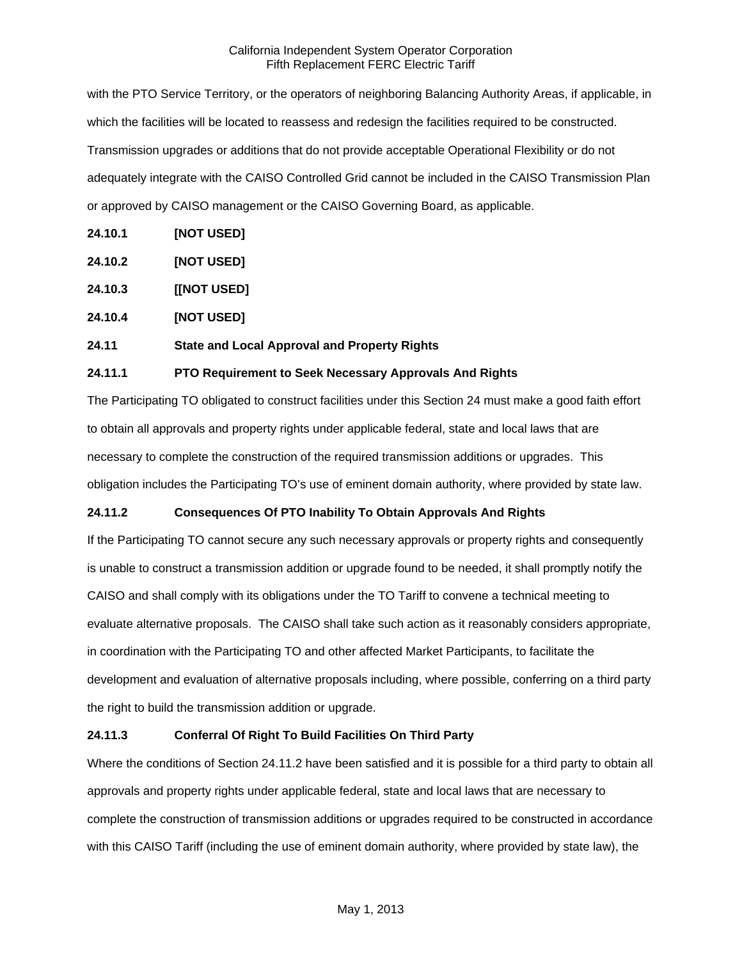with the PTO Service Territory, or the operators of neighboring Balancing Authority Areas, if applicable, in which the facilities will be located to reassess and redesign the facilities required to be constructed. Transmission upgrades or additions that do not provide acceptable Operational Flexibility or do not adequately integrate with the CAISO Controlled Grid cannot be included in the CAISO Transmission Plan or approved by CAISO management or the CAISO Governing Board, as applicable.

- **24.10.1 [NOT USED]**
- **24.10.2 [NOT USED]**
- **24.10.3 [[NOT USED]**
- **24.10.4 [NOT USED]**

# **24.11 State and Local Approval and Property Rights**

## **24.11.1 PTO Requirement to Seek Necessary Approvals And Rights**

The Participating TO obligated to construct facilities under this Section 24 must make a good faith effort to obtain all approvals and property rights under applicable federal, state and local laws that are necessary to complete the construction of the required transmission additions or upgrades. This obligation includes the Participating TO's use of eminent domain authority, where provided by state law.

# **24.11.2 Consequences Of PTO Inability To Obtain Approvals And Rights**

If the Participating TO cannot secure any such necessary approvals or property rights and consequently is unable to construct a transmission addition or upgrade found to be needed, it shall promptly notify the CAISO and shall comply with its obligations under the TO Tariff to convene a technical meeting to evaluate alternative proposals. The CAISO shall take such action as it reasonably considers appropriate, in coordination with the Participating TO and other affected Market Participants, to facilitate the development and evaluation of alternative proposals including, where possible, conferring on a third party the right to build the transmission addition or upgrade.

### **24.11.3 Conferral Of Right To Build Facilities On Third Party**

Where the conditions of Section 24.11.2 have been satisfied and it is possible for a third party to obtain all approvals and property rights under applicable federal, state and local laws that are necessary to complete the construction of transmission additions or upgrades required to be constructed in accordance with this CAISO Tariff (including the use of eminent domain authority, where provided by state law), the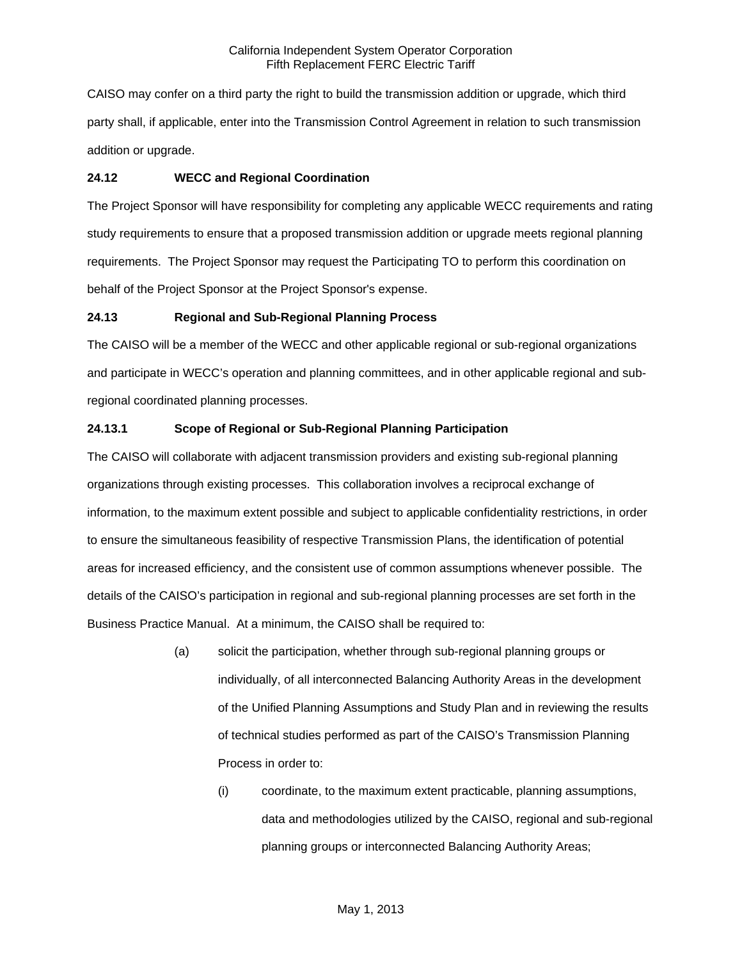CAISO may confer on a third party the right to build the transmission addition or upgrade, which third party shall, if applicable, enter into the Transmission Control Agreement in relation to such transmission addition or upgrade.

## **24.12 WECC and Regional Coordination**

The Project Sponsor will have responsibility for completing any applicable WECC requirements and rating study requirements to ensure that a proposed transmission addition or upgrade meets regional planning requirements. The Project Sponsor may request the Participating TO to perform this coordination on behalf of the Project Sponsor at the Project Sponsor's expense.

## **24.13 Regional and Sub-Regional Planning Process**

The CAISO will be a member of the WECC and other applicable regional or sub-regional organizations and participate in WECC's operation and planning committees, and in other applicable regional and subregional coordinated planning processes.

## **24.13.1 Scope of Regional or Sub-Regional Planning Participation**

The CAISO will collaborate with adjacent transmission providers and existing sub-regional planning organizations through existing processes. This collaboration involves a reciprocal exchange of information, to the maximum extent possible and subject to applicable confidentiality restrictions, in order to ensure the simultaneous feasibility of respective Transmission Plans, the identification of potential areas for increased efficiency, and the consistent use of common assumptions whenever possible. The details of the CAISO's participation in regional and sub-regional planning processes are set forth in the Business Practice Manual. At a minimum, the CAISO shall be required to:

- (a) solicit the participation, whether through sub-regional planning groups or individually, of all interconnected Balancing Authority Areas in the development of the Unified Planning Assumptions and Study Plan and in reviewing the results of technical studies performed as part of the CAISO's Transmission Planning Process in order to:
	- (i) coordinate, to the maximum extent practicable, planning assumptions, data and methodologies utilized by the CAISO, regional and sub-regional planning groups or interconnected Balancing Authority Areas;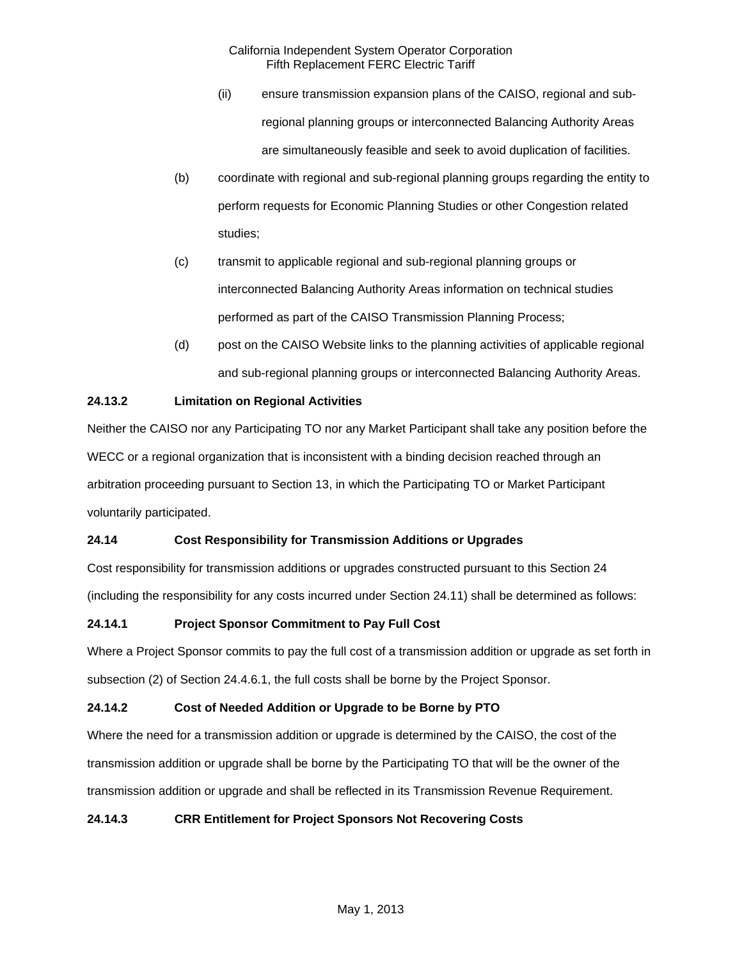- (ii) ensure transmission expansion plans of the CAISO, regional and subregional planning groups or interconnected Balancing Authority Areas are simultaneously feasible and seek to avoid duplication of facilities.
- (b) coordinate with regional and sub-regional planning groups regarding the entity to perform requests for Economic Planning Studies or other Congestion related studies;
- (c) transmit to applicable regional and sub-regional planning groups or interconnected Balancing Authority Areas information on technical studies performed as part of the CAISO Transmission Planning Process;
- (d) post on the CAISO Website links to the planning activities of applicable regional and sub-regional planning groups or interconnected Balancing Authority Areas.

# **24.13.2 Limitation on Regional Activities**

Neither the CAISO nor any Participating TO nor any Market Participant shall take any position before the WECC or a regional organization that is inconsistent with a binding decision reached through an arbitration proceeding pursuant to Section 13, in which the Participating TO or Market Participant voluntarily participated.

# **24.14 Cost Responsibility for Transmission Additions or Upgrades**

Cost responsibility for transmission additions or upgrades constructed pursuant to this Section 24 (including the responsibility for any costs incurred under Section 24.11) shall be determined as follows:

# **24.14.1 Project Sponsor Commitment to Pay Full Cost**

Where a Project Sponsor commits to pay the full cost of a transmission addition or upgrade as set forth in subsection (2) of Section 24.4.6.1, the full costs shall be borne by the Project Sponsor.

# **24.14.2 Cost of Needed Addition or Upgrade to be Borne by PTO**

Where the need for a transmission addition or upgrade is determined by the CAISO, the cost of the transmission addition or upgrade shall be borne by the Participating TO that will be the owner of the transmission addition or upgrade and shall be reflected in its Transmission Revenue Requirement.

# **24.14.3 CRR Entitlement for Project Sponsors Not Recovering Costs**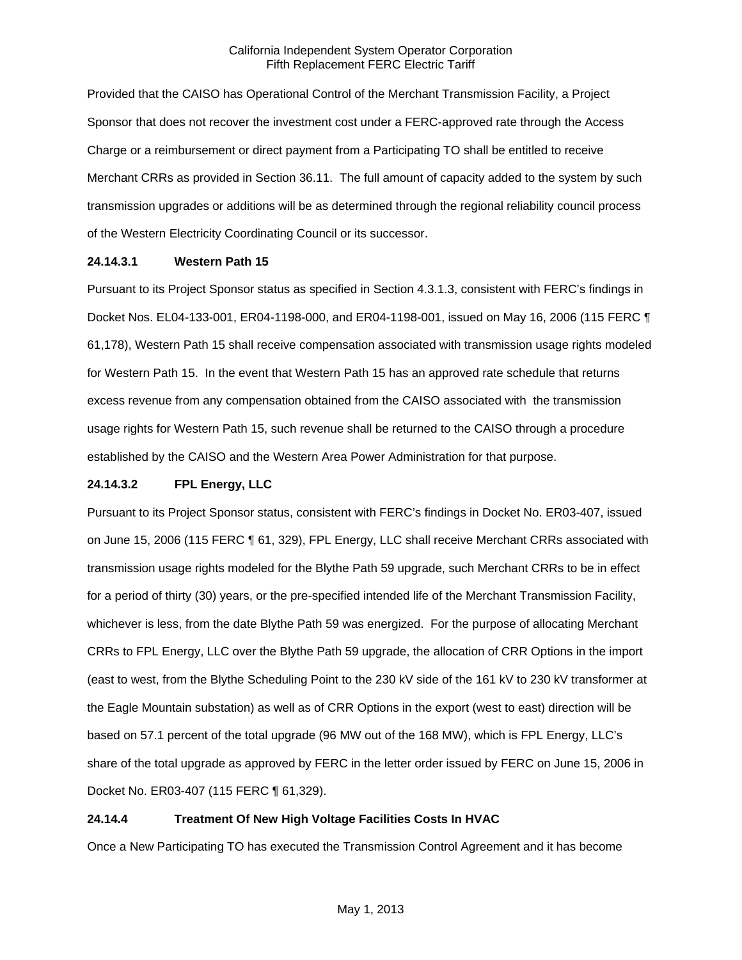Provided that the CAISO has Operational Control of the Merchant Transmission Facility, a Project Sponsor that does not recover the investment cost under a FERC-approved rate through the Access Charge or a reimbursement or direct payment from a Participating TO shall be entitled to receive Merchant CRRs as provided in Section 36.11. The full amount of capacity added to the system by such transmission upgrades or additions will be as determined through the regional reliability council process of the Western Electricity Coordinating Council or its successor.

## **24.14.3.1 Western Path 15**

Pursuant to its Project Sponsor status as specified in Section 4.3.1.3, consistent with FERC's findings in Docket Nos. EL04-133-001, ER04-1198-000, and ER04-1198-001, issued on May 16, 2006 (115 FERC ¶ 61,178), Western Path 15 shall receive compensation associated with transmission usage rights modeled for Western Path 15. In the event that Western Path 15 has an approved rate schedule that returns excess revenue from any compensation obtained from the CAISO associated with the transmission usage rights for Western Path 15, such revenue shall be returned to the CAISO through a procedure established by the CAISO and the Western Area Power Administration for that purpose.

## **24.14.3.2 FPL Energy, LLC**

Pursuant to its Project Sponsor status, consistent with FERC's findings in Docket No. ER03-407, issued on June 15, 2006 (115 FERC ¶ 61, 329), FPL Energy, LLC shall receive Merchant CRRs associated with transmission usage rights modeled for the Blythe Path 59 upgrade, such Merchant CRRs to be in effect for a period of thirty (30) years, or the pre-specified intended life of the Merchant Transmission Facility, whichever is less, from the date Blythe Path 59 was energized. For the purpose of allocating Merchant CRRs to FPL Energy, LLC over the Blythe Path 59 upgrade, the allocation of CRR Options in the import (east to west, from the Blythe Scheduling Point to the 230 kV side of the 161 kV to 230 kV transformer at the Eagle Mountain substation) as well as of CRR Options in the export (west to east) direction will be based on 57.1 percent of the total upgrade (96 MW out of the 168 MW), which is FPL Energy, LLC's share of the total upgrade as approved by FERC in the letter order issued by FERC on June 15, 2006 in Docket No. ER03-407 (115 FERC ¶ 61,329).

# **24.14.4 Treatment Of New High Voltage Facilities Costs In HVAC**

Once a New Participating TO has executed the Transmission Control Agreement and it has become